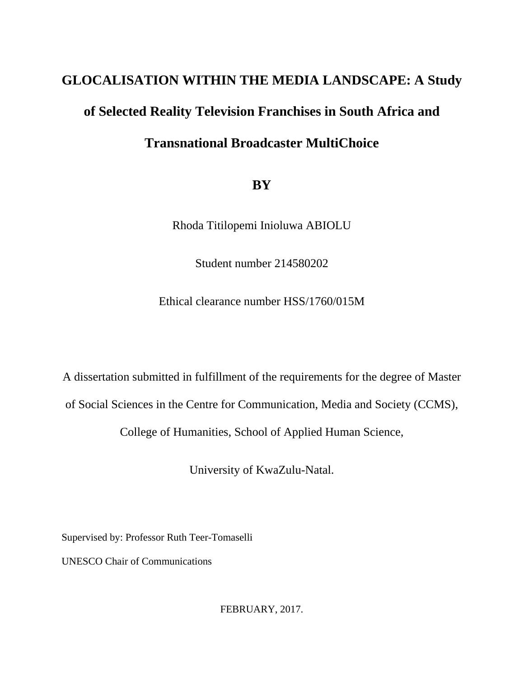# **GLOCALISATION WITHIN THE MEDIA LANDSCAPE: A Study**

# **of Selected Reality Television Franchises in South Africa and**

# **Transnational Broadcaster MultiChoice**

# **BY**

Rhoda Titilopemi Inioluwa ABIOLU

Student number 214580202

Ethical clearance number HSS/1760/015M

A dissertation submitted in fulfillment of the requirements for the degree of Master

of Social Sciences in the Centre for Communication, Media and Society (CCMS),

College of Humanities, School of Applied Human Science,

University of KwaZulu-Natal.

Supervised by: Professor Ruth Teer-Tomaselli

UNESCO Chair of Communications

FEBRUARY, 2017.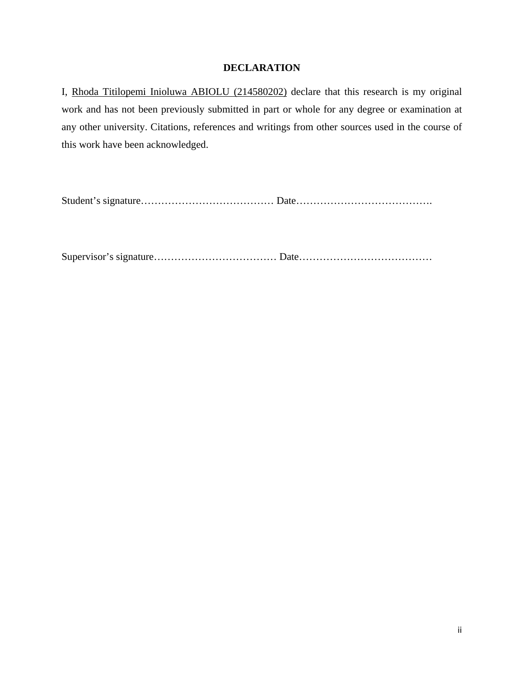# **DECLARATION**

I, Rhoda Titilopemi Inioluwa ABIOLU (214580202) declare that this research is my original work and has not been previously submitted in part or whole for any degree or examination at any other university. Citations, references and writings from other sources used in the course of this work have been acknowledged.

Student's signature………………………………… Date………………………………….

Supervisor's signature……………………………… Date…………………………………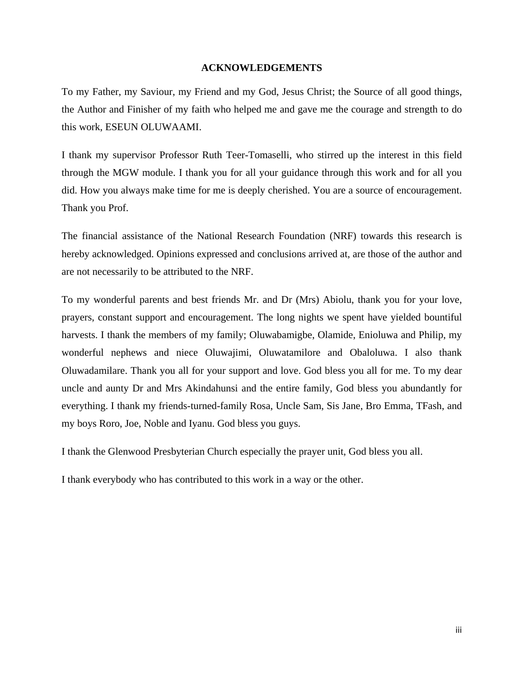### **ACKNOWLEDGEMENTS**

To my Father, my Saviour, my Friend and my God, Jesus Christ; the Source of all good things, the Author and Finisher of my faith who helped me and gave me the courage and strength to do this work, ESEUN OLUWAAMI.

I thank my supervisor Professor Ruth Teer-Tomaselli, who stirred up the interest in this field through the MGW module. I thank you for all your guidance through this work and for all you did. How you always make time for me is deeply cherished. You are a source of encouragement. Thank you Prof.

The financial assistance of the National Research Foundation (NRF) towards this research is hereby acknowledged. Opinions expressed and conclusions arrived at, are those of the author and are not necessarily to be attributed to the NRF.

To my wonderful parents and best friends Mr. and Dr (Mrs) Abiolu, thank you for your love, prayers, constant support and encouragement. The long nights we spent have yielded bountiful harvests. I thank the members of my family; Oluwabamigbe, Olamide, Enioluwa and Philip, my wonderful nephews and niece Oluwajimi, Oluwatamilore and Obaloluwa. I also thank Oluwadamilare. Thank you all for your support and love. God bless you all for me. To my dear uncle and aunty Dr and Mrs Akindahunsi and the entire family, God bless you abundantly for everything. I thank my friends-turned-family Rosa, Uncle Sam, Sis Jane, Bro Emma, TFash, and my boys Roro, Joe, Noble and Iyanu. God bless you guys.

I thank the Glenwood Presbyterian Church especially the prayer unit, God bless you all.

I thank everybody who has contributed to this work in a way or the other.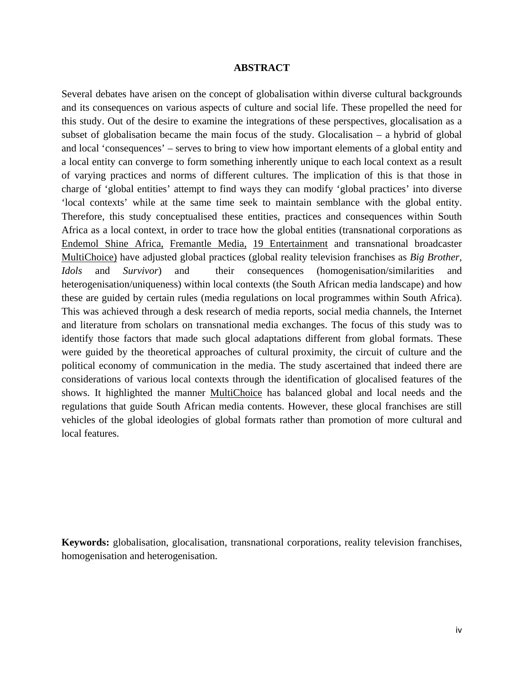#### **ABSTRACT**

Several debates have arisen on the concept of globalisation within diverse cultural backgrounds and its consequences on various aspects of culture and social life. These propelled the need for this study. Out of the desire to examine the integrations of these perspectives, glocalisation as a subset of globalisation became the main focus of the study. Glocalisation – a hybrid of global and local 'consequences' – serves to bring to view how important elements of a global entity and a local entity can converge to form something inherently unique to each local context as a result of varying practices and norms of different cultures. The implication of this is that those in charge of 'global entities' attempt to find ways they can modify 'global practices' into diverse 'local contexts' while at the same time seek to maintain semblance with the global entity. Therefore, this study conceptualised these entities, practices and consequences within South Africa as a local context, in order to trace how the global entities (transnational corporations as Endemol Shine Africa, Fremantle Media, 19 Entertainment and transnational broadcaster MultiChoice) have adjusted global practices (global reality television franchises as *Big Brother, Idols* and *Survivor*) and their consequences (homogenisation/similarities and heterogenisation/uniqueness) within local contexts (the South African media landscape) and how these are guided by certain rules (media regulations on local programmes within South Africa). This was achieved through a desk research of media reports, social media channels, the Internet and literature from scholars on transnational media exchanges. The focus of this study was to identify those factors that made such glocal adaptations different from global formats. These were guided by the theoretical approaches of cultural proximity, the circuit of culture and the political economy of communication in the media. The study ascertained that indeed there are considerations of various local contexts through the identification of glocalised features of the shows. It highlighted the manner MultiChoice has balanced global and local needs and the regulations that guide South African media contents. However, these glocal franchises are still vehicles of the global ideologies of global formats rather than promotion of more cultural and local features.

**Keywords:** globalisation, glocalisation, transnational corporations, reality television franchises, homogenisation and heterogenisation.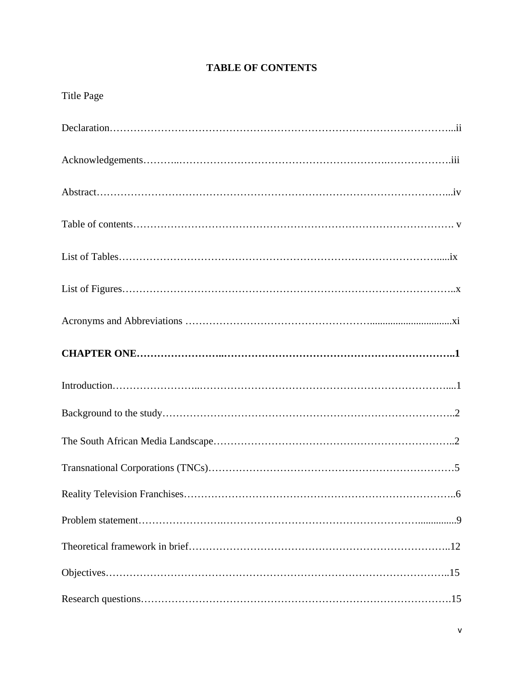# **TABLE OF CONTENTS**

| <b>Title Page</b> |
|-------------------|
|                   |
|                   |
|                   |
|                   |
|                   |
|                   |
|                   |
|                   |
|                   |
|                   |
|                   |
|                   |
|                   |
|                   |
|                   |
|                   |
|                   |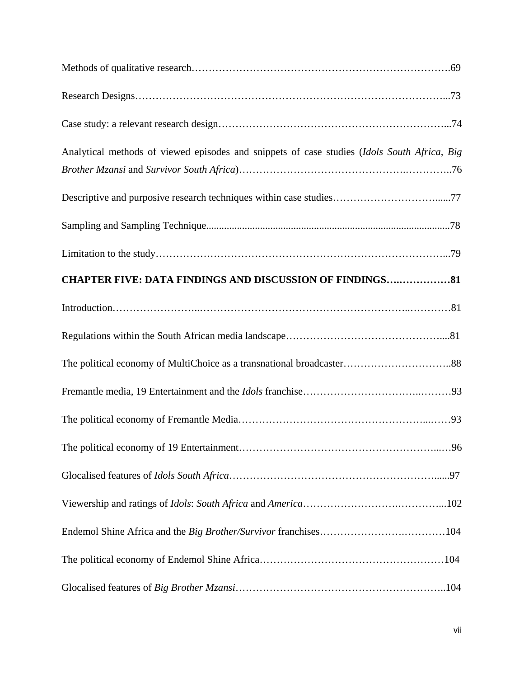| Analytical methods of viewed episodes and snippets of case studies (Idols South Africa, Big |  |
|---------------------------------------------------------------------------------------------|--|
|                                                                                             |  |
| Descriptive and purposive research techniques within case studies77                         |  |
|                                                                                             |  |
|                                                                                             |  |
| <b>CHAPTER FIVE: DATA FINDINGS AND DISCUSSION OF FINDINGS81</b>                             |  |
|                                                                                             |  |
|                                                                                             |  |
|                                                                                             |  |
|                                                                                             |  |
|                                                                                             |  |
|                                                                                             |  |
|                                                                                             |  |
|                                                                                             |  |
|                                                                                             |  |
|                                                                                             |  |
|                                                                                             |  |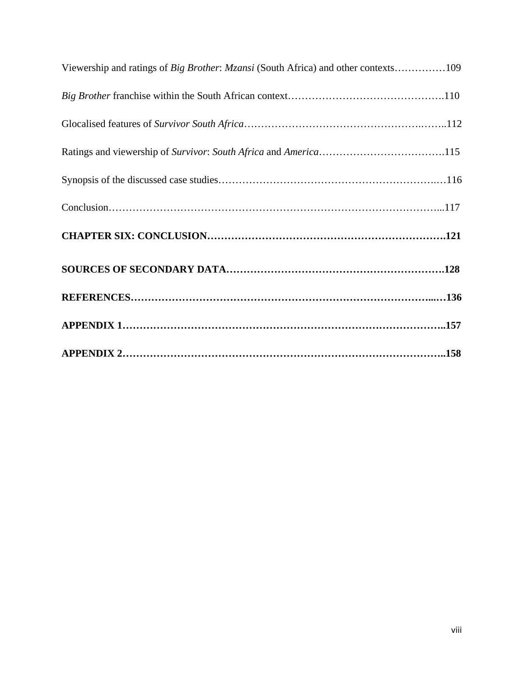| Viewership and ratings of Big Brother: Mzansi (South Africa) and other contexts109 |
|------------------------------------------------------------------------------------|
|                                                                                    |
|                                                                                    |
|                                                                                    |
|                                                                                    |
|                                                                                    |
|                                                                                    |
|                                                                                    |
|                                                                                    |
|                                                                                    |
|                                                                                    |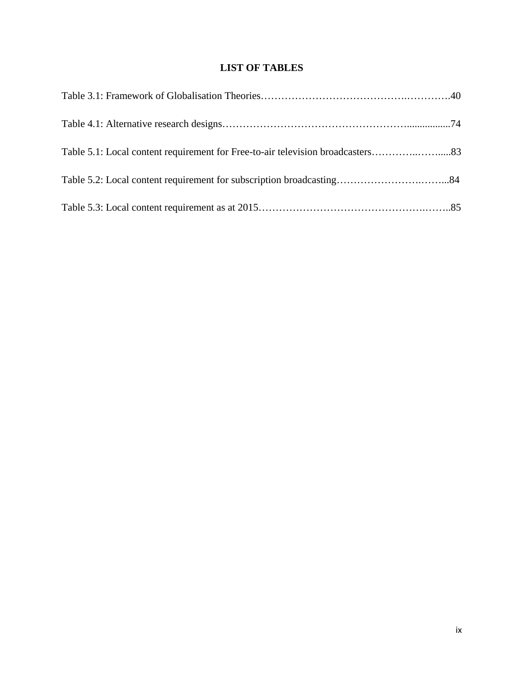# **LIST OF TABLES**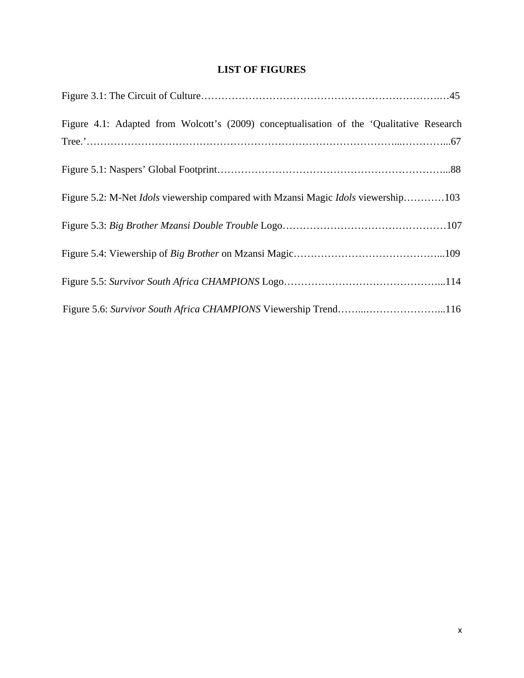# **LIST OF FIGURES**

| Figure 4.1: Adapted from Wolcott's (2009) conceptualisation of the 'Qualitative Research        |
|-------------------------------------------------------------------------------------------------|
|                                                                                                 |
| Figure 5.2: M-Net <i>Idols</i> viewership compared with Mzansi Magic <i>Idols</i> viewership103 |
|                                                                                                 |
|                                                                                                 |
|                                                                                                 |
| Figure 5.6: Survivor South Africa CHAMPIONS Viewership Trend116                                 |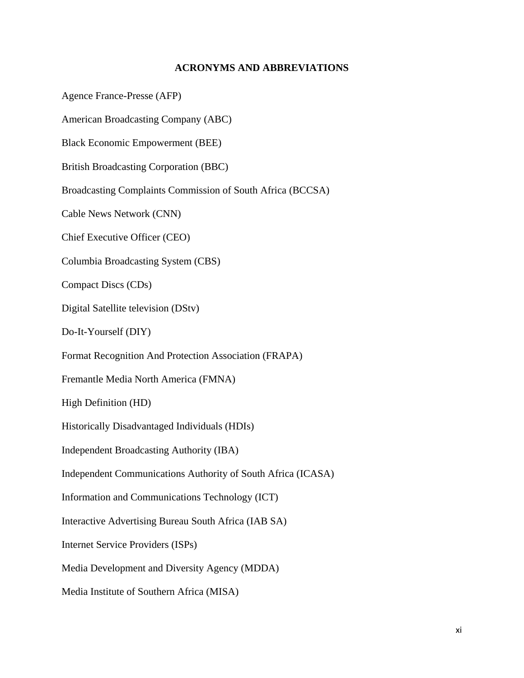# **ACRONYMS AND ABBREVIATIONS**

Agence France-Presse (AFP)

American Broadcasting Company (ABC)

Black Economic Empowerment (BEE)

British Broadcasting Corporation (BBC)

Broadcasting Complaints Commission of South Africa (BCCSA)

Cable News Network (CNN)

Chief Executive Officer (CEO)

Columbia Broadcasting System (CBS)

Compact Discs (CDs)

Digital Satellite television (DStv)

Do-It-Yourself (DIY)

Format Recognition And Protection Association (FRAPA)

Fremantle Media North America (FMNA)

High Definition (HD)

Historically Disadvantaged Individuals (HDIs)

Independent Broadcasting Authority (IBA)

Independent Communications Authority of South Africa (ICASA)

Information and Communications Technology (ICT)

Interactive Advertising Bureau South Africa (IAB SA)

Internet Service Providers (ISPs)

Media Development and Diversity Agency (MDDA)

Media Institute of Southern Africa (MISA)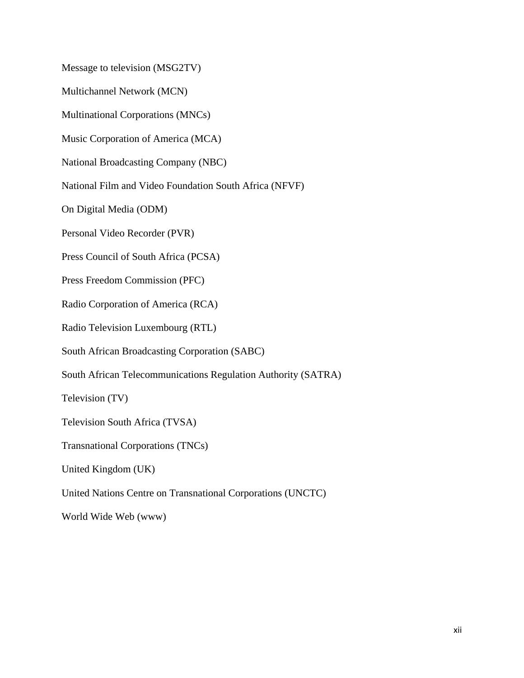Message to television (MSG2TV)

Multichannel Network (MCN)

Multinational Corporations (MNCs)

Music Corporation of America (MCA)

National Broadcasting Company (NBC)

National Film and Video Foundation South Africa (NFVF)

On Digital Media (ODM)

Personal Video Recorder (PVR)

Press Council of South Africa (PCSA)

Press Freedom Commission (PFC)

Radio Corporation of America (RCA)

Radio Television Luxembourg (RTL)

South African Broadcasting Corporation (SABC)

South African Telecommunications Regulation Authority (SATRA)

Television (TV)

Television South Africa (TVSA)

Transnational Corporations (TNCs)

United Kingdom (UK)

United Nations Centre on Transnational Corporations (UNCTC)

World Wide Web (www)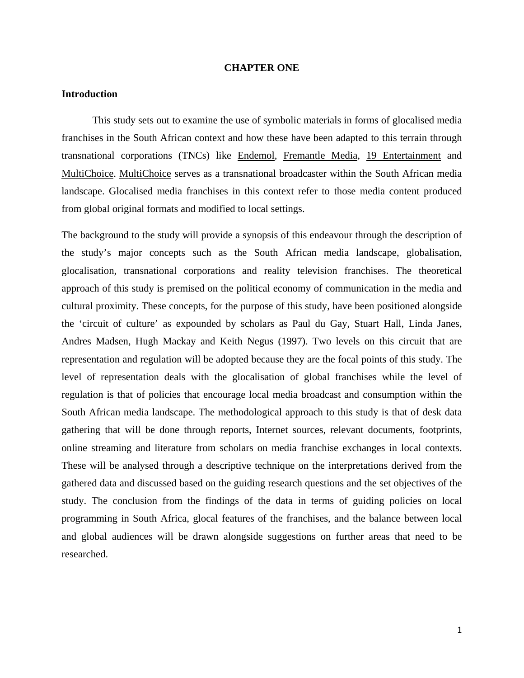#### **CHAPTER ONE**

# **Introduction**

This study sets out to examine the use of symbolic materials in forms of glocalised media franchises in the South African context and how these have been adapted to this terrain through transnational corporations (TNCs) like Endemol, Fremantle Media, 19 Entertainment and MultiChoice. MultiChoice serves as a transnational broadcaster within the South African media landscape. Glocalised media franchises in this context refer to those media content produced from global original formats and modified to local settings.

The background to the study will provide a synopsis of this endeavour through the description of the study's major concepts such as the South African media landscape, globalisation, glocalisation, transnational corporations and reality television franchises. The theoretical approach of this study is premised on the political economy of communication in the media and cultural proximity. These concepts, for the purpose of this study, have been positioned alongside the 'circuit of culture' as expounded by scholars as Paul du Gay, Stuart Hall, Linda Janes, Andres Madsen, Hugh Mackay and Keith Negus (1997). Two levels on this circuit that are representation and regulation will be adopted because they are the focal points of this study. The level of representation deals with the glocalisation of global franchises while the level of regulation is that of policies that encourage local media broadcast and consumption within the South African media landscape. The methodological approach to this study is that of desk data gathering that will be done through reports, Internet sources, relevant documents, footprints, online streaming and literature from scholars on media franchise exchanges in local contexts. These will be analysed through a descriptive technique on the interpretations derived from the gathered data and discussed based on the guiding research questions and the set objectives of the study. The conclusion from the findings of the data in terms of guiding policies on local programming in South Africa, glocal features of the franchises, and the balance between local and global audiences will be drawn alongside suggestions on further areas that need to be researched.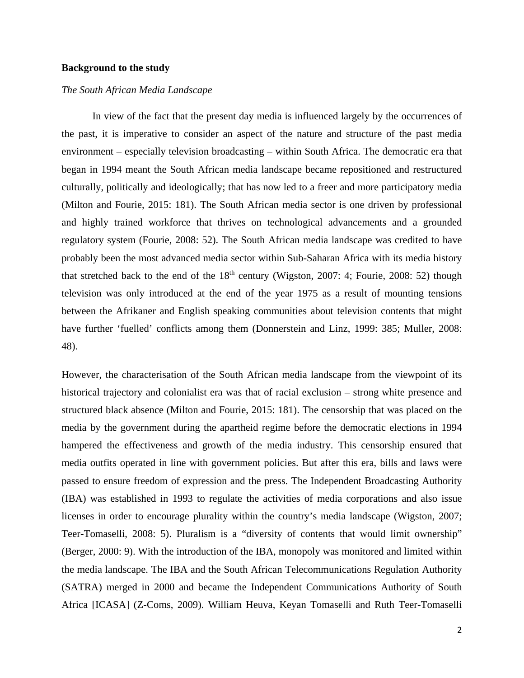# **Background to the study**

## *The South African Media Landscape*

In view of the fact that the present day media is influenced largely by the occurrences of the past, it is imperative to consider an aspect of the nature and structure of the past media environment – especially television broadcasting – within South Africa. The democratic era that began in 1994 meant the South African media landscape became repositioned and restructured culturally, politically and ideologically; that has now led to a freer and more participatory media (Milton and Fourie, 2015: 181). The South African media sector is one driven by professional and highly trained workforce that thrives on technological advancements and a grounded regulatory system (Fourie, 2008: 52). The South African media landscape was credited to have probably been the most advanced media sector within Sub-Saharan Africa with its media history that stretched back to the end of the  $18<sup>th</sup>$  century (Wigston, 2007: 4; Fourie, 2008: 52) though television was only introduced at the end of the year 1975 as a result of mounting tensions between the Afrikaner and English speaking communities about television contents that might have further 'fuelled' conflicts among them (Donnerstein and Linz, 1999: 385; Muller, 2008: 48).

However, the characterisation of the South African media landscape from the viewpoint of its historical trajectory and colonialist era was that of racial exclusion – strong white presence and structured black absence (Milton and Fourie, 2015: 181). The censorship that was placed on the media by the government during the apartheid regime before the democratic elections in 1994 hampered the effectiveness and growth of the media industry. This censorship ensured that media outfits operated in line with government policies. But after this era, bills and laws were passed to ensure freedom of expression and the press. The Independent Broadcasting Authority (IBA) was established in 1993 to regulate the activities of media corporations and also issue licenses in order to encourage plurality within the country's media landscape (Wigston, 2007; Teer-Tomaselli, 2008: 5). Pluralism is a "diversity of contents that would limit ownership" (Berger, 2000: 9). With the introduction of the IBA, monopoly was monitored and limited within the media landscape. The IBA and the South African Telecommunications Regulation Authority (SATRA) merged in 2000 and became the Independent Communications Authority of South Africa [ICASA] (Z-Coms, 2009). William Heuva, Keyan Tomaselli and Ruth Teer-Tomaselli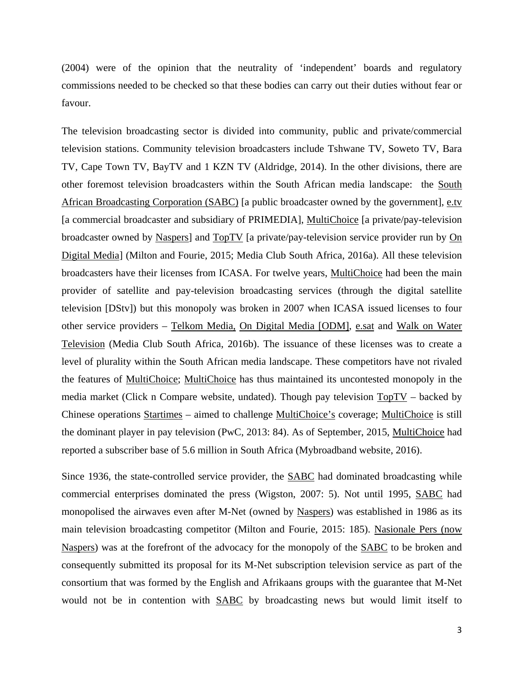(2004) were of the opinion that the neutrality of 'independent' boards and regulatory commissions needed to be checked so that these bodies can carry out their duties without fear or favour.

The television broadcasting sector is divided into community, public and private/commercial television stations. Community television broadcasters include Tshwane TV, Soweto TV, Bara TV, Cape Town TV, BayTV and 1 KZN TV (Aldridge, 2014). In the other divisions, there are other foremost television broadcasters within the South African media landscape: the South African Broadcasting Corporation (SABC) [a public broadcaster owned by the government], e.tv [a commercial broadcaster and subsidiary of PRIMEDIA], MultiChoice [a private/pay-television broadcaster owned by Naspers] and TopTV [a private/pay-television service provider run by On Digital Media] (Milton and Fourie, 2015; Media Club South Africa, 2016a). All these television broadcasters have their licenses from ICASA. For twelve years, MultiChoice had been the main provider of satellite and pay-television broadcasting services (through the digital satellite television [DStv]) but this monopoly was broken in 2007 when ICASA issued licenses to four other service providers – Telkom Media, On Digital Media [ODM], e.sat and Walk on Water Television (Media Club South Africa, 2016b). The issuance of these licenses was to create a level of plurality within the South African media landscape. These competitors have not rivaled the features of MultiChoice; MultiChoice has thus maintained its uncontested monopoly in the media market (Click n Compare website, undated). Though pay television TopTV – backed by Chinese operations Startimes – aimed to challenge MultiChoice's coverage; MultiChoice is still the dominant player in pay television (PwC, 2013: 84). As of September, 2015, MultiChoice had reported a subscriber base of 5.6 million in South Africa (Mybroadband website, 2016).

Since 1936, the state-controlled service provider, the SABC had dominated broadcasting while commercial enterprises dominated the press (Wigston, 2007: 5). Not until 1995, SABC had monopolised the airwaves even after M-Net (owned by Naspers) was established in 1986 as its main television broadcasting competitor (Milton and Fourie, 2015: 185). Nasionale Pers (now Naspers) was at the forefront of the advocacy for the monopoly of the SABC to be broken and consequently submitted its proposal for its M-Net subscription television service as part of the consortium that was formed by the English and Afrikaans groups with the guarantee that M-Net would not be in contention with SABC by broadcasting news but would limit itself to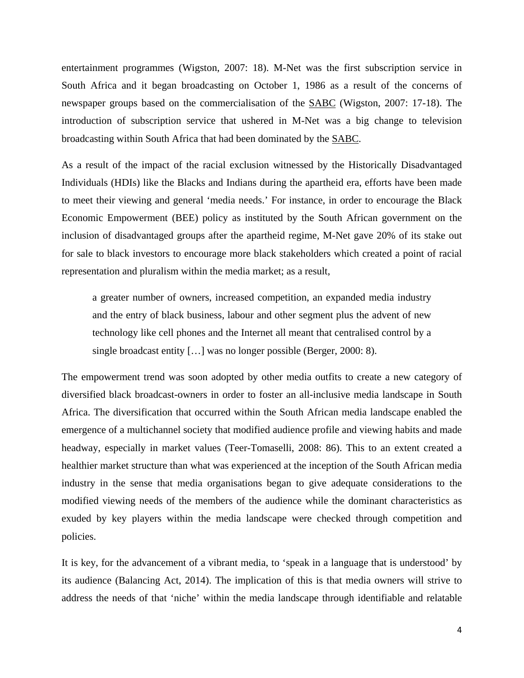entertainment programmes (Wigston, 2007: 18). M-Net was the first subscription service in South Africa and it began broadcasting on October 1, 1986 as a result of the concerns of newspaper groups based on the commercialisation of the SABC (Wigston, 2007: 17-18). The introduction of subscription service that ushered in M-Net was a big change to television broadcasting within South Africa that had been dominated by the SABC.

As a result of the impact of the racial exclusion witnessed by the Historically Disadvantaged Individuals (HDIs) like the Blacks and Indians during the apartheid era, efforts have been made to meet their viewing and general 'media needs.' For instance, in order to encourage the Black Economic Empowerment (BEE) policy as instituted by the South African government on the inclusion of disadvantaged groups after the apartheid regime, M-Net gave 20% of its stake out for sale to black investors to encourage more black stakeholders which created a point of racial representation and pluralism within the media market; as a result,

a greater number of owners, increased competition, an expanded media industry and the entry of black business, labour and other segment plus the advent of new technology like cell phones and the Internet all meant that centralised control by a single broadcast entity […] was no longer possible (Berger, 2000: 8).

The empowerment trend was soon adopted by other media outfits to create a new category of diversified black broadcast-owners in order to foster an all-inclusive media landscape in South Africa. The diversification that occurred within the South African media landscape enabled the emergence of a multichannel society that modified audience profile and viewing habits and made headway, especially in market values (Teer-Tomaselli, 2008: 86). This to an extent created a healthier market structure than what was experienced at the inception of the South African media industry in the sense that media organisations began to give adequate considerations to the modified viewing needs of the members of the audience while the dominant characteristics as exuded by key players within the media landscape were checked through competition and policies.

It is key, for the advancement of a vibrant media, to 'speak in a language that is understood' by its audience (Balancing Act, 2014). The implication of this is that media owners will strive to address the needs of that 'niche' within the media landscape through identifiable and relatable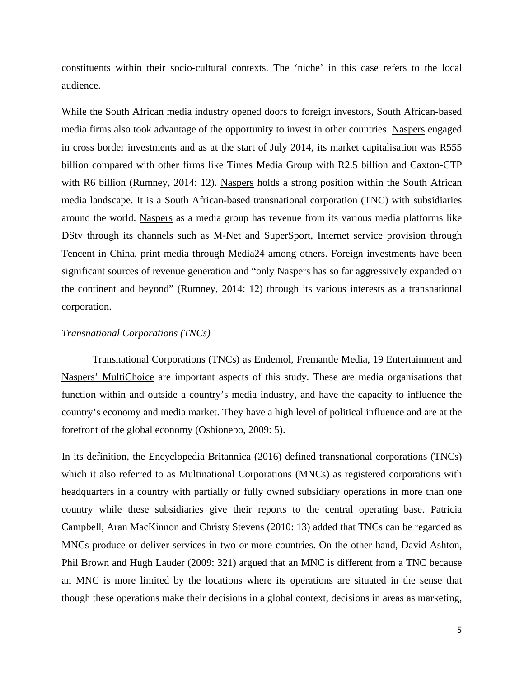constituents within their socio-cultural contexts. The 'niche' in this case refers to the local audience.

While the South African media industry opened doors to foreign investors, South African-based media firms also took advantage of the opportunity to invest in other countries. Naspers engaged in cross border investments and as at the start of July 2014, its market capitalisation was R555 billion compared with other firms like Times Media Group with R2.5 billion and Caxton-CTP with R6 billion (Rumney, 2014: 12). Naspers holds a strong position within the South African media landscape. It is a South African-based transnational corporation (TNC) with subsidiaries around the world. Naspers as a media group has revenue from its various media platforms like DStv through its channels such as M-Net and SuperSport, Internet service provision through Tencent in China, print media through Media24 among others. Foreign investments have been significant sources of revenue generation and "only Naspers has so far aggressively expanded on the continent and beyond" (Rumney, 2014: 12) through its various interests as a transnational corporation.

### *Transnational Corporations (TNCs)*

Transnational Corporations (TNCs) as Endemol, Fremantle Media, 19 Entertainment and Naspers' MultiChoice are important aspects of this study. These are media organisations that function within and outside a country's media industry, and have the capacity to influence the country's economy and media market. They have a high level of political influence and are at the forefront of the global economy (Oshionebo, 2009: 5).

In its definition, the Encyclopedia Britannica (2016) defined transnational corporations (TNCs) which it also referred to as Multinational Corporations (MNCs) as registered corporations with headquarters in a country with partially or fully owned subsidiary operations in more than one country while these subsidiaries give their reports to the central operating base. Patricia Campbell, Aran MacKinnon and Christy Stevens (2010: 13) added that TNCs can be regarded as MNCs produce or deliver services in two or more countries. On the other hand, David Ashton, Phil Brown and Hugh Lauder (2009: 321) argued that an MNC is different from a TNC because an MNC is more limited by the locations where its operations are situated in the sense that though these operations make their decisions in a global context, decisions in areas as marketing,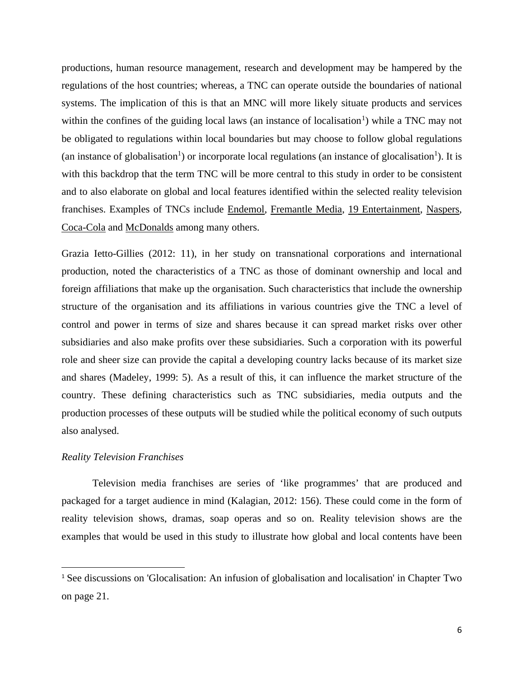productions, human resource management, research and development may be hampered by the regulations of the host countries; whereas, a TNC can operate outside the boundaries of national systems. The implication of this is that an MNC will more likely situate products and services within the confines of the guiding local laws (an instance of localisation<sup>[1](#page-17-0)</sup>) while a TNC may not be obligated to regulations within local boundaries but may choose to follow global regulations (an instance of globalisation<sup>1</sup>) or incorporate local regulations (an instance of glocalisation<sup>1</sup>). It is with this backdrop that the term TNC will be more central to this study in order to be consistent and to also elaborate on global and local features identified within the selected reality television franchises. Examples of TNCs include Endemol, Fremantle Media, 19 Entertainment, Naspers, Coca-Cola and McDonalds among many others.

Grazia Ietto-Gillies (2012: 11), in her study on transnational corporations and international production, noted the characteristics of a TNC as those of dominant ownership and local and foreign affiliations that make up the organisation. Such characteristics that include the ownership structure of the organisation and its affiliations in various countries give the TNC a level of control and power in terms of size and shares because it can spread market risks over other subsidiaries and also make profits over these subsidiaries. Such a corporation with its powerful role and sheer size can provide the capital a developing country lacks because of its market size and shares (Madeley, 1999: 5). As a result of this, it can influence the market structure of the country. These defining characteristics such as TNC subsidiaries, media outputs and the production processes of these outputs will be studied while the political economy of such outputs also analysed.

## *Reality Television Franchises*

 $\overline{a}$ 

Television media franchises are series of 'like programmes' that are produced and packaged for a target audience in mind (Kalagian, 2012: 156). These could come in the form of reality television shows, dramas, soap operas and so on. Reality television shows are the examples that would be used in this study to illustrate how global and local contents have been

<span id="page-17-0"></span><sup>&</sup>lt;sup>1</sup> See discussions on 'Glocalisation: An infusion of globalisation and localisation' in Chapter Two on page 21.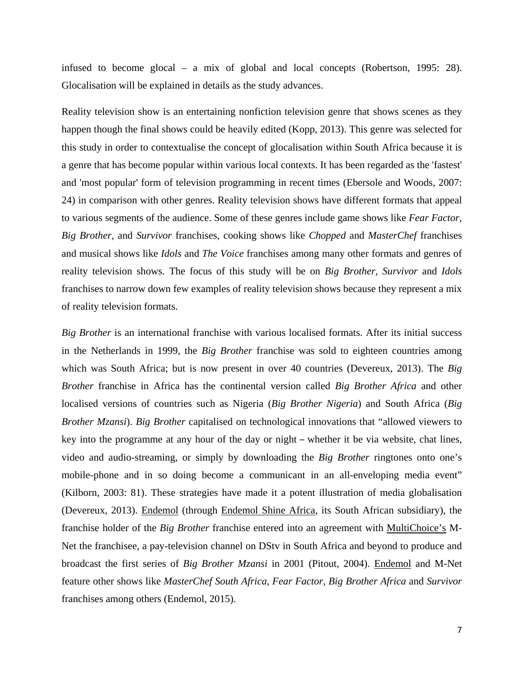infused to become glocal – a mix of global and local concepts (Robertson, 1995: 28). Glocalisation will be explained in details as the study advances.

Reality television show is an entertaining nonfiction television genre that shows scenes as they happen though the final shows could be heavily edited (Kopp, 2013). This genre was selected for this study in order to contextualise the concept of glocalisation within South Africa because it is a genre that has become popular within various local contexts. It has been regarded as the 'fastest' and 'most popular' form of television programming in recent times (Ebersole and Woods, 2007: 24) in comparison with other genres. Reality television shows have different formats that appeal to various segments of the audience. Some of these genres include game shows like *Fear Factor, Big Brother,* and *Survivor* franchises, cooking shows like *Chopped* and *MasterChef* franchises and musical shows like *Idols* and *The Voice* franchises among many other formats and genres of reality television shows. The focus of this study will be on *Big Brother, Survivor* and *Idols*  franchises to narrow down few examples of reality television shows because they represent a mix of reality television formats.

*Big Brother* is an international franchise with various localised formats. After its initial success in the Netherlands in 1999, the *Big Brother* franchise was sold to eighteen countries among which was South Africa; but is now present in over 40 countries (Devereux, 2013). The *Big Brother* franchise in Africa has the continental version called *Big Brother Africa* and other localised versions of countries such as Nigeria (*Big Brother Nigeria*) and South Africa (*Big Brother Mzansi*). *Big Brother* capitalised on technological innovations that "allowed viewers to key into the programme at any hour of the day or night – whether it be via website, chat lines, video and audio-streaming, or simply by downloading the *Big Brother* ringtones onto one's mobile-phone and in so doing become a communicant in an all-enveloping media event" (Kilborn, 2003: 81). These strategies have made it a potent illustration of media globalisation (Devereux, 2013). Endemol (through Endemol Shine Africa, its South African subsidiary), the franchise holder of the *Big Brother* franchise entered into an agreement with MultiChoice's M-Net the franchisee, a pay-television channel on DStv in South Africa and beyond to produce and broadcast the first series of *Big Brother Mzansi* in 2001 (Pitout, 2004). Endemol and M-Net feature other shows like *MasterChef South Africa*, *Fear Factor, Big Brother Africa* and *Survivor* franchises among others (Endemol, 2015).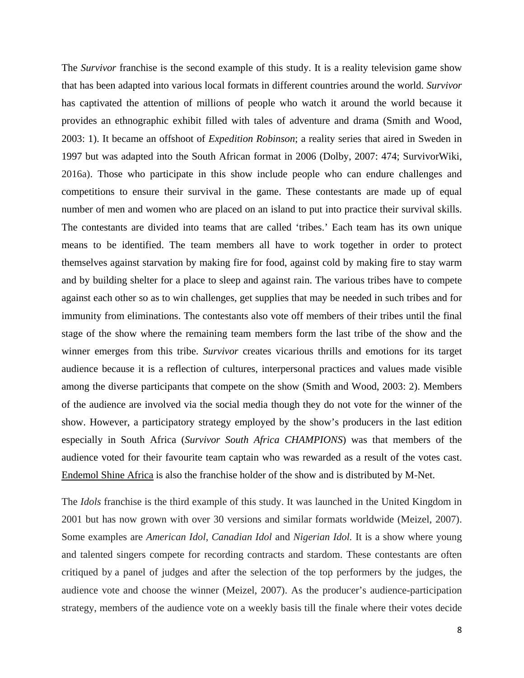The *Survivor* franchise is the second example of this study. It is a reality television game show that has been adapted into various local formats in different countries around the world. *Survivor*  has captivated the attention of millions of people who watch it around the world because it provides an ethnographic exhibit filled with tales of adventure and drama (Smith and Wood, 2003: 1). It became an offshoot of *Expedition Robinson*; a reality series that aired in Sweden in 1997 but was adapted into the South African format in 2006 (Dolby, 2007: 474; SurvivorWiki, 2016a). Those who participate in this show include people who can endure challenges and competitions to ensure their survival in the game. These contestants are made up of equal number of men and women who are placed on an island to put into practice their survival skills. The contestants are divided into teams that are called 'tribes.' Each team has its own unique means to be identified. The team members all have to work together in order to protect themselves against starvation by making fire for food, against cold by making fire to stay warm and by building shelter for a place to sleep and against rain. The various tribes have to compete against each other so as to win challenges, get supplies that may be needed in such tribes and for immunity from eliminations. The contestants also vote off members of their tribes until the final stage of the show where the remaining team members form the last tribe of the show and the winner emerges from this tribe. *Survivor* creates vicarious thrills and emotions for its target audience because it is a reflection of cultures, interpersonal practices and values made visible among the diverse participants that compete on the show (Smith and Wood, 2003: 2). Members of the audience are involved via the social media though they do not vote for the winner of the show. However, a participatory strategy employed by the show's producers in the last edition especially in South Africa (*Survivor South Africa CHAMPIONS*) was that members of the audience voted for their favourite team captain who was rewarded as a result of the votes cast. Endemol Shine Africa is also the franchise holder of the show and is distributed by M-Net.

The *Idols* franchise is the third example of this study. It was launched in the United Kingdom in 2001 but has now grown with over 30 versions and similar formats worldwide (Meizel, 2007). Some examples are *American Idol, Canadian Idol* and *Nigerian Idol.* It is a show where young and talented singers compete for recording contracts and stardom. These contestants are often critiqued by a panel of judges and after the selection of the top performers by the judges, the audience vote and choose the winner (Meizel, 2007). As the producer's audience-participation strategy, members of the audience vote on a weekly basis till the finale where their votes decide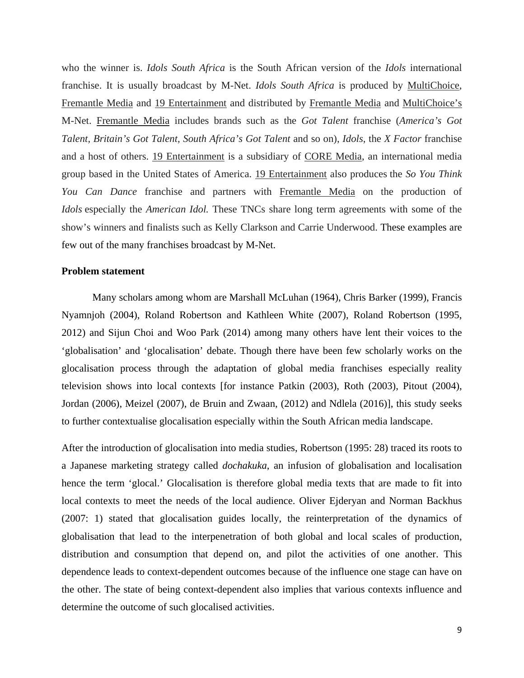who the winner is. *Idols South Africa* is the South African version of the *Idols* international franchise. It is usually broadcast by M-Net. *Idols South Africa* is produced by MultiChoice, Fremantle Media and 19 Entertainment and distributed by Fremantle Media and MultiChoice's M-Net. Fremantle Media includes brands such as the *Got Talent* franchise (*America's Got Talent, Britain's Got Talent, South Africa's Got Talent* and so on), *Idols*, the *X Factor* franchise and a host of others. 19 Entertainment is a subsidiary of CORE Media, an international media group based in the United States of America. 19 Entertainment also produces the *So You Think You Can Dance* franchise and partners with Fremantle Media on the production of *Idols* especially the *American Idol*. These TNCs share long term agreements with some of the show's winners and finalists such as Kelly Clarkson and Carrie Underwood. These examples are few out of the many franchises broadcast by M-Net.

#### **Problem statement**

Many scholars among whom are Marshall McLuhan (1964), Chris Barker (1999), Francis Nyamnjoh (2004), Roland Robertson and Kathleen White (2007), Roland Robertson (1995, 2012) and Sijun Choi and Woo Park (2014) among many others have lent their voices to the 'globalisation' and 'glocalisation' debate. Though there have been few scholarly works on the glocalisation process through the adaptation of global media franchises especially reality television shows into local contexts [for instance Patkin (2003), Roth (2003), Pitout (2004), Jordan (2006), Meizel (2007), de Bruin and Zwaan, (2012) and Ndlela (2016)], this study seeks to further contextualise glocalisation especially within the South African media landscape.

After the introduction of glocalisation into media studies, Robertson (1995: 28) traced its roots to a Japanese marketing strategy called *dochakuka*, an infusion of globalisation and localisation hence the term 'glocal.' Glocalisation is therefore global media texts that are made to fit into local contexts to meet the needs of the local audience. Oliver Ejderyan and Norman Backhus (2007: 1) stated that glocalisation guides locally, the reinterpretation of the dynamics of globalisation that lead to the interpenetration of both global and local scales of production, distribution and consumption that depend on, and pilot the activities of one another. This dependence leads to context-dependent outcomes because of the influence one stage can have on the other. The state of being context-dependent also implies that various contexts influence and determine the outcome of such glocalised activities.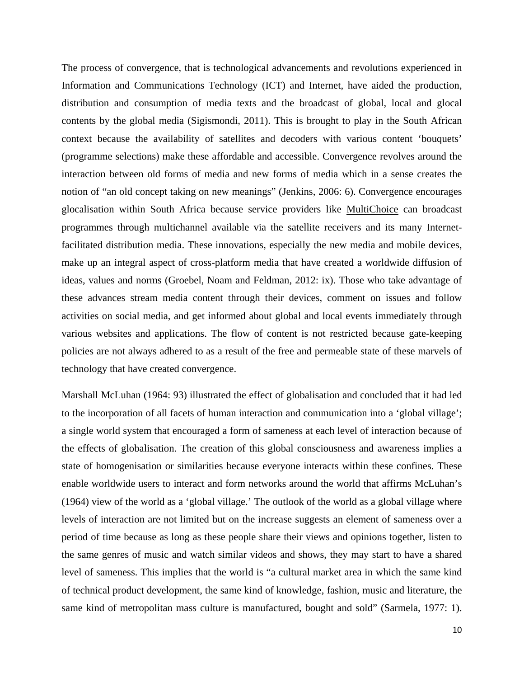The process of convergence, that is technological advancements and revolutions experienced in Information and Communications Technology (ICT) and Internet, have aided the production, distribution and consumption of media texts and the broadcast of global, local and glocal contents by the global media (Sigismondi, 2011). This is brought to play in the South African context because the availability of satellites and decoders with various content 'bouquets' (programme selections) make these affordable and accessible. Convergence revolves around the interaction between old forms of media and new forms of media which in a sense creates the notion of "an old concept taking on new meanings" (Jenkins, 2006: 6). Convergence encourages glocalisation within South Africa because service providers like MultiChoice can broadcast programmes through multichannel available via the satellite receivers and its many Internetfacilitated distribution media. These innovations, especially the new media and mobile devices, make up an integral aspect of cross-platform media that have created a worldwide diffusion of ideas, values and norms (Groebel, Noam and Feldman, 2012: ix). Those who take advantage of these advances stream media content through their devices, comment on issues and follow activities on social media, and get informed about global and local events immediately through various websites and applications. The flow of content is not restricted because gate-keeping policies are not always adhered to as a result of the free and permeable state of these marvels of technology that have created convergence.

Marshall McLuhan (1964: 93) illustrated the effect of globalisation and concluded that it had led to the incorporation of all facets of human interaction and communication into a 'global village'; a single world system that encouraged a form of sameness at each level of interaction because of the effects of globalisation. The creation of this global consciousness and awareness implies a state of homogenisation or similarities because everyone interacts within these confines. These enable worldwide users to interact and form networks around the world that affirms McLuhan's (1964) view of the world as a 'global village.' The outlook of the world as a global village where levels of interaction are not limited but on the increase suggests an element of sameness over a period of time because as long as these people share their views and opinions together, listen to the same genres of music and watch similar videos and shows, they may start to have a shared level of sameness. This implies that the world is "a cultural market area in which the same kind of technical product development, the same kind of knowledge, fashion, music and literature, the same kind of metropolitan mass culture is manufactured, bought and sold" (Sarmela, 1977: 1).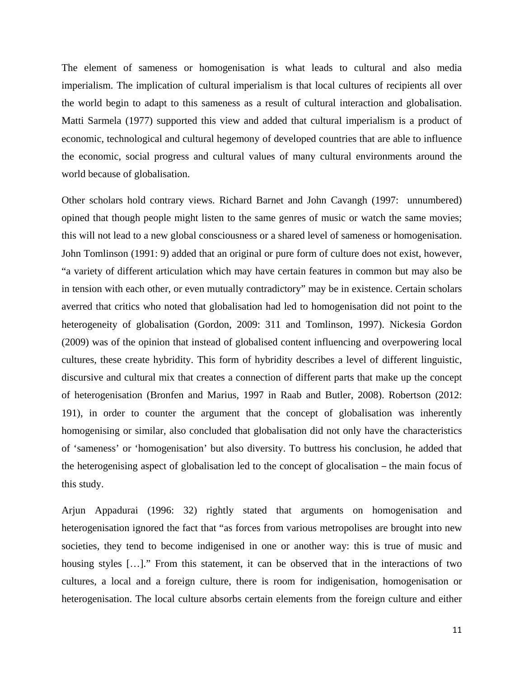The element of sameness or homogenisation is what leads to cultural and also media imperialism. The implication of cultural imperialism is that local cultures of recipients all over the world begin to adapt to this sameness as a result of cultural interaction and globalisation. Matti Sarmela (1977) supported this view and added that cultural imperialism is a product of economic, technological and cultural hegemony of developed countries that are able to influence the economic, social progress and cultural values of many cultural environments around the world because of globalisation.

Other scholars hold contrary views. Richard Barnet and John Cavangh (1997: unnumbered) opined that though people might listen to the same genres of music or watch the same movies; this will not lead to a new global consciousness or a shared level of sameness or homogenisation. John Tomlinson (1991: 9) added that an original or pure form of culture does not exist, however, "a variety of different articulation which may have certain features in common but may also be in tension with each other, or even mutually contradictory" may be in existence. Certain scholars averred that critics who noted that globalisation had led to homogenisation did not point to the heterogeneity of globalisation (Gordon, 2009: 311 and Tomlinson, 1997). Nickesia Gordon (2009) was of the opinion that instead of globalised content influencing and overpowering local cultures, these create hybridity. This form of hybridity describes a level of different linguistic, discursive and cultural mix that creates a connection of different parts that make up the concept of heterogenisation (Bronfen and Marius, 1997 in Raab and Butler, 2008). Robertson (2012: 191), in order to counter the argument that the concept of globalisation was inherently homogenising or similar, also concluded that globalisation did not only have the characteristics of 'sameness' or 'homogenisation' but also diversity. To buttress his conclusion, he added that the heterogenising aspect of globalisation led to the concept of glocalisation – the main focus of this study.

Arjun Appadurai (1996: 32) rightly stated that arguments on homogenisation and heterogenisation ignored the fact that "as forces from various metropolises are brought into new societies, they tend to become indigenised in one or another way: this is true of music and housing styles [...]." From this statement, it can be observed that in the interactions of two cultures, a local and a foreign culture, there is room for indigenisation, homogenisation or heterogenisation. The local culture absorbs certain elements from the foreign culture and either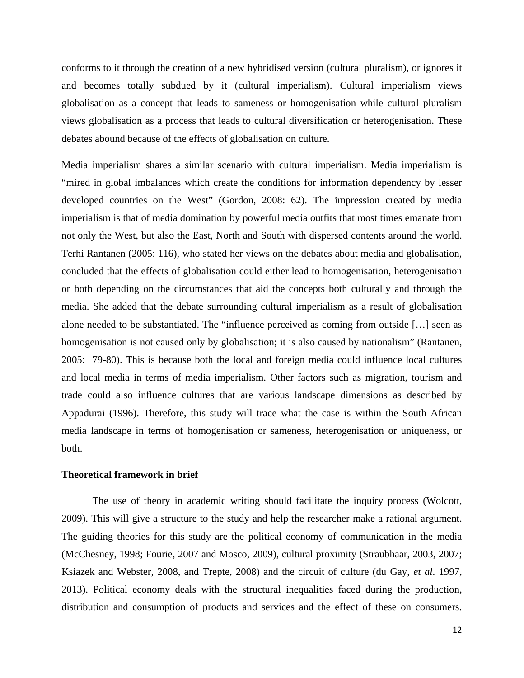conforms to it through the creation of a new hybridised version (cultural pluralism), or ignores it and becomes totally subdued by it (cultural imperialism). Cultural imperialism views globalisation as a concept that leads to sameness or homogenisation while cultural pluralism views globalisation as a process that leads to cultural diversification or heterogenisation. These debates abound because of the effects of globalisation on culture.

Media imperialism shares a similar scenario with cultural imperialism. Media imperialism is "mired in global imbalances which create the conditions for information dependency by lesser developed countries on the West" (Gordon, 2008: 62). The impression created by media imperialism is that of media domination by powerful media outfits that most times emanate from not only the West, but also the East, North and South with dispersed contents around the world. Terhi Rantanen (2005: 116), who stated her views on the debates about media and globalisation, concluded that the effects of globalisation could either lead to homogenisation, heterogenisation or both depending on the circumstances that aid the concepts both culturally and through the media. She added that the debate surrounding cultural imperialism as a result of globalisation alone needed to be substantiated. The "influence perceived as coming from outside […] seen as homogenisation is not caused only by globalisation; it is also caused by nationalism" (Rantanen, 2005: 79-80). This is because both the local and foreign media could influence local cultures and local media in terms of media imperialism. Other factors such as migration, tourism and trade could also influence cultures that are various landscape dimensions as described by Appadurai (1996). Therefore, this study will trace what the case is within the South African media landscape in terms of homogenisation or sameness, heterogenisation or uniqueness, or both.

### **Theoretical framework in brief**

The use of theory in academic writing should facilitate the inquiry process (Wolcott, 2009). This will give a structure to the study and help the researcher make a rational argument. The guiding theories for this study are the political economy of communication in the media (McChesney, 1998; Fourie, 2007 and Mosco, 2009), cultural proximity (Straubhaar, 2003, 2007; Ksiazek and Webster, 2008, and Trepte, 2008) and the circuit of culture (du Gay, *et al*. 1997, 2013). Political economy deals with the structural inequalities faced during the production, distribution and consumption of products and services and the effect of these on consumers.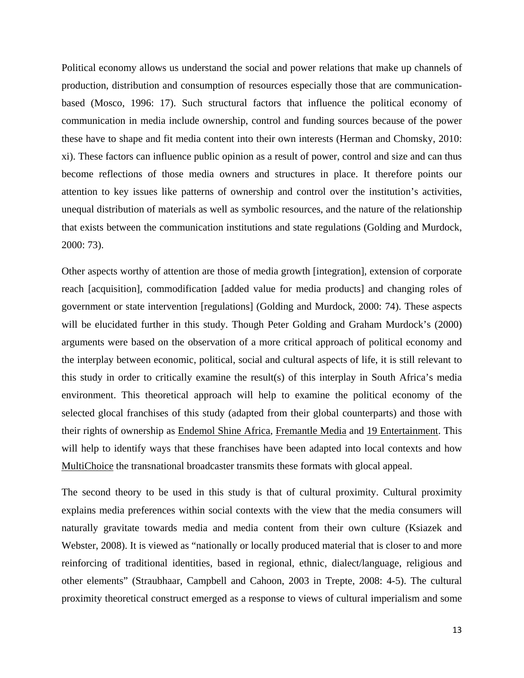Political economy allows us understand the social and power relations that make up channels of production, distribution and consumption of resources especially those that are communicationbased (Mosco, 1996: 17). Such structural factors that influence the political economy of communication in media include ownership, control and funding sources because of the power these have to shape and fit media content into their own interests (Herman and Chomsky, 2010: xi). These factors can influence public opinion as a result of power, control and size and can thus become reflections of those media owners and structures in place. It therefore points our attention to key issues like patterns of ownership and control over the institution's activities, unequal distribution of materials as well as symbolic resources, and the nature of the relationship that exists between the communication institutions and state regulations (Golding and Murdock, 2000: 73).

Other aspects worthy of attention are those of media growth [integration], extension of corporate reach [acquisition], commodification [added value for media products] and changing roles of government or state intervention [regulations] (Golding and Murdock, 2000: 74). These aspects will be elucidated further in this study. Though Peter Golding and Graham Murdock's (2000) arguments were based on the observation of a more critical approach of political economy and the interplay between economic, political, social and cultural aspects of life, it is still relevant to this study in order to critically examine the result(s) of this interplay in South Africa's media environment. This theoretical approach will help to examine the political economy of the selected glocal franchises of this study (adapted from their global counterparts) and those with their rights of ownership as Endemol Shine Africa, Fremantle Media and 19 Entertainment. This will help to identify ways that these franchises have been adapted into local contexts and how MultiChoice the transnational broadcaster transmits these formats with glocal appeal.

The second theory to be used in this study is that of cultural proximity. Cultural proximity explains media preferences within social contexts with the view that the media consumers will naturally gravitate towards media and media content from their own culture (Ksiazek and Webster, 2008). It is viewed as "nationally or locally produced material that is closer to and more reinforcing of traditional identities, based in regional, ethnic, dialect/language, religious and other elements" (Straubhaar, Campbell and Cahoon, 2003 in Trepte, 2008: 4-5). The cultural proximity theoretical construct emerged as a response to views of cultural imperialism and some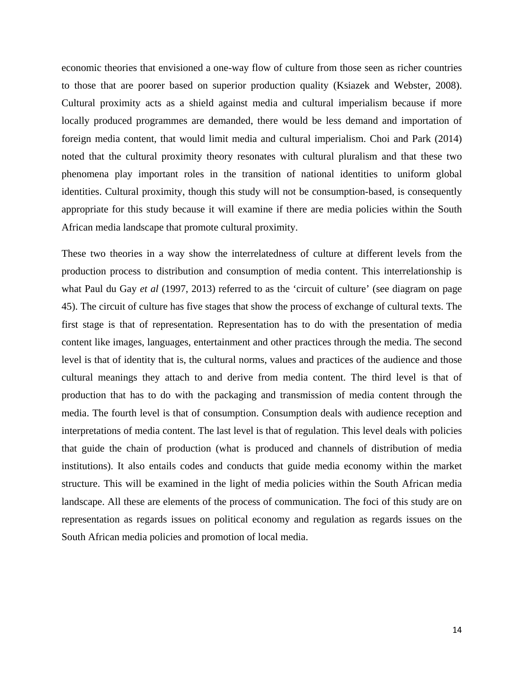economic theories that envisioned a one-way flow of culture from those seen as richer countries to those that are poorer based on superior production quality (Ksiazek and Webster, 2008). Cultural proximity acts as a shield against media and cultural imperialism because if more locally produced programmes are demanded, there would be less demand and importation of foreign media content, that would limit media and cultural imperialism. Choi and Park (2014) noted that the cultural proximity theory resonates with cultural pluralism and that these two phenomena play important roles in the transition of national identities to uniform global identities. Cultural proximity, though this study will not be consumption-based, is consequently appropriate for this study because it will examine if there are media policies within the South African media landscape that promote cultural proximity.

These two theories in a way show the interrelatedness of culture at different levels from the production process to distribution and consumption of media content. This interrelationship is what Paul du Gay *et al* (1997, 2013) referred to as the 'circuit of culture' (see diagram on page 45). The circuit of culture has five stages that show the process of exchange of cultural texts. The first stage is that of representation. Representation has to do with the presentation of media content like images, languages, entertainment and other practices through the media. The second level is that of identity that is, the cultural norms, values and practices of the audience and those cultural meanings they attach to and derive from media content. The third level is that of production that has to do with the packaging and transmission of media content through the media. The fourth level is that of consumption. Consumption deals with audience reception and interpretations of media content. The last level is that of regulation. This level deals with policies that guide the chain of production (what is produced and channels of distribution of media institutions). It also entails codes and conducts that guide media economy within the market structure. This will be examined in the light of media policies within the South African media landscape. All these are elements of the process of communication. The foci of this study are on representation as regards issues on political economy and regulation as regards issues on the South African media policies and promotion of local media.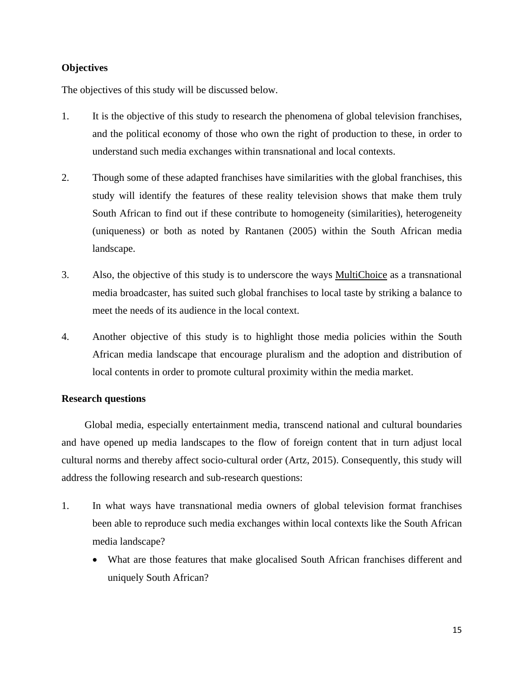# **Objectives**

The objectives of this study will be discussed below.

- 1. It is the objective of this study to research the phenomena of global television franchises, and the political economy of those who own the right of production to these, in order to understand such media exchanges within transnational and local contexts.
- 2. Though some of these adapted franchises have similarities with the global franchises, this study will identify the features of these reality television shows that make them truly South African to find out if these contribute to homogeneity (similarities), heterogeneity (uniqueness) or both as noted by Rantanen (2005) within the South African media landscape.
- 3. Also, the objective of this study is to underscore the ways MultiChoice as a transnational media broadcaster, has suited such global franchises to local taste by striking a balance to meet the needs of its audience in the local context.
- 4. Another objective of this study is to highlight those media policies within the South African media landscape that encourage pluralism and the adoption and distribution of local contents in order to promote cultural proximity within the media market.

## **Research questions**

Global media, especially entertainment media, transcend national and cultural boundaries and have opened up media landscapes to the flow of foreign content that in turn adjust local cultural norms and thereby affect socio-cultural order (Artz, 2015). Consequently, this study will address the following research and sub-research questions:

- 1. In what ways have transnational media owners of global television format franchises been able to reproduce such media exchanges within local contexts like the South African media landscape?
	- What are those features that make glocalised South African franchises different and uniquely South African?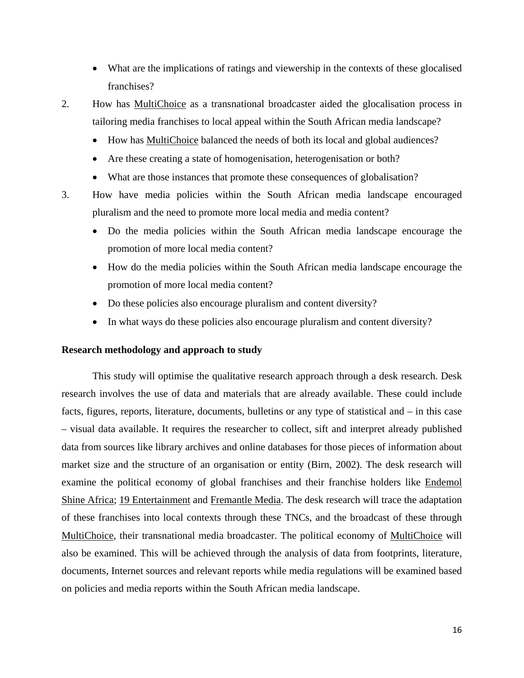- What are the implications of ratings and viewership in the contexts of these glocalised franchises?
- 2. How has MultiChoice as a transnational broadcaster aided the glocalisation process in tailoring media franchises to local appeal within the South African media landscape?
	- How has MultiChoice balanced the needs of both its local and global audiences?
	- Are these creating a state of homogenisation, heterogenisation or both?
	- What are those instances that promote these consequences of globalisation?
- 3. How have media policies within the South African media landscape encouraged pluralism and the need to promote more local media and media content?
	- Do the media policies within the South African media landscape encourage the promotion of more local media content?
	- How do the media policies within the South African media landscape encourage the promotion of more local media content?
	- Do these policies also encourage pluralism and content diversity?
	- In what ways do these policies also encourage pluralism and content diversity?

#### **Research methodology and approach to study**

This study will optimise the qualitative research approach through a desk research. Desk research involves the use of data and materials that are already available. These could include facts, figures, reports, literature, documents, bulletins or any type of statistical and – in this case – visual data available. It requires the researcher to collect, sift and interpret already published data from sources like library archives and online databases for those pieces of information about market size and the structure of an organisation or entity (Birn, 2002). The desk research will examine the political economy of global franchises and their franchise holders like Endemol Shine Africa; 19 Entertainment and Fremantle Media. The desk research will trace the adaptation of these franchises into local contexts through these TNCs, and the broadcast of these through MultiChoice, their transnational media broadcaster. The political economy of MultiChoice will also be examined. This will be achieved through the analysis of data from footprints, literature, documents, Internet sources and relevant reports while media regulations will be examined based on policies and media reports within the South African media landscape.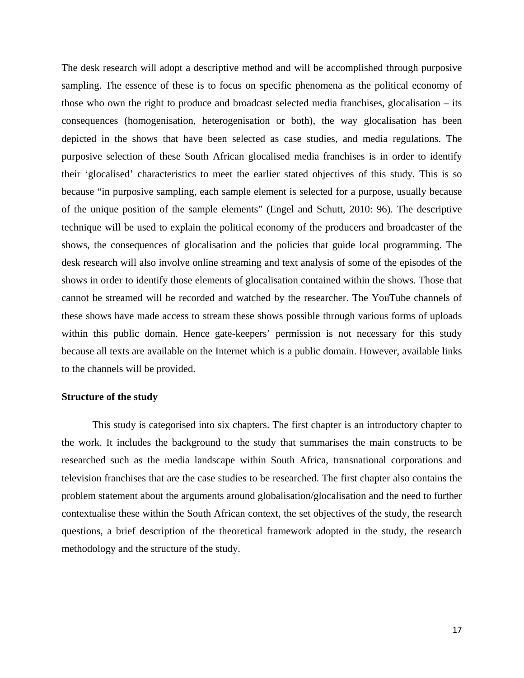The desk research will adopt a descriptive method and will be accomplished through purposive sampling. The essence of these is to focus on specific phenomena as the political economy of those who own the right to produce and broadcast selected media franchises, glocalisation – its consequences (homogenisation, heterogenisation or both), the way glocalisation has been depicted in the shows that have been selected as case studies, and media regulations. The purposive selection of these South African glocalised media franchises is in order to identify their 'glocalised' characteristics to meet the earlier stated objectives of this study. This is so because "in purposive sampling, each sample element is selected for a purpose, usually because of the unique position of the sample elements" (Engel and Schutt, 2010: 96). The descriptive technique will be used to explain the political economy of the producers and broadcaster of the shows, the consequences of glocalisation and the policies that guide local programming. The desk research will also involve online streaming and text analysis of some of the episodes of the shows in order to identify those elements of glocalisation contained within the shows. Those that cannot be streamed will be recorded and watched by the researcher. The YouTube channels of these shows have made access to stream these shows possible through various forms of uploads within this public domain. Hence gate-keepers' permission is not necessary for this study because all texts are available on the Internet which is a public domain. However, available links to the channels will be provided.

# **Structure of the study**

This study is categorised into six chapters. The first chapter is an introductory chapter to the work. It includes the background to the study that summarises the main constructs to be researched such as the media landscape within South Africa, transnational corporations and television franchises that are the case studies to be researched. The first chapter also contains the problem statement about the arguments around globalisation/glocalisation and the need to further contextualise these within the South African context, the set objectives of the study, the research questions, a brief description of the theoretical framework adopted in the study, the research methodology and the structure of the study.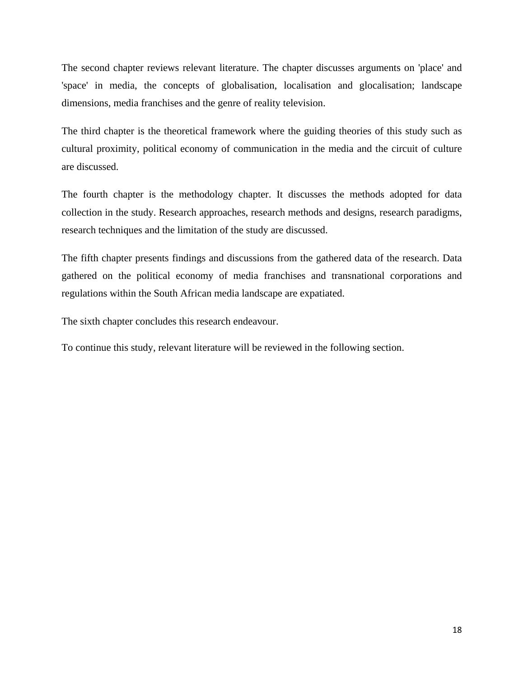The second chapter reviews relevant literature. The chapter discusses arguments on 'place' and 'space' in media, the concepts of globalisation, localisation and glocalisation; landscape dimensions, media franchises and the genre of reality television.

The third chapter is the theoretical framework where the guiding theories of this study such as cultural proximity, political economy of communication in the media and the circuit of culture are discussed.

The fourth chapter is the methodology chapter. It discusses the methods adopted for data collection in the study. Research approaches, research methods and designs, research paradigms, research techniques and the limitation of the study are discussed.

The fifth chapter presents findings and discussions from the gathered data of the research. Data gathered on the political economy of media franchises and transnational corporations and regulations within the South African media landscape are expatiated.

The sixth chapter concludes this research endeavour.

To continue this study, relevant literature will be reviewed in the following section.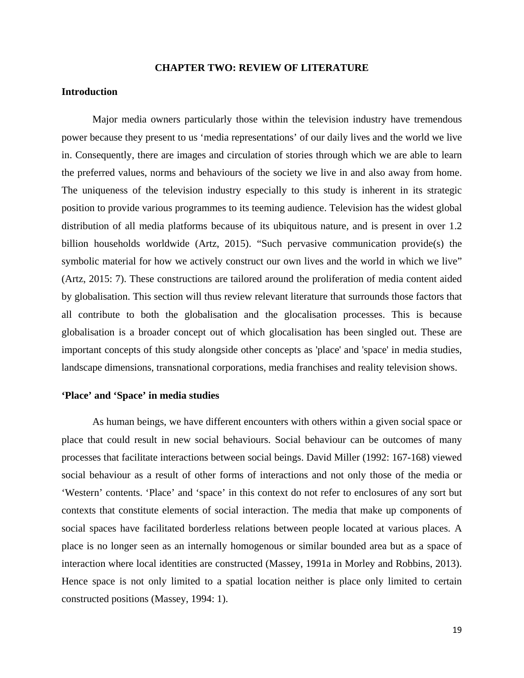#### **CHAPTER TWO: REVIEW OF LITERATURE**

## **Introduction**

Major media owners particularly those within the television industry have tremendous power because they present to us 'media representations' of our daily lives and the world we live in. Consequently, there are images and circulation of stories through which we are able to learn the preferred values, norms and behaviours of the society we live in and also away from home. The uniqueness of the television industry especially to this study is inherent in its strategic position to provide various programmes to its teeming audience. Television has the widest global distribution of all media platforms because of its ubiquitous nature, and is present in over 1.2 billion households worldwide (Artz, 2015). "Such pervasive communication provide(s) the symbolic material for how we actively construct our own lives and the world in which we live" (Artz, 2015: 7). These constructions are tailored around the proliferation of media content aided by globalisation. This section will thus review relevant literature that surrounds those factors that all contribute to both the globalisation and the glocalisation processes. This is because globalisation is a broader concept out of which glocalisation has been singled out. These are important concepts of this study alongside other concepts as 'place' and 'space' in media studies*,* landscape dimensions, transnational corporations, media franchises and reality television shows.

#### **'Place' and 'Space' in media studies**

As human beings, we have different encounters with others within a given social space or place that could result in new social behaviours. Social behaviour can be outcomes of many processes that facilitate interactions between social beings. David Miller (1992: 167-168) viewed social behaviour as a result of other forms of interactions and not only those of the media or 'Western' contents. 'Place' and 'space' in this context do not refer to enclosures of any sort but contexts that constitute elements of social interaction. The media that make up components of social spaces have facilitated borderless relations between people located at various places. A place is no longer seen as an internally homogenous or similar bounded area but as a space of interaction where local identities are constructed (Massey, 1991a in Morley and Robbins, 2013). Hence space is not only limited to a spatial location neither is place only limited to certain constructed positions (Massey, 1994: 1).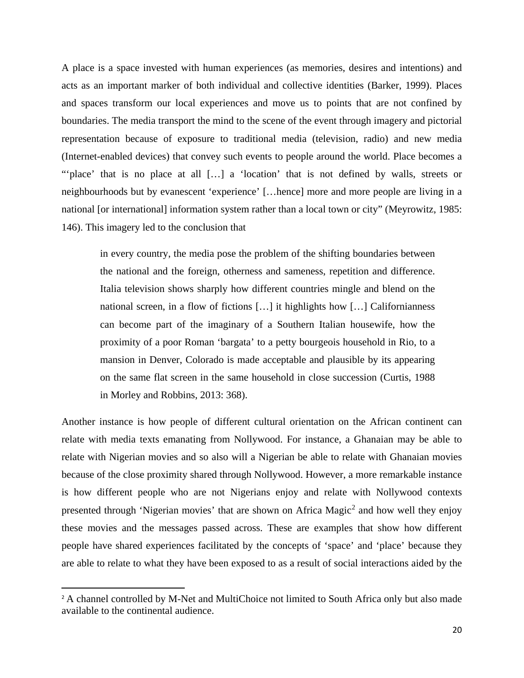A place is a space invested with human experiences (as memories, desires and intentions) and acts as an important marker of both individual and collective identities (Barker, 1999). Places and spaces transform our local experiences and move us to points that are not confined by boundaries. The media transport the mind to the scene of the event through imagery and pictorial representation because of exposure to traditional media (television, radio) and new media (Internet-enabled devices) that convey such events to people around the world. Place becomes a ""place' that is no place at all [...] a 'location' that is not defined by walls, streets or neighbourhoods but by evanescent 'experience' […hence] more and more people are living in a national [or international] information system rather than a local town or city" (Meyrowitz, 1985: 146). This imagery led to the conclusion that

in every country, the media pose the problem of the shifting boundaries between the national and the foreign, otherness and sameness, repetition and difference. Italia television shows sharply how different countries mingle and blend on the national screen, in a flow of fictions […] it highlights how […] Californianness can become part of the imaginary of a Southern Italian housewife, how the proximity of a poor Roman 'bargata' to a petty bourgeois household in Rio, to a mansion in Denver, Colorado is made acceptable and plausible by its appearing on the same flat screen in the same household in close succession (Curtis, 1988 in Morley and Robbins, 2013: 368).

Another instance is how people of different cultural orientation on the African continent can relate with media texts emanating from Nollywood. For instance, a Ghanaian may be able to relate with Nigerian movies and so also will a Nigerian be able to relate with Ghanaian movies because of the close proximity shared through Nollywood. However, a more remarkable instance is how different people who are not Nigerians enjoy and relate with Nollywood contexts presented through 'Nigerian movies' that are shown on Africa Magic<sup>[2](#page-31-0)</sup> and how well they enjoy these movies and the messages passed across. These are examples that show how different people have shared experiences facilitated by the concepts of 'space' and 'place' because they are able to relate to what they have been exposed to as a result of social interactions aided by the

 $\overline{a}$ 

<span id="page-31-0"></span><sup>&</sup>lt;sup>2</sup> A channel controlled by M-Net and MultiChoice not limited to South Africa only but also made available to the continental audience.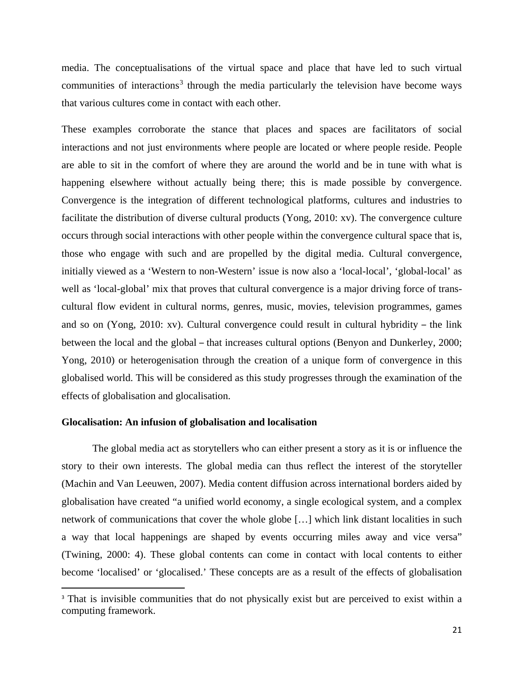media. The conceptualisations of the virtual space and place that have led to such virtual communities of interactions<sup>[3](#page-32-0)</sup> through the media particularly the television have become ways that various cultures come in contact with each other.

These examples corroborate the stance that places and spaces are facilitators of social interactions and not just environments where people are located or where people reside. People are able to sit in the comfort of where they are around the world and be in tune with what is happening elsewhere without actually being there; this is made possible by convergence. Convergence is the integration of different technological platforms, cultures and industries to facilitate the distribution of diverse cultural products (Yong, 2010: xv). The convergence culture occurs through social interactions with other people within the convergence cultural space that is, those who engage with such and are propelled by the digital media. Cultural convergence, initially viewed as a 'Western to non-Western' issue is now also a 'local-local', 'global-local' as well as 'local-global' mix that proves that cultural convergence is a major driving force of transcultural flow evident in cultural norms, genres, music, movies, television programmes, games and so on (Yong, 2010: xv). Cultural convergence could result in cultural hybridity – the link between the local and the global – that increases cultural options (Benyon and Dunkerley, 2000; Yong, 2010) or heterogenisation through the creation of a unique form of convergence in this globalised world. This will be considered as this study progresses through the examination of the effects of globalisation and glocalisation.

### **Glocalisation: An infusion of globalisation and localisation**

 $\overline{a}$ 

The global media act as storytellers who can either present a story as it is or influence the story to their own interests. The global media can thus reflect the interest of the storyteller (Machin and Van Leeuwen, 2007). Media content diffusion across international borders aided by globalisation have created "a unified world economy, a single ecological system, and a complex network of communications that cover the whole globe […] which link distant localities in such a way that local happenings are shaped by events occurring miles away and vice versa" (Twining, 2000: 4). These global contents can come in contact with local contents to either become 'localised' or 'glocalised.' These concepts are as a result of the effects of globalisation

<span id="page-32-0"></span><sup>&</sup>lt;sup>3</sup> That is invisible communities that do not physically exist but are perceived to exist within a computing framework.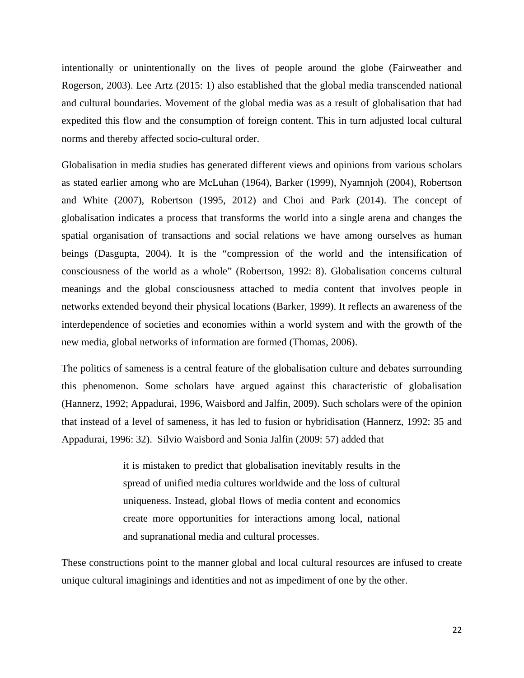intentionally or unintentionally on the lives of people around the globe (Fairweather and Rogerson, 2003). Lee Artz (2015: 1) also established that the global media transcended national and cultural boundaries. Movement of the global media was as a result of globalisation that had expedited this flow and the consumption of foreign content. This in turn adjusted local cultural norms and thereby affected socio-cultural order.

Globalisation in media studies has generated different views and opinions from various scholars as stated earlier among who are McLuhan (1964), Barker (1999), Nyamnjoh (2004), Robertson and White (2007), Robertson (1995, 2012) and Choi and Park (2014). The concept of globalisation indicates a process that transforms the world into a single arena and changes the spatial organisation of transactions and social relations we have among ourselves as human beings (Dasgupta, 2004). It is the "compression of the world and the intensification of consciousness of the world as a whole" (Robertson, 1992: 8). Globalisation concerns cultural meanings and the global consciousness attached to media content that involves people in networks extended beyond their physical locations (Barker, 1999). It reflects an awareness of the interdependence of societies and economies within a world system and with the growth of the new media, global networks of information are formed (Thomas, 2006).

The politics of sameness is a central feature of the globalisation culture and debates surrounding this phenomenon. Some scholars have argued against this characteristic of globalisation (Hannerz, 1992; Appadurai, 1996, Waisbord and Jalfin, 2009). Such scholars were of the opinion that instead of a level of sameness, it has led to fusion or hybridisation (Hannerz, 1992: 35 and Appadurai, 1996: 32). Silvio Waisbord and Sonia Jalfin (2009: 57) added that

> it is mistaken to predict that globalisation inevitably results in the spread of unified media cultures worldwide and the loss of cultural uniqueness. Instead, global flows of media content and economics create more opportunities for interactions among local, national and supranational media and cultural processes.

These constructions point to the manner global and local cultural resources are infused to create unique cultural imaginings and identities and not as impediment of one by the other.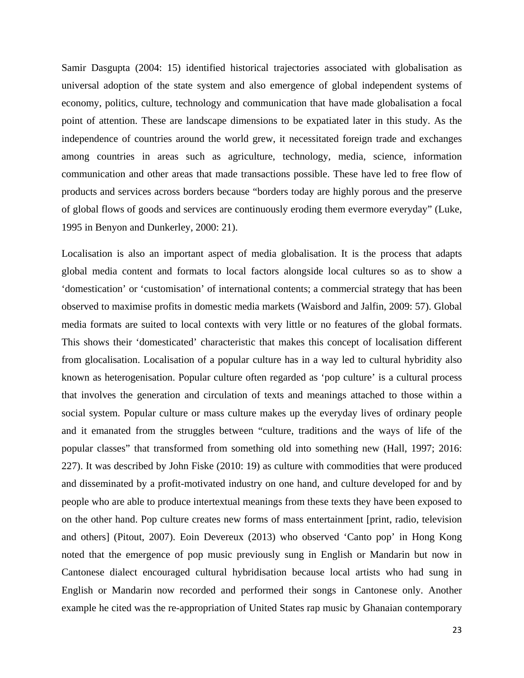Samir Dasgupta (2004: 15) identified historical trajectories associated with globalisation as universal adoption of the state system and also emergence of global independent systems of economy, politics, culture, technology and communication that have made globalisation a focal point of attention. These are landscape dimensions to be expatiated later in this study. As the independence of countries around the world grew, it necessitated foreign trade and exchanges among countries in areas such as agriculture, technology, media, science, information communication and other areas that made transactions possible. These have led to free flow of products and services across borders because "borders today are highly porous and the preserve of global flows of goods and services are continuously eroding them evermore everyday" (Luke, 1995 in Benyon and Dunkerley, 2000: 21).

Localisation is also an important aspect of media globalisation. It is the process that adapts global media content and formats to local factors alongside local cultures so as to show a 'domestication' or 'customisation' of international contents; a commercial strategy that has been observed to maximise profits in domestic media markets (Waisbord and Jalfin, 2009: 57). Global media formats are suited to local contexts with very little or no features of the global formats. This shows their 'domesticated' characteristic that makes this concept of localisation different from glocalisation. Localisation of a popular culture has in a way led to cultural hybridity also known as heterogenisation. Popular culture often regarded as 'pop culture' is a cultural process that involves the generation and circulation of texts and meanings attached to those within a social system. Popular culture or mass culture makes up the everyday lives of ordinary people and it emanated from the struggles between "culture, traditions and the ways of life of the popular classes" that transformed from something old into something new (Hall, 1997; 2016: 227). It was described by John Fiske (2010: 19) as culture with commodities that were produced and disseminated by a profit-motivated industry on one hand, and culture developed for and by people who are able to produce intertextual meanings from these texts they have been exposed to on the other hand. Pop culture creates new forms of mass entertainment [print, radio, television and others] (Pitout, 2007). Eoin Devereux (2013) who observed 'Canto pop' in Hong Kong noted that the emergence of pop music previously sung in English or Mandarin but now in Cantonese dialect encouraged cultural hybridisation because local artists who had sung in English or Mandarin now recorded and performed their songs in Cantonese only. Another example he cited was the re-appropriation of United States rap music by Ghanaian contemporary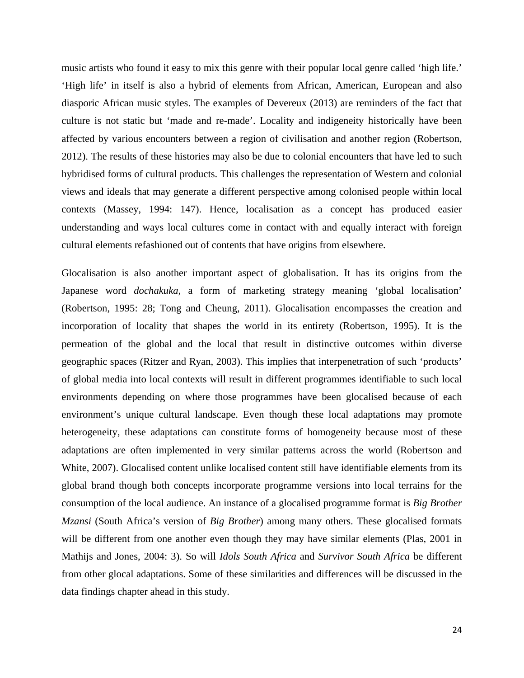music artists who found it easy to mix this genre with their popular local genre called 'high life.' 'High life' in itself is also a hybrid of elements from African, American, European and also diasporic African music styles. The examples of Devereux (2013) are reminders of the fact that culture is not static but 'made and re-made'. Locality and indigeneity historically have been affected by various encounters between a region of civilisation and another region (Robertson, 2012). The results of these histories may also be due to colonial encounters that have led to such hybridised forms of cultural products. This challenges the representation of Western and colonial views and ideals that may generate a different perspective among colonised people within local contexts (Massey, 1994: 147). Hence, localisation as a concept has produced easier understanding and ways local cultures come in contact with and equally interact with foreign cultural elements refashioned out of contents that have origins from elsewhere.

Glocalisation is also another important aspect of globalisation. It has its origins from the Japanese word *dochakuka,* a form of marketing strategy meaning 'global localisation' (Robertson, 1995: 28; Tong and Cheung, 2011). Glocalisation encompasses the creation and incorporation of locality that shapes the world in its entirety (Robertson, 1995). It is the permeation of the global and the local that result in distinctive outcomes within diverse geographic spaces (Ritzer and Ryan, 2003). This implies that interpenetration of such 'products' of global media into local contexts will result in different programmes identifiable to such local environments depending on where those programmes have been glocalised because of each environment's unique cultural landscape. Even though these local adaptations may promote heterogeneity, these adaptations can constitute forms of homogeneity because most of these adaptations are often implemented in very similar patterns across the world (Robertson and White, 2007). Glocalised content unlike localised content still have identifiable elements from its global brand though both concepts incorporate programme versions into local terrains for the consumption of the local audience. An instance of a glocalised programme format is *Big Brother Mzansi* (South Africa's version of *Big Brother*) among many others. These glocalised formats will be different from one another even though they may have similar elements (Plas, 2001 in Mathijs and Jones, 2004: 3). So will *Idols South Africa* and *Survivor South Africa* be different from other glocal adaptations. Some of these similarities and differences will be discussed in the data findings chapter ahead in this study.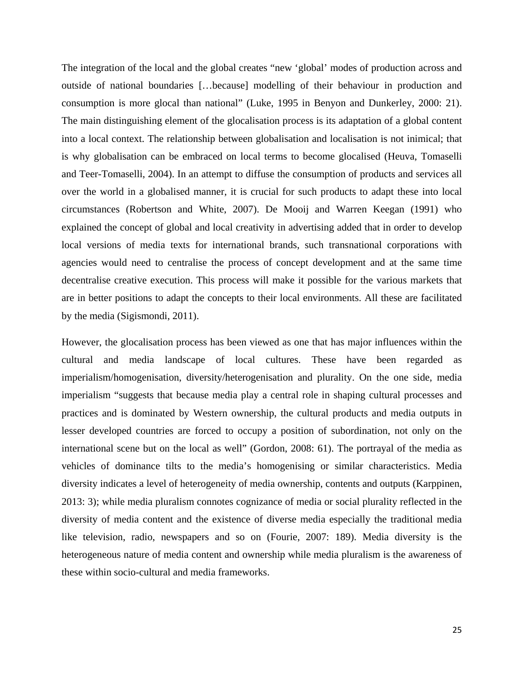The integration of the local and the global creates "new 'global' modes of production across and outside of national boundaries […because] modelling of their behaviour in production and consumption is more glocal than national" (Luke, 1995 in Benyon and Dunkerley, 2000: 21). The main distinguishing element of the glocalisation process is its adaptation of a global content into a local context. The relationship between globalisation and localisation is not inimical; that is why globalisation can be embraced on local terms to become glocalised (Heuva, Tomaselli and Teer-Tomaselli, 2004). In an attempt to diffuse the consumption of products and services all over the world in a globalised manner, it is crucial for such products to adapt these into local circumstances (Robertson and White, 2007). De Mooij and Warren Keegan (1991) who explained the concept of global and local creativity in advertising added that in order to develop local versions of media texts for international brands, such transnational corporations with agencies would need to centralise the process of concept development and at the same time decentralise creative execution. This process will make it possible for the various markets that are in better positions to adapt the concepts to their local environments. All these are facilitated by the media (Sigismondi, 2011).

However, the glocalisation process has been viewed as one that has major influences within the cultural and media landscape of local cultures. These have been regarded as imperialism/homogenisation, diversity/heterogenisation and plurality. On the one side, media imperialism "suggests that because media play a central role in shaping cultural processes and practices and is dominated by Western ownership, the cultural products and media outputs in lesser developed countries are forced to occupy a position of subordination, not only on the international scene but on the local as well" (Gordon, 2008: 61). The portrayal of the media as vehicles of dominance tilts to the media's homogenising or similar characteristics. Media diversity indicates a level of heterogeneity of media ownership, contents and outputs (Karppinen, 2013: 3); while media pluralism connotes cognizance of media or social plurality reflected in the diversity of media content and the existence of diverse media especially the traditional media like television, radio, newspapers and so on (Fourie, 2007: 189). Media diversity is the heterogeneous nature of media content and ownership while media pluralism is the awareness of these within socio-cultural and media frameworks.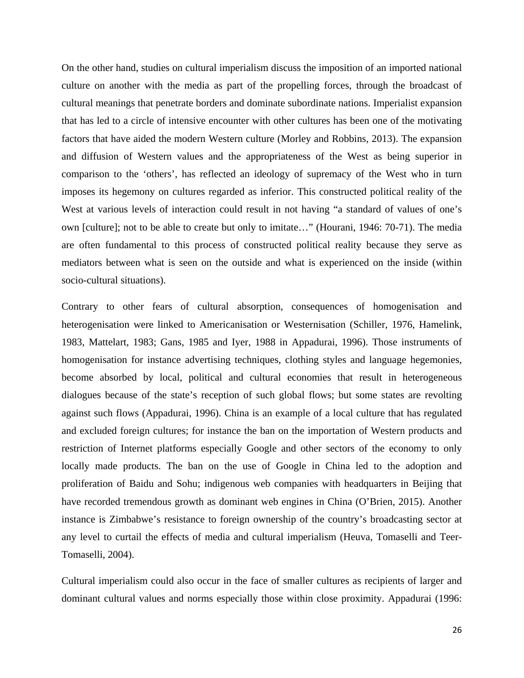On the other hand, studies on cultural imperialism discuss the imposition of an imported national culture on another with the media as part of the propelling forces, through the broadcast of cultural meanings that penetrate borders and dominate subordinate nations. Imperialist expansion that has led to a circle of intensive encounter with other cultures has been one of the motivating factors that have aided the modern Western culture (Morley and Robbins, 2013). The expansion and diffusion of Western values and the appropriateness of the West as being superior in comparison to the 'others', has reflected an ideology of supremacy of the West who in turn imposes its hegemony on cultures regarded as inferior. This constructed political reality of the West at various levels of interaction could result in not having "a standard of values of one's own [culture]; not to be able to create but only to imitate…" (Hourani, 1946: 70-71). The media are often fundamental to this process of constructed political reality because they serve as mediators between what is seen on the outside and what is experienced on the inside (within socio-cultural situations).

Contrary to other fears of cultural absorption, consequences of homogenisation and heterogenisation were linked to Americanisation or Westernisation (Schiller, 1976, Hamelink, 1983, Mattelart, 1983; Gans, 1985 and Iyer, 1988 in Appadurai, 1996). Those instruments of homogenisation for instance advertising techniques, clothing styles and language hegemonies, become absorbed by local, political and cultural economies that result in heterogeneous dialogues because of the state's reception of such global flows; but some states are revolting against such flows (Appadurai, 1996). China is an example of a local culture that has regulated and excluded foreign cultures; for instance the ban on the importation of Western products and restriction of Internet platforms especially Google and other sectors of the economy to only locally made products. The ban on the use of Google in China led to the adoption and proliferation of Baidu and Sohu; indigenous web companies with headquarters in Beijing that have recorded tremendous growth as dominant web engines in China (O'Brien, 2015). Another instance is Zimbabwe's resistance to foreign ownership of the country's broadcasting sector at any level to curtail the effects of media and cultural imperialism (Heuva, Tomaselli and Teer-Tomaselli, 2004).

Cultural imperialism could also occur in the face of smaller cultures as recipients of larger and dominant cultural values and norms especially those within close proximity. Appadurai (1996: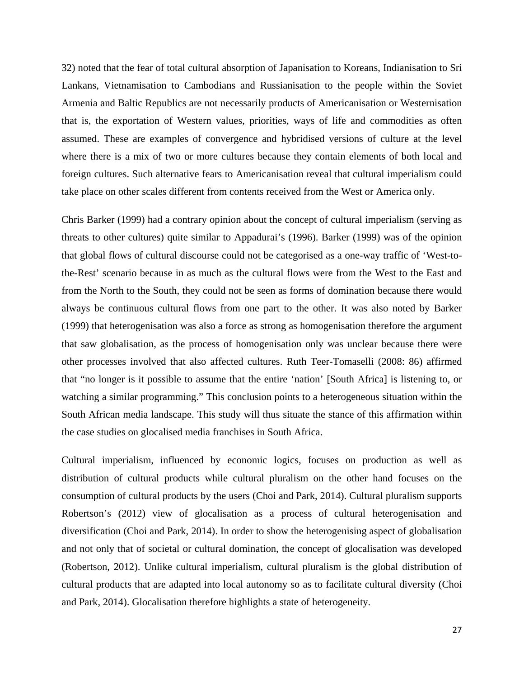32) noted that the fear of total cultural absorption of Japanisation to Koreans, Indianisation to Sri Lankans, Vietnamisation to Cambodians and Russianisation to the people within the Soviet Armenia and Baltic Republics are not necessarily products of Americanisation or Westernisation that is, the exportation of Western values, priorities, ways of life and commodities as often assumed. These are examples of convergence and hybridised versions of culture at the level where there is a mix of two or more cultures because they contain elements of both local and foreign cultures. Such alternative fears to Americanisation reveal that cultural imperialism could take place on other scales different from contents received from the West or America only.

Chris Barker (1999) had a contrary opinion about the concept of cultural imperialism (serving as threats to other cultures) quite similar to Appadurai's (1996). Barker (1999) was of the opinion that global flows of cultural discourse could not be categorised as a one-way traffic of 'West-tothe-Rest' scenario because in as much as the cultural flows were from the West to the East and from the North to the South, they could not be seen as forms of domination because there would always be continuous cultural flows from one part to the other. It was also noted by Barker (1999) that heterogenisation was also a force as strong as homogenisation therefore the argument that saw globalisation, as the process of homogenisation only was unclear because there were other processes involved that also affected cultures. Ruth Teer-Tomaselli (2008: 86) affirmed that "no longer is it possible to assume that the entire 'nation' [South Africa] is listening to, or watching a similar programming." This conclusion points to a heterogeneous situation within the South African media landscape. This study will thus situate the stance of this affirmation within the case studies on glocalised media franchises in South Africa.

Cultural imperialism, influenced by economic logics, focuses on production as well as distribution of cultural products while cultural pluralism on the other hand focuses on the consumption of cultural products by the users (Choi and Park, 2014). Cultural pluralism supports Robertson's (2012) view of glocalisation as a process of cultural heterogenisation and diversification (Choi and Park, 2014). In order to show the heterogenising aspect of globalisation and not only that of societal or cultural domination, the concept of glocalisation was developed (Robertson, 2012). Unlike cultural imperialism, cultural pluralism is the global distribution of cultural products that are adapted into local autonomy so as to facilitate cultural diversity (Choi and Park, 2014). Glocalisation therefore highlights a state of heterogeneity.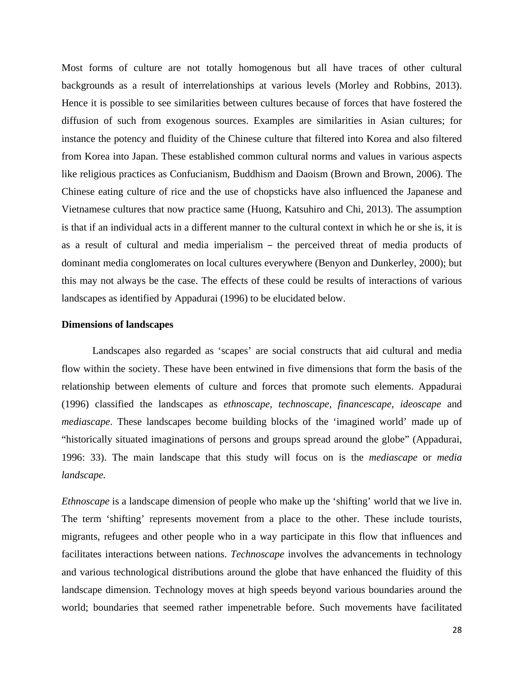Most forms of culture are not totally homogenous but all have traces of other cultural backgrounds as a result of interrelationships at various levels (Morley and Robbins, 2013). Hence it is possible to see similarities between cultures because of forces that have fostered the diffusion of such from exogenous sources. Examples are similarities in Asian cultures; for instance the potency and fluidity of the Chinese culture that filtered into Korea and also filtered from Korea into Japan. These established common cultural norms and values in various aspects like religious practices as Confucianism, Buddhism and Daoism (Brown and Brown, 2006). The Chinese eating culture of rice and the use of chopsticks have also influenced the Japanese and Vietnamese cultures that now practice same (Huong, Katsuhiro and Chi, 2013). The assumption is that if an individual acts in a different manner to the cultural context in which he or she is, it is as a result of cultural and media imperialism – the perceived threat of media products of dominant media conglomerates on local cultures everywhere (Benyon and Dunkerley, 2000); but this may not always be the case. The effects of these could be results of interactions of various landscapes as identified by Appadurai (1996) to be elucidated below.

## **Dimensions of landscapes**

Landscapes also regarded as 'scapes' are social constructs that aid cultural and media flow within the society. These have been entwined in five dimensions that form the basis of the relationship between elements of culture and forces that promote such elements. Appadurai (1996) classified the landscapes as *ethnoscape, technoscape, financescape, ideoscape* and *mediascape*. These landscapes become building blocks of the 'imagined world' made up of "historically situated imaginations of persons and groups spread around the globe" (Appadurai, 1996: 33). The main landscape that this study will focus on is the *mediascape* or *media landscape.*

*Ethnoscape* is a landscape dimension of people who make up the 'shifting' world that we live in. The term 'shifting' represents movement from a place to the other. These include tourists, migrants, refugees and other people who in a way participate in this flow that influences and facilitates interactions between nations. *Technoscape* involves the advancements in technology and various technological distributions around the globe that have enhanced the fluidity of this landscape dimension. Technology moves at high speeds beyond various boundaries around the world; boundaries that seemed rather impenetrable before. Such movements have facilitated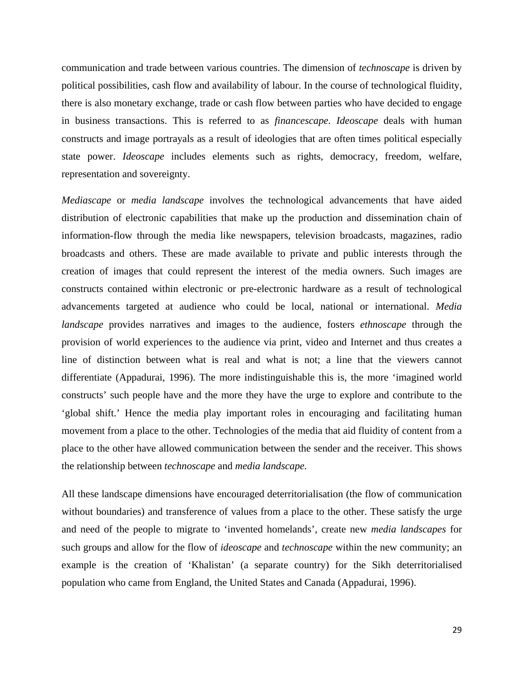communication and trade between various countries. The dimension of *technoscape* is driven by political possibilities, cash flow and availability of labour. In the course of technological fluidity, there is also monetary exchange, trade or cash flow between parties who have decided to engage in business transactions. This is referred to as *financescape. Ideoscape* deals with human constructs and image portrayals as a result of ideologies that are often times political especially state power. *Ideoscape* includes elements such as rights, democracy, freedom, welfare, representation and sovereignty.

*Mediascape* or *media landscape* involves the technological advancements that have aided distribution of electronic capabilities that make up the production and dissemination chain of information-flow through the media like newspapers, television broadcasts, magazines, radio broadcasts and others. These are made available to private and public interests through the creation of images that could represent the interest of the media owners. Such images are constructs contained within electronic or pre-electronic hardware as a result of technological advancements targeted at audience who could be local, national or international. *Media landscape* provides narratives and images to the audience, fosters *ethnoscape* through the provision of world experiences to the audience via print, video and Internet and thus creates a line of distinction between what is real and what is not; a line that the viewers cannot differentiate (Appadurai, 1996). The more indistinguishable this is, the more 'imagined world constructs' such people have and the more they have the urge to explore and contribute to the 'global shift.' Hence the media play important roles in encouraging and facilitating human movement from a place to the other. Technologies of the media that aid fluidity of content from a place to the other have allowed communication between the sender and the receiver. This shows the relationship between *technoscape* and *media landscape.*

All these landscape dimensions have encouraged deterritorialisation (the flow of communication without boundaries) and transference of values from a place to the other. These satisfy the urge and need of the people to migrate to 'invented homelands', create new *media landscapes* for such groups and allow for the flow of *ideoscape* and *technoscape* within the new community; an example is the creation of 'Khalistan' (a separate country) for the Sikh deterritorialised population who came from England, the United States and Canada (Appadurai, 1996).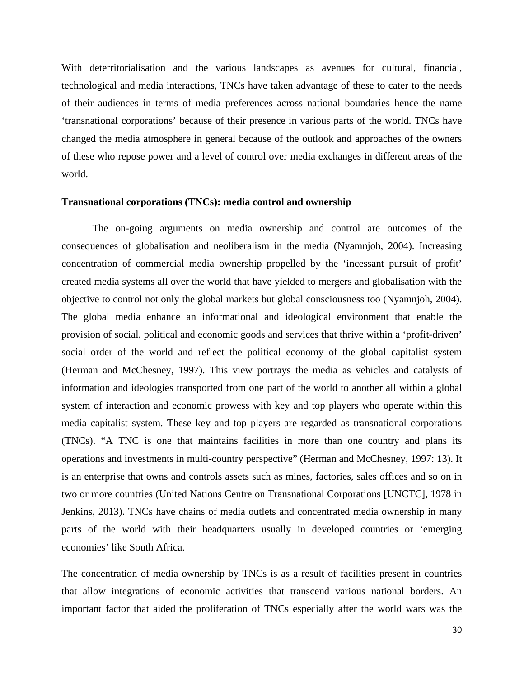With deterritorialisation and the various landscapes as avenues for cultural, financial, technological and media interactions, TNCs have taken advantage of these to cater to the needs of their audiences in terms of media preferences across national boundaries hence the name 'transnational corporations' because of their presence in various parts of the world. TNCs have changed the media atmosphere in general because of the outlook and approaches of the owners of these who repose power and a level of control over media exchanges in different areas of the world.

### **Transnational corporations (TNCs): media control and ownership**

The on-going arguments on media ownership and control are outcomes of the consequences of globalisation and neoliberalism in the media (Nyamnjoh, 2004). Increasing concentration of commercial media ownership propelled by the 'incessant pursuit of profit' created media systems all over the world that have yielded to mergers and globalisation with the objective to control not only the global markets but global consciousness too (Nyamnjoh, 2004). The global media enhance an informational and ideological environment that enable the provision of social, political and economic goods and services that thrive within a 'profit-driven' social order of the world and reflect the political economy of the global capitalist system (Herman and McChesney, 1997). This view portrays the media as vehicles and catalysts of information and ideologies transported from one part of the world to another all within a global system of interaction and economic prowess with key and top players who operate within this media capitalist system. These key and top players are regarded as transnational corporations (TNCs). "A TNC is one that maintains facilities in more than one country and plans its operations and investments in multi-country perspective" (Herman and McChesney, 1997: 13). It is an enterprise that owns and controls assets such as mines, factories, sales offices and so on in two or more countries (United Nations Centre on Transnational Corporations [UNCTC], 1978 in Jenkins, 2013). TNCs have chains of media outlets and concentrated media ownership in many parts of the world with their headquarters usually in developed countries or 'emerging economies' like South Africa.

The concentration of media ownership by TNCs is as a result of facilities present in countries that allow integrations of economic activities that transcend various national borders. An important factor that aided the proliferation of TNCs especially after the world wars was the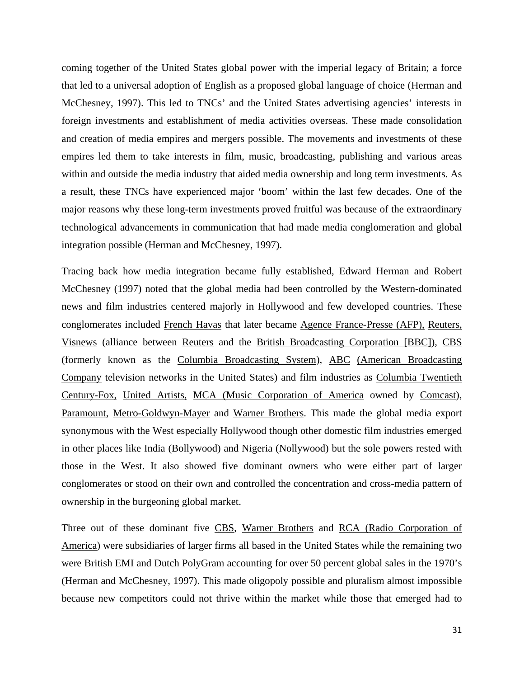coming together of the United States global power with the imperial legacy of Britain; a force that led to a universal adoption of English as a proposed global language of choice (Herman and McChesney, 1997). This led to TNCs' and the United States advertising agencies' interests in foreign investments and establishment of media activities overseas. These made consolidation and creation of media empires and mergers possible. The movements and investments of these empires led them to take interests in film, music, broadcasting, publishing and various areas within and outside the media industry that aided media ownership and long term investments. As a result, these TNCs have experienced major 'boom' within the last few decades. One of the major reasons why these long-term investments proved fruitful was because of the extraordinary technological advancements in communication that had made media conglomeration and global integration possible (Herman and McChesney, 1997).

Tracing back how media integration became fully established, Edward Herman and Robert McChesney (1997) noted that the global media had been controlled by the Western-dominated news and film industries centered majorly in Hollywood and few developed countries. These conglomerates included French Havas that later became Agence France-Presse (AFP), Reuters, Visnews (alliance between Reuters and the British Broadcasting Corporation [BBC]), CBS (formerly known as the Columbia Broadcasting System), ABC (American Broadcasting Company television networks in the United States) and film industries as Columbia Twentieth Century-Fox, United Artists, MCA (Music Corporation of America owned by Comcast), Paramount, Metro-Goldwyn-Mayer and Warner Brothers. This made the global media export synonymous with the West especially Hollywood though other domestic film industries emerged in other places like India (Bollywood) and Nigeria (Nollywood) but the sole powers rested with those in the West. It also showed five dominant owners who were either part of larger conglomerates or stood on their own and controlled the concentration and cross-media pattern of ownership in the burgeoning global market.

Three out of these dominant five CBS, Warner Brothers and RCA (Radio Corporation of America) were subsidiaries of larger firms all based in the United States while the remaining two were British EMI and Dutch PolyGram accounting for over 50 percent global sales in the 1970's (Herman and McChesney, 1997). This made oligopoly possible and pluralism almost impossible because new competitors could not thrive within the market while those that emerged had to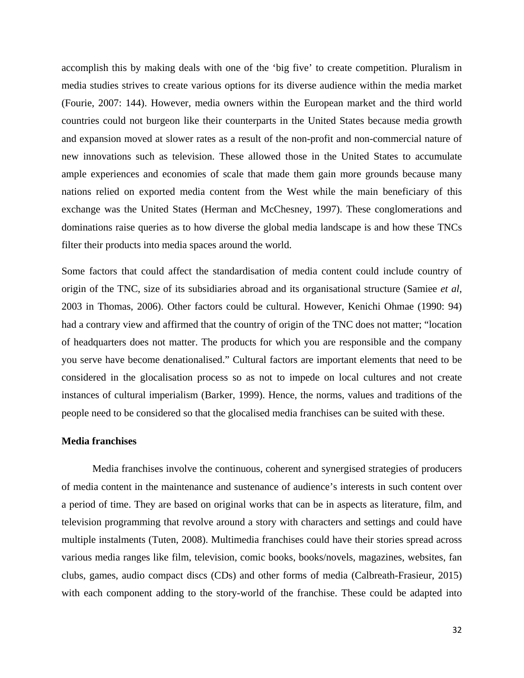accomplish this by making deals with one of the 'big five' to create competition. Pluralism in media studies strives to create various options for its diverse audience within the media market (Fourie, 2007: 144). However, media owners within the European market and the third world countries could not burgeon like their counterparts in the United States because media growth and expansion moved at slower rates as a result of the non-profit and non-commercial nature of new innovations such as television. These allowed those in the United States to accumulate ample experiences and economies of scale that made them gain more grounds because many nations relied on exported media content from the West while the main beneficiary of this exchange was the United States (Herman and McChesney, 1997). These conglomerations and dominations raise queries as to how diverse the global media landscape is and how these TNCs filter their products into media spaces around the world.

Some factors that could affect the standardisation of media content could include country of origin of the TNC, size of its subsidiaries abroad and its organisational structure (Samiee *et al*, 2003 in Thomas, 2006). Other factors could be cultural. However, Kenichi Ohmae (1990: 94) had a contrary view and affirmed that the country of origin of the TNC does not matter; "location of headquarters does not matter. The products for which you are responsible and the company you serve have become denationalised." Cultural factors are important elements that need to be considered in the glocalisation process so as not to impede on local cultures and not create instances of cultural imperialism (Barker, 1999). Hence, the norms, values and traditions of the people need to be considered so that the glocalised media franchises can be suited with these.

### **Media franchises**

Media franchises involve the continuous, coherent and synergised strategies of producers of media content in the maintenance and sustenance of audience's interests in such content over a period of time. They are based on original works that can be in aspects as literature, film, and television programming that revolve around a story with characters and settings and could have multiple instalments (Tuten, 2008). Multimedia franchises could have their stories spread across various media ranges like film, television, comic books, books/novels, magazines, websites, fan clubs, games, audio compact discs (CDs) and other forms of media (Calbreath-Frasieur, 2015) with each component adding to the story-world of the franchise. These could be adapted into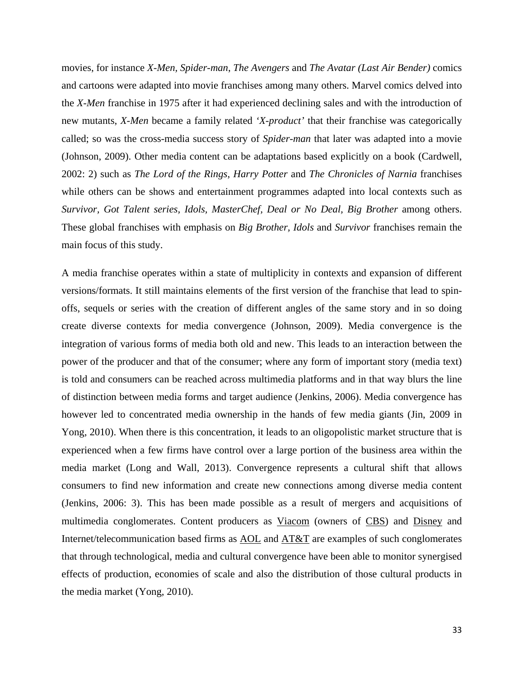movies, for instance *X-Men, Spider-man*, *The Avengers* and *The Avatar (Last Air Bender)* comics and cartoons were adapted into movie franchises among many others. Marvel comics delved into the *X-Men* franchise in 1975 after it had experienced declining sales and with the introduction of new mutants, *X-Men* became a family related *'X-product'* that their franchise was categorically called; so was the cross-media success story of *Spider-man* that later was adapted into a movie (Johnson, 2009). Other media content can be adaptations based explicitly on a book (Cardwell, 2002: 2) such as *The Lord of the Rings*, *Harry Potter* and *The Chronicles of Narnia* franchises while others can be shows and entertainment programmes adapted into local contexts such as Survivor, Got Talent series, Idols, MasterChef, Deal or No Deal, Big Brother among others. These global franchises with emphasis on *Big Brother, Idols* and *Survivor* franchises remain the main focus of this study.

A media franchise operates within a state of multiplicity in contexts and expansion of different versions/formats. It still maintains elements of the first version of the franchise that lead to spinoffs, sequels or series with the creation of different angles of the same story and in so doing create diverse contexts for media convergence (Johnson, 2009). Media convergence is the integration of various forms of media both old and new. This leads to an interaction between the power of the producer and that of the consumer; where any form of important story (media text) is told and consumers can be reached across multimedia platforms and in that way blurs the line of distinction between media forms and target audience (Jenkins, 2006). Media convergence has however led to concentrated media ownership in the hands of few media giants (Jin, 2009 in Yong, 2010). When there is this concentration, it leads to an oligopolistic market structure that is experienced when a few firms have control over a large portion of the business area within the media market (Long and Wall, 2013). Convergence represents a cultural shift that allows consumers to find new information and create new connections among diverse media content (Jenkins, 2006: 3). This has been made possible as a result of mergers and acquisitions of multimedia conglomerates. Content producers as Viacom (owners of CBS) and Disney and Internet/telecommunication based firms as AOL and AT&T are examples of such conglomerates that through technological, media and cultural convergence have been able to monitor synergised effects of production, economies of scale and also the distribution of those cultural products in the media market (Yong, 2010).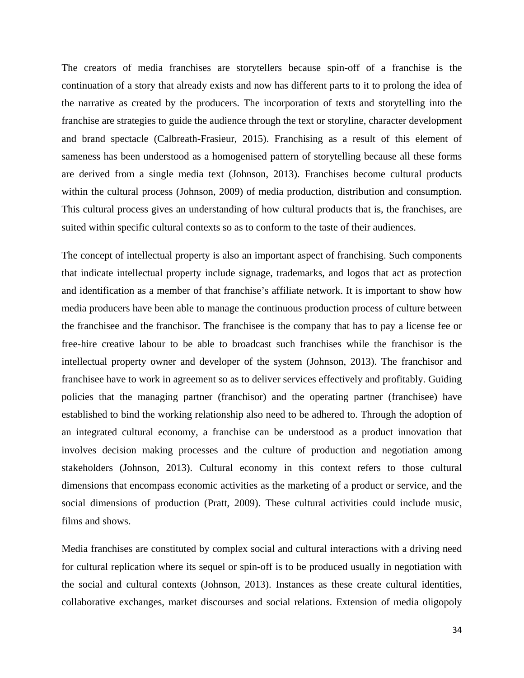The creators of media franchises are storytellers because spin-off of a franchise is the continuation of a story that already exists and now has different parts to it to prolong the idea of the narrative as created by the producers. The incorporation of texts and storytelling into the franchise are strategies to guide the audience through the text or storyline, character development and brand spectacle (Calbreath-Frasieur, 2015). Franchising as a result of this element of sameness has been understood as a homogenised pattern of storytelling because all these forms are derived from a single media text (Johnson, 2013). Franchises become cultural products within the cultural process (Johnson, 2009) of media production, distribution and consumption. This cultural process gives an understanding of how cultural products that is, the franchises, are suited within specific cultural contexts so as to conform to the taste of their audiences.

The concept of intellectual property is also an important aspect of franchising. Such components that indicate intellectual property include signage, trademarks, and logos that act as protection and identification as a member of that franchise's affiliate network. It is important to show how media producers have been able to manage the continuous production process of culture between the franchisee and the franchisor. The franchisee is the company that has to pay a license fee or free-hire creative labour to be able to broadcast such franchises while the franchisor is the intellectual property owner and developer of the system (Johnson, 2013). The franchisor and franchisee have to work in agreement so as to deliver services effectively and profitably. Guiding policies that the managing partner (franchisor) and the operating partner (franchisee) have established to bind the working relationship also need to be adhered to. Through the adoption of an integrated cultural economy, a franchise can be understood as a product innovation that involves decision making processes and the culture of production and negotiation among stakeholders (Johnson, 2013). Cultural economy in this context refers to those cultural dimensions that encompass economic activities as the marketing of a product or service, and the social dimensions of production (Pratt, 2009). These cultural activities could include music, films and shows.

Media franchises are constituted by complex social and cultural interactions with a driving need for cultural replication where its sequel or spin-off is to be produced usually in negotiation with the social and cultural contexts (Johnson, 2013). Instances as these create cultural identities, collaborative exchanges, market discourses and social relations. Extension of media oligopoly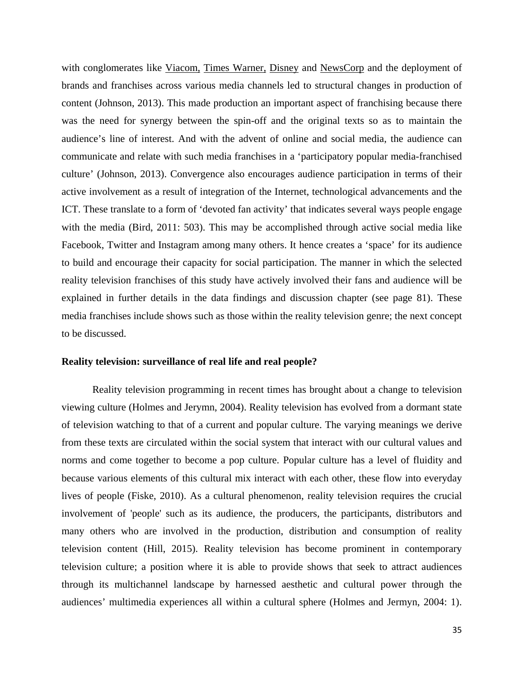with conglomerates like Viacom, Times Warner, Disney and NewsCorp and the deployment of brands and franchises across various media channels led to structural changes in production of content (Johnson, 2013). This made production an important aspect of franchising because there was the need for synergy between the spin-off and the original texts so as to maintain the audience's line of interest. And with the advent of online and social media, the audience can communicate and relate with such media franchises in a 'participatory popular media-franchised culture' (Johnson, 2013). Convergence also encourages audience participation in terms of their active involvement as a result of integration of the Internet, technological advancements and the ICT. These translate to a form of 'devoted fan activity' that indicates several ways people engage with the media (Bird, 2011: 503). This may be accomplished through active social media like Facebook, Twitter and Instagram among many others. It hence creates a 'space' for its audience to build and encourage their capacity for social participation. The manner in which the selected reality television franchises of this study have actively involved their fans and audience will be explained in further details in the data findings and discussion chapter (see page 81). These media franchises include shows such as those within the reality television genre; the next concept to be discussed.

#### **Reality television: surveillance of real life and real people?**

Reality television programming in recent times has brought about a change to television viewing culture (Holmes and Jerymn, 2004). Reality television has evolved from a dormant state of television watching to that of a current and popular culture. The varying meanings we derive from these texts are circulated within the social system that interact with our cultural values and norms and come together to become a pop culture. Popular culture has a level of fluidity and because various elements of this cultural mix interact with each other, these flow into everyday lives of people (Fiske, 2010). As a cultural phenomenon, reality television requires the crucial involvement of 'people' such as its audience, the producers, the participants, distributors and many others who are involved in the production, distribution and consumption of reality television content (Hill, 2015). Reality television has become prominent in contemporary television culture; a position where it is able to provide shows that seek to attract audiences through its multichannel landscape by harnessed aesthetic and cultural power through the audiences' multimedia experiences all within a cultural sphere (Holmes and Jermyn, 2004: 1).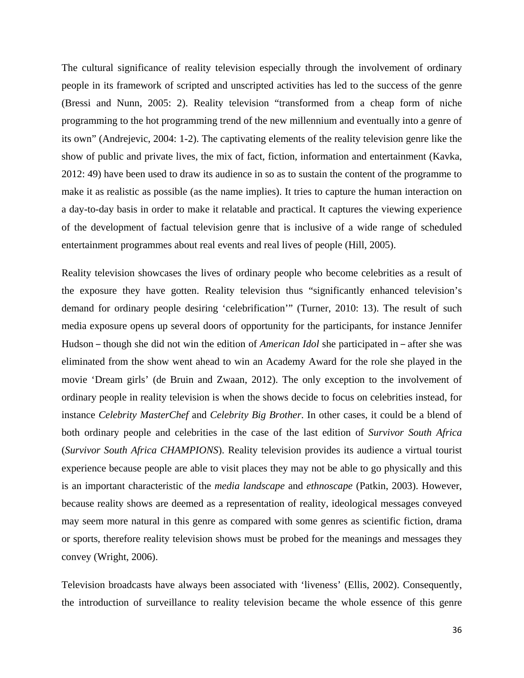The cultural significance of reality television especially through the involvement of ordinary people in its framework of scripted and unscripted activities has led to the success of the genre (Bressi and Nunn, 2005: 2). Reality television "transformed from a cheap form of niche programming to the hot programming trend of the new millennium and eventually into a genre of its own" (Andrejevic, 2004: 1-2). The captivating elements of the reality television genre like the show of public and private lives, the mix of fact, fiction, information and entertainment (Kavka, 2012: 49) have been used to draw its audience in so as to sustain the content of the programme to make it as realistic as possible (as the name implies). It tries to capture the human interaction on a day-to-day basis in order to make it relatable and practical. It captures the viewing experience of the development of factual television genre that is inclusive of a wide range of scheduled entertainment programmes about real events and real lives of people (Hill, 2005).

Reality television showcases the lives of ordinary people who become celebrities as a result of the exposure they have gotten. Reality television thus "significantly enhanced television's demand for ordinary people desiring 'celebrification'" (Turner, 2010: 13). The result of such media exposure opens up several doors of opportunity for the participants, for instance Jennifer Hudson – though she did not win the edition of *American Idol* she participated in – after she was eliminated from the show went ahead to win an Academy Award for the role she played in the movie 'Dream girls' (de Bruin and Zwaan, 2012). The only exception to the involvement of ordinary people in reality television is when the shows decide to focus on celebrities instead, for instance *Celebrity MasterChef* and *Celebrity Big Brother*. In other cases, it could be a blend of both ordinary people and celebrities in the case of the last edition of *Survivor South Africa* (*Survivor South Africa CHAMPIONS*). Reality television provides its audience a virtual tourist experience because people are able to visit places they may not be able to go physically and this is an important characteristic of the *media landscape* and *ethnoscape* (Patkin, 2003). However, because reality shows are deemed as a representation of reality, ideological messages conveyed may seem more natural in this genre as compared with some genres as scientific fiction, drama or sports, therefore reality television shows must be probed for the meanings and messages they convey (Wright, 2006).

Television broadcasts have always been associated with 'liveness' (Ellis, 2002). Consequently, the introduction of surveillance to reality television became the whole essence of this genre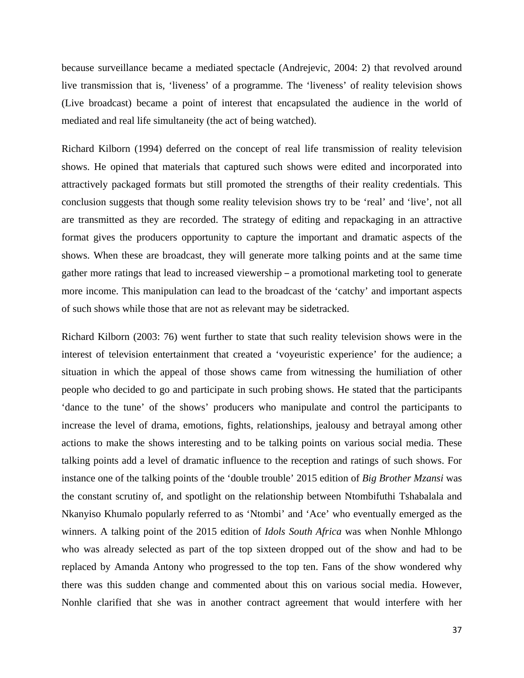because surveillance became a mediated spectacle (Andrejevic, 2004: 2) that revolved around live transmission that is, 'liveness' of a programme. The 'liveness' of reality television shows (Live broadcast) became a point of interest that encapsulated the audience in the world of mediated and real life simultaneity (the act of being watched).

Richard Kilborn (1994) deferred on the concept of real life transmission of reality television shows. He opined that materials that captured such shows were edited and incorporated into attractively packaged formats but still promoted the strengths of their reality credentials. This conclusion suggests that though some reality television shows try to be 'real' and 'live', not all are transmitted as they are recorded. The strategy of editing and repackaging in an attractive format gives the producers opportunity to capture the important and dramatic aspects of the shows. When these are broadcast, they will generate more talking points and at the same time gather more ratings that lead to increased viewership – a promotional marketing tool to generate more income. This manipulation can lead to the broadcast of the 'catchy' and important aspects of such shows while those that are not as relevant may be sidetracked.

Richard Kilborn (2003: 76) went further to state that such reality television shows were in the interest of television entertainment that created a 'voyeuristic experience' for the audience; a situation in which the appeal of those shows came from witnessing the humiliation of other people who decided to go and participate in such probing shows. He stated that the participants 'dance to the tune' of the shows' producers who manipulate and control the participants to increase the level of drama, emotions, fights, relationships, jealousy and betrayal among other actions to make the shows interesting and to be talking points on various social media. These talking points add a level of dramatic influence to the reception and ratings of such shows. For instance one of the talking points of the 'double trouble' 2015 edition of *Big Brother Mzansi* was the constant scrutiny of, and spotlight on the relationship between Ntombifuthi Tshabalala and Nkanyiso Khumalo popularly referred to as 'Ntombi' and 'Ace' who eventually emerged as the winners. A talking point of the 2015 edition of *Idols South Africa* was when Nonhle Mhlongo who was already selected as part of the top sixteen dropped out of the show and had to be replaced by Amanda Antony who progressed to the top ten. Fans of the show wondered why there was this sudden change and commented about this on various social media. However, Nonhle clarified that she was in another contract agreement that would interfere with her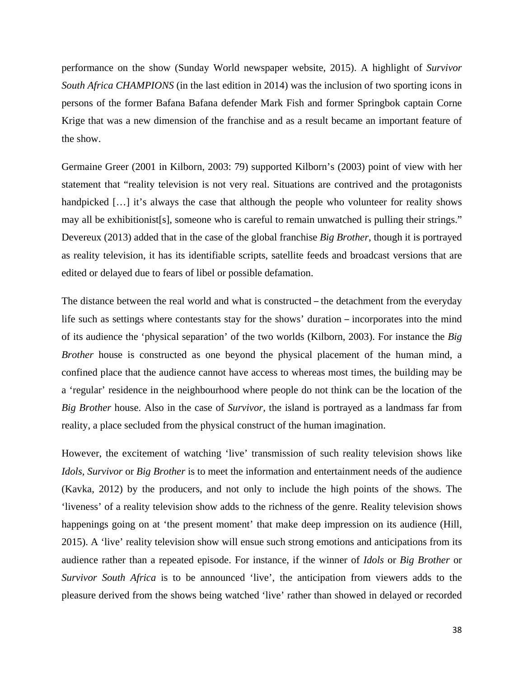performance on the show (Sunday World newspaper website, 2015). A highlight of *Survivor South Africa CHAMPIONS* (in the last edition in 2014) was the inclusion of two sporting icons in persons of the former Bafana Bafana defender Mark Fish and former Springbok captain Corne Krige that was a new dimension of the franchise and as a result became an important feature of the show.

Germaine Greer (2001 in Kilborn, 2003: 79) supported Kilborn's (2003) point of view with her statement that "reality television is not very real. Situations are contrived and the protagonists handpicked [...] it's always the case that although the people who volunteer for reality shows may all be exhibitionist[s], someone who is careful to remain unwatched is pulling their strings." Devereux (2013) added that in the case of the global franchise *Big Brother*, though it is portrayed as reality television, it has its identifiable scripts, satellite feeds and broadcast versions that are edited or delayed due to fears of libel or possible defamation.

The distance between the real world and what is constructed – the detachment from the everyday life such as settings where contestants stay for the shows' duration – incorporates into the mind of its audience the 'physical separation' of the two worlds (Kilborn, 2003). For instance the *Big Brother* house is constructed as one beyond the physical placement of the human mind, a confined place that the audience cannot have access to whereas most times, the building may be a 'regular' residence in the neighbourhood where people do not think can be the location of the *Big Brother* house. Also in the case of *Survivor,* the island is portrayed as a landmass far from reality, a place secluded from the physical construct of the human imagination.

However, the excitement of watching 'live' transmission of such reality television shows like *Idols, Survivor* or *Big Brother* is to meet the information and entertainment needs of the audience (Kavka, 2012) by the producers, and not only to include the high points of the shows. The 'liveness' of a reality television show adds to the richness of the genre. Reality television shows happenings going on at 'the present moment' that make deep impression on its audience (Hill, 2015). A 'live' reality television show will ensue such strong emotions and anticipations from its audience rather than a repeated episode. For instance, if the winner of *Idols* or *Big Brother* or *Survivor South Africa* is to be announced 'live', the anticipation from viewers adds to the pleasure derived from the shows being watched 'live' rather than showed in delayed or recorded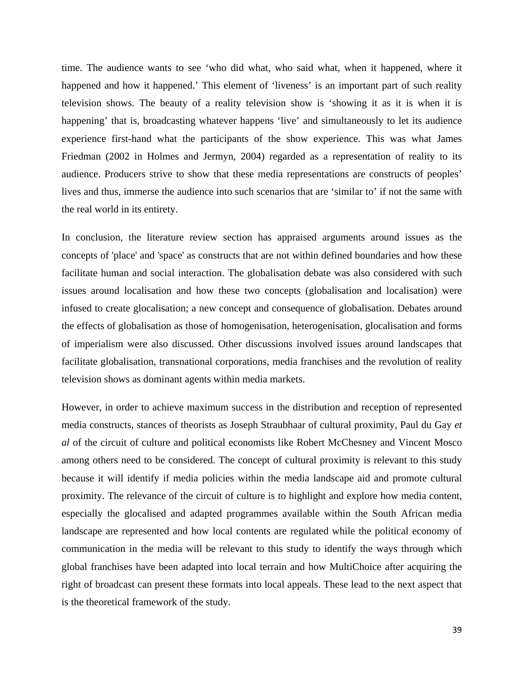time. The audience wants to see 'who did what, who said what, when it happened, where it happened and how it happened.' This element of 'liveness' is an important part of such reality television shows. The beauty of a reality television show is 'showing it as it is when it is happening' that is, broadcasting whatever happens 'live' and simultaneously to let its audience experience first-hand what the participants of the show experience. This was what James Friedman (2002 in Holmes and Jermyn, 2004) regarded as a representation of reality to its audience. Producers strive to show that these media representations are constructs of peoples' lives and thus, immerse the audience into such scenarios that are 'similar to' if not the same with the real world in its entirety.

In conclusion, the literature review section has appraised arguments around issues as the concepts of 'place' and 'space' as constructs that are not within defined boundaries and how these facilitate human and social interaction. The globalisation debate was also considered with such issues around localisation and how these two concepts (globalisation and localisation) were infused to create glocalisation; a new concept and consequence of globalisation. Debates around the effects of globalisation as those of homogenisation, heterogenisation, glocalisation and forms of imperialism were also discussed. Other discussions involved issues around landscapes that facilitate globalisation, transnational corporations, media franchises and the revolution of reality television shows as dominant agents within media markets.

However, in order to achieve maximum success in the distribution and reception of represented media constructs, stances of theorists as Joseph Straubhaar of cultural proximity, Paul du Gay *et al* of the circuit of culture and political economists like Robert McChesney and Vincent Mosco among others need to be considered. The concept of cultural proximity is relevant to this study because it will identify if media policies within the media landscape aid and promote cultural proximity. The relevance of the circuit of culture is to highlight and explore how media content, especially the glocalised and adapted programmes available within the South African media landscape are represented and how local contents are regulated while the political economy of communication in the media will be relevant to this study to identify the ways through which global franchises have been adapted into local terrain and how MultiChoice after acquiring the right of broadcast can present these formats into local appeals. These lead to the next aspect that is the theoretical framework of the study.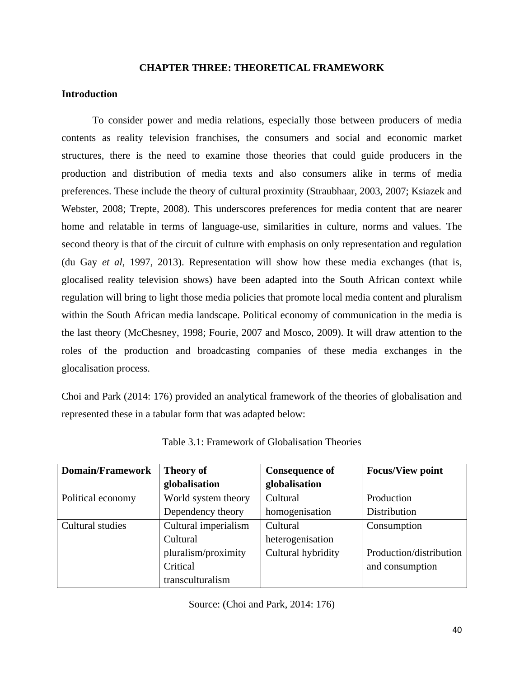# **CHAPTER THREE: THEORETICAL FRAMEWORK**

# **Introduction**

To consider power and media relations, especially those between producers of media contents as reality television franchises, the consumers and social and economic market structures, there is the need to examine those theories that could guide producers in the production and distribution of media texts and also consumers alike in terms of media preferences. These include the theory of cultural proximity (Straubhaar, 2003, 2007; Ksiazek and Webster, 2008; Trepte, 2008). This underscores preferences for media content that are nearer home and relatable in terms of language-use, similarities in culture, norms and values. The second theory is that of the circuit of culture with emphasis on only representation and regulation (du Gay *et al*, 1997, 2013). Representation will show how these media exchanges (that is, glocalised reality television shows) have been adapted into the South African context while regulation will bring to light those media policies that promote local media content and pluralism within the South African media landscape. Political economy of communication in the media is the last theory (McChesney, 1998; Fourie, 2007 and Mosco, 2009). It will draw attention to the roles of the production and broadcasting companies of these media exchanges in the glocalisation process.

Choi and Park (2014: 176) provided an analytical framework of the theories of globalisation and represented these in a tabular form that was adapted below:

| <b>Domain/Framework</b> | <b>Theory of</b>     | <b>Consequence of</b> | <b>Focus/View point</b> |
|-------------------------|----------------------|-----------------------|-------------------------|
|                         | globalisation        | globalisation         |                         |
| Political economy       | World system theory  | Cultural              | Production              |
|                         | Dependency theory    | homogenisation        | Distribution            |
| Cultural studies        | Cultural imperialism | Cultural              | Consumption             |
|                         | Cultural             | heterogenisation      |                         |
|                         | pluralism/proximity  | Cultural hybridity    | Production/distribution |
|                         | Critical             |                       | and consumption         |
|                         | transculturalism     |                       |                         |

Table 3.1: Framework of Globalisation Theories

Source: (Choi and Park, 2014: 176)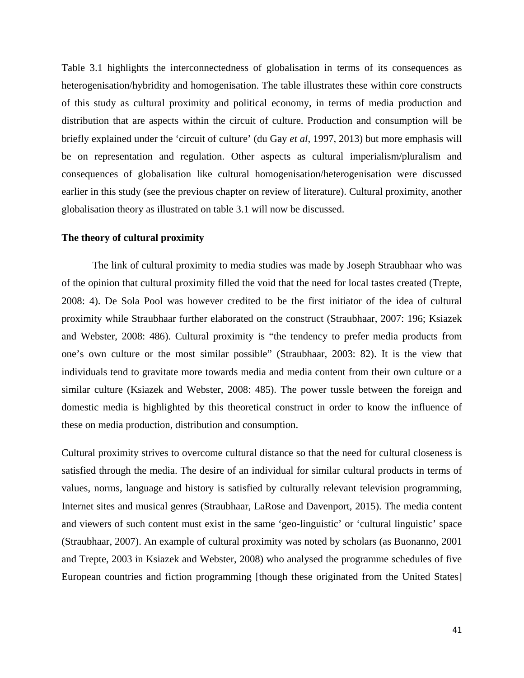Table 3.1 highlights the interconnectedness of globalisation in terms of its consequences as heterogenisation/hybridity and homogenisation. The table illustrates these within core constructs of this study as cultural proximity and political economy, in terms of media production and distribution that are aspects within the circuit of culture. Production and consumption will be briefly explained under the 'circuit of culture' (du Gay *et al*, 1997, 2013) but more emphasis will be on representation and regulation. Other aspects as cultural imperialism/pluralism and consequences of globalisation like cultural homogenisation/heterogenisation were discussed earlier in this study (see the previous chapter on review of literature). Cultural proximity, another globalisation theory as illustrated on table 3.1 will now be discussed.

### **The theory of cultural proximity**

The link of cultural proximity to media studies was made by Joseph Straubhaar who was of the opinion that cultural proximity filled the void that the need for local tastes created (Trepte, 2008: 4). De Sola Pool was however credited to be the first initiator of the idea of cultural proximity while Straubhaar further elaborated on the construct (Straubhaar, 2007: 196; Ksiazek and Webster, 2008: 486). Cultural proximity is "the tendency to prefer media products from one's own culture or the most similar possible" (Straubhaar, 2003: 82). It is the view that individuals tend to gravitate more towards media and media content from their own culture or a similar culture (Ksiazek and Webster, 2008: 485). The power tussle between the foreign and domestic media is highlighted by this theoretical construct in order to know the influence of these on media production, distribution and consumption.

Cultural proximity strives to overcome cultural distance so that the need for cultural closeness is satisfied through the media. The desire of an individual for similar cultural products in terms of values, norms, language and history is satisfied by culturally relevant television programming, Internet sites and musical genres (Straubhaar, LaRose and Davenport, 2015). The media content and viewers of such content must exist in the same 'geo-linguistic' or 'cultural linguistic' space (Straubhaar, 2007). An example of cultural proximity was noted by scholars (as Buonanno, 2001 and Trepte, 2003 in Ksiazek and Webster, 2008) who analysed the programme schedules of five European countries and fiction programming [though these originated from the United States]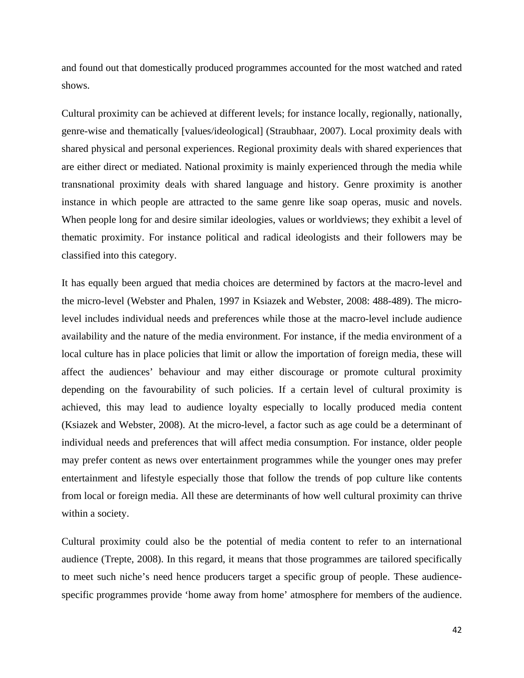and found out that domestically produced programmes accounted for the most watched and rated shows.

Cultural proximity can be achieved at different levels; for instance locally, regionally, nationally, genre-wise and thematically [values/ideological] (Straubhaar, 2007). Local proximity deals with shared physical and personal experiences. Regional proximity deals with shared experiences that are either direct or mediated. National proximity is mainly experienced through the media while transnational proximity deals with shared language and history. Genre proximity is another instance in which people are attracted to the same genre like soap operas, music and novels. When people long for and desire similar ideologies, values or worldviews; they exhibit a level of thematic proximity. For instance political and radical ideologists and their followers may be classified into this category.

It has equally been argued that media choices are determined by factors at the macro-level and the micro-level (Webster and Phalen, 1997 in Ksiazek and Webster, 2008: 488-489). The microlevel includes individual needs and preferences while those at the macro-level include audience availability and the nature of the media environment. For instance, if the media environment of a local culture has in place policies that limit or allow the importation of foreign media, these will affect the audiences' behaviour and may either discourage or promote cultural proximity depending on the favourability of such policies. If a certain level of cultural proximity is achieved, this may lead to audience loyalty especially to locally produced media content (Ksiazek and Webster, 2008). At the micro-level, a factor such as age could be a determinant of individual needs and preferences that will affect media consumption. For instance, older people may prefer content as news over entertainment programmes while the younger ones may prefer entertainment and lifestyle especially those that follow the trends of pop culture like contents from local or foreign media. All these are determinants of how well cultural proximity can thrive within a society.

Cultural proximity could also be the potential of media content to refer to an international audience (Trepte, 2008). In this regard, it means that those programmes are tailored specifically to meet such niche's need hence producers target a specific group of people. These audiencespecific programmes provide 'home away from home' atmosphere for members of the audience.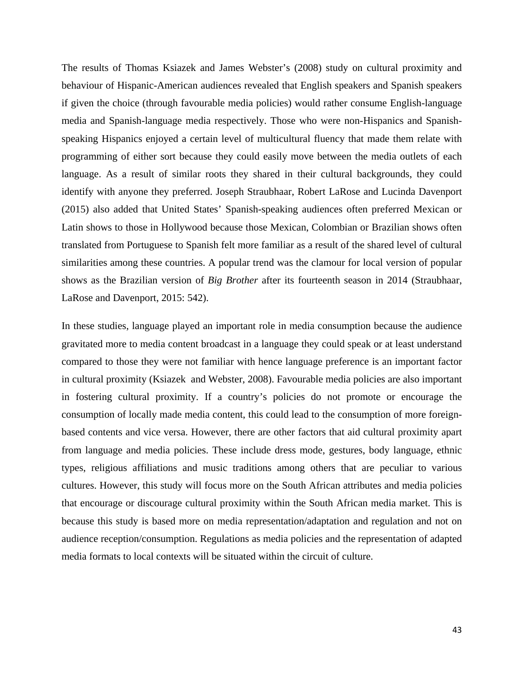The results of Thomas Ksiazek and James Webster's (2008) study on cultural proximity and behaviour of Hispanic-American audiences revealed that English speakers and Spanish speakers if given the choice (through favourable media policies) would rather consume English-language media and Spanish-language media respectively. Those who were non-Hispanics and Spanishspeaking Hispanics enjoyed a certain level of multicultural fluency that made them relate with programming of either sort because they could easily move between the media outlets of each language. As a result of similar roots they shared in their cultural backgrounds, they could identify with anyone they preferred. Joseph Straubhaar, Robert LaRose and Lucinda Davenport (2015) also added that United States' Spanish-speaking audiences often preferred Mexican or Latin shows to those in Hollywood because those Mexican, Colombian or Brazilian shows often translated from Portuguese to Spanish felt more familiar as a result of the shared level of cultural similarities among these countries. A popular trend was the clamour for local version of popular shows as the Brazilian version of *Big Brother* after its fourteenth season in 2014 (Straubhaar, LaRose and Davenport, 2015: 542).

In these studies, language played an important role in media consumption because the audience gravitated more to media content broadcast in a language they could speak or at least understand compared to those they were not familiar with hence language preference is an important factor in cultural proximity (Ksiazek and Webster, 2008). Favourable media policies are also important in fostering cultural proximity. If a country's policies do not promote or encourage the consumption of locally made media content, this could lead to the consumption of more foreignbased contents and vice versa. However, there are other factors that aid cultural proximity apart from language and media policies. These include dress mode, gestures, body language, ethnic types, religious affiliations and music traditions among others that are peculiar to various cultures. However, this study will focus more on the South African attributes and media policies that encourage or discourage cultural proximity within the South African media market. This is because this study is based more on media representation/adaptation and regulation and not on audience reception/consumption. Regulations as media policies and the representation of adapted media formats to local contexts will be situated within the circuit of culture.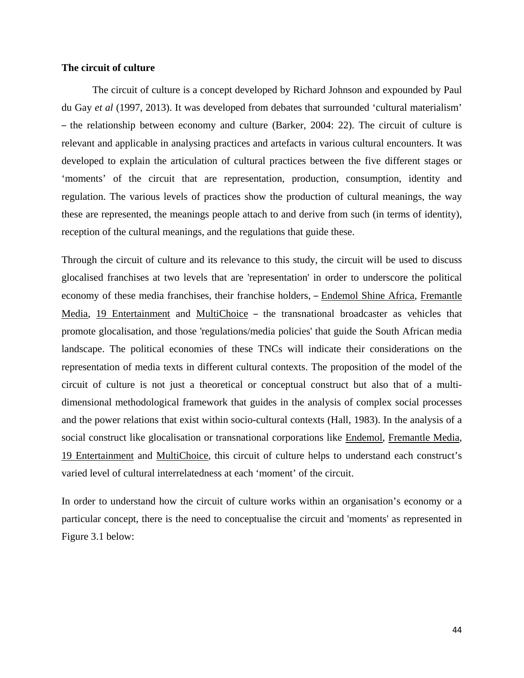# **The circuit of culture**

The circuit of culture is a concept developed by Richard Johnson and expounded by Paul du Gay *et al* (1997, 2013). It was developed from debates that surrounded 'cultural materialism' – the relationship between economy and culture (Barker, 2004: 22). The circuit of culture is relevant and applicable in analysing practices and artefacts in various cultural encounters. It was developed to explain the articulation of cultural practices between the five different stages or 'moments' of the circuit that are representation, production, consumption, identity and regulation. The various levels of practices show the production of cultural meanings, the way these are represented, the meanings people attach to and derive from such (in terms of identity), reception of the cultural meanings, and the regulations that guide these.

Through the circuit of culture and its relevance to this study, the circuit will be used to discuss glocalised franchises at two levels that are 'representation' in order to underscore the political economy of these media franchises, their franchise holders,  $-$  Endemol Shine Africa, Fremantle Media, 19 Entertainment and MultiChoice – the transnational broadcaster as vehicles that promote glocalisation, and those 'regulations/media policies' that guide the South African media landscape. The political economies of these TNCs will indicate their considerations on the representation of media texts in different cultural contexts. The proposition of the model of the circuit of culture is not just a theoretical or conceptual construct but also that of a multidimensional methodological framework that guides in the analysis of complex social processes and the power relations that exist within socio-cultural contexts (Hall, 1983). In the analysis of a social construct like glocalisation or transnational corporations like Endemol, Fremantle Media, 19 Entertainment and MultiChoice, this circuit of culture helps to understand each construct's varied level of cultural interrelatedness at each 'moment' of the circuit.

In order to understand how the circuit of culture works within an organisation's economy or a particular concept, there is the need to conceptualise the circuit and 'moments' as represented in Figure 3.1 below: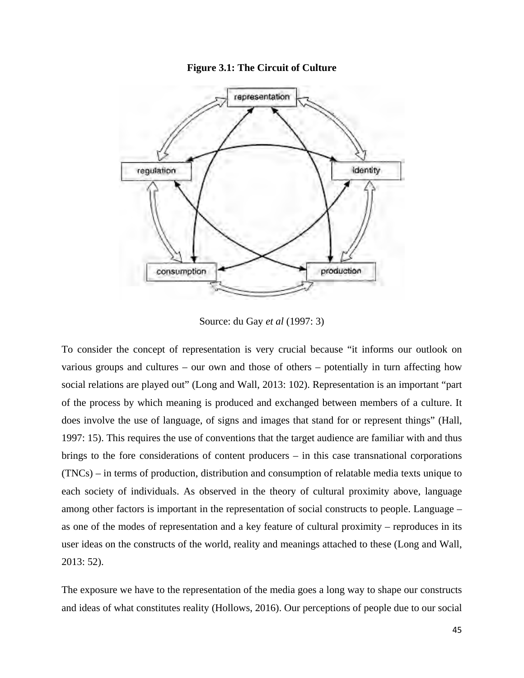



Source: du Gay *et al* (1997: 3)

To consider the concept of representation is very crucial because "it informs our outlook on various groups and cultures – our own and those of others – potentially in turn affecting how social relations are played out" (Long and Wall, 2013: 102). Representation is an important "part of the process by which meaning is produced and exchanged between members of a culture. It does involve the use of language, of signs and images that stand for or represent things" (Hall, 1997: 15). This requires the use of conventions that the target audience are familiar with and thus brings to the fore considerations of content producers – in this case transnational corporations (TNCs) – in terms of production, distribution and consumption of relatable media texts unique to each society of individuals. As observed in the theory of cultural proximity above, language among other factors is important in the representation of social constructs to people. Language – as one of the modes of representation and a key feature of cultural proximity – reproduces in its user ideas on the constructs of the world, reality and meanings attached to these (Long and Wall, 2013: 52).

The exposure we have to the representation of the media goes a long way to shape our constructs and ideas of what constitutes reality (Hollows, 2016). Our perceptions of people due to our social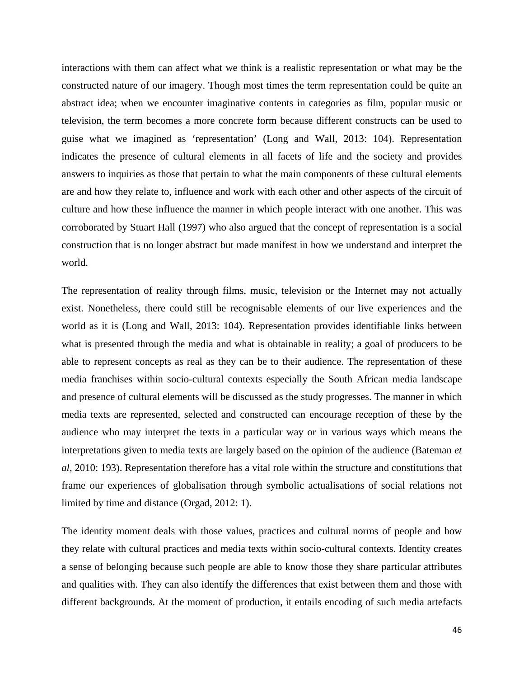interactions with them can affect what we think is a realistic representation or what may be the constructed nature of our imagery. Though most times the term representation could be quite an abstract idea; when we encounter imaginative contents in categories as film, popular music or television, the term becomes a more concrete form because different constructs can be used to guise what we imagined as 'representation' (Long and Wall, 2013: 104). Representation indicates the presence of cultural elements in all facets of life and the society and provides answers to inquiries as those that pertain to what the main components of these cultural elements are and how they relate to, influence and work with each other and other aspects of the circuit of culture and how these influence the manner in which people interact with one another. This was corroborated by Stuart Hall (1997) who also argued that the concept of representation is a social construction that is no longer abstract but made manifest in how we understand and interpret the world.

The representation of reality through films, music, television or the Internet may not actually exist. Nonetheless, there could still be recognisable elements of our live experiences and the world as it is (Long and Wall, 2013: 104). Representation provides identifiable links between what is presented through the media and what is obtainable in reality; a goal of producers to be able to represent concepts as real as they can be to their audience. The representation of these media franchises within socio-cultural contexts especially the South African media landscape and presence of cultural elements will be discussed as the study progresses. The manner in which media texts are represented, selected and constructed can encourage reception of these by the audience who may interpret the texts in a particular way or in various ways which means the interpretations given to media texts are largely based on the opinion of the audience (Bateman *et al*, 2010: 193). Representation therefore has a vital role within the structure and constitutions that frame our experiences of globalisation through symbolic actualisations of social relations not limited by time and distance (Orgad, 2012: 1).

The identity moment deals with those values, practices and cultural norms of people and how they relate with cultural practices and media texts within socio-cultural contexts. Identity creates a sense of belonging because such people are able to know those they share particular attributes and qualities with. They can also identify the differences that exist between them and those with different backgrounds. At the moment of production, it entails encoding of such media artefacts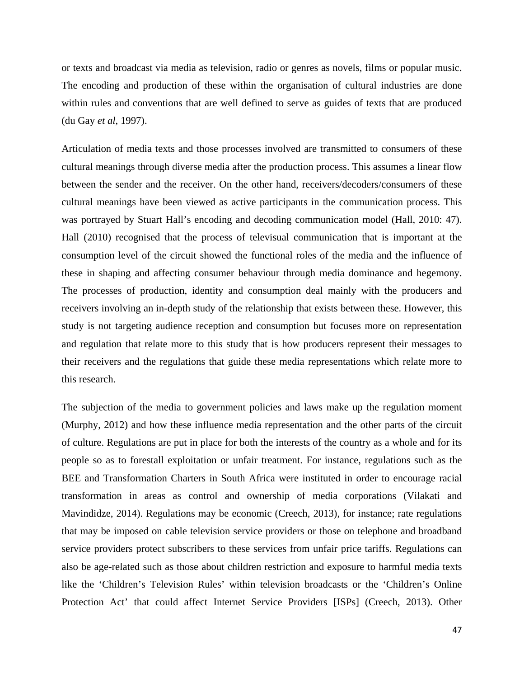or texts and broadcast via media as television, radio or genres as novels, films or popular music. The encoding and production of these within the organisation of cultural industries are done within rules and conventions that are well defined to serve as guides of texts that are produced (du Gay *et al*, 1997).

Articulation of media texts and those processes involved are transmitted to consumers of these cultural meanings through diverse media after the production process. This assumes a linear flow between the sender and the receiver. On the other hand, receivers/decoders/consumers of these cultural meanings have been viewed as active participants in the communication process. This was portrayed by Stuart Hall's encoding and decoding communication model (Hall, 2010: 47). Hall (2010) recognised that the process of televisual communication that is important at the consumption level of the circuit showed the functional roles of the media and the influence of these in shaping and affecting consumer behaviour through media dominance and hegemony. The processes of production, identity and consumption deal mainly with the producers and receivers involving an in-depth study of the relationship that exists between these. However, this study is not targeting audience reception and consumption but focuses more on representation and regulation that relate more to this study that is how producers represent their messages to their receivers and the regulations that guide these media representations which relate more to this research.

The subjection of the media to government policies and laws make up the regulation moment (Murphy, 2012) and how these influence media representation and the other parts of the circuit of culture. Regulations are put in place for both the interests of the country as a whole and for its people so as to forestall exploitation or unfair treatment. For instance, regulations such as the BEE and Transformation Charters in South Africa were instituted in order to encourage racial transformation in areas as control and ownership of media corporations (Vilakati and Mavindidze, 2014). Regulations may be economic (Creech, 2013), for instance; rate regulations that may be imposed on cable television service providers or those on telephone and broadband service providers protect subscribers to these services from unfair price tariffs. Regulations can also be age-related such as those about children restriction and exposure to harmful media texts like the 'Children's Television Rules' within television broadcasts or the 'Children's Online Protection Act' that could affect Internet Service Providers [ISPs] (Creech, 2013). Other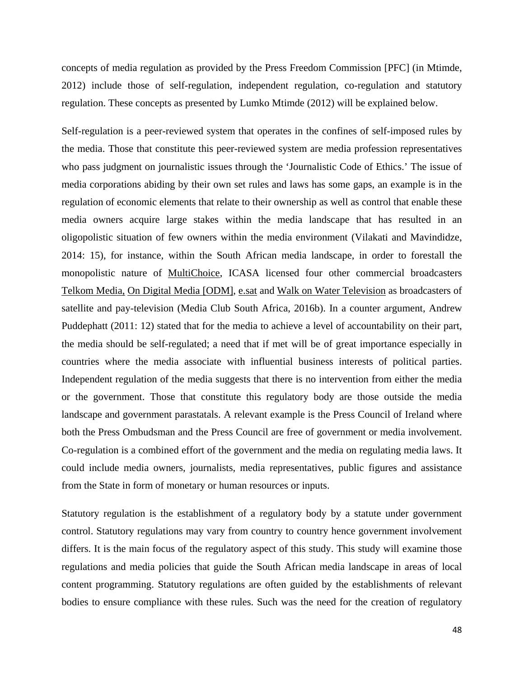concepts of media regulation as provided by the Press Freedom Commission [PFC] (in Mtimde, 2012) include those of self-regulation, independent regulation, co-regulation and statutory regulation. These concepts as presented by Lumko Mtimde (2012) will be explained below.

Self-regulation is a peer-reviewed system that operates in the confines of self-imposed rules by the media. Those that constitute this peer-reviewed system are media profession representatives who pass judgment on journalistic issues through the 'Journalistic Code of Ethics.' The issue of media corporations abiding by their own set rules and laws has some gaps, an example is in the regulation of economic elements that relate to their ownership as well as control that enable these media owners acquire large stakes within the media landscape that has resulted in an oligopolistic situation of few owners within the media environment (Vilakati and Mavindidze, 2014: 15), for instance, within the South African media landscape, in order to forestall the monopolistic nature of MultiChoice, ICASA licensed four other commercial broadcasters Telkom Media, On Digital Media [ODM], e.sat and Walk on Water Television as broadcasters of satellite and pay-television (Media Club South Africa, 2016b). In a counter argument, Andrew Puddephatt (2011: 12) stated that for the media to achieve a level of accountability on their part, the media should be self-regulated; a need that if met will be of great importance especially in countries where the media associate with influential business interests of political parties. Independent regulation of the media suggests that there is no intervention from either the media or the government. Those that constitute this regulatory body are those outside the media landscape and government parastatals. A relevant example is the Press Council of Ireland where both the Press Ombudsman and the Press Council are free of government or media involvement. Co-regulation is a combined effort of the government and the media on regulating media laws. It could include media owners, journalists, media representatives, public figures and assistance from the State in form of monetary or human resources or inputs.

Statutory regulation is the establishment of a regulatory body by a statute under government control. Statutory regulations may vary from country to country hence government involvement differs. It is the main focus of the regulatory aspect of this study. This study will examine those regulations and media policies that guide the South African media landscape in areas of local content programming. Statutory regulations are often guided by the establishments of relevant bodies to ensure compliance with these rules. Such was the need for the creation of regulatory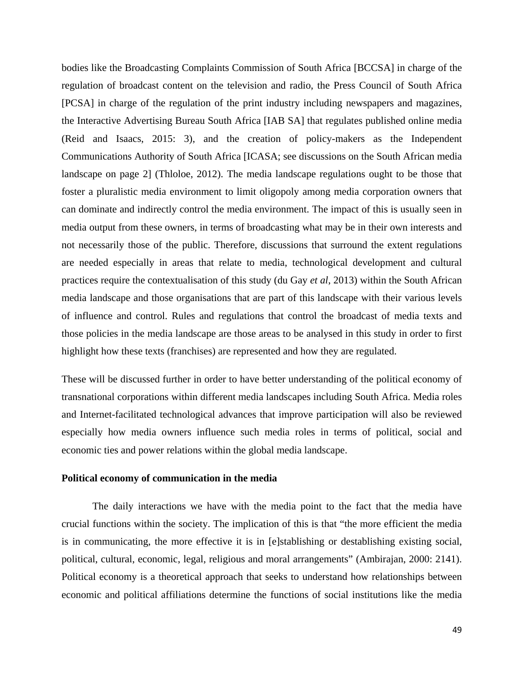bodies like the Broadcasting Complaints Commission of South Africa [BCCSA] in charge of the regulation of broadcast content on the television and radio, the Press Council of South Africa [PCSA] in charge of the regulation of the print industry including newspapers and magazines, the Interactive Advertising Bureau South Africa [IAB SA] that regulates published online media (Reid and Isaacs, 2015: 3), and the creation of policy-makers as the Independent Communications Authority of South Africa [ICASA; see discussions on the South African media landscape on page 2] (Thloloe, 2012). The media landscape regulations ought to be those that foster a pluralistic media environment to limit oligopoly among media corporation owners that can dominate and indirectly control the media environment. The impact of this is usually seen in media output from these owners, in terms of broadcasting what may be in their own interests and not necessarily those of the public. Therefore, discussions that surround the extent regulations are needed especially in areas that relate to media, technological development and cultural practices require the contextualisation of this study (du Gay *et al*, 2013) within the South African media landscape and those organisations that are part of this landscape with their various levels of influence and control. Rules and regulations that control the broadcast of media texts and those policies in the media landscape are those areas to be analysed in this study in order to first highlight how these texts (franchises) are represented and how they are regulated.

These will be discussed further in order to have better understanding of the political economy of transnational corporations within different media landscapes including South Africa. Media roles and Internet-facilitated technological advances that improve participation will also be reviewed especially how media owners influence such media roles in terms of political, social and economic ties and power relations within the global media landscape.

## **Political economy of communication in the media**

The daily interactions we have with the media point to the fact that the media have crucial functions within the society. The implication of this is that "the more efficient the media is in communicating, the more effective it is in [e]stablishing or destablishing existing social, political, cultural, economic, legal, religious and moral arrangements" (Ambirajan, 2000: 2141). Political economy is a theoretical approach that seeks to understand how relationships between economic and political affiliations determine the functions of social institutions like the media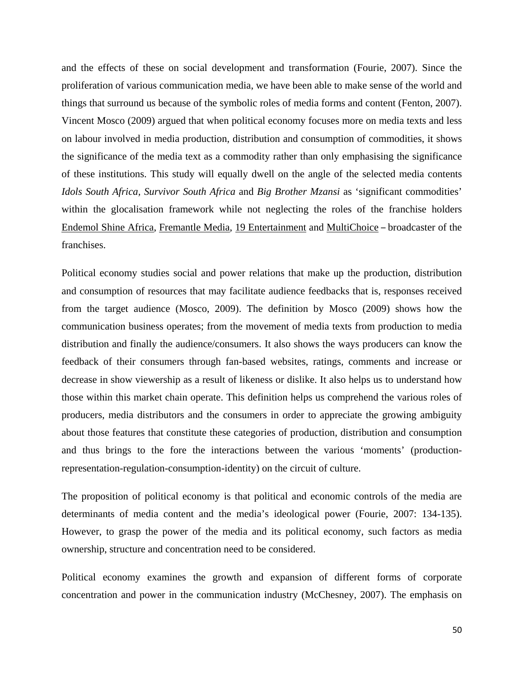and the effects of these on social development and transformation (Fourie, 2007). Since the proliferation of various communication media, we have been able to make sense of the world and things that surround us because of the symbolic roles of media forms and content (Fenton, 2007). Vincent Mosco (2009) argued that when political economy focuses more on media texts and less on labour involved in media production, distribution and consumption of commodities, it shows the significance of the media text as a commodity rather than only emphasising the significance of these institutions. This study will equally dwell on the angle of the selected media contents *Idols South Africa, Survivor South Africa* and *Big Brother Mzansi* as 'significant commodities' within the glocalisation framework while not neglecting the roles of the franchise holders Endemol Shine Africa, Fremantle Media, 19 Entertainment and MultiChoice – broadcaster of the franchises.

Political economy studies social and power relations that make up the production, distribution and consumption of resources that may facilitate audience feedbacks that is, responses received from the target audience (Mosco, 2009). The definition by Mosco (2009) shows how the communication business operates; from the movement of media texts from production to media distribution and finally the audience/consumers. It also shows the ways producers can know the feedback of their consumers through fan-based websites, ratings, comments and increase or decrease in show viewership as a result of likeness or dislike. It also helps us to understand how those within this market chain operate. This definition helps us comprehend the various roles of producers, media distributors and the consumers in order to appreciate the growing ambiguity about those features that constitute these categories of production, distribution and consumption and thus brings to the fore the interactions between the various 'moments' (productionrepresentation-regulation-consumption-identity) on the circuit of culture.

The proposition of political economy is that political and economic controls of the media are determinants of media content and the media's ideological power (Fourie, 2007: 134-135). However, to grasp the power of the media and its political economy, such factors as media ownership, structure and concentration need to be considered.

Political economy examines the growth and expansion of different forms of corporate concentration and power in the communication industry (McChesney, 2007). The emphasis on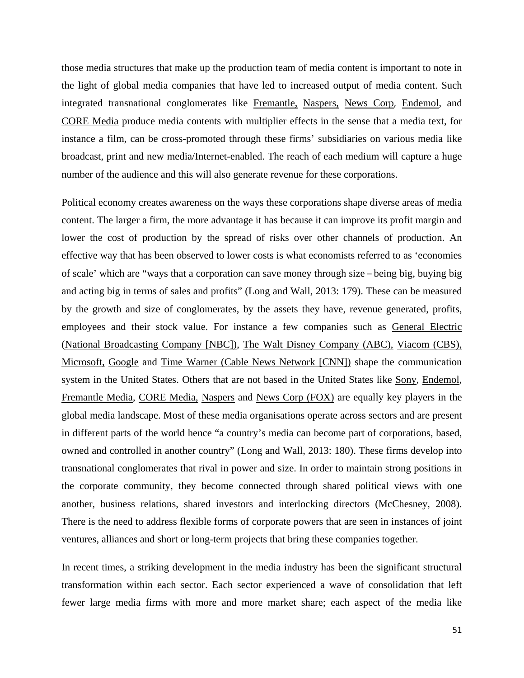those media structures that make up the production team of media content is important to note in the light of global media companies that have led to increased output of media content. Such integrated transnational conglomerates like Fremantle, Naspers, News Corp, Endemol, and CORE Media produce media contents with multiplier effects in the sense that a media text, for instance a film, can be cross-promoted through these firms' subsidiaries on various media like broadcast, print and new media/Internet-enabled. The reach of each medium will capture a huge number of the audience and this will also generate revenue for these corporations.

Political economy creates awareness on the ways these corporations shape diverse areas of media content. The larger a firm, the more advantage it has because it can improve its profit margin and lower the cost of production by the spread of risks over other channels of production. An effective way that has been observed to lower costs is what economists referred to as 'economies of scale' which are "ways that a corporation can save money through size – being big, buying big and acting big in terms of sales and profits" (Long and Wall, 2013: 179). These can be measured by the growth and size of conglomerates, by the assets they have, revenue generated, profits, employees and their stock value. For instance a few companies such as General Electric (National Broadcasting Company [NBC]), The Walt Disney Company (ABC), Viacom (CBS), Microsoft, Google and Time Warner (Cable News Network [CNN]) shape the communication system in the United States. Others that are not based in the United States like Sony, Endemol, Fremantle Media, CORE Media, Naspers and News Corp (FOX) are equally key players in the global media landscape. Most of these media organisations operate across sectors and are present in different parts of the world hence "a country's media can become part of corporations, based, owned and controlled in another country" (Long and Wall, 2013: 180). These firms develop into transnational conglomerates that rival in power and size. In order to maintain strong positions in the corporate community, they become connected through shared political views with one another, business relations, shared investors and interlocking directors (McChesney, 2008). There is the need to address flexible forms of corporate powers that are seen in instances of joint ventures, alliances and short or long-term projects that bring these companies together.

In recent times, a striking development in the media industry has been the significant structural transformation within each sector. Each sector experienced a wave of consolidation that left fewer large media firms with more and more market share; each aspect of the media like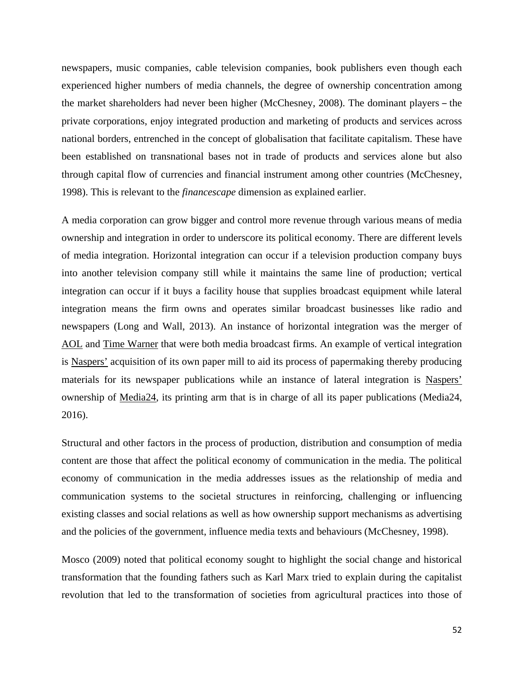newspapers, music companies, cable television companies, book publishers even though each experienced higher numbers of media channels, the degree of ownership concentration among the market shareholders had never been higher (McChesney, 2008). The dominant players – the private corporations, enjoy integrated production and marketing of products and services across national borders, entrenched in the concept of globalisation that facilitate capitalism. These have been established on transnational bases not in trade of products and services alone but also through capital flow of currencies and financial instrument among other countries (McChesney, 1998). This is relevant to the *financescape* dimension as explained earlier.

A media corporation can grow bigger and control more revenue through various means of media ownership and integration in order to underscore its political economy. There are different levels of media integration. Horizontal integration can occur if a television production company buys into another television company still while it maintains the same line of production; vertical integration can occur if it buys a facility house that supplies broadcast equipment while lateral integration means the firm owns and operates similar broadcast businesses like radio and newspapers (Long and Wall, 2013). An instance of horizontal integration was the merger of AOL and Time Warner that were both media broadcast firms. An example of vertical integration is Naspers' acquisition of its own paper mill to aid its process of papermaking thereby producing materials for its newspaper publications while an instance of lateral integration is Naspers' ownership of Media24, its printing arm that is in charge of all its paper publications (Media24, 2016).

Structural and other factors in the process of production, distribution and consumption of media content are those that affect the political economy of communication in the media. The political economy of communication in the media addresses issues as the relationship of media and communication systems to the societal structures in reinforcing, challenging or influencing existing classes and social relations as well as how ownership support mechanisms as advertising and the policies of the government, influence media texts and behaviours (McChesney, 1998).

Mosco (2009) noted that political economy sought to highlight the social change and historical transformation that the founding fathers such as Karl Marx tried to explain during the capitalist revolution that led to the transformation of societies from agricultural practices into those of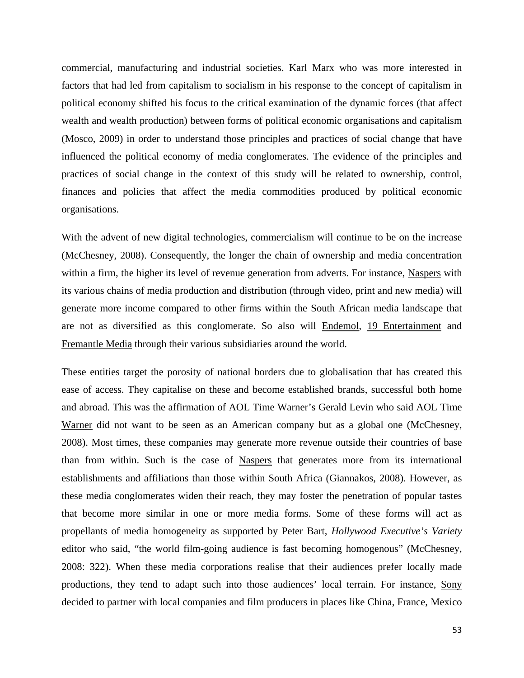commercial, manufacturing and industrial societies. Karl Marx who was more interested in factors that had led from capitalism to socialism in his response to the concept of capitalism in political economy shifted his focus to the critical examination of the dynamic forces (that affect wealth and wealth production) between forms of political economic organisations and capitalism (Mosco, 2009) in order to understand those principles and practices of social change that have influenced the political economy of media conglomerates. The evidence of the principles and practices of social change in the context of this study will be related to ownership, control, finances and policies that affect the media commodities produced by political economic organisations.

With the advent of new digital technologies, commercialism will continue to be on the increase (McChesney, 2008). Consequently, the longer the chain of ownership and media concentration within a firm, the higher its level of revenue generation from adverts. For instance, Naspers with its various chains of media production and distribution (through video, print and new media) will generate more income compared to other firms within the South African media landscape that are not as diversified as this conglomerate. So also will Endemol, 19 Entertainment and Fremantle Media through their various subsidiaries around the world.

These entities target the porosity of national borders due to globalisation that has created this ease of access. They capitalise on these and become established brands, successful both home and abroad. This was the affirmation of AOL Time Warner's Gerald Levin who said AOL Time Warner did not want to be seen as an American company but as a global one (McChesney, 2008). Most times, these companies may generate more revenue outside their countries of base than from within. Such is the case of Naspers that generates more from its international establishments and affiliations than those within South Africa (Giannakos, 2008). However, as these media conglomerates widen their reach, they may foster the penetration of popular tastes that become more similar in one or more media forms. Some of these forms will act as propellants of media homogeneity as supported by Peter Bart, *Hollywood Executive's Variety* editor who said, "the world film-going audience is fast becoming homogenous" (McChesney, 2008: 322). When these media corporations realise that their audiences prefer locally made productions, they tend to adapt such into those audiences' local terrain. For instance, Sony decided to partner with local companies and film producers in places like China, France, Mexico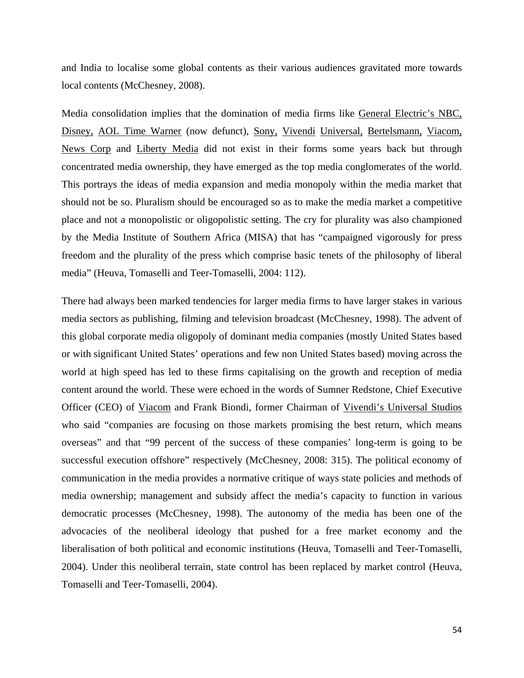and India to localise some global contents as their various audiences gravitated more towards local contents (McChesney, 2008).

Media consolidation implies that the domination of media firms like General Electric's NBC, Disney, AOL Time Warner (now defunct), Sony, Vivendi Universal, Bertelsmann, Viacom, News Corp and Liberty Media did not exist in their forms some years back but through concentrated media ownership, they have emerged as the top media conglomerates of the world. This portrays the ideas of media expansion and media monopoly within the media market that should not be so. Pluralism should be encouraged so as to make the media market a competitive place and not a monopolistic or oligopolistic setting. The cry for plurality was also championed by the Media Institute of Southern Africa (MISA) that has "campaigned vigorously for press freedom and the plurality of the press which comprise basic tenets of the philosophy of liberal media" (Heuva, Tomaselli and Teer-Tomaselli, 2004: 112).

There had always been marked tendencies for larger media firms to have larger stakes in various media sectors as publishing, filming and television broadcast (McChesney, 1998). The advent of this global corporate media oligopoly of dominant media companies (mostly United States based or with significant United States' operations and few non United States based) moving across the world at high speed has led to these firms capitalising on the growth and reception of media content around the world. These were echoed in the words of Sumner Redstone, Chief Executive Officer (CEO) of Viacom and Frank Biondi, former Chairman of Vivendi's Universal Studios who said "companies are focusing on those markets promising the best return, which means overseas" and that "99 percent of the success of these companies' long-term is going to be successful execution offshore" respectively (McChesney, 2008: 315). The political economy of communication in the media provides a normative critique of ways state policies and methods of media ownership; management and subsidy affect the media's capacity to function in various democratic processes (McChesney, 1998). The autonomy of the media has been one of the advocacies of the neoliberal ideology that pushed for a free market economy and the liberalisation of both political and economic institutions (Heuva, Tomaselli and Teer-Tomaselli, 2004). Under this neoliberal terrain, state control has been replaced by market control (Heuva, Tomaselli and Teer-Tomaselli, 2004).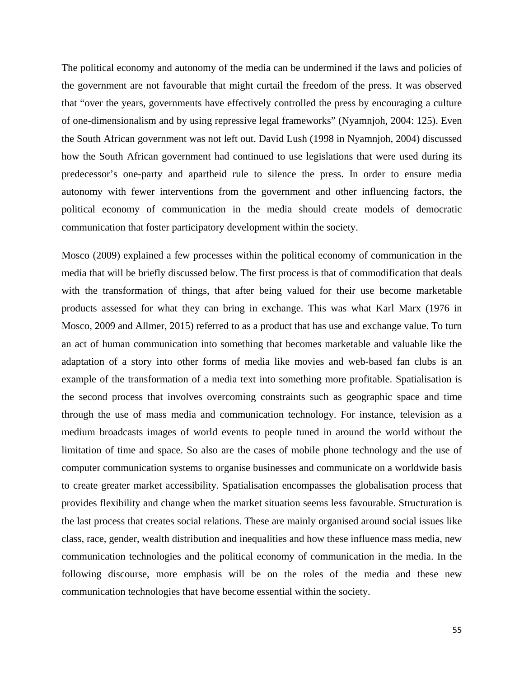The political economy and autonomy of the media can be undermined if the laws and policies of the government are not favourable that might curtail the freedom of the press. It was observed that "over the years, governments have effectively controlled the press by encouraging a culture of one-dimensionalism and by using repressive legal frameworks" (Nyamnjoh, 2004: 125). Even the South African government was not left out. David Lush (1998 in Nyamnjoh, 2004) discussed how the South African government had continued to use legislations that were used during its predecessor's one-party and apartheid rule to silence the press. In order to ensure media autonomy with fewer interventions from the government and other influencing factors, the political economy of communication in the media should create models of democratic communication that foster participatory development within the society.

Mosco (2009) explained a few processes within the political economy of communication in the media that will be briefly discussed below. The first process is that of commodification that deals with the transformation of things, that after being valued for their use become marketable products assessed for what they can bring in exchange. This was what Karl Marx (1976 in Mosco, 2009 and Allmer, 2015) referred to as a product that has use and exchange value. To turn an act of human communication into something that becomes marketable and valuable like the adaptation of a story into other forms of media like movies and web-based fan clubs is an example of the transformation of a media text into something more profitable. Spatialisation is the second process that involves overcoming constraints such as geographic space and time through the use of mass media and communication technology. For instance, television as a medium broadcasts images of world events to people tuned in around the world without the limitation of time and space. So also are the cases of mobile phone technology and the use of computer communication systems to organise businesses and communicate on a worldwide basis to create greater market accessibility. Spatialisation encompasses the globalisation process that provides flexibility and change when the market situation seems less favourable. Structuration is the last process that creates social relations. These are mainly organised around social issues like class, race, gender, wealth distribution and inequalities and how these influence mass media, new communication technologies and the political economy of communication in the media. In the following discourse, more emphasis will be on the roles of the media and these new communication technologies that have become essential within the society.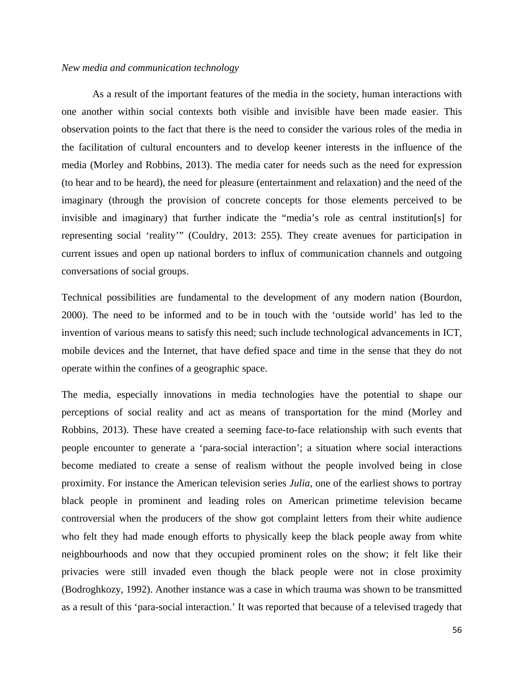#### *New media and communication technology*

As a result of the important features of the media in the society, human interactions with one another within social contexts both visible and invisible have been made easier. This observation points to the fact that there is the need to consider the various roles of the media in the facilitation of cultural encounters and to develop keener interests in the influence of the media (Morley and Robbins, 2013). The media cater for needs such as the need for expression (to hear and to be heard), the need for pleasure (entertainment and relaxation) and the need of the imaginary (through the provision of concrete concepts for those elements perceived to be invisible and imaginary) that further indicate the "media's role as central institution[s] for representing social 'reality'" (Couldry, 2013: 255). They create avenues for participation in current issues and open up national borders to influx of communication channels and outgoing conversations of social groups.

Technical possibilities are fundamental to the development of any modern nation (Bourdon, 2000). The need to be informed and to be in touch with the 'outside world' has led to the invention of various means to satisfy this need; such include technological advancements in ICT, mobile devices and the Internet, that have defied space and time in the sense that they do not operate within the confines of a geographic space.

The media, especially innovations in media technologies have the potential to shape our perceptions of social reality and act as means of transportation for the mind (Morley and Robbins, 2013). These have created a seeming face-to-face relationship with such events that people encounter to generate a 'para-social interaction'; a situation where social interactions become mediated to create a sense of realism without the people involved being in close proximity. For instance the American television series *Julia*, one of the earliest shows to portray black people in prominent and leading roles on American primetime television became controversial when the producers of the show got complaint letters from their white audience who felt they had made enough efforts to physically keep the black people away from white neighbourhoods and now that they occupied prominent roles on the show; it felt like their privacies were still invaded even though the black people were not in close proximity (Bodroghkozy, 1992). Another instance was a case in which trauma was shown to be transmitted as a result of this 'para-social interaction.' It was reported that because of a televised tragedy that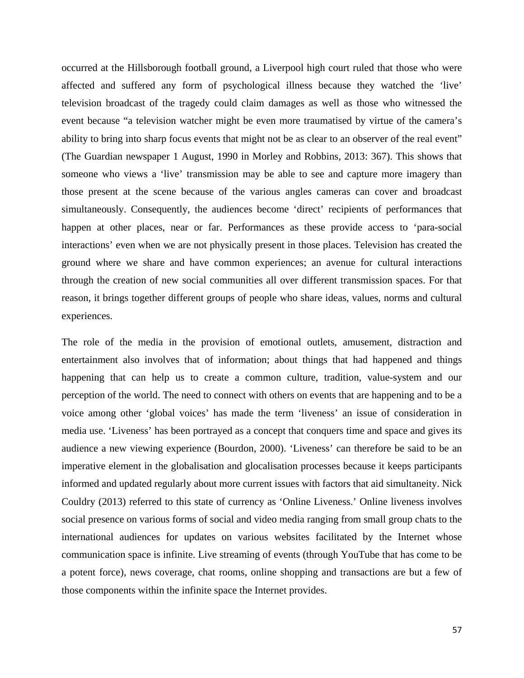occurred at the Hillsborough football ground, a Liverpool high court ruled that those who were affected and suffered any form of psychological illness because they watched the 'live' television broadcast of the tragedy could claim damages as well as those who witnessed the event because "a television watcher might be even more traumatised by virtue of the camera's ability to bring into sharp focus events that might not be as clear to an observer of the real event" (The Guardian newspaper 1 August, 1990 in Morley and Robbins, 2013: 367). This shows that someone who views a 'live' transmission may be able to see and capture more imagery than those present at the scene because of the various angles cameras can cover and broadcast simultaneously. Consequently, the audiences become 'direct' recipients of performances that happen at other places, near or far. Performances as these provide access to 'para-social interactions' even when we are not physically present in those places. Television has created the ground where we share and have common experiences; an avenue for cultural interactions through the creation of new social communities all over different transmission spaces. For that reason, it brings together different groups of people who share ideas, values, norms and cultural experiences.

The role of the media in the provision of emotional outlets, amusement, distraction and entertainment also involves that of information; about things that had happened and things happening that can help us to create a common culture, tradition, value-system and our perception of the world. The need to connect with others on events that are happening and to be a voice among other 'global voices' has made the term 'liveness' an issue of consideration in media use. 'Liveness' has been portrayed as a concept that conquers time and space and gives its audience a new viewing experience (Bourdon, 2000). 'Liveness' can therefore be said to be an imperative element in the globalisation and glocalisation processes because it keeps participants informed and updated regularly about more current issues with factors that aid simultaneity. Nick Couldry (2013) referred to this state of currency as 'Online Liveness.' Online liveness involves social presence on various forms of social and video media ranging from small group chats to the international audiences for updates on various websites facilitated by the Internet whose communication space is infinite. Live streaming of events (through YouTube that has come to be a potent force), news coverage, chat rooms, online shopping and transactions are but a few of those components within the infinite space the Internet provides.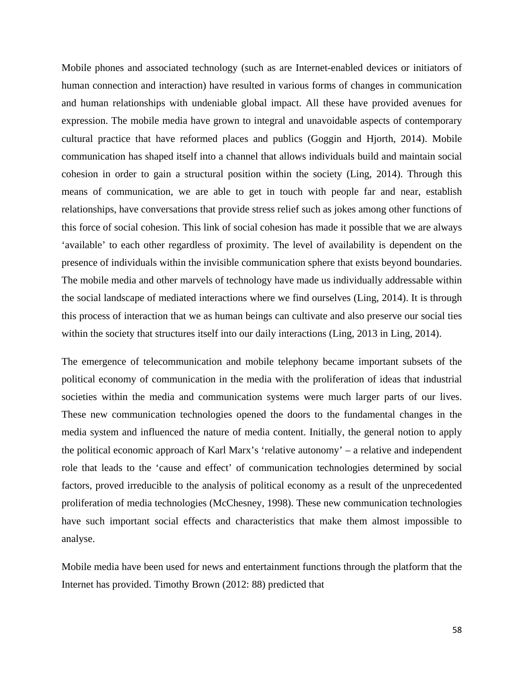Mobile phones and associated technology (such as are Internet-enabled devices or initiators of human connection and interaction) have resulted in various forms of changes in communication and human relationships with undeniable global impact. All these have provided avenues for expression. The mobile media have grown to integral and unavoidable aspects of contemporary cultural practice that have reformed places and publics (Goggin and Hjorth, 2014). Mobile communication has shaped itself into a channel that allows individuals build and maintain social cohesion in order to gain a structural position within the society (Ling, 2014). Through this means of communication, we are able to get in touch with people far and near, establish relationships, have conversations that provide stress relief such as jokes among other functions of this force of social cohesion. This link of social cohesion has made it possible that we are always 'available' to each other regardless of proximity. The level of availability is dependent on the presence of individuals within the invisible communication sphere that exists beyond boundaries. The mobile media and other marvels of technology have made us individually addressable within the social landscape of mediated interactions where we find ourselves (Ling, 2014). It is through this process of interaction that we as human beings can cultivate and also preserve our social ties within the society that structures itself into our daily interactions (Ling, 2013 in Ling, 2014).

The emergence of telecommunication and mobile telephony became important subsets of the political economy of communication in the media with the proliferation of ideas that industrial societies within the media and communication systems were much larger parts of our lives. These new communication technologies opened the doors to the fundamental changes in the media system and influenced the nature of media content. Initially, the general notion to apply the political economic approach of Karl Marx's 'relative autonomy' – a relative and independent role that leads to the 'cause and effect' of communication technologies determined by social factors, proved irreducible to the analysis of political economy as a result of the unprecedented proliferation of media technologies (McChesney, 1998). These new communication technologies have such important social effects and characteristics that make them almost impossible to analyse.

Mobile media have been used for news and entertainment functions through the platform that the Internet has provided. Timothy Brown (2012: 88) predicted that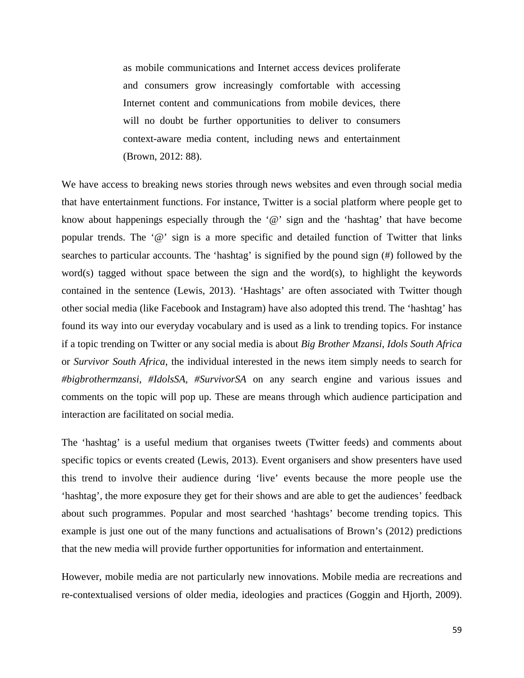as mobile communications and Internet access devices proliferate and consumers grow increasingly comfortable with accessing Internet content and communications from mobile devices, there will no doubt be further opportunities to deliver to consumers context-aware media content, including news and entertainment (Brown, 2012: 88).

We have access to breaking news stories through news websites and even through social media that have entertainment functions. For instance, Twitter is a social platform where people get to know about happenings especially through the  $\mathcal{P}$  sign and the 'hashtag' that have become popular trends. The '@' sign is a more specific and detailed function of Twitter that links searches to particular accounts. The 'hashtag' is signified by the pound sign (#) followed by the word(s) tagged without space between the sign and the word(s), to highlight the keywords contained in the sentence (Lewis, 2013). 'Hashtags' are often associated with Twitter though other social media (like Facebook and Instagram) have also adopted this trend. The 'hashtag' has found its way into our everyday vocabulary and is used as a link to trending topics. For instance if a topic trending on Twitter or any social media is about *Big Brother Mzansi*, *Idols South Africa* or *Survivor South Africa*, the individual interested in the news item simply needs to search for *#bigbrothermzansi, #IdolsSA, #SurvivorSA* on any search engine and various issues and comments on the topic will pop up. These are means through which audience participation and interaction are facilitated on social media.

The 'hashtag' is a useful medium that organises tweets (Twitter feeds) and comments about specific topics or events created (Lewis, 2013). Event organisers and show presenters have used this trend to involve their audience during 'live' events because the more people use the 'hashtag', the more exposure they get for their shows and are able to get the audiences' feedback about such programmes. Popular and most searched 'hashtags' become trending topics. This example is just one out of the many functions and actualisations of Brown's (2012) predictions that the new media will provide further opportunities for information and entertainment.

However, mobile media are not particularly new innovations. Mobile media are recreations and re-contextualised versions of older media, ideologies and practices (Goggin and Hjorth, 2009).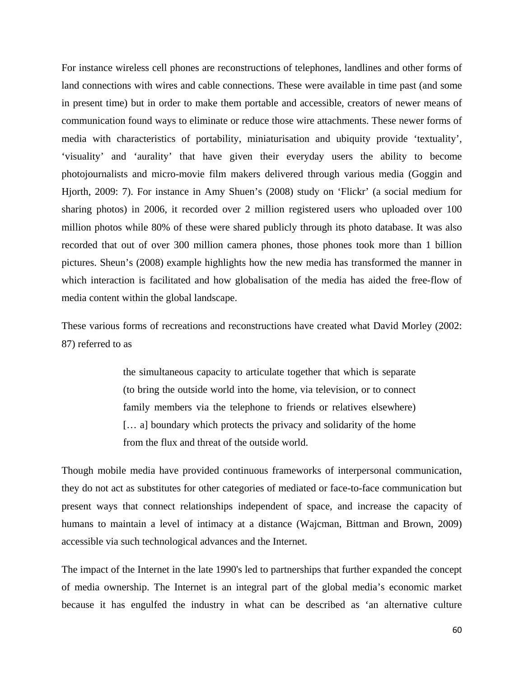For instance wireless cell phones are reconstructions of telephones, landlines and other forms of land connections with wires and cable connections. These were available in time past (and some in present time) but in order to make them portable and accessible, creators of newer means of communication found ways to eliminate or reduce those wire attachments. These newer forms of media with characteristics of portability, miniaturisation and ubiquity provide 'textuality', 'visuality' and 'aurality' that have given their everyday users the ability to become photojournalists and micro-movie film makers delivered through various media (Goggin and Hjorth, 2009: 7). For instance in Amy Shuen's (2008) study on 'Flickr' (a social medium for sharing photos) in 2006, it recorded over 2 million registered users who uploaded over 100 million photos while 80% of these were shared publicly through its photo database. It was also recorded that out of over 300 million camera phones, those phones took more than 1 billion pictures. Sheun's (2008) example highlights how the new media has transformed the manner in which interaction is facilitated and how globalisation of the media has aided the free-flow of media content within the global landscape.

These various forms of recreations and reconstructions have created what David Morley (2002: 87) referred to as

> the simultaneous capacity to articulate together that which is separate (to bring the outside world into the home, via television, or to connect family members via the telephone to friends or relatives elsewhere) [... a] boundary which protects the privacy and solidarity of the home from the flux and threat of the outside world.

Though mobile media have provided continuous frameworks of interpersonal communication, they do not act as substitutes for other categories of mediated or face-to-face communication but present ways that connect relationships independent of space, and increase the capacity of humans to maintain a level of intimacy at a distance (Wajcman, Bittman and Brown, 2009) accessible via such technological advances and the Internet.

The impact of the Internet in the late 1990's led to partnerships that further expanded the concept of media ownership. The Internet is an integral part of the global media's economic market because it has engulfed the industry in what can be described as 'an alternative culture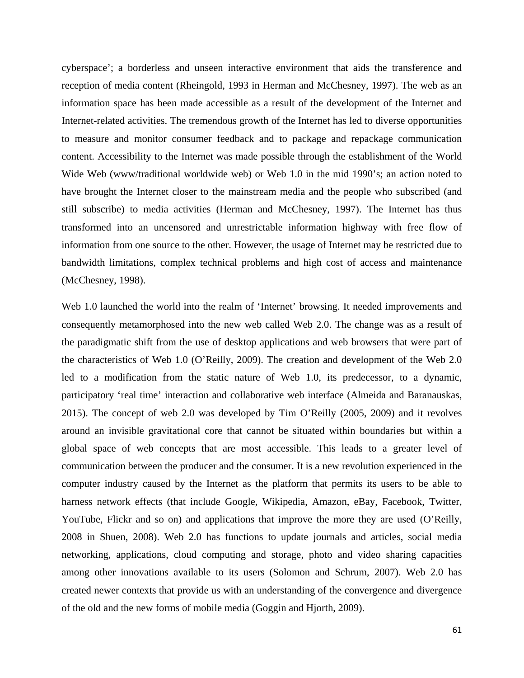cyberspace'; a borderless and unseen interactive environment that aids the transference and reception of media content (Rheingold, 1993 in Herman and McChesney, 1997). The web as an information space has been made accessible as a result of the development of the Internet and Internet-related activities. The tremendous growth of the Internet has led to diverse opportunities to measure and monitor consumer feedback and to package and repackage communication content. Accessibility to the Internet was made possible through the establishment of the World Wide Web (www/traditional worldwide web) or Web 1.0 in the mid 1990's; an action noted to have brought the Internet closer to the mainstream media and the people who subscribed (and still subscribe) to media activities (Herman and McChesney, 1997). The Internet has thus transformed into an uncensored and unrestrictable information highway with free flow of information from one source to the other. However, the usage of Internet may be restricted due to bandwidth limitations, complex technical problems and high cost of access and maintenance (McChesney, 1998).

Web 1.0 launched the world into the realm of 'Internet' browsing. It needed improvements and consequently metamorphosed into the new web called Web 2.0. The change was as a result of the paradigmatic shift from the use of desktop applications and web browsers that were part of the characteristics of Web 1.0 (O'Reilly, 2009). The creation and development of the Web 2.0 led to a modification from the static nature of Web 1.0, its predecessor, to a dynamic, participatory 'real time' interaction and collaborative web interface (Almeida and Baranauskas, 2015). The concept of web 2.0 was developed by Tim O'Reilly (2005, 2009) and it revolves around an invisible gravitational core that cannot be situated within boundaries but within a global space of web concepts that are most accessible. This leads to a greater level of communication between the producer and the consumer. It is a new revolution experienced in the computer industry caused by the Internet as the platform that permits its users to be able to harness network effects (that include Google, Wikipedia, Amazon, eBay, Facebook, Twitter, YouTube, Flickr and so on) and applications that improve the more they are used (O'Reilly, 2008 in Shuen, 2008). Web 2.0 has functions to update journals and articles, social media networking, applications, cloud computing and storage, photo and video sharing capacities among other innovations available to its users (Solomon and Schrum, 2007). Web 2.0 has created newer contexts that provide us with an understanding of the convergence and divergence of the old and the new forms of mobile media (Goggin and Hjorth, 2009).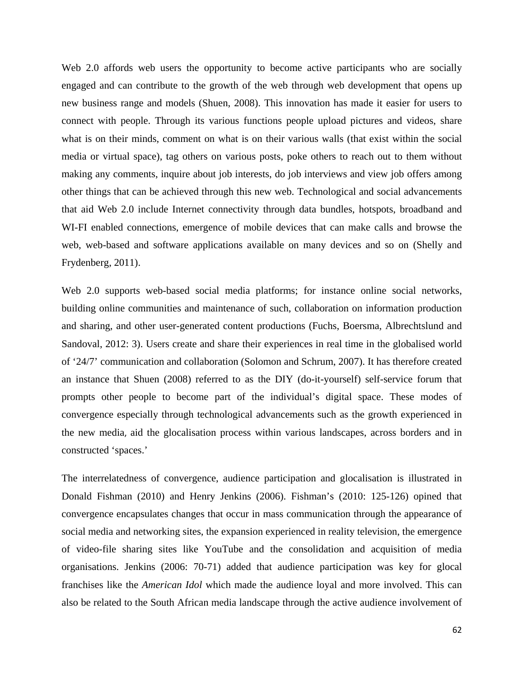Web 2.0 affords web users the opportunity to become active participants who are socially engaged and can contribute to the growth of the web through web development that opens up new business range and models (Shuen, 2008). This innovation has made it easier for users to connect with people. Through its various functions people upload pictures and videos, share what is on their minds, comment on what is on their various walls (that exist within the social media or virtual space), tag others on various posts, poke others to reach out to them without making any comments, inquire about job interests, do job interviews and view job offers among other things that can be achieved through this new web. Technological and social advancements that aid Web 2.0 include Internet connectivity through data bundles, hotspots, broadband and WI-FI enabled connections, emergence of mobile devices that can make calls and browse the web, web-based and software applications available on many devices and so on (Shelly and Frydenberg, 2011).

Web 2.0 supports web-based social media platforms; for instance online social networks, building online communities and maintenance of such, collaboration on information production and sharing, and other user-generated content productions (Fuchs, Boersma, Albrechtslund and Sandoval, 2012: 3). Users create and share their experiences in real time in the globalised world of '24/7' communication and collaboration (Solomon and Schrum, 2007). It has therefore created an instance that Shuen (2008) referred to as the DIY (do-it-yourself) self-service forum that prompts other people to become part of the individual's digital space. These modes of convergence especially through technological advancements such as the growth experienced in the new media, aid the glocalisation process within various landscapes, across borders and in constructed 'spaces.'

The interrelatedness of convergence, audience participation and glocalisation is illustrated in Donald Fishman (2010) and Henry Jenkins (2006). Fishman's (2010: 125-126) opined that convergence encapsulates changes that occur in mass communication through the appearance of social media and networking sites, the expansion experienced in reality television, the emergence of video-file sharing sites like YouTube and the consolidation and acquisition of media organisations. Jenkins (2006: 70-71) added that audience participation was key for glocal franchises like the *American Idol* which made the audience loyal and more involved. This can also be related to the South African media landscape through the active audience involvement of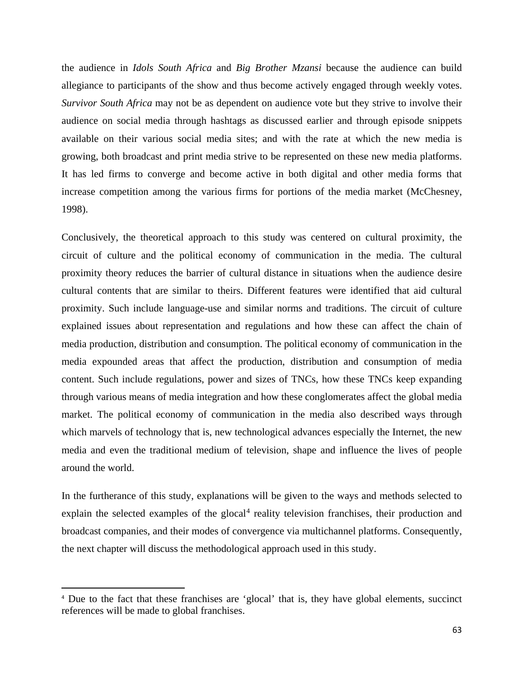the audience in *Idols South Africa* and *Big Brother Mzansi* because the audience can build allegiance to participants of the show and thus become actively engaged through weekly votes. *Survivor South Africa* may not be as dependent on audience vote but they strive to involve their audience on social media through hashtags as discussed earlier and through episode snippets available on their various social media sites; and with the rate at which the new media is growing, both broadcast and print media strive to be represented on these new media platforms. It has led firms to converge and become active in both digital and other media forms that increase competition among the various firms for portions of the media market (McChesney, 1998).

Conclusively, the theoretical approach to this study was centered on cultural proximity, the circuit of culture and the political economy of communication in the media. The cultural proximity theory reduces the barrier of cultural distance in situations when the audience desire cultural contents that are similar to theirs. Different features were identified that aid cultural proximity. Such include language-use and similar norms and traditions. The circuit of culture explained issues about representation and regulations and how these can affect the chain of media production, distribution and consumption. The political economy of communication in the media expounded areas that affect the production, distribution and consumption of media content. Such include regulations, power and sizes of TNCs, how these TNCs keep expanding through various means of media integration and how these conglomerates affect the global media market. The political economy of communication in the media also described ways through which marvels of technology that is, new technological advances especially the Internet, the new media and even the traditional medium of television, shape and influence the lives of people around the world.

In the furtherance of this study, explanations will be given to the ways and methods selected to explain the selected examples of the glocal<sup>[4](#page-74-0)</sup> reality television franchises, their production and broadcast companies, and their modes of convergence via multichannel platforms. Consequently, the next chapter will discuss the methodological approach used in this study.

 $\overline{a}$ 

<span id="page-74-0"></span><sup>4</sup> Due to the fact that these franchises are 'glocal' that is, they have global elements, succinct references will be made to global franchises.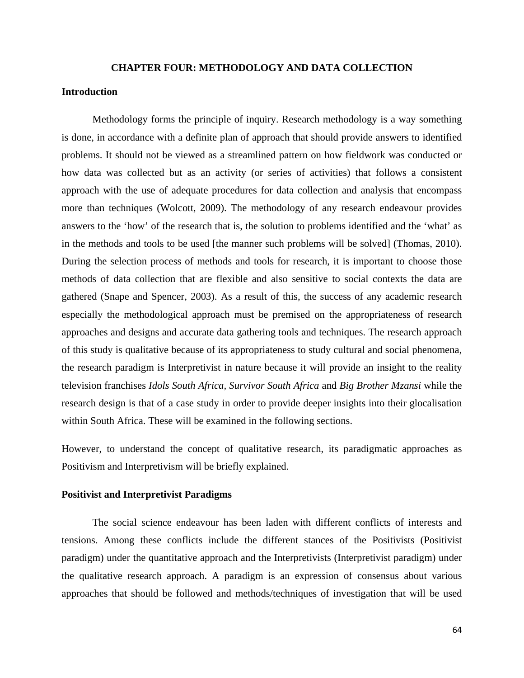#### **CHAPTER FOUR: METHODOLOGY AND DATA COLLECTION**

## **Introduction**

Methodology forms the principle of inquiry. Research methodology is a way something is done, in accordance with a definite plan of approach that should provide answers to identified problems. It should not be viewed as a streamlined pattern on how fieldwork was conducted or how data was collected but as an activity (or series of activities) that follows a consistent approach with the use of adequate procedures for data collection and analysis that encompass more than techniques (Wolcott, 2009). The methodology of any research endeavour provides answers to the 'how' of the research that is, the solution to problems identified and the 'what' as in the methods and tools to be used [the manner such problems will be solved] (Thomas, 2010). During the selection process of methods and tools for research, it is important to choose those methods of data collection that are flexible and also sensitive to social contexts the data are gathered (Snape and Spencer, 2003). As a result of this, the success of any academic research especially the methodological approach must be premised on the appropriateness of research approaches and designs and accurate data gathering tools and techniques. The research approach of this study is qualitative because of its appropriateness to study cultural and social phenomena, the research paradigm is Interpretivist in nature because it will provide an insight to the reality television franchises *Idols South Africa, Survivor South Africa* and *Big Brother Mzansi* while the research design is that of a case study in order to provide deeper insights into their glocalisation within South Africa. These will be examined in the following sections.

However, to understand the concept of qualitative research, its paradigmatic approaches as Positivism and Interpretivism will be briefly explained.

### **Positivist and Interpretivist Paradigms**

The social science endeavour has been laden with different conflicts of interests and tensions. Among these conflicts include the different stances of the Positivists (Positivist paradigm) under the quantitative approach and the Interpretivists (Interpretivist paradigm) under the qualitative research approach. A paradigm is an expression of consensus about various approaches that should be followed and methods/techniques of investigation that will be used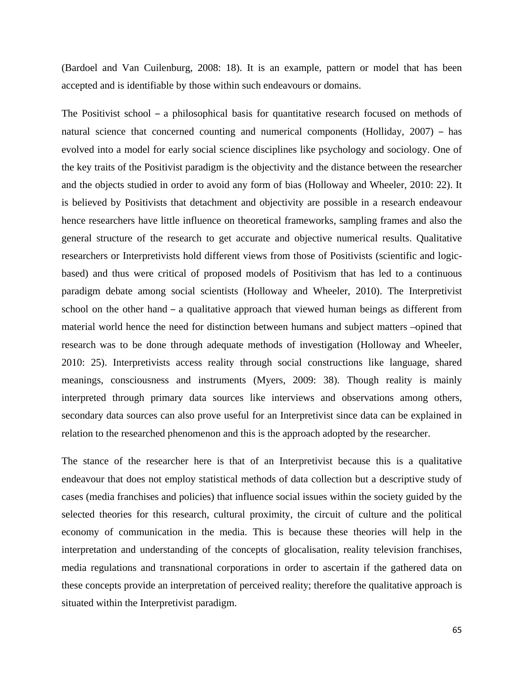(Bardoel and Van Cuilenburg, 2008: 18). It is an example, pattern or model that has been accepted and is identifiable by those within such endeavours or domains.

The Positivist school – a philosophical basis for quantitative research focused on methods of natural science that concerned counting and numerical components (Holliday, 2007) – has evolved into a model for early social science disciplines like psychology and sociology. One of the key traits of the Positivist paradigm is the objectivity and the distance between the researcher and the objects studied in order to avoid any form of bias (Holloway and Wheeler, 2010: 22). It is believed by Positivists that detachment and objectivity are possible in a research endeavour hence researchers have little influence on theoretical frameworks, sampling frames and also the general structure of the research to get accurate and objective numerical results. Qualitative researchers or Interpretivists hold different views from those of Positivists (scientific and logicbased) and thus were critical of proposed models of Positivism that has led to a continuous paradigm debate among social scientists (Holloway and Wheeler, 2010). The Interpretivist school on the other hand – a qualitative approach that viewed human beings as different from material world hence the need for distinction between humans and subject matters –opined that research was to be done through adequate methods of investigation (Holloway and Wheeler, 2010: 25). Interpretivists access reality through social constructions like language, shared meanings, consciousness and instruments (Myers, 2009: 38). Though reality is mainly interpreted through primary data sources like interviews and observations among others, secondary data sources can also prove useful for an Interpretivist since data can be explained in relation to the researched phenomenon and this is the approach adopted by the researcher.

The stance of the researcher here is that of an Interpretivist because this is a qualitative endeavour that does not employ statistical methods of data collection but a descriptive study of cases (media franchises and policies) that influence social issues within the society guided by the selected theories for this research, cultural proximity, the circuit of culture and the political economy of communication in the media. This is because these theories will help in the interpretation and understanding of the concepts of glocalisation, reality television franchises, media regulations and transnational corporations in order to ascertain if the gathered data on these concepts provide an interpretation of perceived reality; therefore the qualitative approach is situated within the Interpretivist paradigm.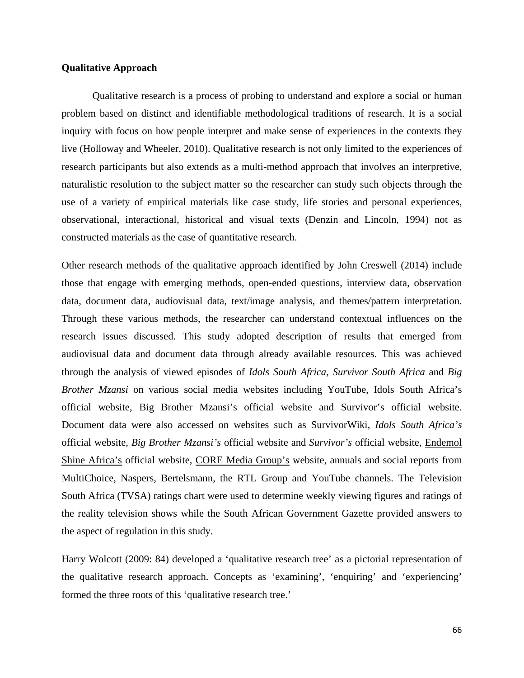# **Qualitative Approach**

Qualitative research is a process of probing to understand and explore a social or human problem based on distinct and identifiable methodological traditions of research. It is a social inquiry with focus on how people interpret and make sense of experiences in the contexts they live (Holloway and Wheeler, 2010). Qualitative research is not only limited to the experiences of research participants but also extends as a multi-method approach that involves an interpretive, naturalistic resolution to the subject matter so the researcher can study such objects through the use of a variety of empirical materials like case study, life stories and personal experiences, observational, interactional, historical and visual texts (Denzin and Lincoln, 1994) not as constructed materials as the case of quantitative research.

Other research methods of the qualitative approach identified by John Creswell (2014) include those that engage with emerging methods, open-ended questions, interview data, observation data, document data, audiovisual data, text/image analysis, and themes/pattern interpretation. Through these various methods, the researcher can understand contextual influences on the research issues discussed. This study adopted description of results that emerged from audiovisual data and document data through already available resources. This was achieved through the analysis of viewed episodes of *Idols South Africa, Survivor South Africa* and *Big Brother Mzansi* on various social media websites including YouTube, Idols South Africa's official website, Big Brother Mzansi's official website and Survivor's official website. Document data were also accessed on websites such as SurvivorWiki, *Idols South Africa's* official website, *Big Brother Mzansi's* official website and *Survivor's* official website, Endemol Shine Africa's official website, CORE Media Group's website, annuals and social reports from MultiChoice, Naspers, Bertelsmann, the RTL Group and YouTube channels. The Television South Africa (TVSA) ratings chart were used to determine weekly viewing figures and ratings of the reality television shows while the South African Government Gazette provided answers to the aspect of regulation in this study.

Harry Wolcott (2009: 84) developed a 'qualitative research tree' as a pictorial representation of the qualitative research approach. Concepts as 'examining', 'enquiring' and 'experiencing' formed the three roots of this 'qualitative research tree.'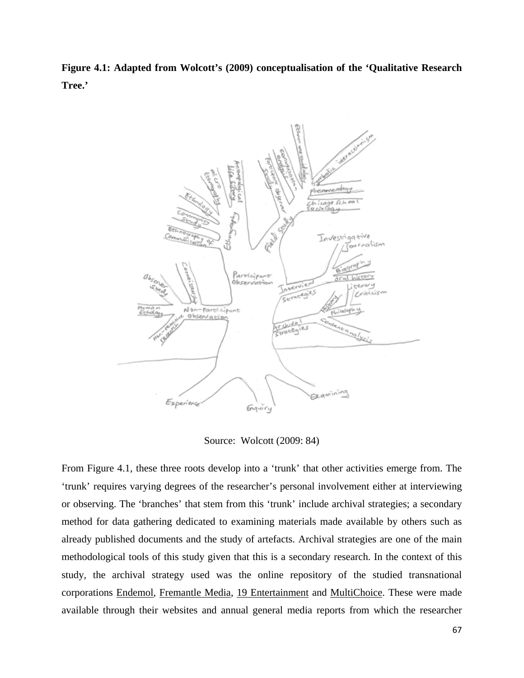**Figure 4.1: Adapted from Wolcott's (2009) conceptualisation of the 'Qualitative Research Tree.'**



Source: Wolcott (2009: 84)

From Figure 4.1, these three roots develop into a 'trunk' that other activities emerge from. The 'trunk' requires varying degrees of the researcher's personal involvement either at interviewing or observing. The 'branches' that stem from this 'trunk' include archival strategies; a secondary method for data gathering dedicated to examining materials made available by others such as already published documents and the study of artefacts. Archival strategies are one of the main methodological tools of this study given that this is a secondary research. In the context of this study, the archival strategy used was the online repository of the studied transnational corporations Endemol, Fremantle Media, 19 Entertainment and MultiChoice. These were made available through their websites and annual general media reports from which the researcher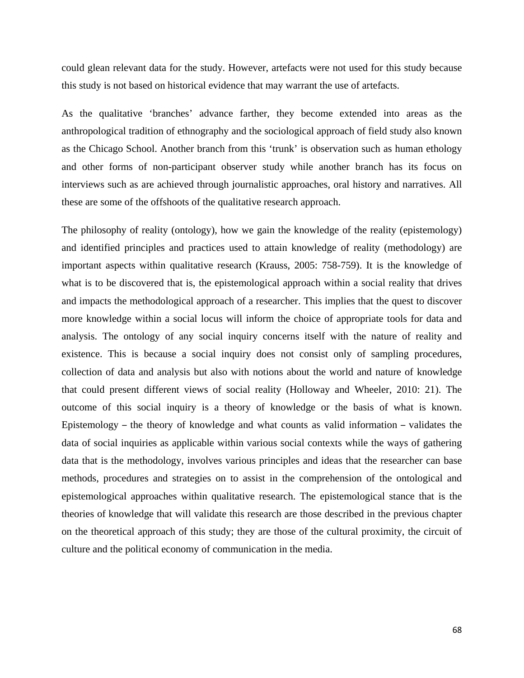could glean relevant data for the study. However, artefacts were not used for this study because this study is not based on historical evidence that may warrant the use of artefacts.

As the qualitative 'branches' advance farther, they become extended into areas as the anthropological tradition of ethnography and the sociological approach of field study also known as the Chicago School. Another branch from this 'trunk' is observation such as human ethology and other forms of non-participant observer study while another branch has its focus on interviews such as are achieved through journalistic approaches, oral history and narratives. All these are some of the offshoots of the qualitative research approach.

The philosophy of reality (ontology), how we gain the knowledge of the reality (epistemology) and identified principles and practices used to attain knowledge of reality (methodology) are important aspects within qualitative research (Krauss, 2005: 758-759). It is the knowledge of what is to be discovered that is, the epistemological approach within a social reality that drives and impacts the methodological approach of a researcher. This implies that the quest to discover more knowledge within a social locus will inform the choice of appropriate tools for data and analysis. The ontology of any social inquiry concerns itself with the nature of reality and existence. This is because a social inquiry does not consist only of sampling procedures, collection of data and analysis but also with notions about the world and nature of knowledge that could present different views of social reality (Holloway and Wheeler, 2010: 21). The outcome of this social inquiry is a theory of knowledge or the basis of what is known. Epistemology – the theory of knowledge and what counts as valid information – validates the data of social inquiries as applicable within various social contexts while the ways of gathering data that is the methodology, involves various principles and ideas that the researcher can base methods, procedures and strategies on to assist in the comprehension of the ontological and epistemological approaches within qualitative research. The epistemological stance that is the theories of knowledge that will validate this research are those described in the previous chapter on the theoretical approach of this study; they are those of the cultural proximity, the circuit of culture and the political economy of communication in the media.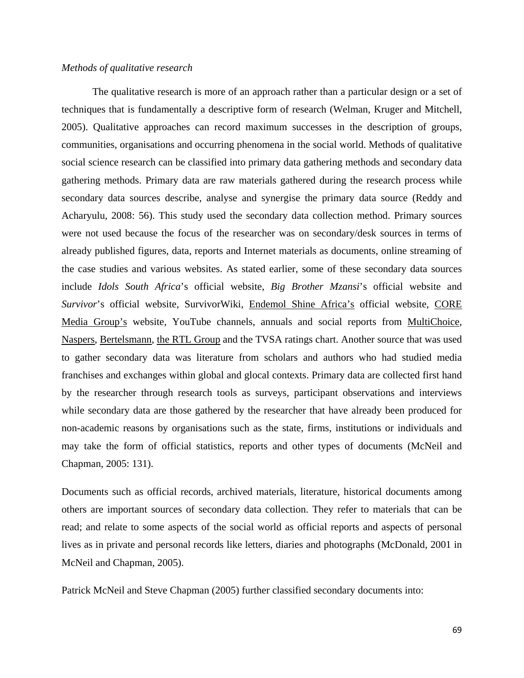#### *Methods of qualitative research*

The qualitative research is more of an approach rather than a particular design or a set of techniques that is fundamentally a descriptive form of research (Welman, Kruger and Mitchell, 2005). Qualitative approaches can record maximum successes in the description of groups, communities, organisations and occurring phenomena in the social world. Methods of qualitative social science research can be classified into primary data gathering methods and secondary data gathering methods. Primary data are raw materials gathered during the research process while secondary data sources describe, analyse and synergise the primary data source (Reddy and Acharyulu, 2008: 56). This study used the secondary data collection method. Primary sources were not used because the focus of the researcher was on secondary/desk sources in terms of already published figures, data, reports and Internet materials as documents, online streaming of the case studies and various websites. As stated earlier, some of these secondary data sources include *Idols South Africa*'s official website, *Big Brother Mzansi*'s official website and *Survivor*'s official website, SurvivorWiki, Endemol Shine Africa's official website, CORE Media Group's website, YouTube channels, annuals and social reports from MultiChoice, Naspers, Bertelsmann, the RTL Group and the TVSA ratings chart. Another source that was used to gather secondary data was literature from scholars and authors who had studied media franchises and exchanges within global and glocal contexts. Primary data are collected first hand by the researcher through research tools as surveys, participant observations and interviews while secondary data are those gathered by the researcher that have already been produced for non-academic reasons by organisations such as the state, firms, institutions or individuals and may take the form of official statistics, reports and other types of documents (McNeil and Chapman, 2005: 131).

Documents such as official records, archived materials, literature, historical documents among others are important sources of secondary data collection. They refer to materials that can be read; and relate to some aspects of the social world as official reports and aspects of personal lives as in private and personal records like letters, diaries and photographs (McDonald, 2001 in McNeil and Chapman, 2005).

Patrick McNeil and Steve Chapman (2005) further classified secondary documents into: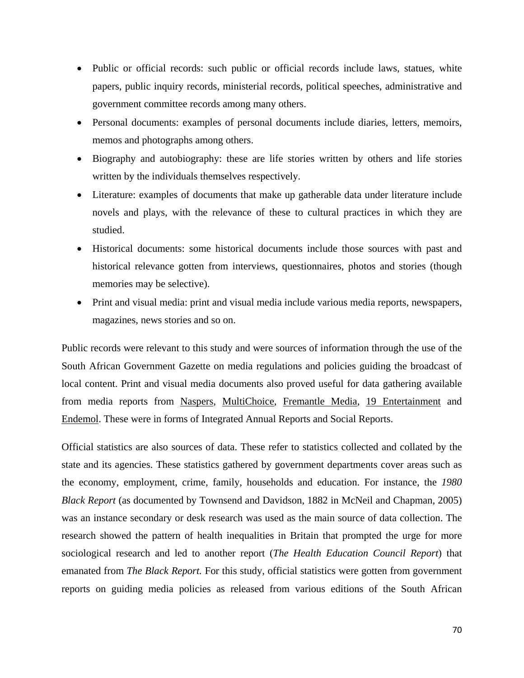- Public or official records: such public or official records include laws, statues, white papers, public inquiry records, ministerial records, political speeches, administrative and government committee records among many others.
- Personal documents: examples of personal documents include diaries, letters, memoirs, memos and photographs among others.
- Biography and autobiography: these are life stories written by others and life stories written by the individuals themselves respectively.
- Literature: examples of documents that make up gatherable data under literature include novels and plays, with the relevance of these to cultural practices in which they are studied.
- Historical documents: some historical documents include those sources with past and historical relevance gotten from interviews, questionnaires, photos and stories (though memories may be selective).
- Print and visual media: print and visual media include various media reports, newspapers, magazines, news stories and so on.

Public records were relevant to this study and were sources of information through the use of the South African Government Gazette on media regulations and policies guiding the broadcast of local content. Print and visual media documents also proved useful for data gathering available from media reports from Naspers, MultiChoice, Fremantle Media, 19 Entertainment and Endemol. These were in forms of Integrated Annual Reports and Social Reports.

Official statistics are also sources of data. These refer to statistics collected and collated by the state and its agencies. These statistics gathered by government departments cover areas such as the economy, employment, crime, family, households and education. For instance, the *1980 Black Report* (as documented by Townsend and Davidson, 1882 in McNeil and Chapman, 2005) was an instance secondary or desk research was used as the main source of data collection. The research showed the pattern of health inequalities in Britain that prompted the urge for more sociological research and led to another report (*The Health Education Council Report*) that emanated from *The Black Report.* For this study, official statistics were gotten from government reports on guiding media policies as released from various editions of the South African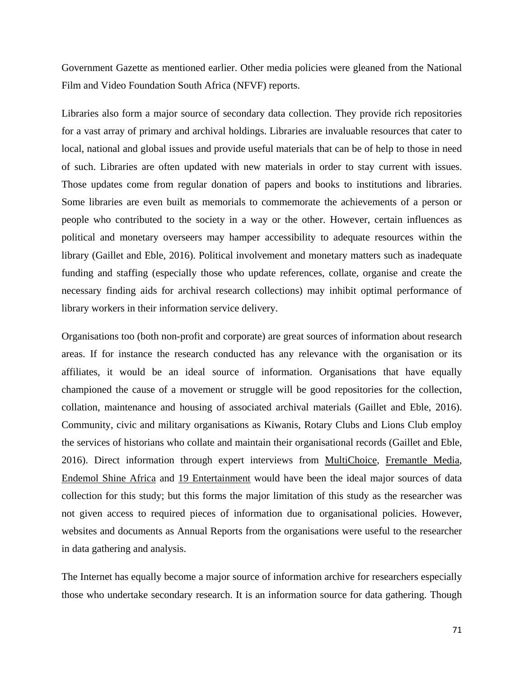Government Gazette as mentioned earlier. Other media policies were gleaned from the National Film and Video Foundation South Africa (NFVF) reports.

Libraries also form a major source of secondary data collection. They provide rich repositories for a vast array of primary and archival holdings. Libraries are invaluable resources that cater to local, national and global issues and provide useful materials that can be of help to those in need of such. Libraries are often updated with new materials in order to stay current with issues. Those updates come from regular donation of papers and books to institutions and libraries. Some libraries are even built as memorials to commemorate the achievements of a person or people who contributed to the society in a way or the other. However, certain influences as political and monetary overseers may hamper accessibility to adequate resources within the library (Gaillet and Eble, 2016). Political involvement and monetary matters such as inadequate funding and staffing (especially those who update references, collate, organise and create the necessary finding aids for archival research collections) may inhibit optimal performance of library workers in their information service delivery.

Organisations too (both non-profit and corporate) are great sources of information about research areas. If for instance the research conducted has any relevance with the organisation or its affiliates, it would be an ideal source of information. Organisations that have equally championed the cause of a movement or struggle will be good repositories for the collection, collation, maintenance and housing of associated archival materials (Gaillet and Eble, 2016). Community, civic and military organisations as Kiwanis, Rotary Clubs and Lions Club employ the services of historians who collate and maintain their organisational records (Gaillet and Eble, 2016). Direct information through expert interviews from MultiChoice, Fremantle Media, Endemol Shine Africa and 19 Entertainment would have been the ideal major sources of data collection for this study; but this forms the major limitation of this study as the researcher was not given access to required pieces of information due to organisational policies. However, websites and documents as Annual Reports from the organisations were useful to the researcher in data gathering and analysis.

The Internet has equally become a major source of information archive for researchers especially those who undertake secondary research. It is an information source for data gathering. Though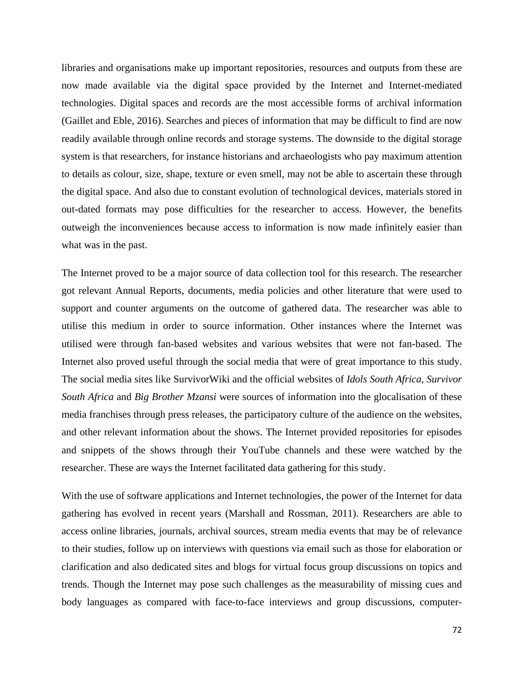libraries and organisations make up important repositories, resources and outputs from these are now made available via the digital space provided by the Internet and Internet-mediated technologies. Digital spaces and records are the most accessible forms of archival information (Gaillet and Eble, 2016). Searches and pieces of information that may be difficult to find are now readily available through online records and storage systems. The downside to the digital storage system is that researchers, for instance historians and archaeologists who pay maximum attention to details as colour, size, shape, texture or even smell, may not be able to ascertain these through the digital space. And also due to constant evolution of technological devices, materials stored in out-dated formats may pose difficulties for the researcher to access. However, the benefits outweigh the inconveniences because access to information is now made infinitely easier than what was in the past.

The Internet proved to be a major source of data collection tool for this research. The researcher got relevant Annual Reports, documents, media policies and other literature that were used to support and counter arguments on the outcome of gathered data. The researcher was able to utilise this medium in order to source information. Other instances where the Internet was utilised were through fan-based websites and various websites that were not fan-based. The Internet also proved useful through the social media that were of great importance to this study. The social media sites like SurvivorWiki and the official websites of *Idols South Africa, Survivor South Africa* and *Big Brother Mzansi* were sources of information into the glocalisation of these media franchises through press releases, the participatory culture of the audience on the websites, and other relevant information about the shows. The Internet provided repositories for episodes and snippets of the shows through their YouTube channels and these were watched by the researcher. These are ways the Internet facilitated data gathering for this study.

With the use of software applications and Internet technologies, the power of the Internet for data gathering has evolved in recent years (Marshall and Rossman, 2011). Researchers are able to access online libraries, journals, archival sources, stream media events that may be of relevance to their studies, follow up on interviews with questions via email such as those for elaboration or clarification and also dedicated sites and blogs for virtual focus group discussions on topics and trends. Though the Internet may pose such challenges as the measurability of missing cues and body languages as compared with face-to-face interviews and group discussions, computer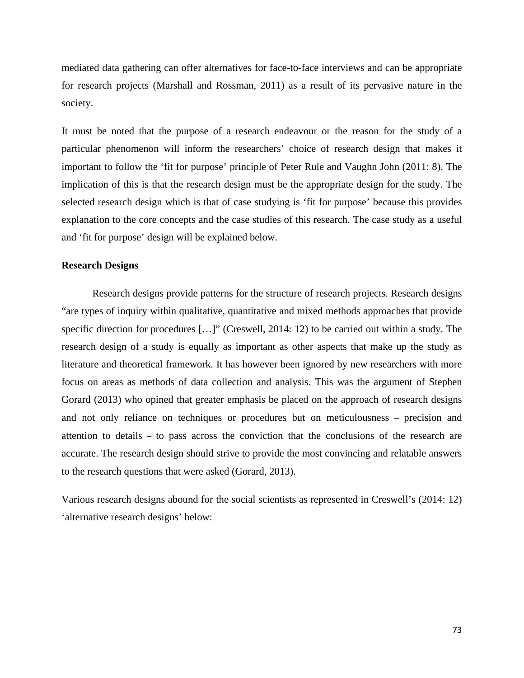mediated data gathering can offer alternatives for face-to-face interviews and can be appropriate for research projects (Marshall and Rossman, 2011) as a result of its pervasive nature in the society.

It must be noted that the purpose of a research endeavour or the reason for the study of a particular phenomenon will inform the researchers' choice of research design that makes it important to follow the 'fit for purpose' principle of Peter Rule and Vaughn John (2011: 8). The implication of this is that the research design must be the appropriate design for the study. The selected research design which is that of case studying is 'fit for purpose' because this provides explanation to the core concepts and the case studies of this research. The case study as a useful and 'fit for purpose' design will be explained below.

## **Research Designs**

Research designs provide patterns for the structure of research projects. Research designs "are types of inquiry within qualitative, quantitative and mixed methods approaches that provide specific direction for procedures […]" (Creswell, 2014: 12) to be carried out within a study. The research design of a study is equally as important as other aspects that make up the study as literature and theoretical framework. It has however been ignored by new researchers with more focus on areas as methods of data collection and analysis. This was the argument of Stephen Gorard (2013) who opined that greater emphasis be placed on the approach of research designs and not only reliance on techniques or procedures but on meticulousness – precision and attention to details – to pass across the conviction that the conclusions of the research are accurate. The research design should strive to provide the most convincing and relatable answers to the research questions that were asked (Gorard, 2013).

Various research designs abound for the social scientists as represented in Creswell's (2014: 12) 'alternative research designs' below: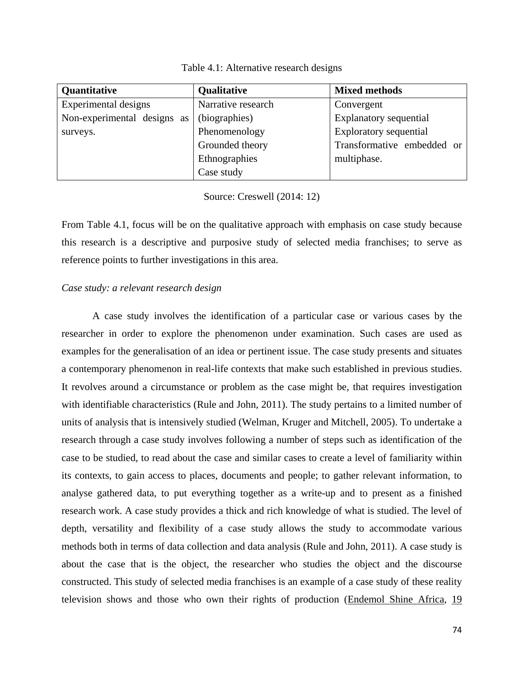| Quantitative                | Qualitative        | <b>Mixed methods</b>          |  |
|-----------------------------|--------------------|-------------------------------|--|
| Experimental designs        | Narrative research | Convergent                    |  |
| Non-experimental designs as | (biographies)      | <b>Explanatory sequential</b> |  |
| surveys.                    | Phenomenology      | <b>Exploratory sequential</b> |  |
|                             | Grounded theory    | Transformative embedded or    |  |
|                             | Ethnographies      | multiphase.                   |  |
|                             | Case study         |                               |  |

Table 4.1: Alternative research designs

Source: Creswell (2014: 12)

From Table 4.1, focus will be on the qualitative approach with emphasis on case study because this research is a descriptive and purposive study of selected media franchises; to serve as reference points to further investigations in this area.

# *Case study: a relevant research design*

A case study involves the identification of a particular case or various cases by the researcher in order to explore the phenomenon under examination. Such cases are used as examples for the generalisation of an idea or pertinent issue. The case study presents and situates a contemporary phenomenon in real-life contexts that make such established in previous studies. It revolves around a circumstance or problem as the case might be, that requires investigation with identifiable characteristics (Rule and John, 2011). The study pertains to a limited number of units of analysis that is intensively studied (Welman, Kruger and Mitchell, 2005). To undertake a research through a case study involves following a number of steps such as identification of the case to be studied, to read about the case and similar cases to create a level of familiarity within its contexts, to gain access to places, documents and people; to gather relevant information, to analyse gathered data, to put everything together as a write-up and to present as a finished research work. A case study provides a thick and rich knowledge of what is studied. The level of depth, versatility and flexibility of a case study allows the study to accommodate various methods both in terms of data collection and data analysis (Rule and John, 2011). A case study is about the case that is the object, the researcher who studies the object and the discourse constructed. This study of selected media franchises is an example of a case study of these reality television shows and those who own their rights of production (Endemol Shine Africa, 19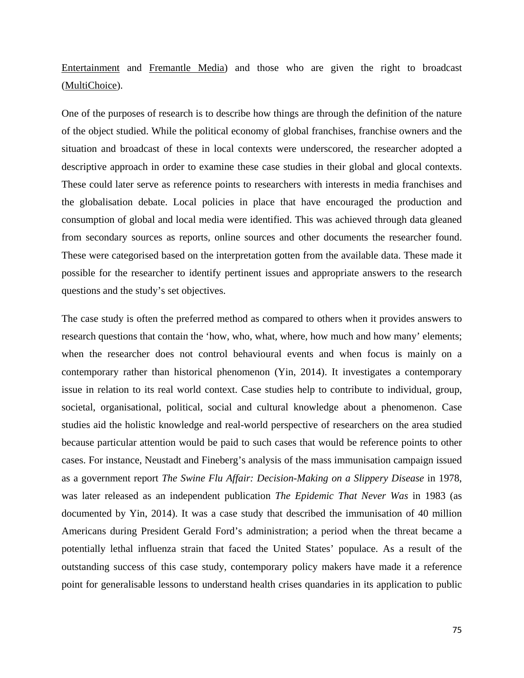Entertainment and Fremantle Media) and those who are given the right to broadcast (MultiChoice).

One of the purposes of research is to describe how things are through the definition of the nature of the object studied. While the political economy of global franchises, franchise owners and the situation and broadcast of these in local contexts were underscored, the researcher adopted a descriptive approach in order to examine these case studies in their global and glocal contexts. These could later serve as reference points to researchers with interests in media franchises and the globalisation debate. Local policies in place that have encouraged the production and consumption of global and local media were identified. This was achieved through data gleaned from secondary sources as reports, online sources and other documents the researcher found. These were categorised based on the interpretation gotten from the available data. These made it possible for the researcher to identify pertinent issues and appropriate answers to the research questions and the study's set objectives.

The case study is often the preferred method as compared to others when it provides answers to research questions that contain the 'how, who, what, where, how much and how many' elements; when the researcher does not control behavioural events and when focus is mainly on a contemporary rather than historical phenomenon (Yin, 2014). It investigates a contemporary issue in relation to its real world context. Case studies help to contribute to individual, group, societal, organisational, political, social and cultural knowledge about a phenomenon. Case studies aid the holistic knowledge and real-world perspective of researchers on the area studied because particular attention would be paid to such cases that would be reference points to other cases. For instance, Neustadt and Fineberg's analysis of the mass immunisation campaign issued as a government report *The Swine Flu Affair: Decision-Making on a Slippery Disease* in 1978, was later released as an independent publication *The Epidemic That Never Was* in 1983 (as documented by Yin, 2014). It was a case study that described the immunisation of 40 million Americans during President Gerald Ford's administration; a period when the threat became a potentially lethal influenza strain that faced the United States' populace. As a result of the outstanding success of this case study, contemporary policy makers have made it a reference point for generalisable lessons to understand health crises quandaries in its application to public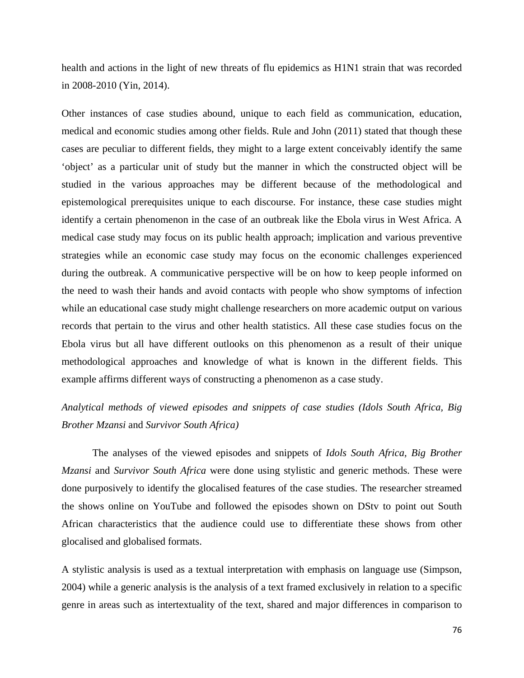health and actions in the light of new threats of flu epidemics as H1N1 strain that was recorded in 2008-2010 (Yin, 2014).

Other instances of case studies abound, unique to each field as communication, education, medical and economic studies among other fields. Rule and John (2011) stated that though these cases are peculiar to different fields, they might to a large extent conceivably identify the same 'object' as a particular unit of study but the manner in which the constructed object will be studied in the various approaches may be different because of the methodological and epistemological prerequisites unique to each discourse. For instance, these case studies might identify a certain phenomenon in the case of an outbreak like the Ebola virus in West Africa. A medical case study may focus on its public health approach; implication and various preventive strategies while an economic case study may focus on the economic challenges experienced during the outbreak. A communicative perspective will be on how to keep people informed on the need to wash their hands and avoid contacts with people who show symptoms of infection while an educational case study might challenge researchers on more academic output on various records that pertain to the virus and other health statistics. All these case studies focus on the Ebola virus but all have different outlooks on this phenomenon as a result of their unique methodological approaches and knowledge of what is known in the different fields. This example affirms different ways of constructing a phenomenon as a case study.

# *Analytical methods of viewed episodes and snippets of case studies (Idols South Africa, Big Brother Mzansi* and *Survivor South Africa)*

The analyses of the viewed episodes and snippets of *Idols South Africa, Big Brother Mzansi* and *Survivor South Africa* were done using stylistic and generic methods. These were done purposively to identify the glocalised features of the case studies. The researcher streamed the shows online on YouTube and followed the episodes shown on DStv to point out South African characteristics that the audience could use to differentiate these shows from other glocalised and globalised formats.

A stylistic analysis is used as a textual interpretation with emphasis on language use (Simpson, 2004) while a generic analysis is the analysis of a text framed exclusively in relation to a specific genre in areas such as intertextuality of the text, shared and major differences in comparison to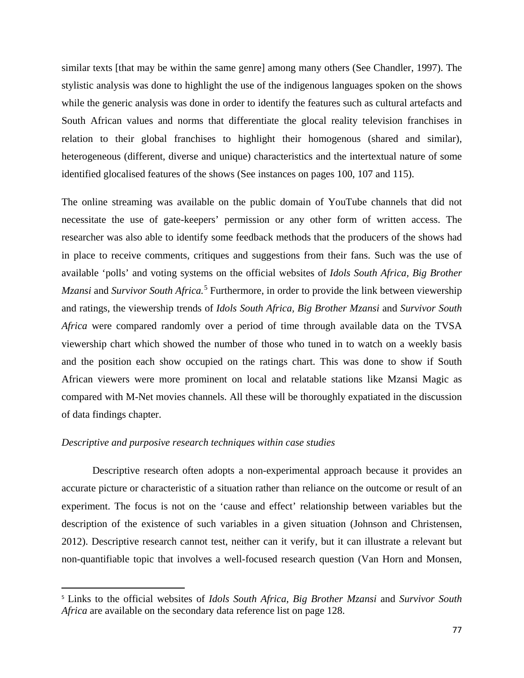similar texts [that may be within the same genre] among many others (See Chandler, 1997). The stylistic analysis was done to highlight the use of the indigenous languages spoken on the shows while the generic analysis was done in order to identify the features such as cultural artefacts and South African values and norms that differentiate the glocal reality television franchises in relation to their global franchises to highlight their homogenous (shared and similar), heterogeneous (different, diverse and unique) characteristics and the intertextual nature of some identified glocalised features of the shows (See instances on pages 100, 107 and 115).

The online streaming was available on the public domain of YouTube channels that did not necessitate the use of gate-keepers' permission or any other form of written access. The researcher was also able to identify some feedback methods that the producers of the shows had in place to receive comments, critiques and suggestions from their fans. Such was the use of available 'polls' and voting systems on the official websites of *Idols South Africa, Big Brother Mzansi* and *Survivor South Africa.*[5](#page-88-0) Furthermore, in order to provide the link between viewership and ratings, the viewership trends of *Idols South Africa, Big Brother Mzansi* and *Survivor South Africa* were compared randomly over a period of time through available data on the TVSA viewership chart which showed the number of those who tuned in to watch on a weekly basis and the position each show occupied on the ratings chart. This was done to show if South African viewers were more prominent on local and relatable stations like Mzansi Magic as compared with M-Net movies channels. All these will be thoroughly expatiated in the discussion of data findings chapter.

# *Descriptive and purposive research techniques within case studies*

 $\overline{a}$ 

Descriptive research often adopts a non-experimental approach because it provides an accurate picture or characteristic of a situation rather than reliance on the outcome or result of an experiment. The focus is not on the 'cause and effect' relationship between variables but the description of the existence of such variables in a given situation (Johnson and Christensen, 2012). Descriptive research cannot test, neither can it verify, but it can illustrate a relevant but non-quantifiable topic that involves a well-focused research question (Van Horn and Monsen,

<span id="page-88-0"></span><sup>5</sup> Links to the official websites of *Idols South Africa, Big Brother Mzansi* and *Survivor South Africa* are available on the secondary data reference list on page 128.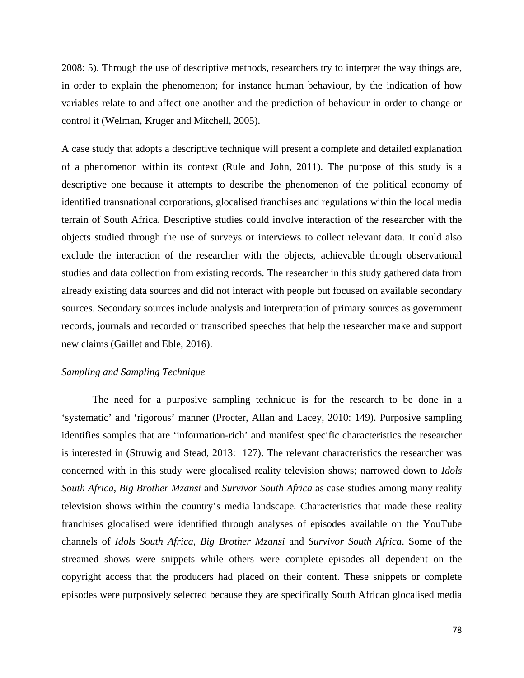2008: 5). Through the use of descriptive methods, researchers try to interpret the way things are, in order to explain the phenomenon; for instance human behaviour, by the indication of how variables relate to and affect one another and the prediction of behaviour in order to change or control it (Welman, Kruger and Mitchell, 2005).

A case study that adopts a descriptive technique will present a complete and detailed explanation of a phenomenon within its context (Rule and John, 2011). The purpose of this study is a descriptive one because it attempts to describe the phenomenon of the political economy of identified transnational corporations, glocalised franchises and regulations within the local media terrain of South Africa. Descriptive studies could involve interaction of the researcher with the objects studied through the use of surveys or interviews to collect relevant data. It could also exclude the interaction of the researcher with the objects, achievable through observational studies and data collection from existing records. The researcher in this study gathered data from already existing data sources and did not interact with people but focused on available secondary sources. Secondary sources include analysis and interpretation of primary sources as government records, journals and recorded or transcribed speeches that help the researcher make and support new claims (Gaillet and Eble, 2016).

# *Sampling and Sampling Technique*

The need for a purposive sampling technique is for the research to be done in a 'systematic' and 'rigorous' manner (Procter, Allan and Lacey, 2010: 149). Purposive sampling identifies samples that are 'information-rich' and manifest specific characteristics the researcher is interested in (Struwig and Stead, 2013: 127). The relevant characteristics the researcher was concerned with in this study were glocalised reality television shows; narrowed down to *Idols South Africa, Big Brother Mzansi* and *Survivor South Africa* as case studies among many reality television shows within the country's media landscape*.* Characteristics that made these reality franchises glocalised were identified through analyses of episodes available on the YouTube channels of *Idols South Africa, Big Brother Mzansi* and *Survivor South Africa*. Some of the streamed shows were snippets while others were complete episodes all dependent on the copyright access that the producers had placed on their content. These snippets or complete episodes were purposively selected because they are specifically South African glocalised media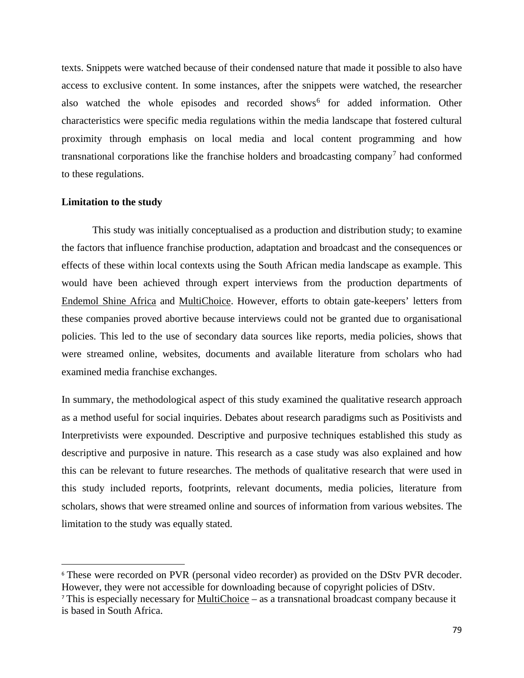texts. Snippets were watched because of their condensed nature that made it possible to also have access to exclusive content. In some instances, after the snippets were watched, the researcher also watched the whole episodes and recorded shows<sup>[6](#page-90-0)</sup> for added information. Other characteristics were specific media regulations within the media landscape that fostered cultural proximity through emphasis on local media and local content programming and how transnational corporations like the franchise holders and broadcasting company<sup>[7](#page-90-1)</sup> had conformed to these regulations.

#### **Limitation to the study**

l

This study was initially conceptualised as a production and distribution study; to examine the factors that influence franchise production, adaptation and broadcast and the consequences or effects of these within local contexts using the South African media landscape as example. This would have been achieved through expert interviews from the production departments of Endemol Shine Africa and MultiChoice. However, efforts to obtain gate-keepers' letters from these companies proved abortive because interviews could not be granted due to organisational policies. This led to the use of secondary data sources like reports, media policies, shows that were streamed online, websites, documents and available literature from scholars who had examined media franchise exchanges.

In summary, the methodological aspect of this study examined the qualitative research approach as a method useful for social inquiries. Debates about research paradigms such as Positivists and Interpretivists were expounded. Descriptive and purposive techniques established this study as descriptive and purposive in nature. This research as a case study was also explained and how this can be relevant to future researches. The methods of qualitative research that were used in this study included reports, footprints, relevant documents, media policies, literature from scholars, shows that were streamed online and sources of information from various websites. The limitation to the study was equally stated.

<span id="page-90-0"></span><sup>&</sup>lt;sup>6</sup> These were recorded on PVR (personal video recorder) as provided on the DStv PVR decoder. However, they were not accessible for downloading because of copyright policies of DStv.

<span id="page-90-1"></span><sup>7</sup> This is especially necessary for MultiChoice – as a transnational broadcast company because it is based in South Africa.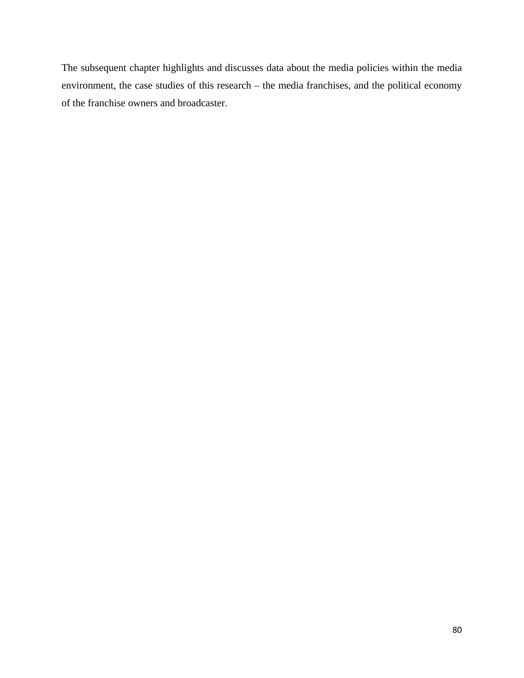The subsequent chapter highlights and discusses data about the media policies within the media environment, the case studies of this research – the media franchises, and the political economy of the franchise owners and broadcaster.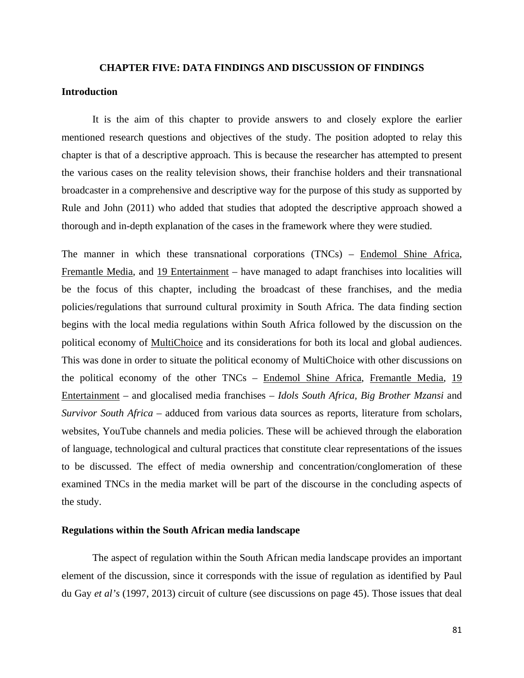#### **CHAPTER FIVE: DATA FINDINGS AND DISCUSSION OF FINDINGS**

### **Introduction**

It is the aim of this chapter to provide answers to and closely explore the earlier mentioned research questions and objectives of the study. The position adopted to relay this chapter is that of a descriptive approach. This is because the researcher has attempted to present the various cases on the reality television shows, their franchise holders and their transnational broadcaster in a comprehensive and descriptive way for the purpose of this study as supported by Rule and John (2011) who added that studies that adopted the descriptive approach showed a thorough and in-depth explanation of the cases in the framework where they were studied.

The manner in which these transnational corporations (TNCs) – Endemol Shine Africa, Fremantle Media, and 19 Entertainment – have managed to adapt franchises into localities will be the focus of this chapter, including the broadcast of these franchises, and the media policies/regulations that surround cultural proximity in South Africa. The data finding section begins with the local media regulations within South Africa followed by the discussion on the political economy of MultiChoice and its considerations for both its local and global audiences. This was done in order to situate the political economy of MultiChoice with other discussions on the political economy of the other TNCs – Endemol Shine Africa, Fremantle Media, 19 Entertainment – and glocalised media franchises – *Idols South Africa, Big Brother Mzansi* and *Survivor South Africa* – adduced from various data sources as reports, literature from scholars, websites, YouTube channels and media policies. These will be achieved through the elaboration of language, technological and cultural practices that constitute clear representations of the issues to be discussed. The effect of media ownership and concentration/conglomeration of these examined TNCs in the media market will be part of the discourse in the concluding aspects of the study.

## **Regulations within the South African media landscape**

The aspect of regulation within the South African media landscape provides an important element of the discussion, since it corresponds with the issue of regulation as identified by Paul du Gay *et al's* (1997, 2013) circuit of culture (see discussions on page 45). Those issues that deal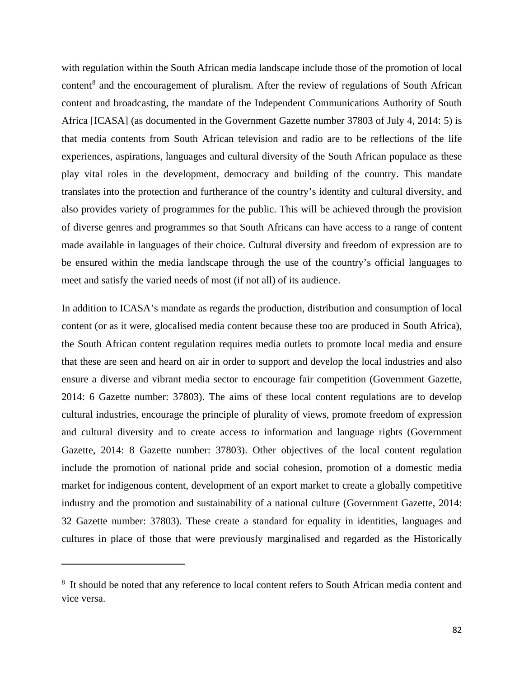with regulation within the South African media landscape include those of the promotion of local content<sup>[8](#page-93-0)</sup> and the encouragement of pluralism. After the review of regulations of South African content and broadcasting, the mandate of the Independent Communications Authority of South Africa [ICASA] (as documented in the Government Gazette number 37803 of July 4, 2014: 5) is that media contents from South African television and radio are to be reflections of the life experiences, aspirations, languages and cultural diversity of the South African populace as these play vital roles in the development, democracy and building of the country. This mandate translates into the protection and furtherance of the country's identity and cultural diversity, and also provides variety of programmes for the public. This will be achieved through the provision of diverse genres and programmes so that South Africans can have access to a range of content made available in languages of their choice. Cultural diversity and freedom of expression are to be ensured within the media landscape through the use of the country's official languages to meet and satisfy the varied needs of most (if not all) of its audience.

In addition to ICASA's mandate as regards the production, distribution and consumption of local content (or as it were, glocalised media content because these too are produced in South Africa), the South African content regulation requires media outlets to promote local media and ensure that these are seen and heard on air in order to support and develop the local industries and also ensure a diverse and vibrant media sector to encourage fair competition (Government Gazette, 2014: 6 Gazette number: 37803). The aims of these local content regulations are to develop cultural industries, encourage the principle of plurality of views, promote freedom of expression and cultural diversity and to create access to information and language rights (Government Gazette, 2014: 8 Gazette number: 37803). Other objectives of the local content regulation include the promotion of national pride and social cohesion, promotion of a domestic media market for indigenous content, development of an export market to create a globally competitive industry and the promotion and sustainability of a national culture (Government Gazette, 2014: 32 Gazette number: 37803). These create a standard for equality in identities, languages and cultures in place of those that were previously marginalised and regarded as the Historically

l

<span id="page-93-0"></span><sup>&</sup>lt;sup>8</sup> It should be noted that any reference to local content refers to South African media content and vice versa.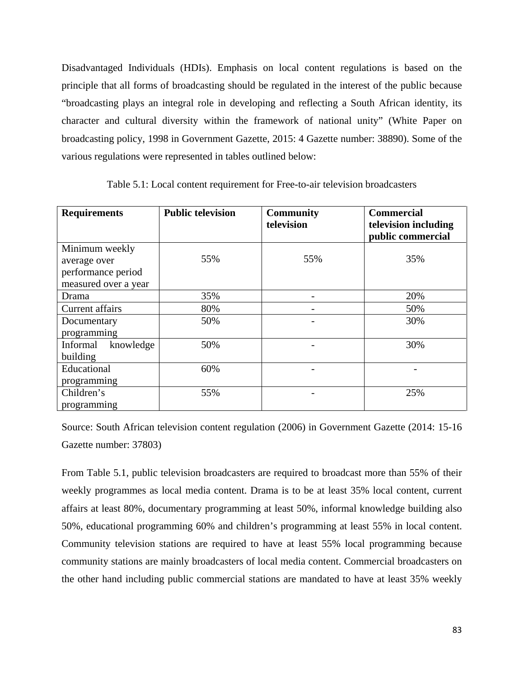Disadvantaged Individuals (HDIs). Emphasis on local content regulations is based on the principle that all forms of broadcasting should be regulated in the interest of the public because "broadcasting plays an integral role in developing and reflecting a South African identity, its character and cultural diversity within the framework of national unity" (White Paper on broadcasting policy, 1998 in Government Gazette, 2015: 4 Gazette number: 38890). Some of the various regulations were represented in tables outlined below:

| <b>Requirements</b>   | <b>Public television</b> | <b>Community</b><br>television | <b>Commercial</b><br>television including<br>public commercial |
|-----------------------|--------------------------|--------------------------------|----------------------------------------------------------------|
| Minimum weekly        |                          |                                |                                                                |
| average over          | 55%                      | 55%                            | 35%                                                            |
| performance period    |                          |                                |                                                                |
| measured over a year  |                          |                                |                                                                |
| Drama                 | 35%                      |                                | 20%                                                            |
| Current affairs       | 80%                      |                                | 50%                                                            |
| Documentary           | 50%                      |                                | 30%                                                            |
| programming           |                          |                                |                                                                |
| knowledge<br>Informal | 50%                      |                                | 30%                                                            |
| building              |                          |                                |                                                                |
| Educational           | 60%                      |                                |                                                                |
| programming           |                          |                                |                                                                |
| Children's            | 55%                      |                                | 25%                                                            |
| programming           |                          |                                |                                                                |

Table 5.1: Local content requirement for Free-to-air television broadcasters

Source: South African television content regulation (2006) in Government Gazette (2014: 15-16 Gazette number: 37803)

From Table 5.1, public television broadcasters are required to broadcast more than 55% of their weekly programmes as local media content. Drama is to be at least 35% local content, current affairs at least 80%, documentary programming at least 50%, informal knowledge building also 50%, educational programming 60% and children's programming at least 55% in local content. Community television stations are required to have at least 55% local programming because community stations are mainly broadcasters of local media content. Commercial broadcasters on the other hand including public commercial stations are mandated to have at least 35% weekly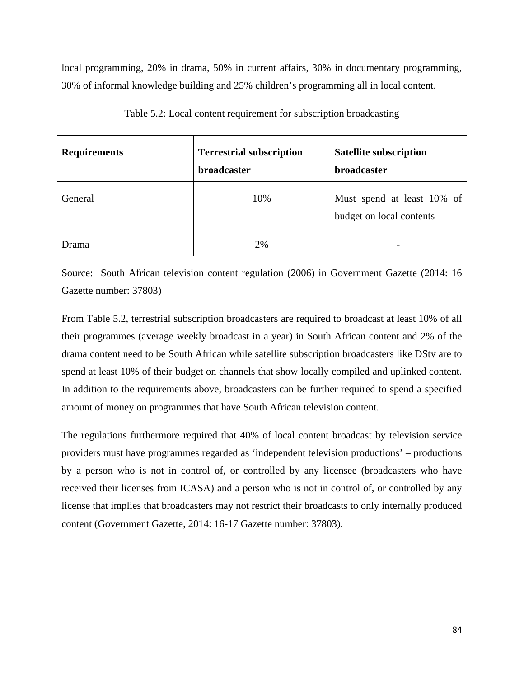local programming, 20% in drama, 50% in current affairs, 30% in documentary programming, 30% of informal knowledge building and 25% children's programming all in local content.

| <b>Requirements</b> | <b>Terrestrial subscription</b><br><b>broadcaster</b> | <b>Satellite subscription</b><br><b>broadcaster</b>    |
|---------------------|-------------------------------------------------------|--------------------------------------------------------|
| General             | 10%                                                   | Must spend at least 10% of<br>budget on local contents |
| Drama               | 2%                                                    |                                                        |

Table 5.2: Local content requirement for subscription broadcasting

Source: South African television content regulation (2006) in Government Gazette (2014: 16 Gazette number: 37803)

From Table 5.2, terrestrial subscription broadcasters are required to broadcast at least 10% of all their programmes (average weekly broadcast in a year) in South African content and 2% of the drama content need to be South African while satellite subscription broadcasters like DStv are to spend at least 10% of their budget on channels that show locally compiled and uplinked content. In addition to the requirements above, broadcasters can be further required to spend a specified amount of money on programmes that have South African television content.

The regulations furthermore required that 40% of local content broadcast by television service providers must have programmes regarded as 'independent television productions' – productions by a person who is not in control of, or controlled by any licensee (broadcasters who have received their licenses from ICASA) and a person who is not in control of, or controlled by any license that implies that broadcasters may not restrict their broadcasts to only internally produced content (Government Gazette, 2014: 16-17 Gazette number: 37803).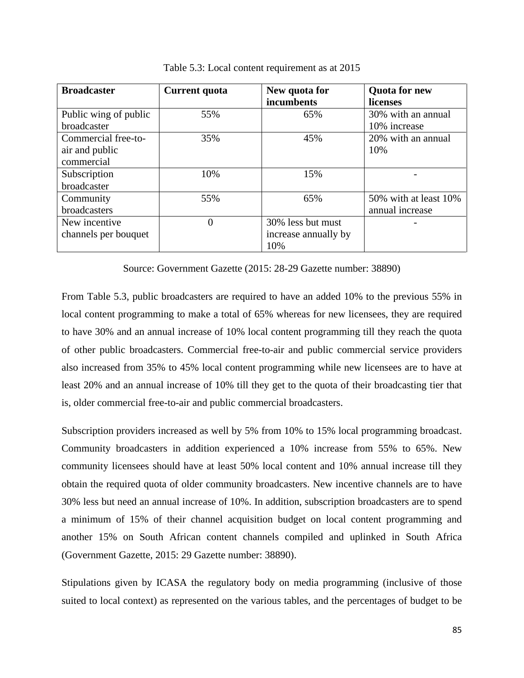| <b>Broadcaster</b>                                  | Current quota | New quota for<br>incumbents                      | <b>Quota for new</b><br>licenses         |
|-----------------------------------------------------|---------------|--------------------------------------------------|------------------------------------------|
| Public wing of public<br>broadcaster                | 55%           | 65%                                              | 30% with an annual<br>10% increase       |
| Commercial free-to-<br>air and public<br>commercial | 35%           | 45%                                              | 20% with an annual<br>10%                |
| Subscription<br>broadcaster                         | 10%           | 15%                                              |                                          |
| Community<br>broadcasters                           | 55%           | 65%                                              | 50% with at least 10%<br>annual increase |
| New incentive<br>channels per bouquet               | 0             | 30% less but must<br>increase annually by<br>10% |                                          |

Table 5.3: Local content requirement as at 2015

Source: Government Gazette (2015: 28-29 Gazette number: 38890)

From Table 5.3, public broadcasters are required to have an added 10% to the previous 55% in local content programming to make a total of 65% whereas for new licensees, they are required to have 30% and an annual increase of 10% local content programming till they reach the quota of other public broadcasters. Commercial free-to-air and public commercial service providers also increased from 35% to 45% local content programming while new licensees are to have at least 20% and an annual increase of 10% till they get to the quota of their broadcasting tier that is, older commercial free-to-air and public commercial broadcasters.

Subscription providers increased as well by 5% from 10% to 15% local programming broadcast. Community broadcasters in addition experienced a 10% increase from 55% to 65%. New community licensees should have at least 50% local content and 10% annual increase till they obtain the required quota of older community broadcasters. New incentive channels are to have 30% less but need an annual increase of 10%. In addition, subscription broadcasters are to spend a minimum of 15% of their channel acquisition budget on local content programming and another 15% on South African content channels compiled and uplinked in South Africa (Government Gazette, 2015: 29 Gazette number: 38890).

Stipulations given by ICASA the regulatory body on media programming (inclusive of those suited to local context) as represented on the various tables, and the percentages of budget to be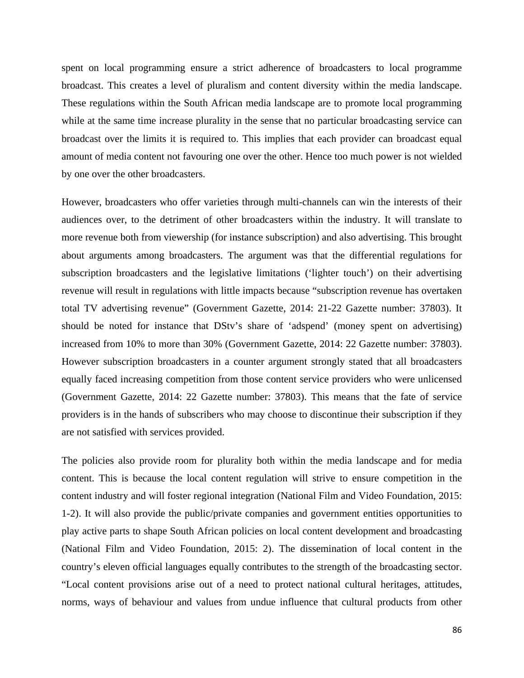spent on local programming ensure a strict adherence of broadcasters to local programme broadcast. This creates a level of pluralism and content diversity within the media landscape. These regulations within the South African media landscape are to promote local programming while at the same time increase plurality in the sense that no particular broadcasting service can broadcast over the limits it is required to. This implies that each provider can broadcast equal amount of media content not favouring one over the other. Hence too much power is not wielded by one over the other broadcasters.

However, broadcasters who offer varieties through multi-channels can win the interests of their audiences over, to the detriment of other broadcasters within the industry. It will translate to more revenue both from viewership (for instance subscription) and also advertising. This brought about arguments among broadcasters. The argument was that the differential regulations for subscription broadcasters and the legislative limitations ('lighter touch') on their advertising revenue will result in regulations with little impacts because "subscription revenue has overtaken total TV advertising revenue" (Government Gazette, 2014: 21-22 Gazette number: 37803). It should be noted for instance that DStv's share of 'adspend' (money spent on advertising) increased from 10% to more than 30% (Government Gazette, 2014: 22 Gazette number: 37803). However subscription broadcasters in a counter argument strongly stated that all broadcasters equally faced increasing competition from those content service providers who were unlicensed (Government Gazette, 2014: 22 Gazette number: 37803). This means that the fate of service providers is in the hands of subscribers who may choose to discontinue their subscription if they are not satisfied with services provided.

The policies also provide room for plurality both within the media landscape and for media content. This is because the local content regulation will strive to ensure competition in the content industry and will foster regional integration (National Film and Video Foundation, 2015: 1-2). It will also provide the public/private companies and government entities opportunities to play active parts to shape South African policies on local content development and broadcasting (National Film and Video Foundation, 2015: 2). The dissemination of local content in the country's eleven official languages equally contributes to the strength of the broadcasting sector. "Local content provisions arise out of a need to protect national cultural heritages, attitudes, norms, ways of behaviour and values from undue influence that cultural products from other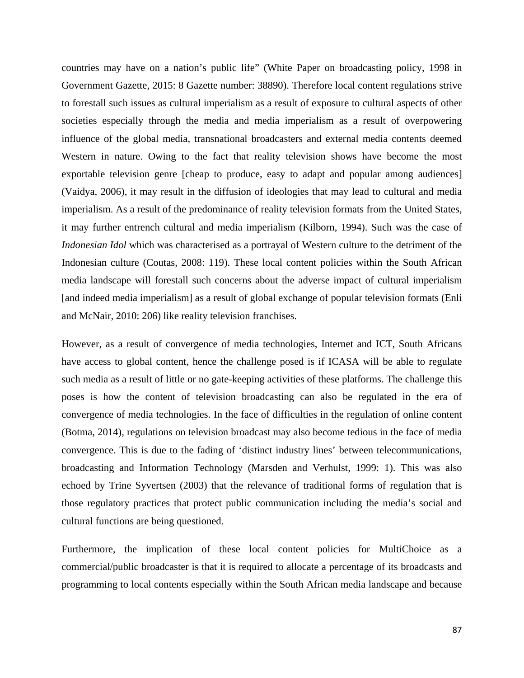countries may have on a nation's public life" (White Paper on broadcasting policy, 1998 in Government Gazette, 2015: 8 Gazette number: 38890). Therefore local content regulations strive to forestall such issues as cultural imperialism as a result of exposure to cultural aspects of other societies especially through the media and media imperialism as a result of overpowering influence of the global media, transnational broadcasters and external media contents deemed Western in nature. Owing to the fact that reality television shows have become the most exportable television genre [cheap to produce, easy to adapt and popular among audiences] (Vaidya, 2006), it may result in the diffusion of ideologies that may lead to cultural and media imperialism. As a result of the predominance of reality television formats from the United States, it may further entrench cultural and media imperialism (Kilborn, 1994). Such was the case of *Indonesian Idol* which was characterised as a portrayal of Western culture to the detriment of the Indonesian culture (Coutas, 2008: 119). These local content policies within the South African media landscape will forestall such concerns about the adverse impact of cultural imperialism [and indeed media imperialism] as a result of global exchange of popular television formats (Enli and McNair, 2010: 206) like reality television franchises.

However, as a result of convergence of media technologies, Internet and ICT, South Africans have access to global content, hence the challenge posed is if ICASA will be able to regulate such media as a result of little or no gate-keeping activities of these platforms. The challenge this poses is how the content of television broadcasting can also be regulated in the era of convergence of media technologies. In the face of difficulties in the regulation of online content (Botma, 2014), regulations on television broadcast may also become tedious in the face of media convergence. This is due to the fading of 'distinct industry lines' between telecommunications, broadcasting and Information Technology (Marsden and Verhulst, 1999: 1). This was also echoed by Trine Syvertsen (2003) that the relevance of traditional forms of regulation that is those regulatory practices that protect public communication including the media's social and cultural functions are being questioned.

Furthermore, the implication of these local content policies for MultiChoice as a commercial/public broadcaster is that it is required to allocate a percentage of its broadcasts and programming to local contents especially within the South African media landscape and because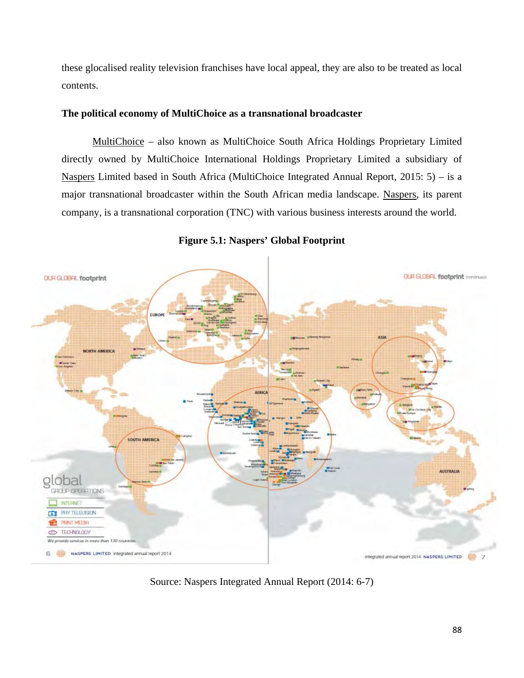these glocalised reality television franchises have local appeal, they are also to be treated as local contents.

# **The political economy of MultiChoice as a transnational broadcaster**

MultiChoice – also known as MultiChoice South Africa Holdings Proprietary Limited directly owned by MultiChoice International Holdings Proprietary Limited a subsidiary of Naspers Limited based in South Africa (MultiChoice Integrated Annual Report, 2015: 5) – is a major transnational broadcaster within the South African media landscape. Naspers, its parent company, is a transnational corporation (TNC) with various business interests around the world.



**Figure 5.1: Naspers' Global Footprint**

Source: Naspers Integrated Annual Report (2014: 6-7)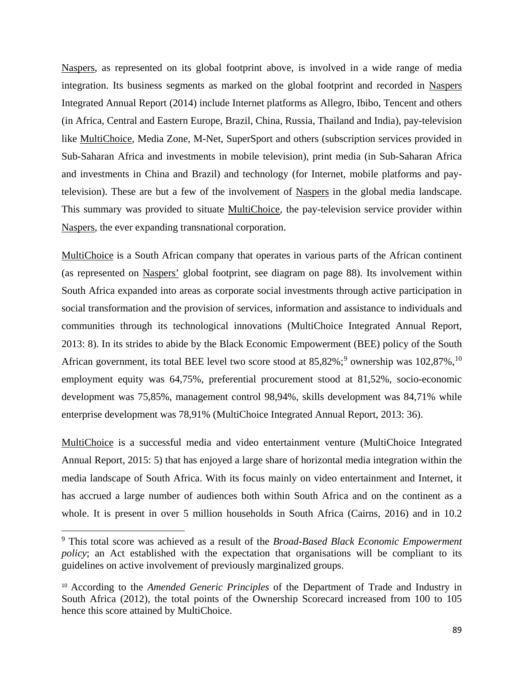Naspers, as represented on its global footprint above, is involved in a wide range of media integration. Its business segments as marked on the global footprint and recorded in Naspers Integrated Annual Report (2014) include Internet platforms as Allegro, Ibibo, Tencent and others (in Africa, Central and Eastern Europe, Brazil, China, Russia, Thailand and India), pay-television like MultiChoice, Media Zone, M-Net, SuperSport and others (subscription services provided in Sub-Saharan Africa and investments in mobile television), print media (in Sub-Saharan Africa and investments in China and Brazil) and technology (for Internet, mobile platforms and paytelevision). These are but a few of the involvement of Naspers in the global media landscape. This summary was provided to situate MultiChoice, the pay-television service provider within Naspers, the ever expanding transnational corporation.

MultiChoice is a South African company that operates in various parts of the African continent (as represented on Naspers' global footprint, see diagram on page 88). Its involvement within South Africa expanded into areas as corporate social investments through active participation in social transformation and the provision of services, information and assistance to individuals and communities through its technological innovations (MultiChoice Integrated Annual Report, 2013: 8). In its strides to abide by the Black Economic Empowerment (BEE) policy of the South African government, its total BEE level two score stood at  $85,82\%$ ;  $\degree$  ownership was  $102,87\%$  $102,87\%$ ,  $\frac{10}{10}$ employment equity was 64,75%, preferential procurement stood at 81,52%, socio-economic development was 75,85%, management control 98,94%, skills development was 84,71% while enterprise development was 78,91% (MultiChoice Integrated Annual Report, 2013: 36).

MultiChoice is a successful media and video entertainment venture (MultiChoice Integrated Annual Report, 2015: 5) that has enjoyed a large share of horizontal media integration within the media landscape of South Africa. With its focus mainly on video entertainment and Internet, it has accrued a large number of audiences both within South Africa and on the continent as a whole. It is present in over 5 million households in South Africa (Cairns, 2016) and in 10.2

l

<span id="page-100-0"></span><sup>9</sup> This total score was achieved as a result of the *Broad-Based Black Economic Empowerment policy*; an Act established with the expectation that organisations will be compliant to its guidelines on active involvement of previously marginalized groups.

<span id="page-100-1"></span><sup>10</sup> According to the *Amended Generic Principles* of the Department of Trade and Industry in South Africa (2012), the total points of the Ownership Scorecard increased from 100 to 105 hence this score attained by MultiChoice.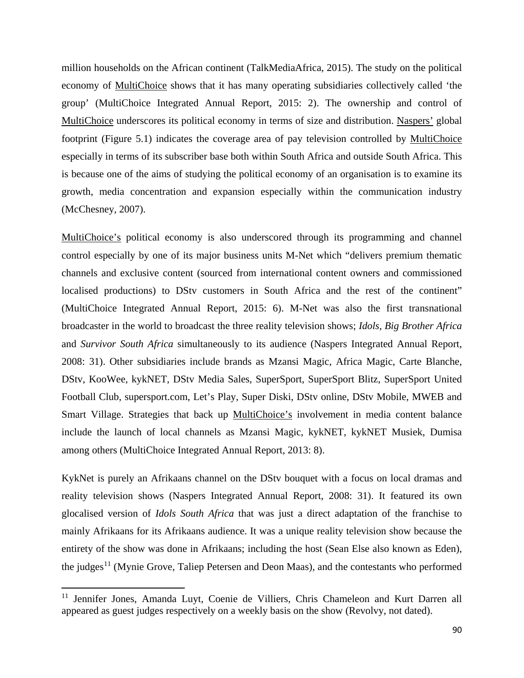million households on the African continent (TalkMediaAfrica, 2015). The study on the political economy of MultiChoice shows that it has many operating subsidiaries collectively called 'the group' (MultiChoice Integrated Annual Report, 2015: 2). The ownership and control of MultiChoice underscores its political economy in terms of size and distribution. Naspers' global footprint (Figure 5.1) indicates the coverage area of pay television controlled by MultiChoice especially in terms of its subscriber base both within South Africa and outside South Africa. This is because one of the aims of studying the political economy of an organisation is to examine its growth, media concentration and expansion especially within the communication industry (McChesney, 2007).

MultiChoice's political economy is also underscored through its programming and channel control especially by one of its major business units M-Net which "delivers premium thematic channels and exclusive content (sourced from international content owners and commissioned localised productions) to DStv customers in South Africa and the rest of the continent" (MultiChoice Integrated Annual Report, 2015: 6). M-Net was also the first transnational broadcaster in the world to broadcast the three reality television shows; *Idols, Big Brother Africa*  and *Survivor South Africa* simultaneously to its audience (Naspers Integrated Annual Report, 2008: 31). Other subsidiaries include brands as Mzansi Magic, Africa Magic, Carte Blanche, DStv, KooWee, kykNET, DStv Media Sales, SuperSport, SuperSport Blitz, SuperSport United Football Club, supersport.com, Let's Play, Super Diski, DStv online, DStv Mobile, MWEB and Smart Village. Strategies that back up MultiChoice's involvement in media content balance include the launch of local channels as Mzansi Magic, kykNET, kykNET Musiek, Dumisa among others (MultiChoice Integrated Annual Report, 2013: 8).

KykNet is purely an Afrikaans channel on the DStv bouquet with a focus on local dramas and reality television shows (Naspers Integrated Annual Report, 2008: 31). It featured its own glocalised version of *Idols South Africa* that was just a direct adaptation of the franchise to mainly Afrikaans for its Afrikaans audience. It was a unique reality television show because the entirety of the show was done in Afrikaans; including the host (Sean Else also known as Eden), the judges<sup>[11](#page-101-0)</sup> (Mynie Grove, Taliep Petersen and Deon Maas), and the contestants who performed

l

<span id="page-101-0"></span><sup>&</sup>lt;sup>11</sup> Jennifer Jones, Amanda Luyt, Coenie de Villiers, Chris Chameleon and Kurt Darren all appeared as guest judges respectively on a weekly basis on the show (Revolvy, not dated).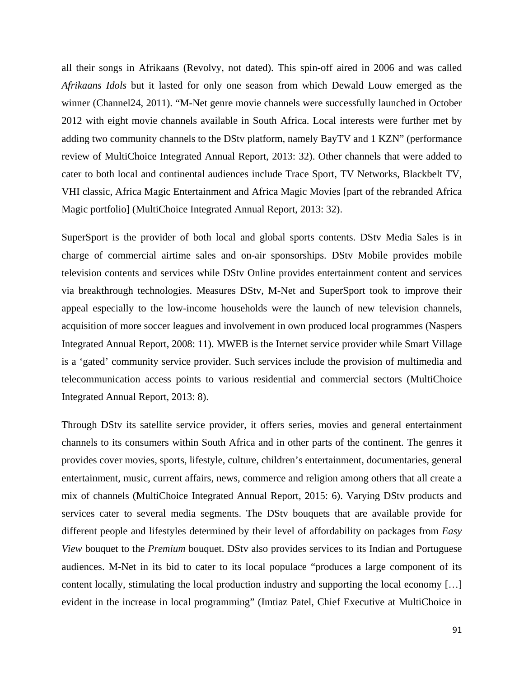all their songs in Afrikaans (Revolvy, not dated). This spin-off aired in 2006 and was called *Afrikaans Idols* but it lasted for only one season from which Dewald Louw emerged as the winner (Channel24, 2011). "M-Net genre movie channels were successfully launched in October 2012 with eight movie channels available in South Africa. Local interests were further met by adding two community channels to the DStv platform, namely BayTV and 1 KZN" (performance review of MultiChoice Integrated Annual Report, 2013: 32). Other channels that were added to cater to both local and continental audiences include Trace Sport, TV Networks, Blackbelt TV, VHI classic, Africa Magic Entertainment and Africa Magic Movies [part of the rebranded Africa Magic portfolio] (MultiChoice Integrated Annual Report, 2013: 32).

SuperSport is the provider of both local and global sports contents. DStv Media Sales is in charge of commercial airtime sales and on-air sponsorships. DStv Mobile provides mobile television contents and services while DStv Online provides entertainment content and services via breakthrough technologies. Measures DStv, M-Net and SuperSport took to improve their appeal especially to the low-income households were the launch of new television channels, acquisition of more soccer leagues and involvement in own produced local programmes (Naspers Integrated Annual Report, 2008: 11). MWEB is the Internet service provider while Smart Village is a 'gated' community service provider. Such services include the provision of multimedia and telecommunication access points to various residential and commercial sectors (MultiChoice Integrated Annual Report, 2013: 8).

Through DStv its satellite service provider, it offers series, movies and general entertainment channels to its consumers within South Africa and in other parts of the continent. The genres it provides cover movies, sports, lifestyle, culture, children's entertainment, documentaries, general entertainment, music, current affairs, news, commerce and religion among others that all create a mix of channels (MultiChoice Integrated Annual Report, 2015: 6). Varying DStv products and services cater to several media segments. The DStv bouquets that are available provide for different people and lifestyles determined by their level of affordability on packages from *Easy View* bouquet to the *Premium* bouquet. DStv also provides services to its Indian and Portuguese audiences. M-Net in its bid to cater to its local populace "produces a large component of its content locally, stimulating the local production industry and supporting the local economy […] evident in the increase in local programming" (Imtiaz Patel, Chief Executive at MultiChoice in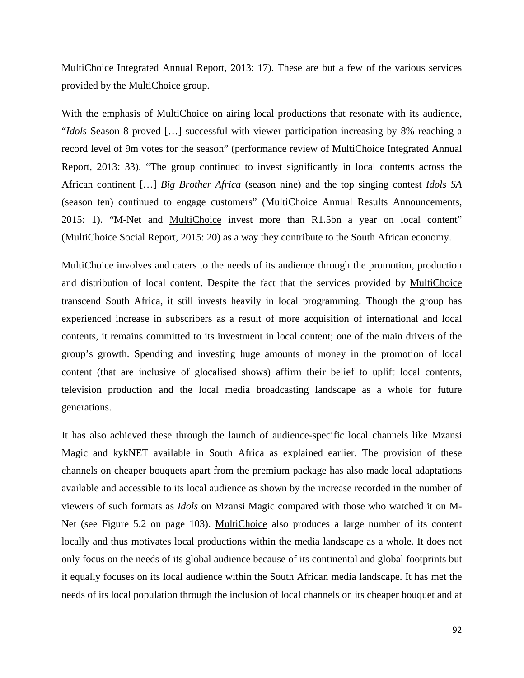MultiChoice Integrated Annual Report, 2013: 17). These are but a few of the various services provided by the MultiChoice group.

With the emphasis of MultiChoice on airing local productions that resonate with its audience, "*Idols* Season 8 proved […] successful with viewer participation increasing by 8% reaching a record level of 9m votes for the season" (performance review of MultiChoice Integrated Annual Report, 2013: 33). "The group continued to invest significantly in local contents across the African continent […] *Big Brother Africa* (season nine) and the top singing contest *Idols SA* (season ten) continued to engage customers" (MultiChoice Annual Results Announcements, 2015: 1). "M-Net and MultiChoice invest more than R1.5bn a year on local content" (MultiChoice Social Report, 2015: 20) as a way they contribute to the South African economy.

MultiChoice involves and caters to the needs of its audience through the promotion, production and distribution of local content. Despite the fact that the services provided by MultiChoice transcend South Africa, it still invests heavily in local programming. Though the group has experienced increase in subscribers as a result of more acquisition of international and local contents, it remains committed to its investment in local content; one of the main drivers of the group's growth. Spending and investing huge amounts of money in the promotion of local content (that are inclusive of glocalised shows) affirm their belief to uplift local contents, television production and the local media broadcasting landscape as a whole for future generations.

It has also achieved these through the launch of audience-specific local channels like Mzansi Magic and kykNET available in South Africa as explained earlier. The provision of these channels on cheaper bouquets apart from the premium package has also made local adaptations available and accessible to its local audience as shown by the increase recorded in the number of viewers of such formats as *Idols* on Mzansi Magic compared with those who watched it on M-Net (see Figure 5.2 on page 103). MultiChoice also produces a large number of its content locally and thus motivates local productions within the media landscape as a whole. It does not only focus on the needs of its global audience because of its continental and global footprints but it equally focuses on its local audience within the South African media landscape. It has met the needs of its local population through the inclusion of local channels on its cheaper bouquet and at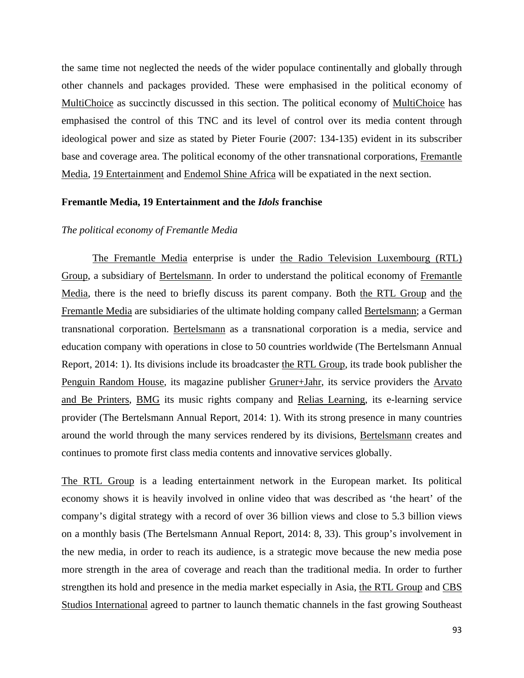the same time not neglected the needs of the wider populace continentally and globally through other channels and packages provided. These were emphasised in the political economy of MultiChoice as succinctly discussed in this section. The political economy of MultiChoice has emphasised the control of this TNC and its level of control over its media content through ideological power and size as stated by Pieter Fourie (2007: 134-135) evident in its subscriber base and coverage area. The political economy of the other transnational corporations, Fremantle Media, 19 Entertainment and Endemol Shine Africa will be expatiated in the next section.

#### **Fremantle Media, 19 Entertainment and the** *Idols* **franchise**

# *The political economy of Fremantle Media*

The Fremantle Media enterprise is under the Radio Television Luxembourg (RTL) Group, a subsidiary of Bertelsmann. In order to understand the political economy of Fremantle Media, there is the need to briefly discuss its parent company. Both the RTL Group and the Fremantle Media are subsidiaries of the ultimate holding company called Bertelsmann; a German transnational corporation. Bertelsmann as a transnational corporation is a media, service and education company with operations in close to 50 countries worldwide (The Bertelsmann Annual Report, 2014: 1). Its divisions include its broadcaster the RTL Group, its trade book publisher the Penguin Random House, its magazine publisher Gruner+Jahr, its service providers the Arvato and Be Printers, BMG its music rights company and Relias Learning, its e-learning service provider (The Bertelsmann Annual Report, 2014: 1). With its strong presence in many countries around the world through the many services rendered by its divisions, Bertelsmann creates and continues to promote first class media contents and innovative services globally.

The RTL Group is a leading entertainment network in the European market. Its political economy shows it is heavily involved in online video that was described as 'the heart' of the company's digital strategy with a record of over 36 billion views and close to 5.3 billion views on a monthly basis (The Bertelsmann Annual Report, 2014: 8, 33). This group's involvement in the new media, in order to reach its audience, is a strategic move because the new media pose more strength in the area of coverage and reach than the traditional media. In order to further strengthen its hold and presence in the media market especially in Asia, the RTL Group and CBS Studios International agreed to partner to launch thematic channels in the fast growing Southeast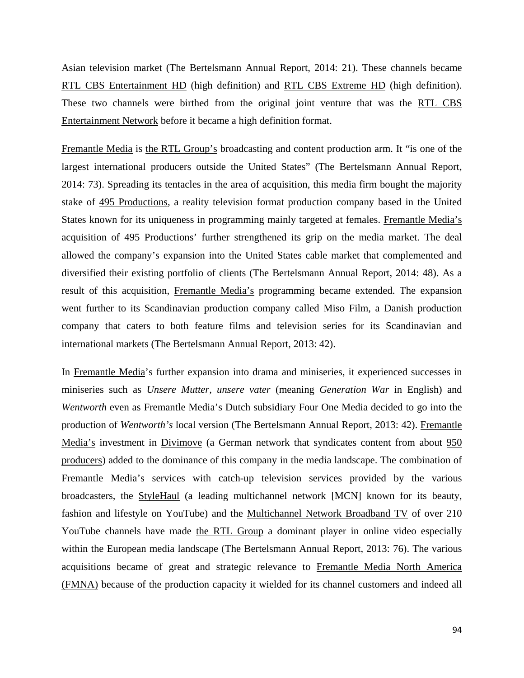Asian television market (The Bertelsmann Annual Report, 2014: 21). These channels became RTL CBS Entertainment HD (high definition) and RTL CBS Extreme HD (high definition). These two channels were birthed from the original joint venture that was the RTL CBS Entertainment Network before it became a high definition format.

Fremantle Media is the RTL Group's broadcasting and content production arm. It "is one of the largest international producers outside the United States" (The Bertelsmann Annual Report, 2014: 73). Spreading its tentacles in the area of acquisition, this media firm bought the majority stake of 495 Productions, a reality television format production company based in the United States known for its uniqueness in programming mainly targeted at females. Fremantle Media's acquisition of 495 Productions' further strengthened its grip on the media market. The deal allowed the company's expansion into the United States cable market that complemented and diversified their existing portfolio of clients (The Bertelsmann Annual Report, 2014: 48). As a result of this acquisition, Fremantle Media's programming became extended. The expansion went further to its Scandinavian production company called Miso Film, a Danish production company that caters to both feature films and television series for its Scandinavian and international markets (The Bertelsmann Annual Report, 2013: 42).

In Fremantle Media's further expansion into drama and miniseries, it experienced successes in miniseries such as *Unsere Mutter, unsere vater* (meaning *Generation War* in English) and *Wentworth* even as Fremantle Media's Dutch subsidiary Four One Media decided to go into the production of *Wentworth's* local version (The Bertelsmann Annual Report, 2013: 42). Fremantle Media's investment in Divimove (a German network that syndicates content from about 950 producers) added to the dominance of this company in the media landscape. The combination of Fremantle Media's services with catch-up television services provided by the various broadcasters, the StyleHaul (a leading multichannel network [MCN] known for its beauty, fashion and lifestyle on YouTube) and the Multichannel Network Broadband TV of over 210 YouTube channels have made the RTL Group a dominant player in online video especially within the European media landscape (The Bertelsmann Annual Report, 2013: 76). The various acquisitions became of great and strategic relevance to Fremantle Media North America (FMNA) because of the production capacity it wielded for its channel customers and indeed all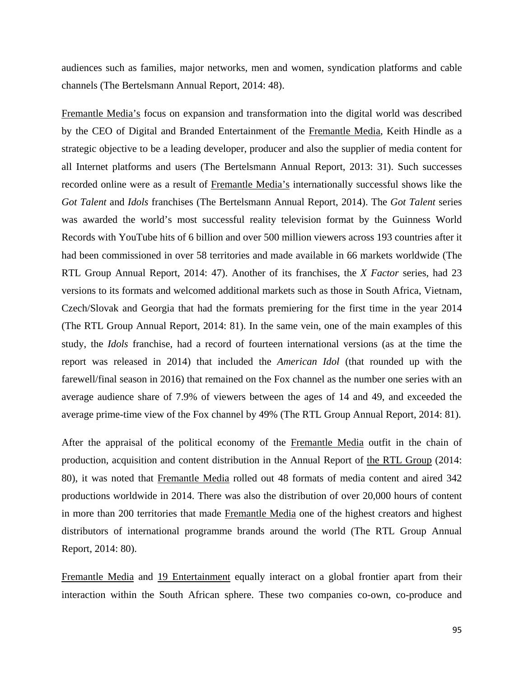audiences such as families, major networks, men and women, syndication platforms and cable channels (The Bertelsmann Annual Report, 2014: 48).

Fremantle Media's focus on expansion and transformation into the digital world was described by the CEO of Digital and Branded Entertainment of the Fremantle Media, Keith Hindle as a strategic objective to be a leading developer, producer and also the supplier of media content for all Internet platforms and users (The Bertelsmann Annual Report, 2013: 31). Such successes recorded online were as a result of Fremantle Media's internationally successful shows like the *Got Talent* and *Idols* franchises (The Bertelsmann Annual Report, 2014). The *Got Talent* series was awarded the world's most successful reality television format by the Guinness World Records with YouTube hits of 6 billion and over 500 million viewers across 193 countries after it had been commissioned in over 58 territories and made available in 66 markets worldwide (The RTL Group Annual Report, 2014: 47). Another of its franchises, the *X Factor* series, had 23 versions to its formats and welcomed additional markets such as those in South Africa, Vietnam, Czech/Slovak and Georgia that had the formats premiering for the first time in the year 2014 (The RTL Group Annual Report, 2014: 81). In the same vein, one of the main examples of this study, the *Idols* franchise, had a record of fourteen international versions (as at the time the report was released in 2014) that included the *American Idol* (that rounded up with the farewell/final season in 2016) that remained on the Fox channel as the number one series with an average audience share of 7.9% of viewers between the ages of 14 and 49, and exceeded the average prime-time view of the Fox channel by 49% (The RTL Group Annual Report, 2014: 81).

After the appraisal of the political economy of the Fremantle Media outfit in the chain of production, acquisition and content distribution in the Annual Report of the RTL Group (2014: 80), it was noted that Fremantle Media rolled out 48 formats of media content and aired 342 productions worldwide in 2014. There was also the distribution of over 20,000 hours of content in more than 200 territories that made Fremantle Media one of the highest creators and highest distributors of international programme brands around the world (The RTL Group Annual Report, 2014: 80).

Fremantle Media and 19 Entertainment equally interact on a global frontier apart from their interaction within the South African sphere. These two companies co-own, co-produce and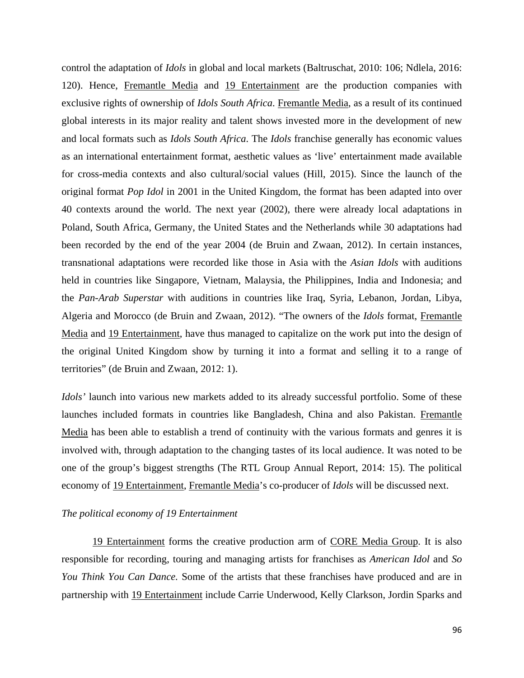control the adaptation of *Idols* in global and local markets (Baltruschat, 2010: 106; Ndlela, 2016: 120). Hence, Fremantle Media and 19 Entertainment are the production companies with exclusive rights of ownership of *Idols South Africa*. Fremantle Media, as a result of its continued global interests in its major reality and talent shows invested more in the development of new and local formats such as *Idols South Africa*. The *Idols* franchise generally has economic values as an international entertainment format, aesthetic values as 'live' entertainment made available for cross-media contexts and also cultural/social values (Hill, 2015). Since the launch of the original format *Pop Idol* in 2001 in the United Kingdom, the format has been adapted into over 40 contexts around the world. The next year (2002), there were already local adaptations in Poland, South Africa, Germany, the United States and the Netherlands while 30 adaptations had been recorded by the end of the year 2004 (de Bruin and Zwaan, 2012). In certain instances, transnational adaptations were recorded like those in Asia with the *Asian Idols* with auditions held in countries like Singapore, Vietnam, Malaysia, the Philippines, India and Indonesia; and the *Pan-Arab Superstar* with auditions in countries like Iraq, Syria, Lebanon, Jordan, Libya, Algeria and Morocco (de Bruin and Zwaan, 2012). "The owners of the *Idols* format, Fremantle Media and 19 Entertainment, have thus managed to capitalize on the work put into the design of the original United Kingdom show by turning it into a format and selling it to a range of territories" (de Bruin and Zwaan, 2012: 1).

*Idols'* launch into various new markets added to its already successful portfolio. Some of these launches included formats in countries like Bangladesh, China and also Pakistan. Fremantle Media has been able to establish a trend of continuity with the various formats and genres it is involved with, through adaptation to the changing tastes of its local audience. It was noted to be one of the group's biggest strengths (The RTL Group Annual Report, 2014: 15). The political economy of 19 Entertainment, Fremantle Media's co-producer of *Idols* will be discussed next.

# *The political economy of 19 Entertainment*

19 Entertainment forms the creative production arm of CORE Media Group. It is also responsible for recording, touring and managing artists for franchises as *American Idol* and *So You Think You Can Dance.* Some of the artists that these franchises have produced and are in partnership with 19 Entertainment include Carrie Underwood, Kelly Clarkson, Jordin Sparks and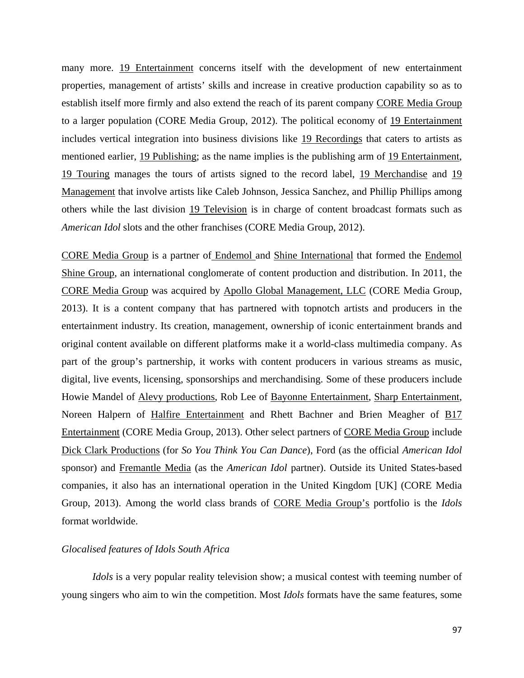many more. 19 Entertainment concerns itself with the development of new entertainment properties, management of artists' skills and increase in creative production capability so as to establish itself more firmly and also extend the reach of its parent company CORE Media Group to a larger population (CORE Media Group, 2012). The political economy of 19 Entertainment includes vertical integration into business divisions like 19 Recordings that caters to artists as mentioned earlier, 19 Publishing; as the name implies is the publishing arm of 19 Entertainment, 19 Touring manages the tours of artists signed to the record label, 19 Merchandise and 19 Management that involve artists like Caleb Johnson, Jessica Sanchez, and Phillip Phillips among others while the last division 19 Television is in charge of content broadcast formats such as *American Idol* slots and the other franchises (CORE Media Group, 2012).

CORE Media Group is a partner of Endemol and Shine International that formed the Endemol Shine Group, an international conglomerate of content production and distribution. In 2011, the CORE Media Group was acquired by Apollo Global Management, LLC (CORE Media Group, 2013). It is a content company that has partnered with topnotch artists and producers in the entertainment industry. Its creation, management, ownership of iconic entertainment brands and original content available on different platforms make it a world-class multimedia company. As part of the group's partnership, it works with content producers in various streams as music, digital, live events, licensing, sponsorships and merchandising. Some of these producers include Howie Mandel of Alevy productions, Rob Lee of Bayonne Entertainment, Sharp Entertainment, Noreen Halpern of Halfire Entertainment and Rhett Bachner and Brien Meagher of B17 Entertainment (CORE Media Group, 2013). Other select partners of CORE Media Group include Dick Clark Productions (for *So You Think You Can Dance*), Ford (as the official *American Idol*  sponsor) and Fremantle Media (as the *American Idol* partner). Outside its United States-based companies, it also has an international operation in the United Kingdom [UK] (CORE Media Group, 2013). Among the world class brands of CORE Media Group's portfolio is the *Idols*  format worldwide.

# *Glocalised features of Idols South Africa*

*Idols* is a very popular reality television show; a musical contest with teeming number of young singers who aim to win the competition. Most *Idols* formats have the same features, some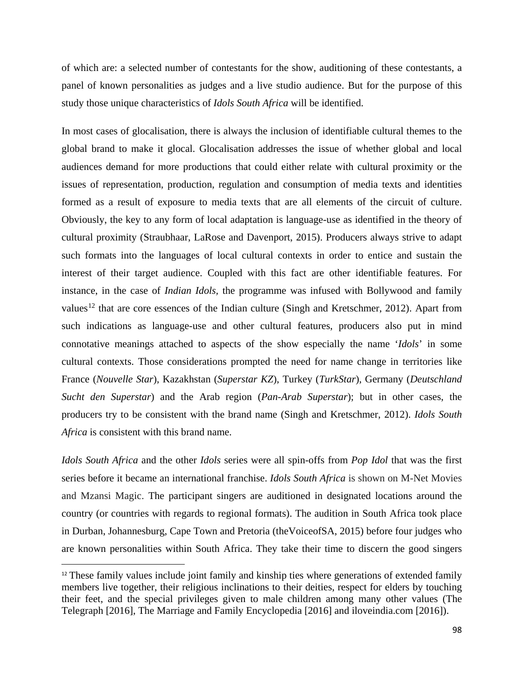of which are: a selected number of contestants for the show, auditioning of these contestants, a panel of known personalities as judges and a live studio audience. But for the purpose of this study those unique characteristics of *Idols South Africa* will be identified.

In most cases of glocalisation, there is always the inclusion of identifiable cultural themes to the global brand to make it glocal. Glocalisation addresses the issue of whether global and local audiences demand for more productions that could either relate with cultural proximity or the issues of representation, production, regulation and consumption of media texts and identities formed as a result of exposure to media texts that are all elements of the circuit of culture. Obviously, the key to any form of local adaptation is language-use as identified in the theory of cultural proximity (Straubhaar, LaRose and Davenport, 2015). Producers always strive to adapt such formats into the languages of local cultural contexts in order to entice and sustain the interest of their target audience. Coupled with this fact are other identifiable features. For instance, in the case of *Indian Idols,* the programme was infused with Bollywood and family values<sup>[12](#page-109-0)</sup> that are core essences of the Indian culture (Singh and Kretschmer, 2012). Apart from such indications as language-use and other cultural features, producers also put in mind connotative meanings attached to aspects of the show especially the name '*Idols*' in some cultural contexts. Those considerations prompted the need for name change in territories like France (*Nouvelle Star*), Kazakhstan (*Superstar KZ*), Turkey (*TurkStar*), Germany (*Deutschland Sucht den Superstar*) and the Arab region (*Pan-Arab Superstar*); but in other cases, the producers try to be consistent with the brand name (Singh and Kretschmer, 2012). *Idols South Africa* is consistent with this brand name.

*Idols South Africa* and the other *Idols* series were all spin-offs from *Pop Idol* that was the first series before it became an international franchise. *Idols South Africa* is shown on M-Net Movies and Mzansi Magic. The participant singers are auditioned in designated locations around the country (or countries with regards to regional formats). The audition in South Africa took place in Durban, Johannesburg, Cape Town and Pretoria (theVoiceofSA, 2015) before four judges who are known personalities within South Africa. They take their time to discern the good singers

 $\overline{\phantom{a}}$ 

<span id="page-109-0"></span><sup>&</sup>lt;sup>12</sup> These family values include joint family and kinship ties where generations of extended family members live together, their religious inclinations to their deities, respect for elders by touching their feet, and the special privileges given to male children among many other values (The Telegraph [2016], The Marriage and Family Encyclopedia [2016] and iloveindia.com [2016]).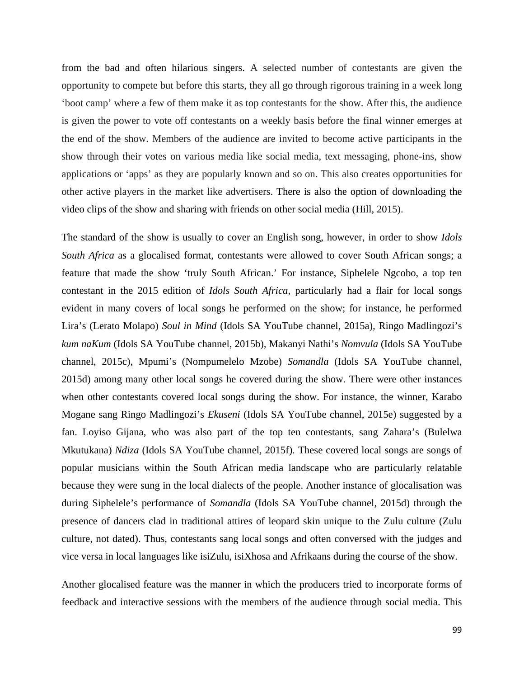from the bad and often hilarious singers. A selected number of contestants are given the opportunity to compete but before this starts, they all go through rigorous training in a week long 'boot camp' where a few of them make it as top contestants for the show. After this, the audience is given the power to vote off contestants on a weekly basis before the final winner emerges at the end of the show. Members of the audience are invited to become active participants in the show through their votes on various media like social media, text messaging, phone-ins, show applications or 'apps' as they are popularly known and so on. This also creates opportunities for other active players in the market like advertisers. There is also the option of downloading the video clips of the show and sharing with friends on other social media (Hill, 2015).

The standard of the show is usually to cover an English song, however, in order to show *Idols South Africa* as a glocalised format, contestants were allowed to cover South African songs; a feature that made the show 'truly South African.' For instance, Siphelele Ngcobo, a top ten contestant in the 2015 edition of *Idols South Africa,* particularly had a flair for local songs evident in many covers of local songs he performed on the show; for instance, he performed Lira's (Lerato Molapo) *Soul in Mind* (Idols SA YouTube channel, 2015a)*,* Ringo Madlingozi's *kum naKum* (Idols SA YouTube channel, 2015b)*,* Makanyi Nathi's *Nomvula* (Idols SA YouTube channel, 2015c)*,* Mpumi's (Nompumelelo Mzobe) *Somandla* (Idols SA YouTube channel, 2015d) among many other local songs he covered during the show. There were other instances when other contestants covered local songs during the show. For instance, the winner, Karabo Mogane sang Ringo Madlingozi's *Ekuseni* (Idols SA YouTube channel, 2015e) suggested by a fan. Loyiso Gijana, who was also part of the top ten contestants, sang Zahara's (Bulelwa Mkutukana) *Ndiza* (Idols SA YouTube channel, 2015f)*.* These covered local songs are songs of popular musicians within the South African media landscape who are particularly relatable because they were sung in the local dialects of the people. Another instance of glocalisation was during Siphelele's performance of *Somandla* (Idols SA YouTube channel, 2015d) through the presence of dancers clad in traditional attires of leopard skin unique to the Zulu culture (Zulu culture, not dated). Thus, contestants sang local songs and often conversed with the judges and vice versa in local languages like isiZulu, isiXhosa and Afrikaans during the course of the show.

Another glocalised feature was the manner in which the producers tried to incorporate forms of feedback and interactive sessions with the members of the audience through social media. This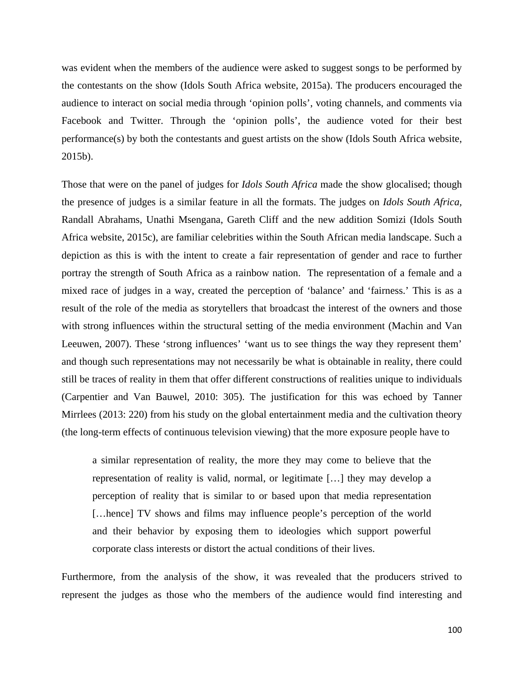was evident when the members of the audience were asked to suggest songs to be performed by the contestants on the show (Idols South Africa website, 2015a). The producers encouraged the audience to interact on social media through 'opinion polls', voting channels, and comments via Facebook and Twitter. Through the 'opinion polls', the audience voted for their best performance(s) by both the contestants and guest artists on the show (Idols South Africa website, 2015b).

Those that were on the panel of judges for *Idols South Africa* made the show glocalised; though the presence of judges is a similar feature in all the formats. The judges on *Idols South Africa,* Randall Abrahams, Unathi Msengana, Gareth Cliff and the new addition Somizi (Idols South Africa website, 2015c), are familiar celebrities within the South African media landscape. Such a depiction as this is with the intent to create a fair representation of gender and race to further portray the strength of South Africa as a rainbow nation. The representation of a female and a mixed race of judges in a way, created the perception of 'balance' and 'fairness.' This is as a result of the role of the media as storytellers that broadcast the interest of the owners and those with strong influences within the structural setting of the media environment (Machin and Van Leeuwen, 2007). These 'strong influences' 'want us to see things the way they represent them' and though such representations may not necessarily be what is obtainable in reality, there could still be traces of reality in them that offer different constructions of realities unique to individuals (Carpentier and Van Bauwel, 2010: 305). The justification for this was echoed by Tanner Mirrlees (2013: 220) from his study on the global entertainment media and the cultivation theory (the long-term effects of continuous television viewing) that the more exposure people have to

a similar representation of reality, the more they may come to believe that the representation of reality is valid, normal, or legitimate […] they may develop a perception of reality that is similar to or based upon that media representation [...hence] TV shows and films may influence people's perception of the world and their behavior by exposing them to ideologies which support powerful corporate class interests or distort the actual conditions of their lives.

Furthermore, from the analysis of the show, it was revealed that the producers strived to represent the judges as those who the members of the audience would find interesting and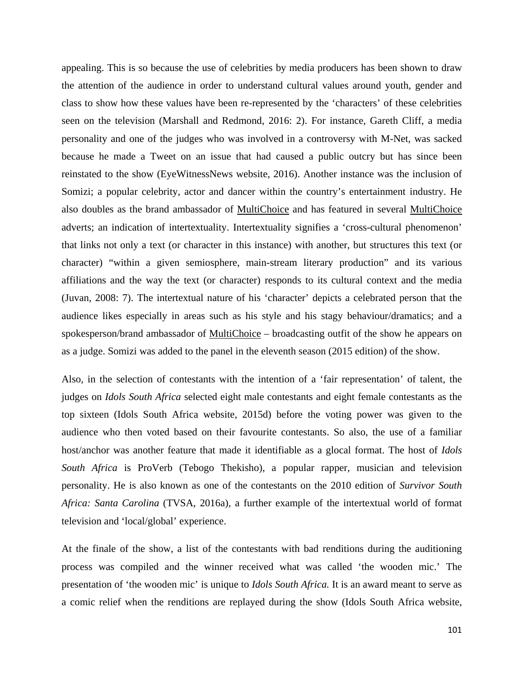appealing. This is so because the use of celebrities by media producers has been shown to draw the attention of the audience in order to understand cultural values around youth, gender and class to show how these values have been re-represented by the 'characters' of these celebrities seen on the television (Marshall and Redmond, 2016: 2). For instance, Gareth Cliff, a media personality and one of the judges who was involved in a controversy with M-Net, was sacked because he made a Tweet on an issue that had caused a public outcry but has since been reinstated to the show (EyeWitnessNews website, 2016). Another instance was the inclusion of Somizi; a popular celebrity, actor and dancer within the country's entertainment industry. He also doubles as the brand ambassador of MultiChoice and has featured in several MultiChoice adverts; an indication of intertextuality. Intertextuality signifies a 'cross-cultural phenomenon' that links not only a text (or character in this instance) with another, but structures this text (or character) "within a given semiosphere, main-stream literary production" and its various affiliations and the way the text (or character) responds to its cultural context and the media (Juvan, 2008: 7). The intertextual nature of his 'character' depicts a celebrated person that the audience likes especially in areas such as his style and his stagy behaviour/dramatics; and a spokesperson/brand ambassador of MultiChoice – broadcasting outfit of the show he appears on as a judge. Somizi was added to the panel in the eleventh season (2015 edition) of the show.

Also, in the selection of contestants with the intention of a 'fair representation' of talent, the judges on *Idols South Africa* selected eight male contestants and eight female contestants as the top sixteen (Idols South Africa website, 2015d) before the voting power was given to the audience who then voted based on their favourite contestants. So also, the use of a familiar host/anchor was another feature that made it identifiable as a glocal format. The host of *Idols South Africa* is ProVerb (Tebogo Thekisho), a popular rapper, musician and television personality. He is also known as one of the contestants on the 2010 edition of *Survivor South Africa: Santa Carolina* (TVSA, 2016a)*,* a further example of the intertextual world of format television and 'local/global' experience.

At the finale of the show, a list of the contestants with bad renditions during the auditioning process was compiled and the winner received what was called 'the wooden mic.' The presentation of 'the wooden mic' is unique to *Idols South Africa.* It is an award meant to serve as a comic relief when the renditions are replayed during the show (Idols South Africa website,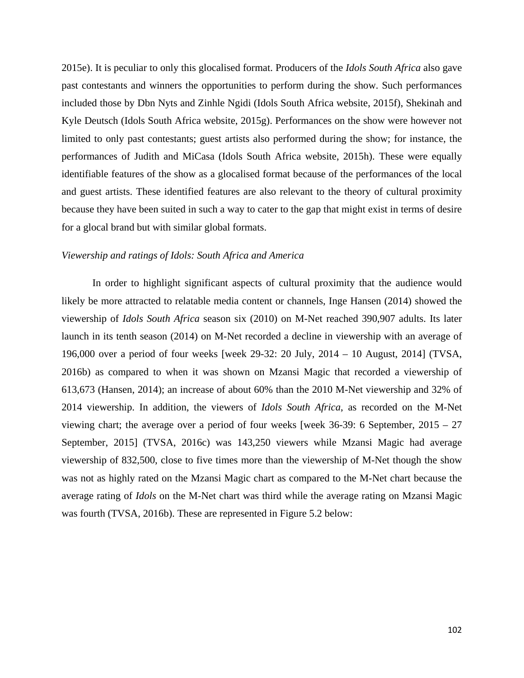2015e). It is peculiar to only this glocalised format. Producers of the *Idols South Africa* also gave past contestants and winners the opportunities to perform during the show. Such performances included those by Dbn Nyts and Zinhle Ngidi (Idols South Africa website, 2015f), Shekinah and Kyle Deutsch (Idols South Africa website, 2015g). Performances on the show were however not limited to only past contestants; guest artists also performed during the show; for instance, the performances of Judith and MiCasa (Idols South Africa website, 2015h). These were equally identifiable features of the show as a glocalised format because of the performances of the local and guest artists. These identified features are also relevant to the theory of cultural proximity because they have been suited in such a way to cater to the gap that might exist in terms of desire for a glocal brand but with similar global formats.

# *Viewership and ratings of Idols: South Africa and America*

In order to highlight significant aspects of cultural proximity that the audience would likely be more attracted to relatable media content or channels, Inge Hansen (2014) showed the viewership of *Idols South Africa* season six (2010) on M-Net reached 390,907 adults. Its later launch in its tenth season (2014) on M-Net recorded a decline in viewership with an average of 196,000 over a period of four weeks [week 29-32: 20 July, 2014 – 10 August, 2014] (TVSA, 2016b) as compared to when it was shown on Mzansi Magic that recorded a viewership of 613,673 (Hansen, 2014); an increase of about 60% than the 2010 M-Net viewership and 32% of 2014 viewership. In addition, the viewers of *Idols South Africa*, as recorded on the M-Net viewing chart; the average over a period of four weeks [week 36-39: 6 September, 2015 – 27 September, 2015] (TVSA, 2016c) was 143,250 viewers while Mzansi Magic had average viewership of 832,500, close to five times more than the viewership of M-Net though the show was not as highly rated on the Mzansi Magic chart as compared to the M-Net chart because the average rating of *Idols* on the M-Net chart was third while the average rating on Mzansi Magic was fourth (TVSA, 2016b). These are represented in Figure 5.2 below: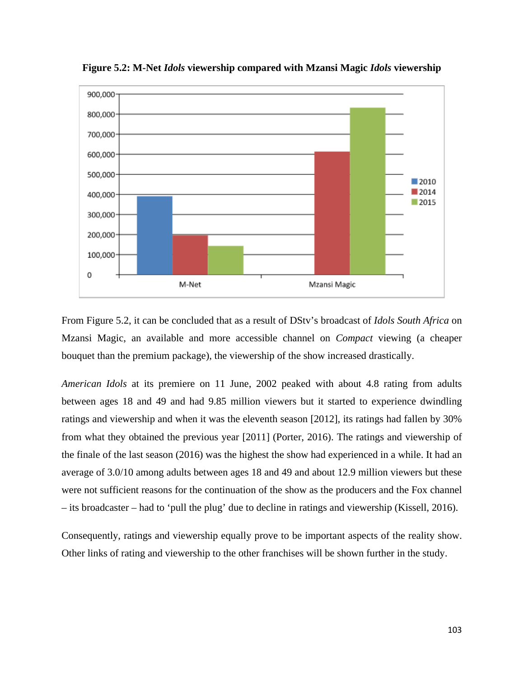

**Figure 5.2: M-Net** *Idols* **viewership compared with Mzansi Magic** *Idols* **viewership**

From Figure 5.2, it can be concluded that as a result of DStv's broadcast of *Idols South Africa* on Mzansi Magic, an available and more accessible channel on *Compact* viewing (a cheaper bouquet than the premium package), the viewership of the show increased drastically.

*American Idols* at its premiere on 11 June, 2002 peaked with about 4.8 rating from adults between ages 18 and 49 and had 9.85 million viewers but it started to experience dwindling ratings and viewership and when it was the eleventh season [2012], its ratings had fallen by 30% from what they obtained the previous year [2011] (Porter, 2016). The ratings and viewership of the finale of the last season (2016) was the highest the show had experienced in a while. It had an average of 3.0/10 among adults between ages 18 and 49 and about 12.9 million viewers but these were not sufficient reasons for the continuation of the show as the producers and the Fox channel – its broadcaster – had to 'pull the plug' due to decline in ratings and viewership (Kissell, 2016).

Consequently, ratings and viewership equally prove to be important aspects of the reality show. Other links of rating and viewership to the other franchises will be shown further in the study.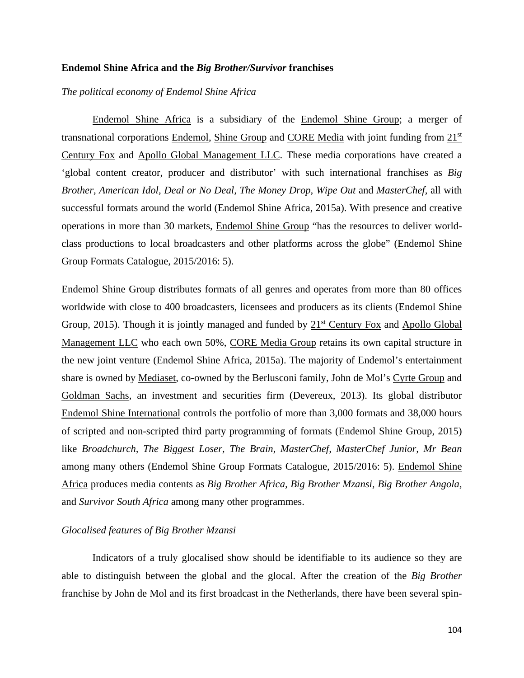#### **Endemol Shine Africa and the** *Big Brother/Survivor* **franchises**

*The political economy of Endemol Shine Africa* 

Endemol Shine Africa is a subsidiary of the Endemol Shine Group; a merger of transnational corporations Endemol, Shine Group and CORE Media with joint funding from 21<sup>st</sup> Century Fox and Apollo Global Management LLC. These media corporations have created a 'global content creator, producer and distributor' with such international franchises as *Big Brother, American Idol, Deal or No Deal, The Money Drop, Wipe Out* and *MasterChef,* all with successful formats around the world (Endemol Shine Africa, 2015a). With presence and creative operations in more than 30 markets, Endemol Shine Group "has the resources to deliver worldclass productions to local broadcasters and other platforms across the globe" (Endemol Shine Group Formats Catalogue, 2015/2016: 5).

Endemol Shine Group distributes formats of all genres and operates from more than 80 offices worldwide with close to 400 broadcasters, licensees and producers as its clients (Endemol Shine Group, 2015). Though it is jointly managed and funded by  $21<sup>st</sup>$  Century Fox and Apollo Global Management LLC who each own 50%, CORE Media Group retains its own capital structure in the new joint venture (Endemol Shine Africa, 2015a). The majority of Endemol's entertainment share is owned by Mediaset, co-owned by the Berlusconi family, John de Mol's Cyrte Group and Goldman Sachs, an investment and securities firm (Devereux, 2013). Its global distributor Endemol Shine International controls the portfolio of more than 3,000 formats and 38,000 hours of scripted and non-scripted third party programming of formats (Endemol Shine Group, 2015) like *Broadchurch, The Biggest Loser, The Brain, MasterChef, MasterChef Junior, Mr Bean*  among many others (Endemol Shine Group Formats Catalogue, 2015/2016: 5). Endemol Shine Africa produces media contents as *Big Brother Africa, Big Brother Mzansi, Big Brother Angola,*  and *Survivor South Africa* among many other programmes.

# *Glocalised features of Big Brother Mzansi*

Indicators of a truly glocalised show should be identifiable to its audience so they are able to distinguish between the global and the glocal. After the creation of the *Big Brother*  franchise by John de Mol and its first broadcast in the Netherlands, there have been several spin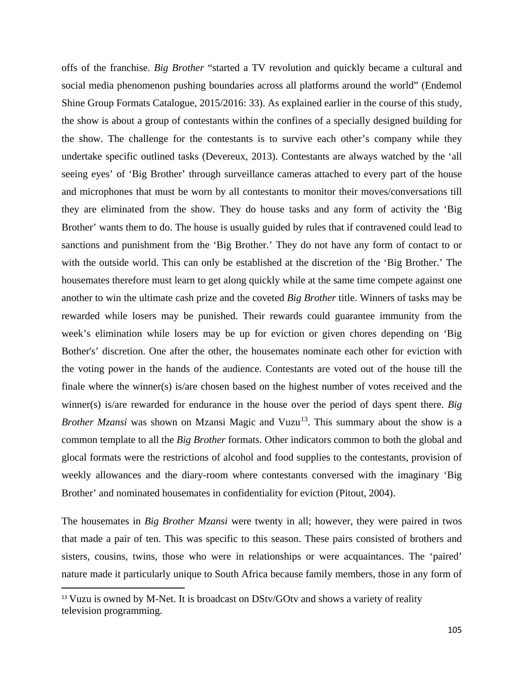offs of the franchise. *Big Brother* "started a TV revolution and quickly became a cultural and social media phenomenon pushing boundaries across all platforms around the world" (Endemol Shine Group Formats Catalogue, 2015/2016: 33). As explained earlier in the course of this study, the show is about a group of contestants within the confines of a specially designed building for the show. The challenge for the contestants is to survive each other's company while they undertake specific outlined tasks (Devereux, 2013). Contestants are always watched by the 'all seeing eyes' of 'Big Brother' through surveillance cameras attached to every part of the house and microphones that must be worn by all contestants to monitor their moves/conversations till they are eliminated from the show. They do house tasks and any form of activity the 'Big Brother' wants them to do. The house is usually guided by rules that if contravened could lead to sanctions and punishment from the 'Big Brother.' They do not have any form of contact to or with the outside world. This can only be established at the discretion of the 'Big Brother.' The housemates therefore must learn to get along quickly while at the same time compete against one another to win the ultimate cash prize and the coveted *Big Brother* title. Winners of tasks may be rewarded while losers may be punished. Their rewards could guarantee immunity from the week's elimination while losers may be up for eviction or given chores depending on 'Big Bother's' discretion. One after the other, the housemates nominate each other for eviction with the voting power in the hands of the audience. Contestants are voted out of the house till the finale where the winner(s) is/are chosen based on the highest number of votes received and the winner(s) is/are rewarded for endurance in the house over the period of days spent there. *Big Brother Mzansi* was shown on Mzansi Magic and Vuzu<sup>13</sup>. This summary about the show is a common template to all the *Big Brother* formats. Other indicators common to both the global and glocal formats were the restrictions of alcohol and food supplies to the contestants, provision of weekly allowances and the diary-room where contestants conversed with the imaginary 'Big Brother' and nominated housemates in confidentiality for eviction (Pitout, 2004).

The housemates in *Big Brother Mzansi* were twenty in all; however, they were paired in twos that made a pair of ten. This was specific to this season. These pairs consisted of brothers and sisters, cousins, twins, those who were in relationships or were acquaintances. The 'paired' nature made it particularly unique to South Africa because family members, those in any form of

 $\overline{a}$ 

<span id="page-116-0"></span><sup>&</sup>lt;sup>13</sup> Vuzu is owned by M-Net. It is broadcast on DStv/GOtv and shows a variety of reality television programming.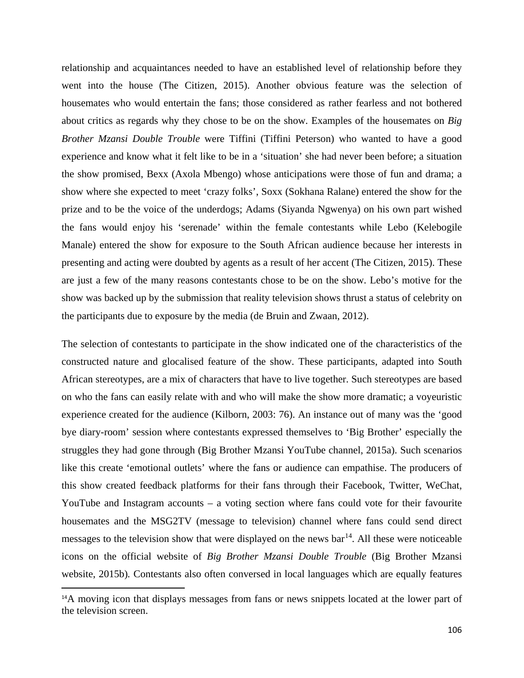relationship and acquaintances needed to have an established level of relationship before they went into the house (The Citizen, 2015). Another obvious feature was the selection of housemates who would entertain the fans; those considered as rather fearless and not bothered about critics as regards why they chose to be on the show. Examples of the housemates on *Big Brother Mzansi Double Trouble* were Tiffini (Tiffini Peterson) who wanted to have a good experience and know what it felt like to be in a 'situation' she had never been before; a situation the show promised, Bexx (Axola Mbengo) whose anticipations were those of fun and drama; a show where she expected to meet 'crazy folks', Soxx (Sokhana Ralane) entered the show for the prize and to be the voice of the underdogs; Adams (Siyanda Ngwenya) on his own part wished the fans would enjoy his 'serenade' within the female contestants while Lebo (Kelebogile Manale) entered the show for exposure to the South African audience because her interests in presenting and acting were doubted by agents as a result of her accent (The Citizen, 2015). These are just a few of the many reasons contestants chose to be on the show. Lebo's motive for the show was backed up by the submission that reality television shows thrust a status of celebrity on the participants due to exposure by the media (de Bruin and Zwaan, 2012).

The selection of contestants to participate in the show indicated one of the characteristics of the constructed nature and glocalised feature of the show. These participants, adapted into South African stereotypes, are a mix of characters that have to live together. Such stereotypes are based on who the fans can easily relate with and who will make the show more dramatic; a voyeuristic experience created for the audience (Kilborn, 2003: 76). An instance out of many was the 'good bye diary-room' session where contestants expressed themselves to 'Big Brother' especially the struggles they had gone through (Big Brother Mzansi YouTube channel, 2015a). Such scenarios like this create 'emotional outlets' where the fans or audience can empathise. The producers of this show created feedback platforms for their fans through their Facebook, Twitter, WeChat, YouTube and Instagram accounts – a voting section where fans could vote for their favourite housemates and the MSG2TV (message to television) channel where fans could send direct messages to the television show that were displayed on the news  $bar<sup>14</sup>$  $bar<sup>14</sup>$  $bar<sup>14</sup>$ . All these were noticeable icons on the official website of *Big Brother Mzansi Double Trouble* (Big Brother Mzansi website, 2015b)*.* Contestants also often conversed in local languages which are equally features

 $\overline{a}$ 

<span id="page-117-0"></span><sup>&</sup>lt;sup>14</sup>A moving icon that displays messages from fans or news snippets located at the lower part of the television screen.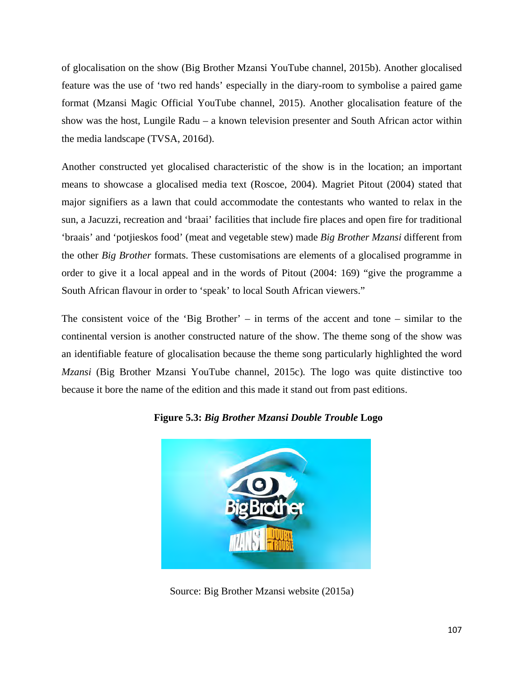of glocalisation on the show (Big Brother Mzansi YouTube channel, 2015b). Another glocalised feature was the use of 'two red hands' especially in the diary-room to symbolise a paired game format (Mzansi Magic Official YouTube channel, 2015). Another glocalisation feature of the show was the host, Lungile Radu – a known television presenter and South African actor within the media landscape (TVSA, 2016d).

Another constructed yet glocalised characteristic of the show is in the location; an important means to showcase a glocalised media text (Roscoe, 2004). Magriet Pitout (2004) stated that major signifiers as a lawn that could accommodate the contestants who wanted to relax in the sun, a Jacuzzi, recreation and 'braai' facilities that include fire places and open fire for traditional 'braais' and 'potjieskos food' (meat and vegetable stew) made *Big Brother Mzansi* different from the other *Big Brother* formats. These customisations are elements of a glocalised programme in order to give it a local appeal and in the words of Pitout (2004: 169) "give the programme a South African flavour in order to 'speak' to local South African viewers."

The consistent voice of the 'Big Brother' – in terms of the accent and tone – similar to the continental version is another constructed nature of the show. The theme song of the show was an identifiable feature of glocalisation because the theme song particularly highlighted the word *Mzansi* (Big Brother Mzansi YouTube channel, 2015c)*.* The logo was quite distinctive too because it bore the name of the edition and this made it stand out from past editions.



**Figure 5.3:** *Big Brother Mzansi Double Trouble* **Logo** 

Source: Big Brother Mzansi website (2015a)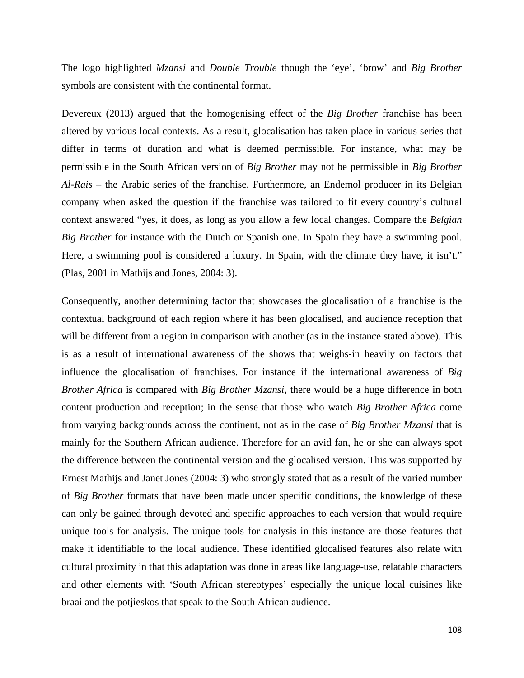The logo highlighted *Mzansi* and *Double Trouble* though the 'eye', 'brow' and *Big Brother* symbols are consistent with the continental format.

Devereux (2013) argued that the homogenising effect of the *Big Brother* franchise has been altered by various local contexts. As a result, glocalisation has taken place in various series that differ in terms of duration and what is deemed permissible. For instance, what may be permissible in the South African version of *Big Brother* may not be permissible in *Big Brother Al-Rais* – the Arabic series of the franchise. Furthermore, an Endemol producer in its Belgian company when asked the question if the franchise was tailored to fit every country's cultural context answered "yes, it does, as long as you allow a few local changes. Compare the *Belgian Big Brother* for instance with the Dutch or Spanish one. In Spain they have a swimming pool. Here, a swimming pool is considered a luxury. In Spain, with the climate they have, it isn't." (Plas, 2001 in Mathijs and Jones, 2004: 3).

Consequently, another determining factor that showcases the glocalisation of a franchise is the contextual background of each region where it has been glocalised, and audience reception that will be different from a region in comparison with another (as in the instance stated above). This is as a result of international awareness of the shows that weighs-in heavily on factors that influence the glocalisation of franchises. For instance if the international awareness of *Big Brother Africa* is compared with *Big Brother Mzansi*, there would be a huge difference in both content production and reception; in the sense that those who watch *Big Brother Africa* come from varying backgrounds across the continent, not as in the case of *Big Brother Mzansi* that is mainly for the Southern African audience. Therefore for an avid fan, he or she can always spot the difference between the continental version and the glocalised version. This was supported by Ernest Mathijs and Janet Jones (2004: 3) who strongly stated that as a result of the varied number of *Big Brother* formats that have been made under specific conditions, the knowledge of these can only be gained through devoted and specific approaches to each version that would require unique tools for analysis. The unique tools for analysis in this instance are those features that make it identifiable to the local audience. These identified glocalised features also relate with cultural proximity in that this adaptation was done in areas like language-use, relatable characters and other elements with 'South African stereotypes' especially the unique local cuisines like braai and the potjieskos that speak to the South African audience.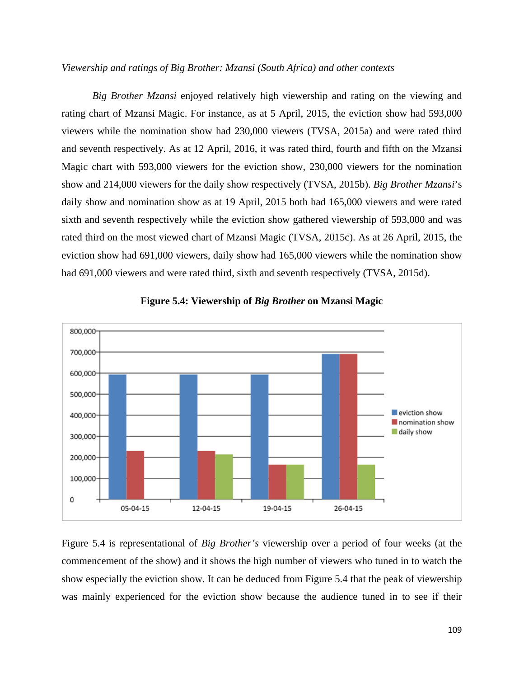# *Viewership and ratings of Big Brother: Mzansi (South Africa) and other contexts*

*Big Brother Mzansi* enjoyed relatively high viewership and rating on the viewing and rating chart of Mzansi Magic. For instance, as at 5 April, 2015, the eviction show had 593,000 viewers while the nomination show had 230,000 viewers (TVSA, 2015a) and were rated third and seventh respectively. As at 12 April, 2016, it was rated third, fourth and fifth on the Mzansi Magic chart with 593,000 viewers for the eviction show, 230,000 viewers for the nomination show and 214,000 viewers for the daily show respectively (TVSA, 2015b). *Big Brother Mzansi*'s daily show and nomination show as at 19 April, 2015 both had 165,000 viewers and were rated sixth and seventh respectively while the eviction show gathered viewership of 593,000 and was rated third on the most viewed chart of Mzansi Magic (TVSA, 2015c). As at 26 April, 2015, the eviction show had 691,000 viewers, daily show had 165,000 viewers while the nomination show had 691,000 viewers and were rated third, sixth and seventh respectively (TVSA, 2015d).



# **Figure 5.4: Viewership of** *Big Brother* **on Mzansi Magic**

Figure 5.4 is representational of *Big Brother's* viewership over a period of four weeks (at the commencement of the show) and it shows the high number of viewers who tuned in to watch the show especially the eviction show. It can be deduced from Figure 5.4 that the peak of viewership was mainly experienced for the eviction show because the audience tuned in to see if their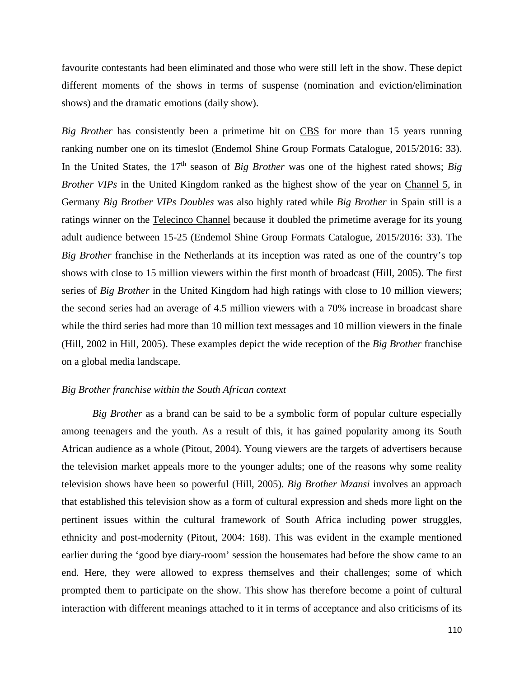favourite contestants had been eliminated and those who were still left in the show. These depict different moments of the shows in terms of suspense (nomination and eviction/elimination shows) and the dramatic emotions (daily show).

*Big Brother* has consistently been a primetime hit on CBS for more than 15 years running ranking number one on its timeslot (Endemol Shine Group Formats Catalogue, 2015/2016: 33). In the United States, the 17<sup>th</sup> season of *Big Brother* was one of the highest rated shows; *Big Brother VIPs* in the United Kingdom ranked as the highest show of the year on Channel 5, in Germany *Big Brother VIPs Doubles* was also highly rated while *Big Brother* in Spain still is a ratings winner on the Telecinco Channel because it doubled the primetime average for its young adult audience between 15-25 (Endemol Shine Group Formats Catalogue, 2015/2016: 33). The *Big Brother* franchise in the Netherlands at its inception was rated as one of the country's top shows with close to 15 million viewers within the first month of broadcast (Hill, 2005). The first series of *Big Brother* in the United Kingdom had high ratings with close to 10 million viewers; the second series had an average of 4.5 million viewers with a 70% increase in broadcast share while the third series had more than 10 million text messages and 10 million viewers in the finale (Hill, 2002 in Hill, 2005). These examples depict the wide reception of the *Big Brother* franchise on a global media landscape.

#### *Big Brother franchise within the South African context*

*Big Brother* as a brand can be said to be a symbolic form of popular culture especially among teenagers and the youth. As a result of this, it has gained popularity among its South African audience as a whole (Pitout, 2004). Young viewers are the targets of advertisers because the television market appeals more to the younger adults; one of the reasons why some reality television shows have been so powerful (Hill, 2005). *Big Brother Mzansi* involves an approach that established this television show as a form of cultural expression and sheds more light on the pertinent issues within the cultural framework of South Africa including power struggles, ethnicity and post-modernity (Pitout, 2004: 168). This was evident in the example mentioned earlier during the 'good bye diary-room' session the housemates had before the show came to an end. Here, they were allowed to express themselves and their challenges; some of which prompted them to participate on the show. This show has therefore become a point of cultural interaction with different meanings attached to it in terms of acceptance and also criticisms of its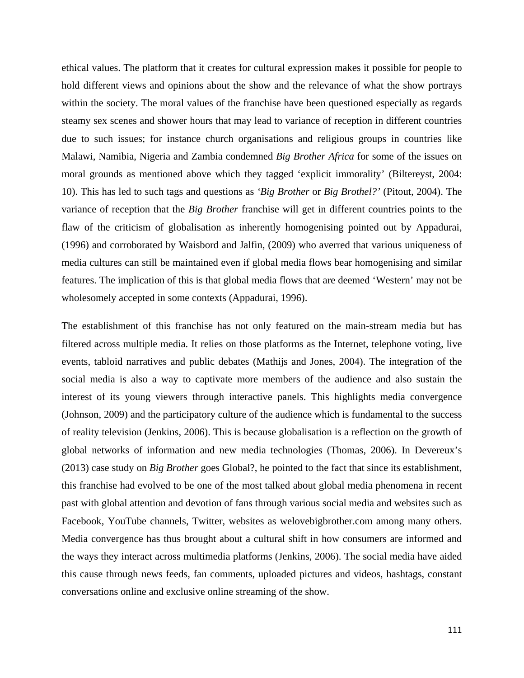ethical values. The platform that it creates for cultural expression makes it possible for people to hold different views and opinions about the show and the relevance of what the show portrays within the society. The moral values of the franchise have been questioned especially as regards steamy sex scenes and shower hours that may lead to variance of reception in different countries due to such issues; for instance church organisations and religious groups in countries like Malawi, Namibia, Nigeria and Zambia condemned *Big Brother Africa* for some of the issues on moral grounds as mentioned above which they tagged 'explicit immorality' (Biltereyst, 2004: 10). This has led to such tags and questions as *'Big Brother* or *Big Brothel?'* (Pitout, 2004). The variance of reception that the *Big Brother* franchise will get in different countries points to the flaw of the criticism of globalisation as inherently homogenising pointed out by Appadurai, (1996) and corroborated by Waisbord and Jalfin, (2009) who averred that various uniqueness of media cultures can still be maintained even if global media flows bear homogenising and similar features. The implication of this is that global media flows that are deemed 'Western' may not be wholesomely accepted in some contexts (Appadurai, 1996).

The establishment of this franchise has not only featured on the main-stream media but has filtered across multiple media. It relies on those platforms as the Internet, telephone voting, live events, tabloid narratives and public debates (Mathijs and Jones, 2004). The integration of the social media is also a way to captivate more members of the audience and also sustain the interest of its young viewers through interactive panels. This highlights media convergence (Johnson, 2009) and the participatory culture of the audience which is fundamental to the success of reality television (Jenkins, 2006). This is because globalisation is a reflection on the growth of global networks of information and new media technologies (Thomas, 2006). In Devereux's (2013) case study on *Big Brother* goes Global?, he pointed to the fact that since its establishment, this franchise had evolved to be one of the most talked about global media phenomena in recent past with global attention and devotion of fans through various social media and websites such as Facebook, YouTube channels, Twitter, websites as welovebigbrother.com among many others. Media convergence has thus brought about a cultural shift in how consumers are informed and the ways they interact across multimedia platforms (Jenkins, 2006). The social media have aided this cause through news feeds, fan comments, uploaded pictures and videos, hashtags, constant conversations online and exclusive online streaming of the show.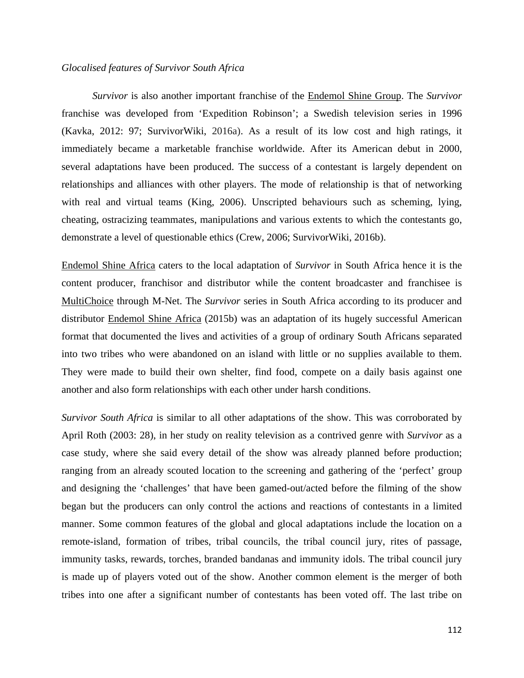### *Glocalised features of Survivor South Africa*

*Survivor* is also another important franchise of the Endemol Shine Group. The *Survivor*  franchise was developed from 'Expedition Robinson'; a Swedish television series in 1996 (Kavka, 2012: 97; SurvivorWiki, 2016a). As a result of its low cost and high ratings, it immediately became a marketable franchise worldwide. After its American debut in 2000, several adaptations have been produced. The success of a contestant is largely dependent on relationships and alliances with other players. The mode of relationship is that of networking with real and virtual teams (King, 2006). Unscripted behaviours such as scheming, lying, cheating, ostracizing teammates, manipulations and various extents to which the contestants go, demonstrate a level of questionable ethics (Crew, 2006; SurvivorWiki, 2016b).

Endemol Shine Africa caters to the local adaptation of *Survivor* in South Africa hence it is the content producer, franchisor and distributor while the content broadcaster and franchisee is MultiChoice through M-Net. The *Survivor* series in South Africa according to its producer and distributor Endemol Shine Africa (2015b) was an adaptation of its hugely successful American format that documented the lives and activities of a group of ordinary South Africans separated into two tribes who were abandoned on an island with little or no supplies available to them. They were made to build their own shelter, find food, compete on a daily basis against one another and also form relationships with each other under harsh conditions.

*Survivor South Africa* is similar to all other adaptations of the show. This was corroborated by April Roth (2003: 28), in her study on reality television as a contrived genre with *Survivor* as a case study, where she said every detail of the show was already planned before production; ranging from an already scouted location to the screening and gathering of the 'perfect' group and designing the 'challenges' that have been gamed-out/acted before the filming of the show began but the producers can only control the actions and reactions of contestants in a limited manner. Some common features of the global and glocal adaptations include the location on a remote-island, formation of tribes, tribal councils, the tribal council jury, rites of passage, immunity tasks, rewards, torches, branded bandanas and immunity idols. The tribal council jury is made up of players voted out of the show. Another common element is the merger of both tribes into one after a significant number of contestants has been voted off. The last tribe on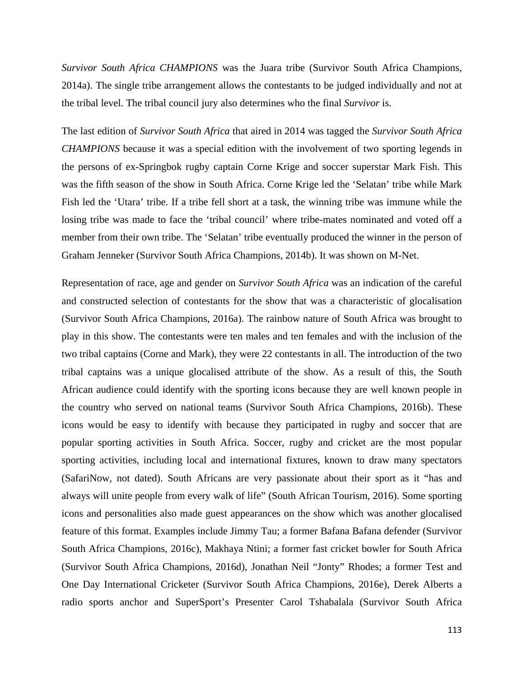*Survivor South Africa CHAMPIONS* was the Juara tribe (Survivor South Africa Champions, 2014a). The single tribe arrangement allows the contestants to be judged individually and not at the tribal level. The tribal council jury also determines who the final *Survivor* is.

The last edition of *Survivor South Africa* that aired in 2014 was tagged the *Survivor South Africa CHAMPIONS* because it was a special edition with the involvement of two sporting legends in the persons of ex-Springbok rugby captain Corne Krige and soccer superstar Mark Fish. This was the fifth season of the show in South Africa. Corne Krige led the 'Selatan' tribe while Mark Fish led the 'Utara' tribe. If a tribe fell short at a task, the winning tribe was immune while the losing tribe was made to face the 'tribal council' where tribe-mates nominated and voted off a member from their own tribe. The 'Selatan' tribe eventually produced the winner in the person of Graham Jenneker (Survivor South Africa Champions, 2014b). It was shown on M-Net.

Representation of race, age and gender on *Survivor South Africa* was an indication of the careful and constructed selection of contestants for the show that was a characteristic of glocalisation (Survivor South Africa Champions, 2016a). The rainbow nature of South Africa was brought to play in this show. The contestants were ten males and ten females and with the inclusion of the two tribal captains (Corne and Mark), they were 22 contestants in all. The introduction of the two tribal captains was a unique glocalised attribute of the show. As a result of this, the South African audience could identify with the sporting icons because they are well known people in the country who served on national teams (Survivor South Africa Champions, 2016b). These icons would be easy to identify with because they participated in rugby and soccer that are popular sporting activities in South Africa. Soccer, rugby and cricket are the most popular sporting activities, including local and international fixtures, known to draw many spectators (SafariNow, not dated). South Africans are very passionate about their sport as it "has and always will unite people from every walk of life" (South African Tourism, 2016). Some sporting icons and personalities also made guest appearances on the show which was another glocalised feature of this format. Examples include Jimmy Tau; a former Bafana Bafana defender (Survivor South Africa Champions, 2016c), Makhaya Ntini; a former fast cricket bowler for South Africa (Survivor South Africa Champions, 2016d), Jonathan Neil "Jonty" Rhodes; a former Test and One Day International Cricketer (Survivor South Africa Champions, 2016e), Derek Alberts a radio sports anchor and SuperSport's Presenter Carol Tshabalala (Survivor South Africa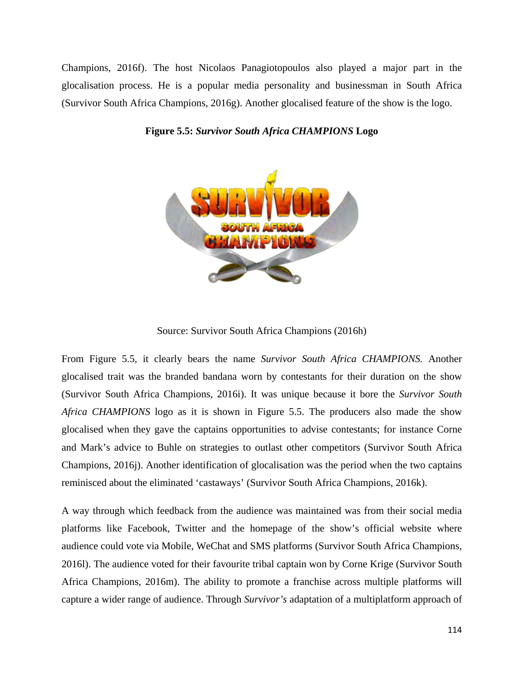Champions, 2016f). The host Nicolaos Panagiotopoulos also played a major part in the glocalisation process. He is a popular media personality and businessman in South Africa (Survivor South Africa Champions, 2016g). Another glocalised feature of the show is the logo.



# **Figure 5.5:** *Survivor South Africa CHAMPIONS* **Logo**

Source: Survivor South Africa Champions (2016h)

From Figure 5.5, it clearly bears the name *Survivor South Africa CHAMPIONS.* Another glocalised trait was the branded bandana worn by contestants for their duration on the show (Survivor South Africa Champions, 2016i). It was unique because it bore the *Survivor South Africa CHAMPIONS* logo as it is shown in Figure 5.5. The producers also made the show glocalised when they gave the captains opportunities to advise contestants; for instance Corne and Mark's advice to Buhle on strategies to outlast other competitors (Survivor South Africa Champions, 2016j). Another identification of glocalisation was the period when the two captains reminisced about the eliminated 'castaways' (Survivor South Africa Champions, 2016k).

A way through which feedback from the audience was maintained was from their social media platforms like Facebook, Twitter and the homepage of the show's official website where audience could vote via Mobile, WeChat and SMS platforms (Survivor South Africa Champions, 2016l). The audience voted for their favourite tribal captain won by Corne Krige (Survivor South Africa Champions, 2016m). The ability to promote a franchise across multiple platforms will capture a wider range of audience. Through *Survivor's* adaptation of a multiplatform approach of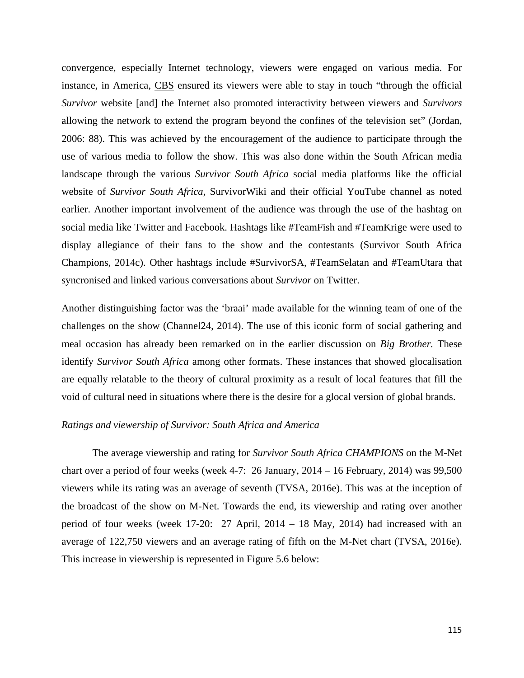convergence, especially Internet technology, viewers were engaged on various media. For instance, in America, CBS ensured its viewers were able to stay in touch "through the official *Survivor* website [and] the Internet also promoted interactivity between viewers and *Survivors*  allowing the network to extend the program beyond the confines of the television set" (Jordan, 2006: 88). This was achieved by the encouragement of the audience to participate through the use of various media to follow the show. This was also done within the South African media landscape through the various *Survivor South Africa* social media platforms like the official website of *Survivor South Africa*, SurvivorWiki and their official YouTube channel as noted earlier. Another important involvement of the audience was through the use of the hashtag on social media like Twitter and Facebook. Hashtags like #TeamFish and #TeamKrige were used to display allegiance of their fans to the show and the contestants (Survivor South Africa Champions, 2014c). Other hashtags include #SurvivorSA, #TeamSelatan and #TeamUtara that syncronised and linked various conversations about *Survivor* on Twitter.

Another distinguishing factor was the 'braai' made available for the winning team of one of the challenges on the show (Channel24, 2014). The use of this iconic form of social gathering and meal occasion has already been remarked on in the earlier discussion on *Big Brother.* These identify *Survivor South Africa* among other formats. These instances that showed glocalisation are equally relatable to the theory of cultural proximity as a result of local features that fill the void of cultural need in situations where there is the desire for a glocal version of global brands.

# *Ratings and viewership of Survivor: South Africa and America*

The average viewership and rating for *Survivor South Africa CHAMPIONS* on the M-Net chart over a period of four weeks (week 4-7: 26 January, 2014 – 16 February, 2014) was 99,500 viewers while its rating was an average of seventh (TVSA, 2016e). This was at the inception of the broadcast of the show on M-Net. Towards the end, its viewership and rating over another period of four weeks (week 17-20: 27 April, 2014 – 18 May, 2014) had increased with an average of 122,750 viewers and an average rating of fifth on the M-Net chart (TVSA, 2016e). This increase in viewership is represented in Figure 5.6 below: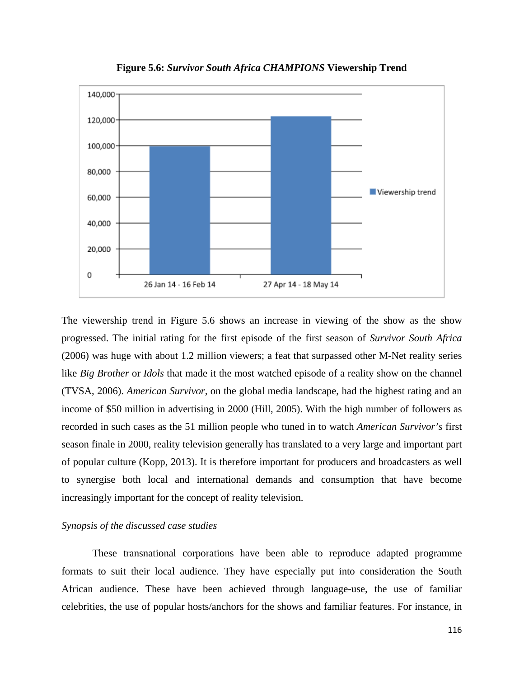

**Figure 5.6:** *Survivor South Africa CHAMPIONS* **Viewership Trend**

The viewership trend in Figure 5.6 shows an increase in viewing of the show as the show progressed. The initial rating for the first episode of the first season of *Survivor South Africa* (2006) was huge with about 1.2 million viewers; a feat that surpassed other M-Net reality series like *Big Brother* or *Idols* that made it the most watched episode of a reality show on the channel (TVSA, 2006). *American Survivor,* on the global media landscape, had the highest rating and an income of \$50 million in advertising in 2000 (Hill, 2005). With the high number of followers as recorded in such cases as the 51 million people who tuned in to watch *American Survivor's* first season finale in 2000, reality television generally has translated to a very large and important part of popular culture (Kopp, 2013). It is therefore important for producers and broadcasters as well to synergise both local and international demands and consumption that have become increasingly important for the concept of reality television.

## *Synopsis of the discussed case studies*

These transnational corporations have been able to reproduce adapted programme formats to suit their local audience. They have especially put into consideration the South African audience. These have been achieved through language-use, the use of familiar celebrities, the use of popular hosts/anchors for the shows and familiar features. For instance, in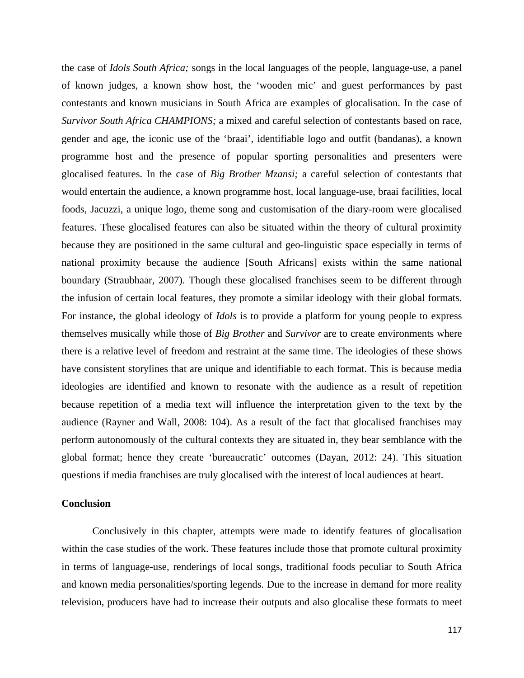the case of *Idols South Africa;* songs in the local languages of the people, language-use, a panel of known judges, a known show host, the 'wooden mic' and guest performances by past contestants and known musicians in South Africa are examples of glocalisation. In the case of *Survivor South Africa CHAMPIONS;* a mixed and careful selection of contestants based on race, gender and age, the iconic use of the 'braai', identifiable logo and outfit (bandanas), a known programme host and the presence of popular sporting personalities and presenters were glocalised features. In the case of *Big Brother Mzansi;* a careful selection of contestants that would entertain the audience, a known programme host, local language-use, braai facilities, local foods, Jacuzzi, a unique logo, theme song and customisation of the diary-room were glocalised features. These glocalised features can also be situated within the theory of cultural proximity because they are positioned in the same cultural and geo-linguistic space especially in terms of national proximity because the audience [South Africans] exists within the same national boundary (Straubhaar, 2007). Though these glocalised franchises seem to be different through the infusion of certain local features, they promote a similar ideology with their global formats. For instance, the global ideology of *Idols* is to provide a platform for young people to express themselves musically while those of *Big Brother* and *Survivor* are to create environments where there is a relative level of freedom and restraint at the same time. The ideologies of these shows have consistent storylines that are unique and identifiable to each format. This is because media ideologies are identified and known to resonate with the audience as a result of repetition because repetition of a media text will influence the interpretation given to the text by the audience (Rayner and Wall, 2008: 104). As a result of the fact that glocalised franchises may perform autonomously of the cultural contexts they are situated in, they bear semblance with the global format; hence they create 'bureaucratic' outcomes (Dayan, 2012: 24). This situation questions if media franchises are truly glocalised with the interest of local audiences at heart.

### **Conclusion**

Conclusively in this chapter, attempts were made to identify features of glocalisation within the case studies of the work. These features include those that promote cultural proximity in terms of language-use, renderings of local songs, traditional foods peculiar to South Africa and known media personalities/sporting legends. Due to the increase in demand for more reality television, producers have had to increase their outputs and also glocalise these formats to meet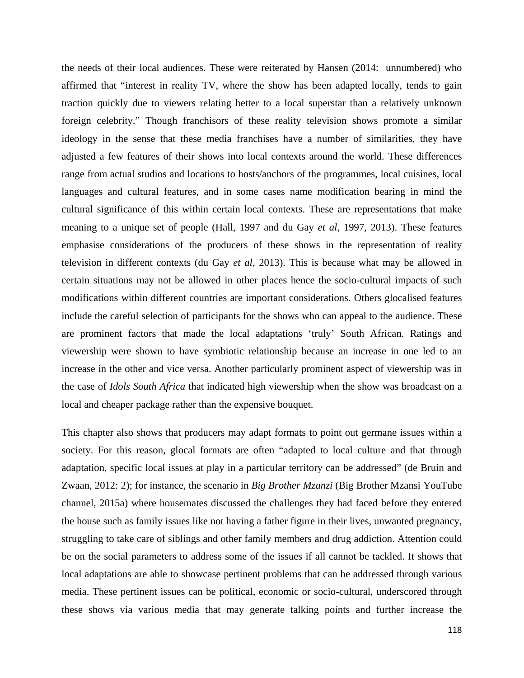the needs of their local audiences. These were reiterated by Hansen (2014: unnumbered) who affirmed that "interest in reality TV, where the show has been adapted locally, tends to gain traction quickly due to viewers relating better to a local superstar than a relatively unknown foreign celebrity." Though franchisors of these reality television shows promote a similar ideology in the sense that these media franchises have a number of similarities, they have adjusted a few features of their shows into local contexts around the world. These differences range from actual studios and locations to hosts/anchors of the programmes, local cuisines, local languages and cultural features, and in some cases name modification bearing in mind the cultural significance of this within certain local contexts. These are representations that make meaning to a unique set of people (Hall, 1997 and du Gay *et al*, 1997, 2013). These features emphasise considerations of the producers of these shows in the representation of reality television in different contexts (du Gay *et al*, 2013). This is because what may be allowed in certain situations may not be allowed in other places hence the socio-cultural impacts of such modifications within different countries are important considerations. Others glocalised features include the careful selection of participants for the shows who can appeal to the audience. These are prominent factors that made the local adaptations 'truly' South African. Ratings and viewership were shown to have symbiotic relationship because an increase in one led to an increase in the other and vice versa. Another particularly prominent aspect of viewership was in the case of *Idols South Africa* that indicated high viewership when the show was broadcast on a local and cheaper package rather than the expensive bouquet.

This chapter also shows that producers may adapt formats to point out germane issues within a society. For this reason, glocal formats are often "adapted to local culture and that through adaptation, specific local issues at play in a particular territory can be addressed" (de Bruin and Zwaan, 2012: 2); for instance, the scenario in *Big Brother Mzanzi* (Big Brother Mzansi YouTube channel, 2015a) where housemates discussed the challenges they had faced before they entered the house such as family issues like not having a father figure in their lives, unwanted pregnancy, struggling to take care of siblings and other family members and drug addiction. Attention could be on the social parameters to address some of the issues if all cannot be tackled. It shows that local adaptations are able to showcase pertinent problems that can be addressed through various media. These pertinent issues can be political, economic or socio-cultural, underscored through these shows via various media that may generate talking points and further increase the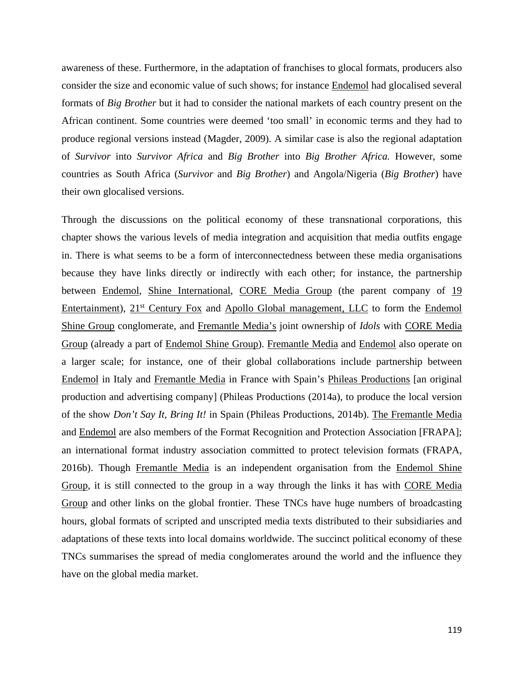awareness of these. Furthermore, in the adaptation of franchises to glocal formats, producers also consider the size and economic value of such shows; for instance Endemol had glocalised several formats of *Big Brother* but it had to consider the national markets of each country present on the African continent. Some countries were deemed 'too small' in economic terms and they had to produce regional versions instead (Magder, 2009). A similar case is also the regional adaptation of *Survivor* into *Survivor Africa* and *Big Brother* into *Big Brother Africa.* However, some countries as South Africa (*Survivor* and *Big Brother*) and Angola/Nigeria (*Big Brother*) have their own glocalised versions.

Through the discussions on the political economy of these transnational corporations, this chapter shows the various levels of media integration and acquisition that media outfits engage in. There is what seems to be a form of interconnectedness between these media organisations because they have links directly or indirectly with each other; for instance, the partnership between Endemol, Shine International, CORE Media Group (the parent company of 19 Entertainment), 21<sup>st</sup> Century Fox and Apollo Global management, LLC to form the Endemol Shine Group conglomerate, and Fremantle Media's joint ownership of *Idols* with CORE Media Group (already a part of Endemol Shine Group). Fremantle Media and Endemol also operate on a larger scale; for instance, one of their global collaborations include partnership between Endemol in Italy and Fremantle Media in France with Spain's Phileas Productions [an original production and advertising company] (Phileas Productions (2014a), to produce the local version of the show *Don't Say It, Bring It!* in Spain (Phileas Productions, 2014b). The Fremantle Media and Endemol are also members of the Format Recognition and Protection Association [FRAPA]; an international format industry association committed to protect television formats (FRAPA, 2016b). Though Fremantle Media is an independent organisation from the Endemol Shine Group, it is still connected to the group in a way through the links it has with CORE Media Group and other links on the global frontier. These TNCs have huge numbers of broadcasting hours, global formats of scripted and unscripted media texts distributed to their subsidiaries and adaptations of these texts into local domains worldwide. The succinct political economy of these TNCs summarises the spread of media conglomerates around the world and the influence they have on the global media market.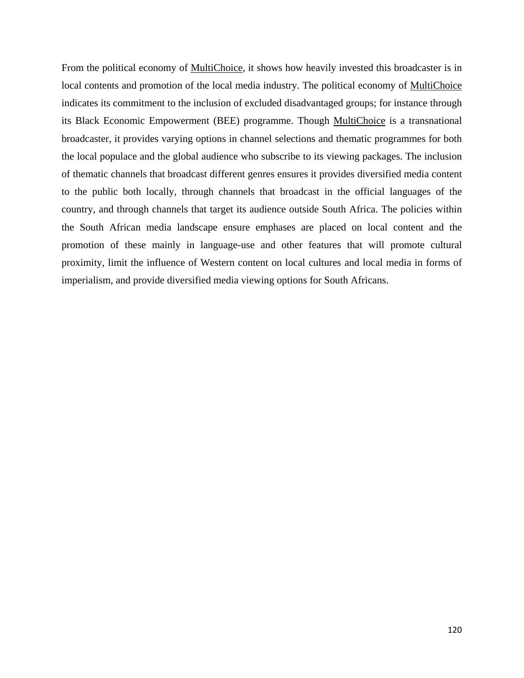From the political economy of MultiChoice, it shows how heavily invested this broadcaster is in local contents and promotion of the local media industry. The political economy of MultiChoice indicates its commitment to the inclusion of excluded disadvantaged groups; for instance through its Black Economic Empowerment (BEE) programme. Though MultiChoice is a transnational broadcaster, it provides varying options in channel selections and thematic programmes for both the local populace and the global audience who subscribe to its viewing packages. The inclusion of thematic channels that broadcast different genres ensures it provides diversified media content to the public both locally, through channels that broadcast in the official languages of the country, and through channels that target its audience outside South Africa. The policies within the South African media landscape ensure emphases are placed on local content and the promotion of these mainly in language-use and other features that will promote cultural proximity, limit the influence of Western content on local cultures and local media in forms of imperialism, and provide diversified media viewing options for South Africans.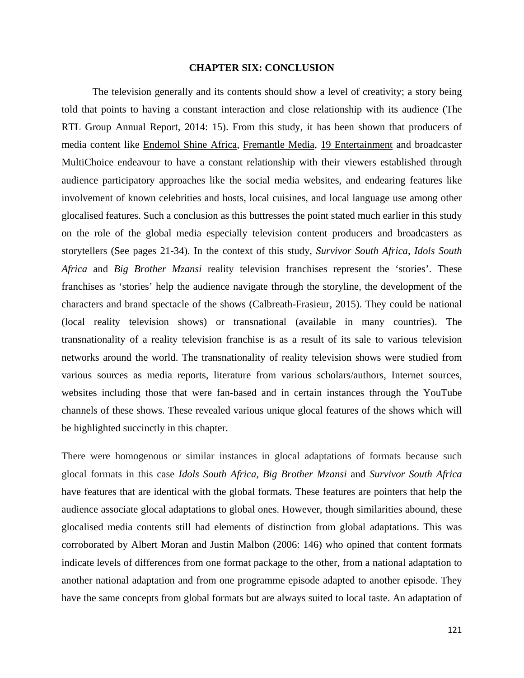# **CHAPTER SIX: CONCLUSION**

The television generally and its contents should show a level of creativity; a story being told that points to having a constant interaction and close relationship with its audience (The RTL Group Annual Report, 2014: 15). From this study, it has been shown that producers of media content like Endemol Shine Africa, Fremantle Media, 19 Entertainment and broadcaster MultiChoice endeavour to have a constant relationship with their viewers established through audience participatory approaches like the social media websites, and endearing features like involvement of known celebrities and hosts, local cuisines, and local language use among other glocalised features. Such a conclusion as this buttresses the point stated much earlier in this study on the role of the global media especially television content producers and broadcasters as storytellers (See pages 21-34). In the context of this study, *Survivor South Africa*, *Idols South Africa* and *Big Brother Mzansi* reality television franchises represent the 'stories'. These franchises as 'stories' help the audience navigate through the storyline, the development of the characters and brand spectacle of the shows (Calbreath-Frasieur, 2015). They could be national (local reality television shows) or transnational (available in many countries). The transnationality of a reality television franchise is as a result of its sale to various television networks around the world. The transnationality of reality television shows were studied from various sources as media reports, literature from various scholars/authors, Internet sources, websites including those that were fan-based and in certain instances through the YouTube channels of these shows. These revealed various unique glocal features of the shows which will be highlighted succinctly in this chapter.

There were homogenous or similar instances in glocal adaptations of formats because such glocal formats in this case *Idols South Africa, Big Brother Mzansi* and *Survivor South Africa* have features that are identical with the global formats. These features are pointers that help the audience associate glocal adaptations to global ones. However, though similarities abound, these glocalised media contents still had elements of distinction from global adaptations. This was corroborated by Albert Moran and Justin Malbon (2006: 146) who opined that content formats indicate levels of differences from one format package to the other, from a national adaptation to another national adaptation and from one programme episode adapted to another episode. They have the same concepts from global formats but are always suited to local taste. An adaptation of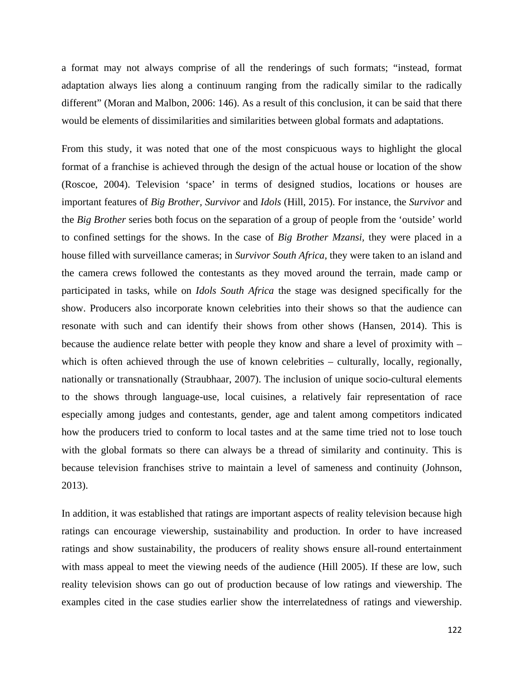a format may not always comprise of all the renderings of such formats; "instead, format adaptation always lies along a continuum ranging from the radically similar to the radically different" (Moran and Malbon, 2006: 146). As a result of this conclusion, it can be said that there would be elements of dissimilarities and similarities between global formats and adaptations.

From this study, it was noted that one of the most conspicuous ways to highlight the glocal format of a franchise is achieved through the design of the actual house or location of the show (Roscoe, 2004). Television 'space' in terms of designed studios, locations or houses are important features of *Big Brother, Survivor* and *Idols* (Hill, 2015). For instance, the *Survivor* and the *Big Brother* series both focus on the separation of a group of people from the 'outside' world to confined settings for the shows. In the case of *Big Brother Mzansi,* they were placed in a house filled with surveillance cameras; in *Survivor South Africa,* they were taken to an island and the camera crews followed the contestants as they moved around the terrain, made camp or participated in tasks, while on *Idols South Africa* the stage was designed specifically for the show. Producers also incorporate known celebrities into their shows so that the audience can resonate with such and can identify their shows from other shows (Hansen, 2014). This is because the audience relate better with people they know and share a level of proximity with – which is often achieved through the use of known celebrities – culturally, locally, regionally, nationally or transnationally (Straubhaar, 2007). The inclusion of unique socio-cultural elements to the shows through language-use, local cuisines, a relatively fair representation of race especially among judges and contestants, gender, age and talent among competitors indicated how the producers tried to conform to local tastes and at the same time tried not to lose touch with the global formats so there can always be a thread of similarity and continuity. This is because television franchises strive to maintain a level of sameness and continuity (Johnson, 2013).

In addition, it was established that ratings are important aspects of reality television because high ratings can encourage viewership, sustainability and production. In order to have increased ratings and show sustainability, the producers of reality shows ensure all-round entertainment with mass appeal to meet the viewing needs of the audience (Hill 2005). If these are low, such reality television shows can go out of production because of low ratings and viewership. The examples cited in the case studies earlier show the interrelatedness of ratings and viewership.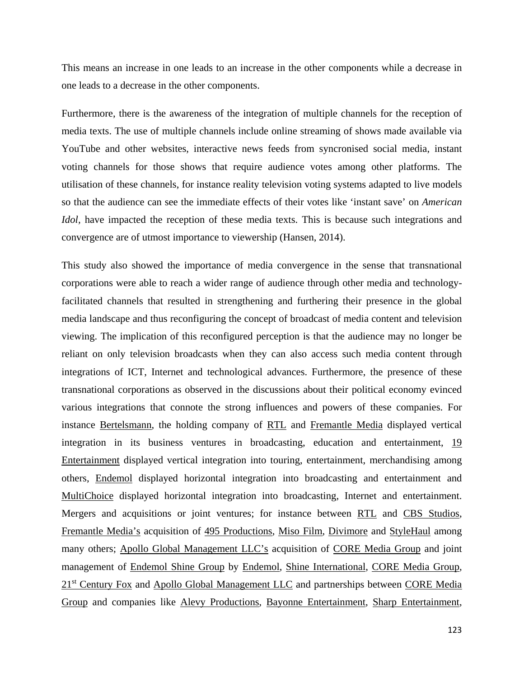This means an increase in one leads to an increase in the other components while a decrease in one leads to a decrease in the other components.

Furthermore, there is the awareness of the integration of multiple channels for the reception of media texts. The use of multiple channels include online streaming of shows made available via YouTube and other websites, interactive news feeds from syncronised social media, instant voting channels for those shows that require audience votes among other platforms. The utilisation of these channels, for instance reality television voting systems adapted to live models so that the audience can see the immediate effects of their votes like 'instant save' on *American Idol*, have impacted the reception of these media texts. This is because such integrations and convergence are of utmost importance to viewership (Hansen, 2014).

This study also showed the importance of media convergence in the sense that transnational corporations were able to reach a wider range of audience through other media and technologyfacilitated channels that resulted in strengthening and furthering their presence in the global media landscape and thus reconfiguring the concept of broadcast of media content and television viewing. The implication of this reconfigured perception is that the audience may no longer be reliant on only television broadcasts when they can also access such media content through integrations of ICT, Internet and technological advances. Furthermore, the presence of these transnational corporations as observed in the discussions about their political economy evinced various integrations that connote the strong influences and powers of these companies. For instance Bertelsmann, the holding company of RTL and Fremantle Media displayed vertical integration in its business ventures in broadcasting, education and entertainment, 19 Entertainment displayed vertical integration into touring, entertainment, merchandising among others, Endemol displayed horizontal integration into broadcasting and entertainment and MultiChoice displayed horizontal integration into broadcasting, Internet and entertainment. Mergers and acquisitions or joint ventures; for instance between RTL and CBS Studios, Fremantle Media's acquisition of 495 Productions, Miso Film, Divimore and StyleHaul among many others; Apollo Global Management LLC's acquisition of CORE Media Group and joint management of Endemol Shine Group by Endemol, Shine International, CORE Media Group, 21<sup>st</sup> Century Fox and Apollo Global Management LLC and partnerships between CORE Media Group and companies like Alevy Productions, Bayonne Entertainment, Sharp Entertainment,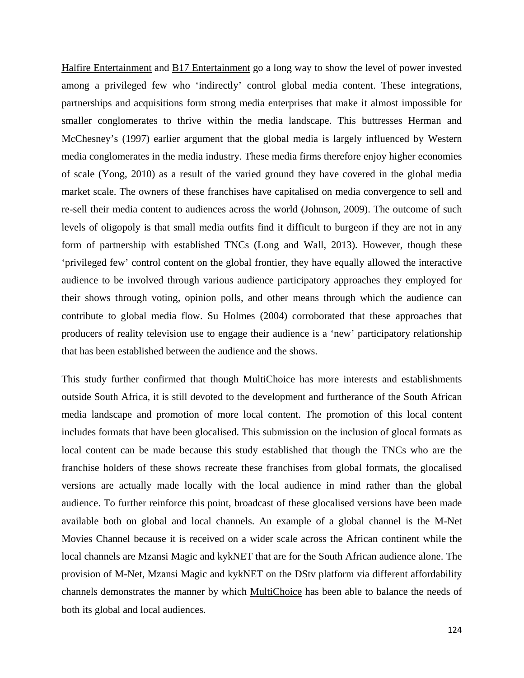Halfire Entertainment and B17 Entertainment go a long way to show the level of power invested among a privileged few who 'indirectly' control global media content. These integrations, partnerships and acquisitions form strong media enterprises that make it almost impossible for smaller conglomerates to thrive within the media landscape. This buttresses Herman and McChesney's (1997) earlier argument that the global media is largely influenced by Western media conglomerates in the media industry. These media firms therefore enjoy higher economies of scale (Yong, 2010) as a result of the varied ground they have covered in the global media market scale. The owners of these franchises have capitalised on media convergence to sell and re-sell their media content to audiences across the world (Johnson, 2009). The outcome of such levels of oligopoly is that small media outfits find it difficult to burgeon if they are not in any form of partnership with established TNCs (Long and Wall, 2013). However, though these 'privileged few' control content on the global frontier, they have equally allowed the interactive audience to be involved through various audience participatory approaches they employed for their shows through voting, opinion polls, and other means through which the audience can contribute to global media flow. Su Holmes (2004) corroborated that these approaches that producers of reality television use to engage their audience is a 'new' participatory relationship that has been established between the audience and the shows.

This study further confirmed that though MultiChoice has more interests and establishments outside South Africa, it is still devoted to the development and furtherance of the South African media landscape and promotion of more local content. The promotion of this local content includes formats that have been glocalised. This submission on the inclusion of glocal formats as local content can be made because this study established that though the TNCs who are the franchise holders of these shows recreate these franchises from global formats, the glocalised versions are actually made locally with the local audience in mind rather than the global audience. To further reinforce this point, broadcast of these glocalised versions have been made available both on global and local channels. An example of a global channel is the M-Net Movies Channel because it is received on a wider scale across the African continent while the local channels are Mzansi Magic and kykNET that are for the South African audience alone. The provision of M-Net, Mzansi Magic and kykNET on the DStv platform via different affordability channels demonstrates the manner by which MultiChoice has been able to balance the needs of both its global and local audiences.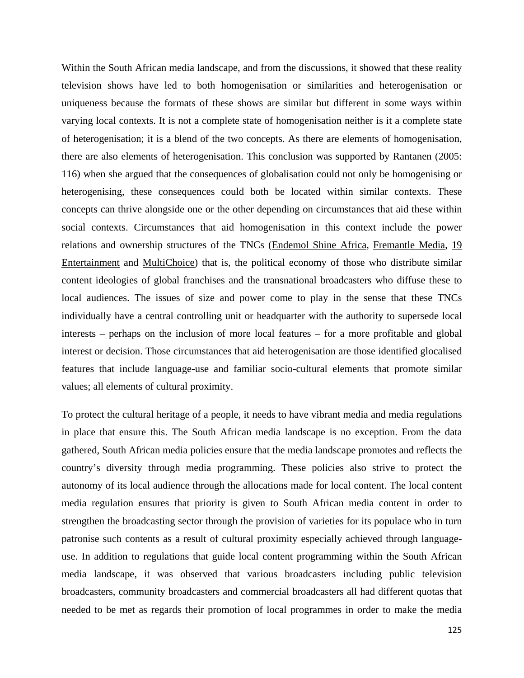Within the South African media landscape, and from the discussions, it showed that these reality television shows have led to both homogenisation or similarities and heterogenisation or uniqueness because the formats of these shows are similar but different in some ways within varying local contexts. It is not a complete state of homogenisation neither is it a complete state of heterogenisation; it is a blend of the two concepts. As there are elements of homogenisation, there are also elements of heterogenisation. This conclusion was supported by Rantanen (2005: 116) when she argued that the consequences of globalisation could not only be homogenising or heterogenising, these consequences could both be located within similar contexts. These concepts can thrive alongside one or the other depending on circumstances that aid these within social contexts. Circumstances that aid homogenisation in this context include the power relations and ownership structures of the TNCs (Endemol Shine Africa, Fremantle Media, 19 Entertainment and MultiChoice) that is, the political economy of those who distribute similar content ideologies of global franchises and the transnational broadcasters who diffuse these to local audiences. The issues of size and power come to play in the sense that these TNCs individually have a central controlling unit or headquarter with the authority to supersede local interests – perhaps on the inclusion of more local features – for a more profitable and global interest or decision. Those circumstances that aid heterogenisation are those identified glocalised features that include language-use and familiar socio-cultural elements that promote similar values; all elements of cultural proximity.

To protect the cultural heritage of a people, it needs to have vibrant media and media regulations in place that ensure this. The South African media landscape is no exception. From the data gathered, South African media policies ensure that the media landscape promotes and reflects the country's diversity through media programming. These policies also strive to protect the autonomy of its local audience through the allocations made for local content. The local content media regulation ensures that priority is given to South African media content in order to strengthen the broadcasting sector through the provision of varieties for its populace who in turn patronise such contents as a result of cultural proximity especially achieved through languageuse. In addition to regulations that guide local content programming within the South African media landscape, it was observed that various broadcasters including public television broadcasters, community broadcasters and commercial broadcasters all had different quotas that needed to be met as regards their promotion of local programmes in order to make the media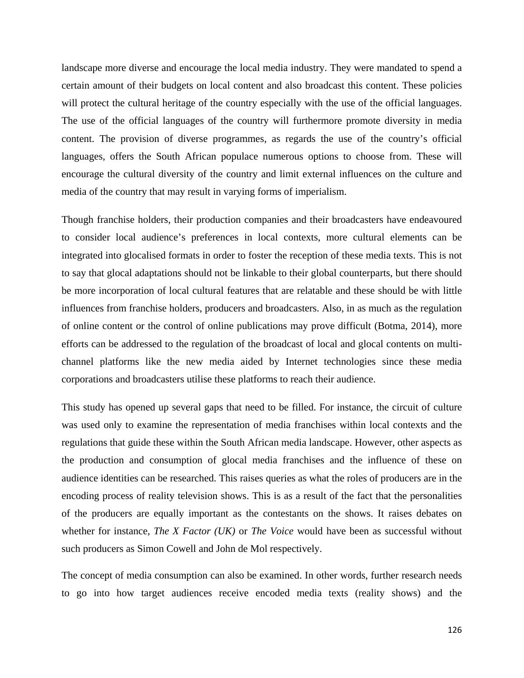landscape more diverse and encourage the local media industry. They were mandated to spend a certain amount of their budgets on local content and also broadcast this content. These policies will protect the cultural heritage of the country especially with the use of the official languages. The use of the official languages of the country will furthermore promote diversity in media content. The provision of diverse programmes, as regards the use of the country's official languages, offers the South African populace numerous options to choose from. These will encourage the cultural diversity of the country and limit external influences on the culture and media of the country that may result in varying forms of imperialism.

Though franchise holders, their production companies and their broadcasters have endeavoured to consider local audience's preferences in local contexts, more cultural elements can be integrated into glocalised formats in order to foster the reception of these media texts. This is not to say that glocal adaptations should not be linkable to their global counterparts, but there should be more incorporation of local cultural features that are relatable and these should be with little influences from franchise holders, producers and broadcasters. Also, in as much as the regulation of online content or the control of online publications may prove difficult (Botma, 2014), more efforts can be addressed to the regulation of the broadcast of local and glocal contents on multichannel platforms like the new media aided by Internet technologies since these media corporations and broadcasters utilise these platforms to reach their audience.

This study has opened up several gaps that need to be filled. For instance, the circuit of culture was used only to examine the representation of media franchises within local contexts and the regulations that guide these within the South African media landscape. However, other aspects as the production and consumption of glocal media franchises and the influence of these on audience identities can be researched. This raises queries as what the roles of producers are in the encoding process of reality television shows. This is as a result of the fact that the personalities of the producers are equally important as the contestants on the shows. It raises debates on whether for instance, *The X Factor (UK)* or *The Voice* would have been as successful without such producers as Simon Cowell and John de Mol respectively.

The concept of media consumption can also be examined. In other words, further research needs to go into how target audiences receive encoded media texts (reality shows) and the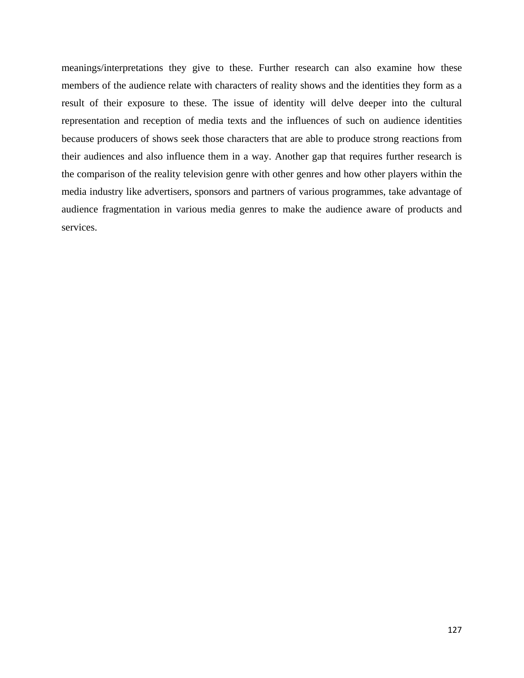meanings/interpretations they give to these. Further research can also examine how these members of the audience relate with characters of reality shows and the identities they form as a result of their exposure to these. The issue of identity will delve deeper into the cultural representation and reception of media texts and the influences of such on audience identities because producers of shows seek those characters that are able to produce strong reactions from their audiences and also influence them in a way. Another gap that requires further research is the comparison of the reality television genre with other genres and how other players within the media industry like advertisers, sponsors and partners of various programmes, take advantage of audience fragmentation in various media genres to make the audience aware of products and services.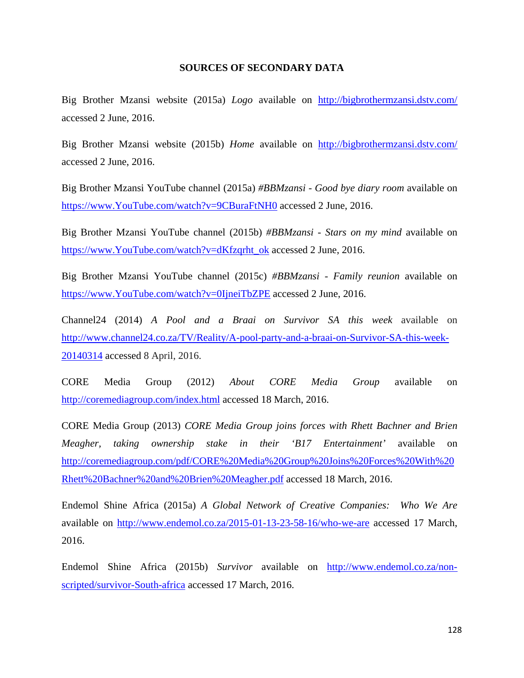# **SOURCES OF SECONDARY DATA**

Big Brother Mzansi website (2015a) *Logo* available on <http://bigbrothermzansi.dstv.com/> accessed 2 June, 2016.

Big Brother Mzansi website (2015b) *Home* available on <http://bigbrothermzansi.dstv.com/> accessed 2 June, 2016.

Big Brother Mzansi YouTube channel (2015a) *#BBMzansi - Good bye diary room* available on [https://www.YouTube.com/watch?v=9CBuraFtNH0](https://www.youtube.com/watch?v=9CBuraFtNH0) accessed 2 June, 2016.

Big Brother Mzansi YouTube channel (2015b) *#BBMzansi - Stars on my mind* available on [https://www.YouTube.com/watch?v=dKfzqrht\\_ok](https://www.youtube.com/watch?v=dKfzqrht_ok) accessed 2 June, 2016.

Big Brother Mzansi YouTube channel (2015c) *#BBMzansi - Family reunion* available on [https://www.YouTube.com/watch?v=0IjneiTbZPE](https://www.youtube.com/watch?v=0IjneiTbZPE) accessed 2 June, 2016.

Channel24 (2014) *A Pool and a Braai on Survivor SA this week* available on [http://www.channel24.co.za/TV/Reality/A-pool-party-and-a-braai-on-Survivor-SA-this-week-](http://www.channel24.co.za/TV/Reality/A-pool-party-and-a-braai-on-Survivor-SA-this-week-20140314)[20140314](http://www.channel24.co.za/TV/Reality/A-pool-party-and-a-braai-on-Survivor-SA-this-week-20140314) accessed 8 April, 2016.

CORE Media Group (2012) *About CORE Media Group* available on <http://coremediagroup.com/index.html> accessed 18 March, 2016.

CORE Media Group (2013) *CORE Media Group joins forces with Rhett Bachner and Brien Meagher, taking ownership stake in their 'B17 Entertainment'* available on [http://coremediagroup.com/pdf/CORE%20Media%20Group%20Joins%20Forces%20With%20](http://coremediagroup.com/pdf/CORE%20Media%20Group%20Joins%20Forces%20With%20Rhett%20Bachner%20and%20Brien%20Meagher.pdf) [Rhett%20Bachner%20and%20Brien%20Meagher.pdf](http://coremediagroup.com/pdf/CORE%20Media%20Group%20Joins%20Forces%20With%20Rhett%20Bachner%20and%20Brien%20Meagher.pdf) accessed 18 March, 2016.

Endemol Shine Africa (2015a) *A Global Network of Creative Companies: Who We Are*  available on<http://www.endemol.co.za/2015-01-13-23-58-16/who-we-are> accessed 17 March, 2016.

Endemol Shine Africa (2015b) *Survivor* available on [http://www.endemol.co.za/non](http://www.endemol.co.za/non-scripted/survivor-south-africa)[scripted/survivor-South-africa](http://www.endemol.co.za/non-scripted/survivor-south-africa) accessed 17 March, 2016.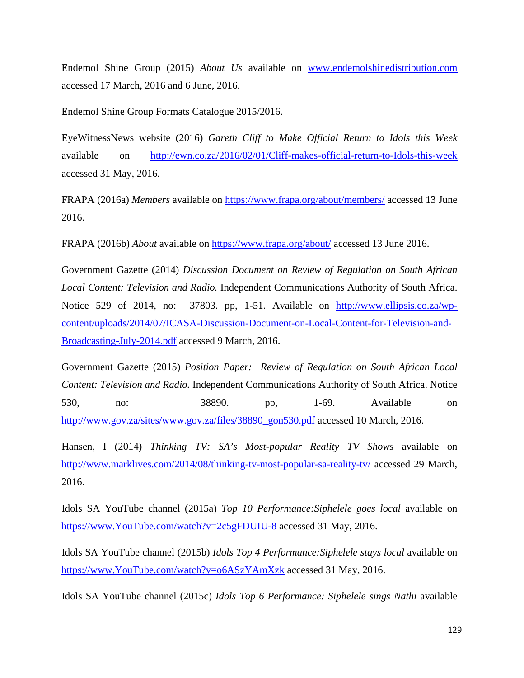Endemol Shine Group (2015) *About Us* available on [www.endemolshinedistribution.com](http://www.endemolshinedistribution.com/) accessed 17 March, 2016 and 6 June, 2016.

Endemol Shine Group Formats Catalogue 2015/2016.

EyeWitnessNews website (2016) *Gareth Cliff to Make Official Return to Idols this Week*  available on <http://ewn.co.za/2016/02/01/Cliff-makes-official-return-to-Idols-this-week> accessed 31 May, 2016.

FRAPA (2016a) *Members* available on<https://www.frapa.org/about/members/> accessed 13 June 2016.

FRAPA (2016b) *About* available on<https://www.frapa.org/about/>accessed 13 June 2016.

Government Gazette (2014) *Discussion Document on Review of Regulation on South African Local Content: Television and Radio.* Independent Communications Authority of South Africa. Notice 529 of 2014, no: 37803. pp, 1-51. Available on [http://www.ellipsis.co.za/wp](http://www.ellipsis.co.za/wp-content/uploads/2014/07/ICASA-Discussion-Document-on-Local-Content-for-Television-and-Broadcasting-July-2014.pdf)[content/uploads/2014/07/ICASA-Discussion-Document-on-Local-Content-for-Television-and-](http://www.ellipsis.co.za/wp-content/uploads/2014/07/ICASA-Discussion-Document-on-Local-Content-for-Television-and-Broadcasting-July-2014.pdf)[Broadcasting-July-2014.pdf](http://www.ellipsis.co.za/wp-content/uploads/2014/07/ICASA-Discussion-Document-on-Local-Content-for-Television-and-Broadcasting-July-2014.pdf) accessed 9 March, 2016.

Government Gazette (2015) *Position Paper: Review of Regulation on South African Local Content: Television and Radio.* Independent Communications Authority of South Africa. Notice 530, no: 38890. pp, 1-69. Available on [http://www.gov.za/sites/www.gov.za/files/38890\\_gon530.pdf](http://www.gov.za/sites/www.gov.za/files/38890_gon530.pdf) accessed 10 March, 2016.

Hansen, I (2014) *Thinking TV: SA's Most-popular Reality TV Shows* available on <http://www.marklives.com/2014/08/thinking-tv-most-popular-sa-reality-tv/> accessed 29 March, 2016.

Idols SA YouTube channel (2015a) *Top 10 Performance:Siphelele goes local* available on [https://www.YouTube.com/watch?v=2c5gFDUIU-8](https://www.youtube.com/watch?v=2c5gFDUIU-8) accessed 31 May, 2016.

Idols SA YouTube channel (2015b) *Idols Top 4 Performance:Siphelele stays local* available on [https://www.YouTube.com/watch?v=o6ASzYAmXzk](https://www.youtube.com/watch?v=o6ASzYAmXzk) accessed 31 May, 2016.

Idols SA YouTube channel (2015c) *Idols Top 6 Performance: Siphelele sings Nathi* available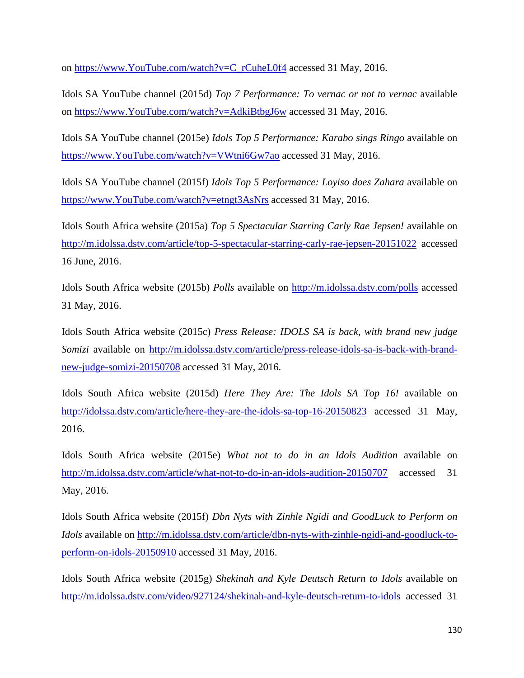on [https://www.YouTube.com/watch?v=C\\_rCuheL0f4](https://www.youtube.com/watch?v=C_rCuheL0f4) accessed 31 May, 2016.

Idols SA YouTube channel (2015d) *Top 7 Performance: To vernac or not to vernac* available on [https://www.YouTube.com/watch?v=AdkiBtbgJ6w](https://www.youtube.com/watch?v=AdkiBtbgJ6w) accessed 31 May, 2016.

Idols SA YouTube channel (2015e) *Idols Top 5 Performance: Karabo sings Ringo* available on [https://www.YouTube.com/watch?v=VWtni6Gw7ao](https://www.youtube.com/watch?v=VWtni6Gw7ao) accessed 31 May, 2016.

Idols SA YouTube channel (2015f) *Idols Top 5 Performance: Loyiso does Zahara* available on [https://www.YouTube.com/watch?v=etngt3AsNrs](https://www.youtube.com/watch?v=etngt3AsNrs) accessed 31 May, 2016.

Idols South Africa website (2015a) *Top 5 Spectacular Starring Carly Rae Jepsen!* available on <http://m.idolssa.dstv.com/article/top-5-spectacular-starring-carly-rae-jepsen-20151022> accessed 16 June, 2016.

Idols South Africa website (2015b) *Polls* available on<http://m.idolssa.dstv.com/polls> accessed 31 May, 2016.

Idols South Africa website (2015c) *Press Release: IDOLS SA is back, with brand new judge Somizi* available on [http://m.idolssa.dstv.com/article/press-release-idols-sa-is-back-with-brand](http://m.idolssa.dstv.com/article/press-release-idols-sa-is-back-with-brand-new-judge-somizi-20150708)[new-judge-somizi-20150708](http://m.idolssa.dstv.com/article/press-release-idols-sa-is-back-with-brand-new-judge-somizi-20150708) accessed 31 May, 2016.

Idols South Africa website (2015d) *Here They Are: The Idols SA Top 16!* available on <http://idolssa.dstv.com/article/here-they-are-the-idols-sa-top-16-20150823> accessed 31 May, 2016.

Idols South Africa website (2015e) *What not to do in an Idols Audition* available on <http://m.idolssa.dstv.com/article/what-not-to-do-in-an-idols-audition-20150707> accessed 31 May, 2016.

Idols South Africa website (2015f) *Dbn Nyts with Zinhle Ngidi and GoodLuck to Perform on Idols* available on [http://m.idolssa.dstv.com/article/dbn-nyts-with-zinhle-ngidi-and-goodluck-to](http://m.idolssa.dstv.com/article/dbn-nyts-with-zinhle-ngidi-and-goodluck-to-perform-on-idols-20150910)[perform-on-idols-20150910](http://m.idolssa.dstv.com/article/dbn-nyts-with-zinhle-ngidi-and-goodluck-to-perform-on-idols-20150910) accessed 31 May, 2016.

Idols South Africa website (2015g) *Shekinah and Kyle Deutsch Return to Idols* available on <http://m.idolssa.dstv.com/video/927124/shekinah-and-kyle-deutsch-return-to-idols> accessed 31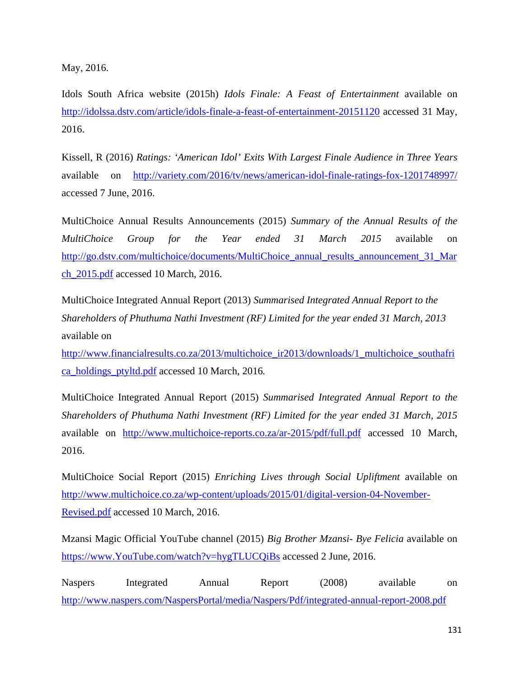May, 2016.

Idols South Africa website (2015h) *Idols Finale: A Feast of Entertainment* available on <http://idolssa.dstv.com/article/idols-finale-a-feast-of-entertainment-20151120> accessed 31 May, 2016.

Kissell, R (2016) *Ratings: 'American Idol' Exits With Largest Finale Audience in Three Years* available on <http://variety.com/2016/tv/news/american-idol-finale-ratings-fox-1201748997/> accessed 7 June, 2016.

MultiChoice Annual Results Announcements (2015) *Summary of the Annual Results of the MultiChoice Group for the Year ended 31 March 2015* available on [http://go.dstv.com/multichoice/documents/MultiChoice\\_annual\\_results\\_announcement\\_31\\_Mar](http://go.dstv.com/multichoice/documents/MultiChoice_annual_results_announcement_31_March_2015.pdf) [ch\\_2015.pdf](http://go.dstv.com/multichoice/documents/MultiChoice_annual_results_announcement_31_March_2015.pdf) accessed 10 March, 2016.

MultiChoice Integrated Annual Report (2013) *Summarised Integrated Annual Report to the Shareholders of Phuthuma Nathi Investment (RF) Limited for the year ended 31 March, 2013*  available on

[http://www.financialresults.co.za/2013/multichoice\\_ir2013/downloads/1\\_multichoice\\_southafri](http://www.financialresults.co.za/2013/multichoice_ir2013/downloads/1_multichoice_southafrica_holdings_ptyltd.pdf) [ca\\_holdings\\_ptyltd.pdf](http://www.financialresults.co.za/2013/multichoice_ir2013/downloads/1_multichoice_southafrica_holdings_ptyltd.pdf) accessed 10 March, 2016*.*

MultiChoice Integrated Annual Report (2015) *Summarised Integrated Annual Report to the Shareholders of Phuthuma Nathi Investment (RF) Limited for the year ended 31 March, 2015*  available on <http://www.multichoice-reports.co.za/ar-2015/pdf/full.pdf> accessed 10 March, 2016.

MultiChoice Social Report (2015) *Enriching Lives through Social Upliftment* available on [http://www.multichoice.co.za/wp-content/uploads/2015/01/digital-version-04-November-](http://www.multichoice.co.za/wp-content/uploads/2015/01/digital-version-04-November-Revised.pdf)[Revised.pdf](http://www.multichoice.co.za/wp-content/uploads/2015/01/digital-version-04-November-Revised.pdf) accessed 10 March, 2016.

Mzansi Magic Official YouTube channel (2015) *Big Brother Mzansi- Bye Felicia* available on [https://www.YouTube.com/watch?v=hygTLUCQiBs](https://www.youtube.com/watch?v=hygTLUCQiBs) accessed 2 June, 2016.

Naspers Integrated Annual Report (2008) available on <http://www.naspers.com/NaspersPortal/media/Naspers/Pdf/integrated-annual-report-2008.pdf>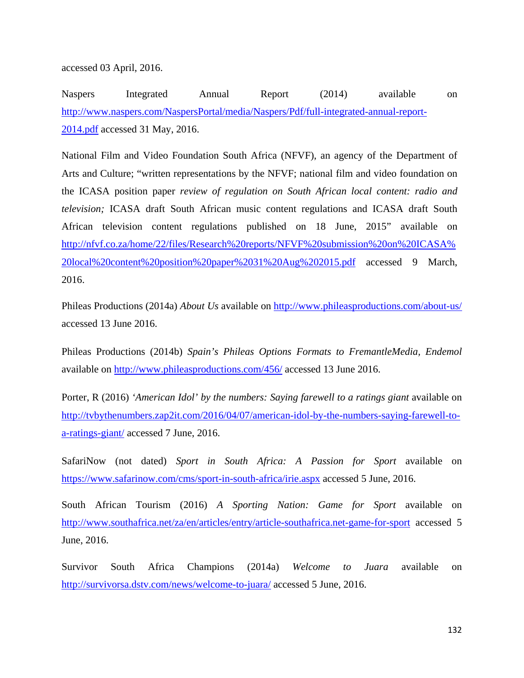accessed 03 April, 2016.

Naspers Integrated Annual Report (2014) available on [http://www.naspers.com/NaspersPortal/media/Naspers/Pdf/full-integrated-annual-report-](http://www.naspers.com/NaspersPortal/media/Naspers/Pdf/full-integrated-annual-report-2014.pdf)[2014.pdf](http://www.naspers.com/NaspersPortal/media/Naspers/Pdf/full-integrated-annual-report-2014.pdf) accessed 31 May, 2016.

National Film and Video Foundation South Africa (NFVF), an agency of the Department of Arts and Culture; "written representations by the NFVF; national film and video foundation on the ICASA position paper *review of regulation on South African local content: radio and television;* ICASA draft South African music content regulations and ICASA draft South African television content regulations published on 18 June, 2015" available on [http://nfvf.co.za/home/22/files/Research%20reports/NFVF%20submission%20on%20ICASA%](http://nfvf.co.za/home/22/files/Research%20reports/NFVF%20submission%20on%20ICASA%20local%20content%20position%20paper%2031%20Aug%202015.pdf) [20local%20content%20position%20paper%2031%20Aug%202015.pdf](http://nfvf.co.za/home/22/files/Research%20reports/NFVF%20submission%20on%20ICASA%20local%20content%20position%20paper%2031%20Aug%202015.pdf) accessed 9 March, 2016.

Phileas Productions (2014a) *About Us* available on<http://www.phileasproductions.com/about-us/> accessed 13 June 2016.

Phileas Productions (2014b) *Spain's Phileas Options Formats to FremantleMedia, Endemol* available on<http://www.phileasproductions.com/456/>accessed 13 June 2016.

Porter, R (2016) *'American Idol' by the numbers: Saying farewell to a ratings giant* available on [http://tvbythenumbers.zap2it.com/2016/04/07/american-idol-by-the-numbers-saying-farewell-to](http://tvbythenumbers.zap2it.com/2016/04/07/american-idol-by-the-numbers-saying-farewell-to-a-ratings-giant/)[a-ratings-giant/](http://tvbythenumbers.zap2it.com/2016/04/07/american-idol-by-the-numbers-saying-farewell-to-a-ratings-giant/) accessed 7 June, 2016.

SafariNow (not dated) *Sport in South Africa: A Passion for Sport* available on <https://www.safarinow.com/cms/sport-in-south-africa/irie.aspx>accessed 5 June, 2016.

South African Tourism (2016) *A Sporting Nation: Game for Sport* available on <http://www.southafrica.net/za/en/articles/entry/article-southafrica.net-game-for-sport> accessed 5 June, 2016.

Survivor South Africa Champions (2014a) *Welcome to Juara* available on <http://survivorsa.dstv.com/news/welcome-to-juara/>accessed 5 June, 2016.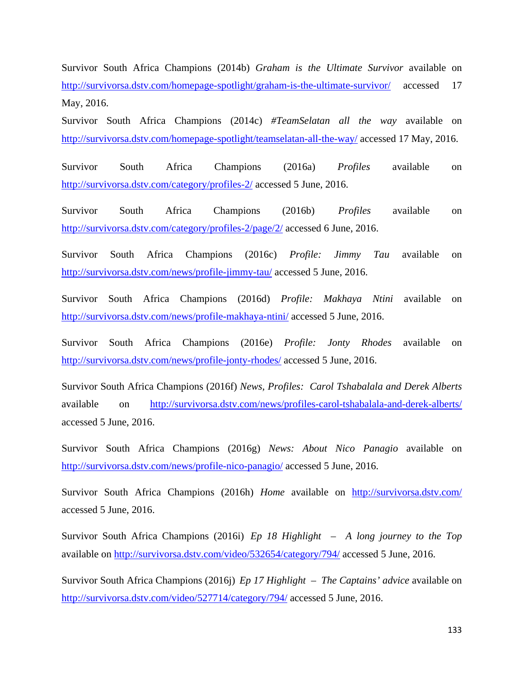Survivor South Africa Champions (2014b) *Graham is the Ultimate Survivor* available on <http://survivorsa.dstv.com/homepage-spotlight/graham-is-the-ultimate-survivor/> accessed 17 May, 2016.

Survivor South Africa Champions (2014c) *#TeamSelatan all the way* available on <http://survivorsa.dstv.com/homepage-spotlight/teamselatan-all-the-way/> accessed 17 May, 2016.

Survivor South Africa Champions (2016a) *Profiles* available on <http://survivorsa.dstv.com/category/profiles-2/> accessed 5 June, 2016.

Survivor South Africa Champions (2016b) *Profiles* available on <http://survivorsa.dstv.com/category/profiles-2/page/2/> accessed 6 June, 2016.

Survivor South Africa Champions (2016c) *Profile: Jimmy Tau* available on <http://survivorsa.dstv.com/news/profile-jimmy-tau/>accessed 5 June, 2016.

Survivor South Africa Champions (2016d) *Profile: Makhaya Ntini* available on <http://survivorsa.dstv.com/news/profile-makhaya-ntini/>accessed 5 June, 2016.

Survivor South Africa Champions (2016e) *Profile: Jonty Rhodes* available on <http://survivorsa.dstv.com/news/profile-jonty-rhodes/>accessed 5 June, 2016.

Survivor South Africa Champions (2016f) *News, Profiles: Carol Tshabalala and Derek Alberts*  available on <http://survivorsa.dstv.com/news/profiles-carol-tshabalala-and-derek-alberts/> accessed 5 June, 2016.

Survivor South Africa Champions (2016g) *News: About Nico Panagio* available on <http://survivorsa.dstv.com/news/profile-nico-panagio/>accessed 5 June, 2016.

Survivor South Africa Champions (2016h) *Home* available on <http://survivorsa.dstv.com/> accessed 5 June, 2016.

Survivor South Africa Champions (2016i) *Ep 18 Highlight – A long journey to the Top* available on<http://survivorsa.dstv.com/video/532654/category/794/>accessed 5 June, 2016.

Survivor South Africa Champions (2016j) *Ep 17 Highlight – The Captains' advice* available on <http://survivorsa.dstv.com/video/527714/category/794/>accessed 5 June, 2016.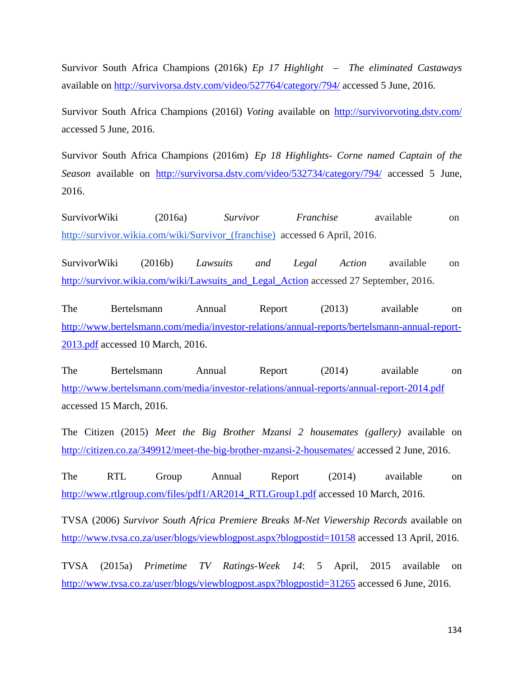Survivor South Africa Champions (2016k) *Ep 17 Highlight – The eliminated Castaways* available on<http://survivorsa.dstv.com/video/527764/category/794/>accessed 5 June, 2016.

Survivor South Africa Champions (2016l) *Voting* available on<http://survivorvoting.dstv.com/> accessed 5 June, 2016.

Survivor South Africa Champions (2016m) *Ep 18 Highlights- Corne named Captain of the Season* available on <http://survivorsa.dstv.com/video/532734/category/794/> accessed 5 June, 2016.

SurvivorWiki (2016a) *Survivor Franchise* available on [http://survivor.wikia.com/wiki/Survivor\\_\(franchise\)](http://survivor.wikia.com/wiki/Survivor_(franchise)) accessed 6 April, 2016.

SurvivorWiki (2016b) *Lawsuits and Legal Action* available on [http://survivor.wikia.com/wiki/Lawsuits\\_and\\_Legal\\_Action](http://survivor.wikia.com/wiki/Lawsuits_and_Legal_Action) accessed 27 September, 2016.

The Bertelsmann Annual Report (2013) available on [http://www.bertelsmann.com/media/investor-relations/annual-reports/bertelsmann-annual-report-](http://www.bertelsmann.com/media/investor-relations/annual-reports/bertelsmann-annual-report-2013.pdf)[2013.pdf](http://www.bertelsmann.com/media/investor-relations/annual-reports/bertelsmann-annual-report-2013.pdf) accessed 10 March, 2016.

The Bertelsmann Annual Report (2014) available on <http://www.bertelsmann.com/media/investor-relations/annual-reports/annual-report-2014.pdf> accessed 15 March, 2016.

The Citizen (2015) *Meet the Big Brother Mzansi 2 housemates (gallery)* available on <http://citizen.co.za/349912/meet-the-big-brother-mzansi-2-housemates/>accessed 2 June, 2016.

The RTL Group Annual Report (2014) available on [http://www.rtlgroup.com/files/pdf1/AR2014\\_RTLGroup1.pdf](http://www.rtlgroup.com/files/pdf1/AR2014_RTLGroup1.pdf) accessed 10 March, 2016.

TVSA (2006) *Survivor South Africa Premiere Breaks M-Net Viewership Records* available on <http://www.tvsa.co.za/user/blogs/viewblogpost.aspx?blogpostid=10158> accessed 13 April, 2016.

TVSA (2015a) *Primetime TV Ratings-Week 14*: 5 April, 2015 available on <http://www.tvsa.co.za/user/blogs/viewblogpost.aspx?blogpostid=31265>accessed 6 June, 2016.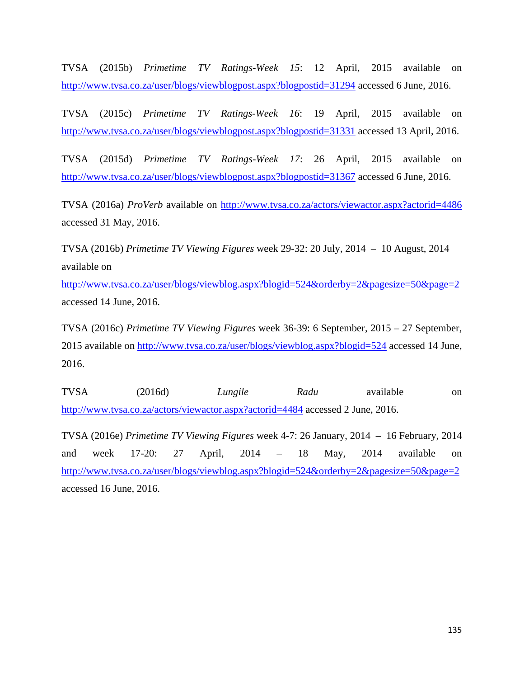TVSA (2015b) *Primetime TV Ratings-Week 15*: 12 April, 2015 available on <http://www.tvsa.co.za/user/blogs/viewblogpost.aspx?blogpostid=31294> accessed 6 June, 2016.

TVSA (2015c) *Primetime TV Ratings-Week 16*: 19 April, 2015 available on <http://www.tvsa.co.za/user/blogs/viewblogpost.aspx?blogpostid=31331> accessed 13 April, 2016.

TVSA (2015d) *Primetime TV Ratings-Week 17*: 26 April, 2015 available on <http://www.tvsa.co.za/user/blogs/viewblogpost.aspx?blogpostid=31367>accessed 6 June, 2016.

TVSA (2016a) *ProVerb* available on<http://www.tvsa.co.za/actors/viewactor.aspx?actorid=4486> accessed 31 May, 2016.

TVSA (2016b) *Primetime TV Viewing Figures* week 29-32: 20 July, 2014 – 10 August, 2014 available on

<http://www.tvsa.co.za/user/blogs/viewblog.aspx?blogid=524&orderby=2&pagesize=50&page=2> accessed 14 June, 2016.

TVSA (2016c) *Primetime TV Viewing Figures* week 36-39: 6 September, 2015 – 27 September, 2015 available on<http://www.tvsa.co.za/user/blogs/viewblog.aspx?blogid=524> accessed 14 June, 2016.

TVSA (2016d) *Lungile Radu* available on <http://www.tvsa.co.za/actors/viewactor.aspx?actorid=4484>accessed 2 June, 2016.

TVSA (2016e) *Primetime TV Viewing Figures* week 4-7: 26 January, 2014 – 16 February, 2014 and week 17-20: 27 April, 2014 – 18 May, 2014 available on <http://www.tvsa.co.za/user/blogs/viewblog.aspx?blogid=524&orderby=2&pagesize=50&page=2> accessed 16 June, 2016.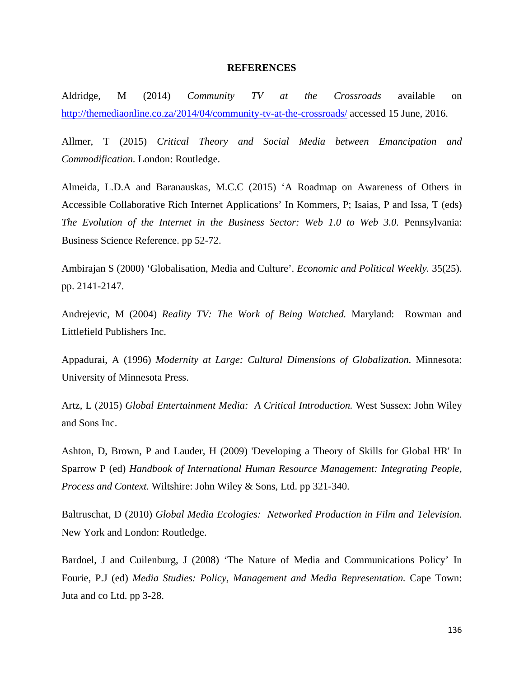#### **REFERENCES**

Aldridge, M (2014) *Community TV at the Crossroads* available on <http://themediaonline.co.za/2014/04/community-tv-at-the-crossroads/>accessed 15 June, 2016.

Allmer, T (2015) *Critical Theory and Social Media between Emancipation and Commodification.* London: Routledge.

Almeida, L.D.A and Baranauskas, M.C.C (2015) 'A Roadmap on Awareness of Others in Accessible Collaborative Rich Internet Applications' In Kommers, P; Isaias, P and Issa, T (eds) *The Evolution of the Internet in the Business Sector: Web 1.0 to Web 3.0.* Pennsylvania: Business Science Reference. pp 52-72.

Ambirajan S (2000) 'Globalisation, Media and Culture'. *Economic and Political Weekly.* 35(25). pp. 2141-2147.

Andrejevic, M (2004) *Reality TV: The Work of Being Watched.* Maryland: Rowman and Littlefield Publishers Inc.

Appadurai, A (1996) *Modernity at Large: Cultural Dimensions of Globalization.* Minnesota: University of Minnesota Press.

Artz, L (2015) *Global Entertainment Media: A Critical Introduction.* West Sussex: John Wiley and Sons Inc.

Ashton, D, Brown, P and Lauder, H (2009) 'Developing a Theory of Skills for Global HR' In Sparrow P (ed) *Handbook of International Human Resource Management: Integrating People, Process and Context.* Wiltshire: John Wiley & Sons, Ltd. pp 321-340.

Baltruschat, D (2010) *Global Media Ecologies: Networked Production in Film and Television.* New York and London: Routledge.

Bardoel, J and Cuilenburg, J (2008) 'The Nature of Media and Communications Policy' In Fourie, P.J (ed) *Media Studies: Policy, Management and Media Representation.* Cape Town: Juta and co Ltd. pp 3-28.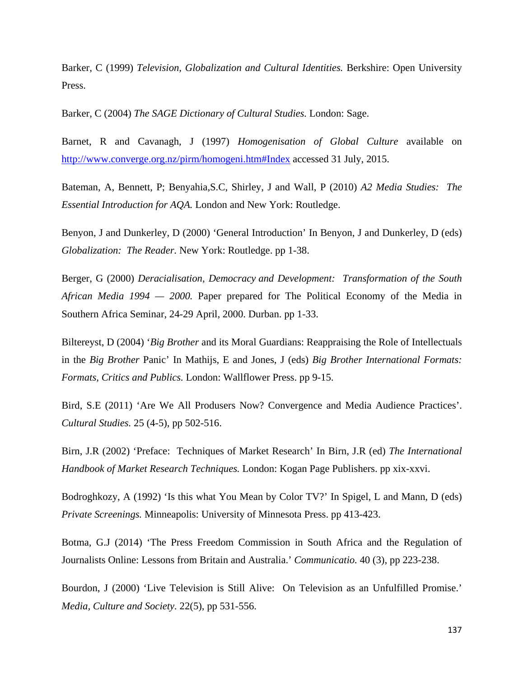Barker, C (1999) *Television, Globalization and Cultural Identities.* Berkshire: Open University Press.

Barker, C (2004) *The SAGE Dictionary of Cultural Studies.* London: Sage.

Barnet, R and Cavanagh, J (1997) *Homogenisation of Global Culture* available on <http://www.converge.org.nz/pirm/homogeni.htm#Index>accessed 31 July, 2015.

Bateman, A, Bennett, P; Benyahia,S.C, Shirley, J and Wall, P (2010) *A2 Media Studies: The Essential Introduction for AQA.* London and New York: Routledge.

Benyon, J and Dunkerley, D (2000) 'General Introduction' In Benyon, J and Dunkerley, D (eds) *Globalization: The Reader.* New York: Routledge. pp 1-38.

Berger, G (2000) *Deracialisation, Democracy and Development: Transformation of the South African Media 1994 — 2000.* Paper prepared for The Political Economy of the Media in Southern Africa Seminar, 24-29 April, 2000. Durban. pp 1-33.

Biltereyst, D (2004) '*Big Brother* and its Moral Guardians: Reappraising the Role of Intellectuals in the *Big Brother* Panic' In Mathijs, E and Jones, J (eds) *Big Brother International Formats: Formats, Critics and Publics.* London: Wallflower Press. pp 9-15.

Bird, S.E (2011) 'Are We All Produsers Now? Convergence and Media Audience Practices'. *Cultural Studies.* 25 (4-5), pp 502-516.

Birn, J.R (2002) 'Preface: Techniques of Market Research' In Birn, J.R (ed) *The International Handbook of Market Research Techniques.* London: Kogan Page Publishers. pp xix-xxvi.

Bodroghkozy, A (1992) 'Is this what You Mean by Color TV?' In Spigel, L and Mann, D (eds) *Private Screenings.* Minneapolis: University of Minnesota Press. pp 413-423.

Botma, G.J (2014) 'The Press Freedom Commission in South Africa and the Regulation of Journalists Online: Lessons from Britain and Australia.' *Communicatio.* 40 (3), pp 223-238.

Bourdon, J (2000) 'Live Television is Still Alive: On Television as an Unfulfilled Promise.' *Media, Culture and Society.* 22(5), pp 531-556.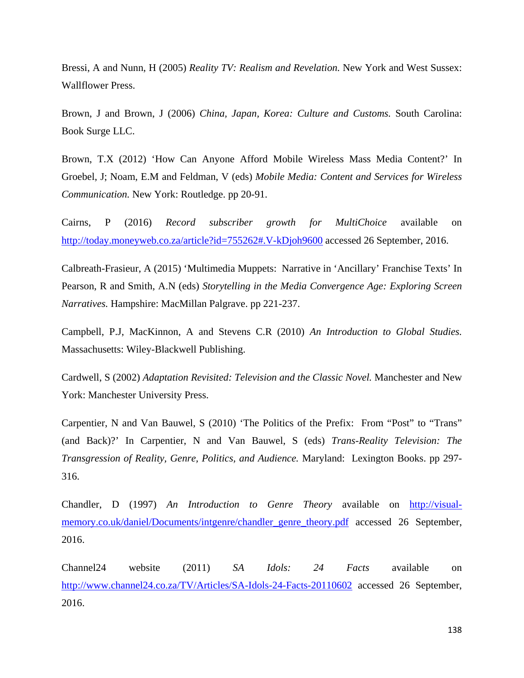Bressi, A and Nunn, H (2005) *Reality TV: Realism and Revelation.* New York and West Sussex: Wallflower Press.

Brown, J and Brown, J (2006) *China, Japan, Korea: Culture and Customs.* South Carolina: Book Surge LLC.

Brown, T.X (2012) 'How Can Anyone Afford Mobile Wireless Mass Media Content?' In Groebel, J; Noam, E.M and Feldman, V (eds) *Mobile Media: Content and Services for Wireless Communication.* New York: Routledge. pp 20-91.

Cairns, P (2016) *Record subscriber growth for MultiChoice* available on <http://today.moneyweb.co.za/article?id=755262#.V-kDjoh9600>accessed 26 September, 2016.

Calbreath-Frasieur, A (2015) 'Multimedia Muppets: Narrative in 'Ancillary' Franchise Texts' In Pearson, R and Smith, A.N (eds) *Storytelling in the Media Convergence Age: Exploring Screen Narratives.* Hampshire: MacMillan Palgrave. pp 221-237.

Campbell, P.J, MacKinnon, A and Stevens C.R (2010) *An Introduction to Global Studies.* Massachusetts: Wiley-Blackwell Publishing.

Cardwell, S (2002) *Adaptation Revisited: Television and the Classic Novel.* Manchester and New York: Manchester University Press.

Carpentier, N and Van Bauwel, S (2010) 'The Politics of the Prefix: From "Post" to "Trans" (and Back)?' In Carpentier, N and Van Bauwel, S (eds) *Trans-Reality Television: The Transgression of Reality, Genre, Politics, and Audience.* Maryland: Lexington Books. pp 297- 316.

Chandler, D (1997) *An Introduction to Genre Theory* available on [http://visual](http://visual-memory.co.uk/daniel/Documents/intgenre/chandler_genre_theory.pdf)[memory.co.uk/daniel/Documents/intgenre/chandler\\_genre\\_theory.pdf](http://visual-memory.co.uk/daniel/Documents/intgenre/chandler_genre_theory.pdf) accessed 26 September, 2016.

Channel24 website (2011) *SA Idols: 24 Facts* available on <http://www.channel24.co.za/TV/Articles/SA-Idols-24-Facts-20110602> accessed 26 September, 2016.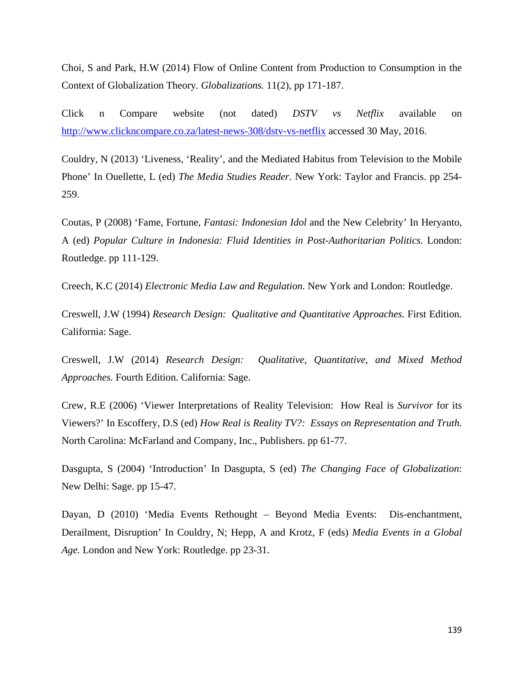Choi, S and Park, H.W (2014) Flow of Online Content from Production to Consumption in the Context of Globalization Theory*. Globalizations.* 11(2), pp 171-187.

Click n Compare website (not dated) *DSTV vs Netflix* available on <http://www.clickncompare.co.za/latest-news-308/dstv-vs-netflix>accessed 30 May, 2016.

Couldry, N (2013) 'Liveness, 'Reality', and the Mediated Habitus from Television to the Mobile Phone' In Ouellette, L (ed) *The Media Studies Reader.* New York: Taylor and Francis. pp 254- 259.

Coutas, P (2008) 'Fame, Fortune, *Fantasi: Indonesian Idol* and the New Celebrity' In Heryanto, A (ed) *Popular Culture in Indonesia: Fluid Identities in Post-Authoritarian Politics.* London: Routledge. pp 111-129.

Creech, K.C (2014) *Electronic Media Law and Regulation.* New York and London: Routledge.

Creswell, J.W (1994) *Research Design: Qualitative and Quantitative Approaches.* First Edition. California: Sage.

Creswell, J.W (2014) *Research Design: Qualitative, Quantitative, and Mixed Method Approaches.* Fourth Edition. California: Sage.

Crew, R.E (2006) 'Viewer Interpretations of Reality Television: How Real is *Survivor* for its Viewers?' In Escoffery, D.S (ed) *How Real is Reality TV?: Essays on Representation and Truth.* North Carolina: McFarland and Company, Inc., Publishers. pp 61-77.

Dasgupta, S (2004) 'Introduction' In Dasgupta, S (ed) *The Changing Face of Globalization*: New Delhi: Sage. pp 15-47.

Dayan, D (2010) 'Media Events Rethought – Beyond Media Events: Dis-enchantment, Derailment, Disruption' In Couldry, N; Hepp, A and Krotz, F (eds) *Media Events in a Global Age.* London and New York: Routledge. pp 23-31.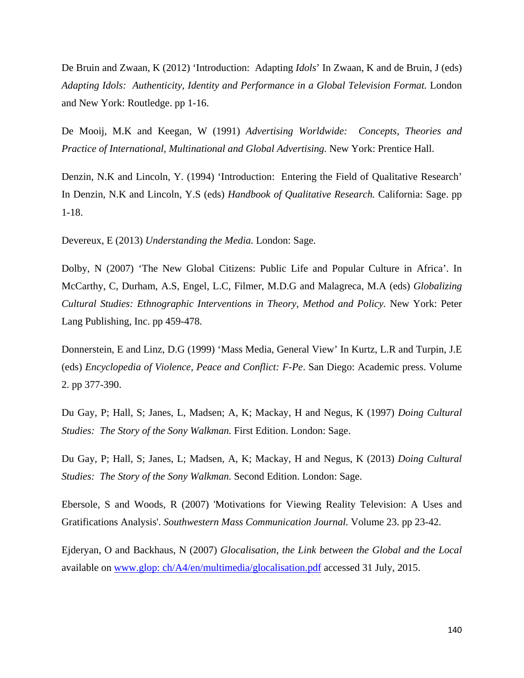De Bruin and Zwaan, K (2012) 'Introduction: Adapting *Idols*' In Zwaan, K and de Bruin, J (eds) *Adapting Idols: Authenticity, Identity and Performance in a Global Television Format.* London and New York: Routledge. pp 1-16.

De Mooij, M.K and Keegan, W (1991) *Advertising Worldwide: Concepts, Theories and Practice of International, Multinational and Global Advertising.* New York: Prentice Hall.

Denzin, N.K and Lincoln, Y. (1994) 'Introduction: Entering the Field of Qualitative Research' In Denzin, N.K and Lincoln, Y.S (eds) *Handbook of Qualitative Research.* California: Sage. pp 1-18.

Devereux, E (2013) *Understanding the Media.* London: Sage.

Dolby, N (2007) 'The New Global Citizens: Public Life and Popular Culture in Africa'. In McCarthy, C, Durham, A.S, Engel, L.C, Filmer, M.D.G and Malagreca, M.A (eds) *Globalizing Cultural Studies: Ethnographic Interventions in Theory, Method and Policy.* New York: Peter Lang Publishing, Inc. pp 459-478.

Donnerstein, E and Linz, D.G (1999) 'Mass Media, General View' In Kurtz, L.R and Turpin, J.E (eds) *Encyclopedia of Violence, Peace and Conflict: F-Pe*. San Diego: Academic press. Volume 2. pp 377-390.

Du Gay, P; Hall, S; Janes, L, Madsen; A, K; Mackay, H and Negus, K (1997) *Doing Cultural Studies: The Story of the Sony Walkman.* First Edition. London: Sage.

Du Gay, P; Hall, S; Janes, L; Madsen, A, K; Mackay, H and Negus, K (2013) *Doing Cultural Studies: The Story of the Sony Walkman.* Second Edition. London: Sage.

Ebersole, S and Woods, R (2007) 'Motivations for Viewing Reality Television: A Uses and Gratifications Analysis'. *Southwestern Mass Communication Journal.* Volume 23. pp 23-42.

Ejderyan, O and Backhaus, N (2007) *Glocalisation, the Link between the Global and the Local*  available on [www.glop: ch/A4/en/multimedia/glocalisation.pdf](http://www.glopp.ch/A4/en/multimedia/glocalisation.pdf) accessed 31 July, 2015.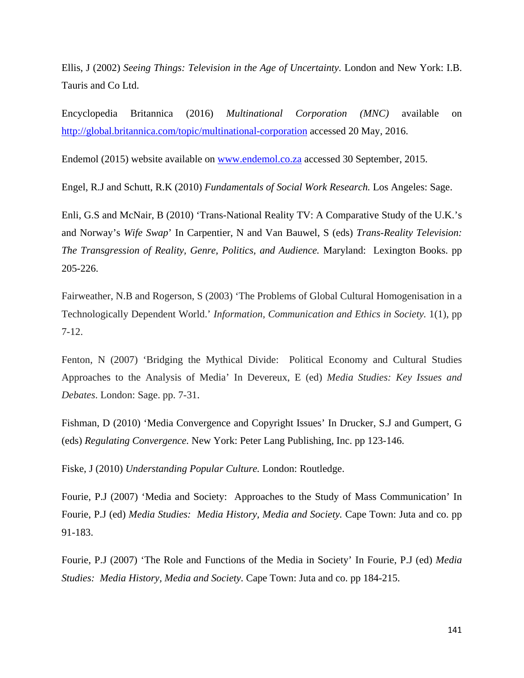Ellis, J (2002) *Seeing Things: Television in the Age of Uncertainty.* London and New York: I.B. Tauris and Co Ltd.

Encyclopedia Britannica (2016) *Multinational Corporation (MNC)* available on <http://global.britannica.com/topic/multinational-corporation>accessed 20 May, 2016.

Endemol (2015) website available on [www.endemol.co.za](http://www.endemol.co.za/) accessed 30 September, 2015.

Engel, R.J and Schutt, R.K (2010) *Fundamentals of Social Work Research.* Los Angeles: Sage.

Enli, G.S and McNair, B (2010) 'Trans-National Reality TV: A Comparative Study of the U.K.'s and Norway's *Wife Swap*' In Carpentier, N and Van Bauwel, S (eds) *Trans-Reality Television: The Transgression of Reality, Genre, Politics, and Audience.* Maryland: Lexington Books. pp 205-226.

Fairweather, N.B and Rogerson, S (2003) 'The Problems of Global Cultural Homogenisation in a Technologically Dependent World.' *Information, Communication and Ethics in Society.* 1(1), pp 7-12.

Fenton, N (2007) 'Bridging the Mythical Divide: Political Economy and Cultural Studies Approaches to the Analysis of Media' In Devereux, E (ed) *Media Studies: Key Issues and Debates*. London: Sage. pp. 7-31.

Fishman, D (2010) 'Media Convergence and Copyright Issues' In Drucker, S.J and Gumpert, G (eds) *Regulating Convergence.* New York: Peter Lang Publishing, Inc. pp 123-146.

Fiske, J (2010) *Understanding Popular Culture.* London: Routledge.

Fourie, P.J (2007) 'Media and Society: Approaches to the Study of Mass Communication' In Fourie, P.J (ed) *Media Studies: Media History, Media and Society.* Cape Town: Juta and co. pp 91-183.

Fourie, P.J (2007) 'The Role and Functions of the Media in Society' In Fourie, P.J (ed) *Media Studies: Media History, Media and Society.* Cape Town: Juta and co. pp 184-215.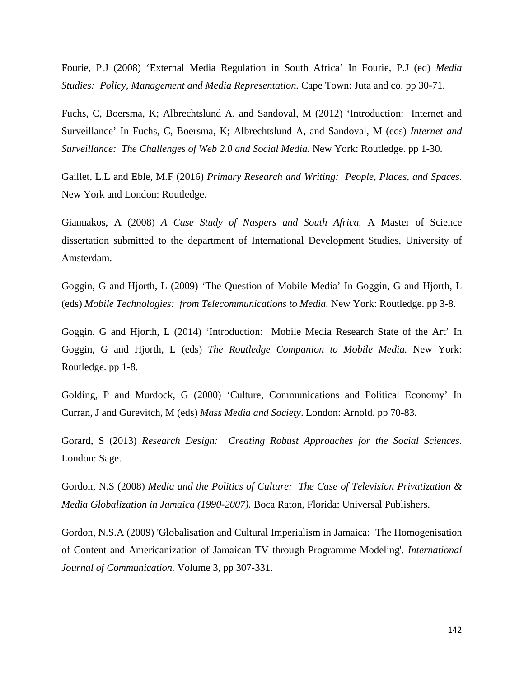Fourie, P.J (2008) 'External Media Regulation in South Africa' In Fourie, P.J (ed) *Media Studies: Policy, Management and Media Representation.* Cape Town: Juta and co. pp 30-71.

Fuchs, C, Boersma, K; Albrechtslund A, and Sandoval, M (2012) 'Introduction: Internet and Surveillance' In Fuchs, C, Boersma, K; Albrechtslund A, and Sandoval, M (eds) *Internet and Surveillance: The Challenges of Web 2.0 and Social Media.* New York: Routledge. pp 1-30.

Gaillet, L.L and Eble, M.F (2016) *Primary Research and Writing: People, Places, and Spaces.* New York and London: Routledge.

Giannakos, A (2008) *A Case Study of Naspers and South Africa.* A Master of Science dissertation submitted to the department of International Development Studies, University of Amsterdam.

Goggin, G and Hjorth, L (2009) 'The Question of Mobile Media' In Goggin, G and Hjorth, L (eds) *Mobile Technologies: from Telecommunications to Media.* New York: Routledge. pp 3-8.

Goggin, G and Hjorth, L (2014) 'Introduction: Mobile Media Research State of the Art' In Goggin, G and Hjorth, L (eds) *The Routledge Companion to Mobile Media.* New York: Routledge. pp 1-8.

Golding, P and Murdock, G (2000) 'Culture, Communications and Political Economy' In Curran, J and Gurevitch, M (eds) *Mass Media and Society*. London: Arnold. pp 70-83.

Gorard, S (2013) *Research Design: Creating Robust Approaches for the Social Sciences.* London: Sage.

Gordon, N.S (2008) *Media and the Politics of Culture: The Case of Television Privatization & Media Globalization in Jamaica (1990-2007).* Boca Raton, Florida: Universal Publishers.

Gordon, N.S.A (2009) 'Globalisation and Cultural Imperialism in Jamaica: The Homogenisation of Content and Americanization of Jamaican TV through Programme Modeling'*. International Journal of Communication.* Volume 3, pp 307-331.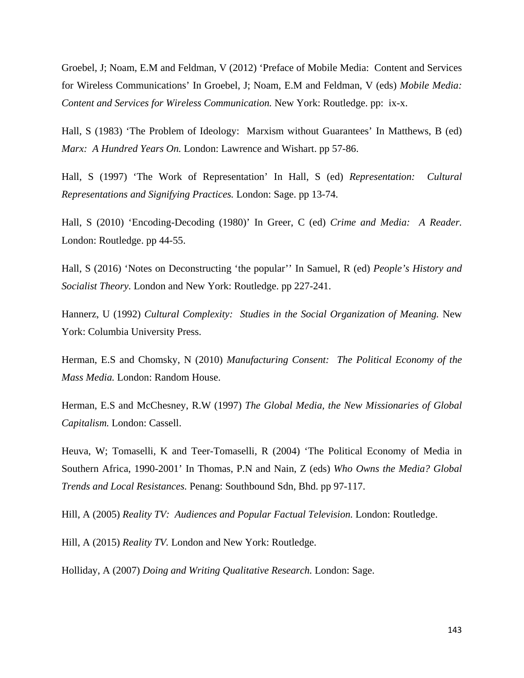Groebel, J; Noam, E.M and Feldman, V (2012) 'Preface of Mobile Media: Content and Services for Wireless Communications' In Groebel, J; Noam, E.M and Feldman, V (eds) *Mobile Media: Content and Services for Wireless Communication.* New York: Routledge. pp: ix-x.

Hall, S (1983) 'The Problem of Ideology: Marxism without Guarantees' In Matthews, B (ed) *Marx: A Hundred Years On.* London: Lawrence and Wishart. pp 57-86.

Hall, S (1997) 'The Work of Representation' In Hall, S (ed) *Representation: Cultural Representations and Signifying Practices.* London: Sage. pp 13-74.

Hall, S (2010) 'Encoding-Decoding (1980)' In Greer, C (ed) *Crime and Media: A Reader.* London: Routledge. pp 44-55.

Hall, S (2016) 'Notes on Deconstructing 'the popular'' In Samuel, R (ed) *People's History and Socialist Theory.* London and New York: Routledge. pp 227-241.

Hannerz, U (1992) *Cultural Complexity: Studies in the Social Organization of Meaning.* New York: Columbia University Press.

Herman, E.S and Chomsky, N (2010) *Manufacturing Consent: The Political Economy of the Mass Media.* London: Random House.

Herman, E.S and McChesney, R.W (1997) *The Global Media, the New Missionaries of Global Capitalism.* London: Cassell.

Heuva, W; Tomaselli, K and Teer-Tomaselli, R (2004) 'The Political Economy of Media in Southern Africa, 1990-2001' In Thomas, P.N and Nain, Z (eds) *Who Owns the Media? Global Trends and Local Resistances.* Penang: Southbound Sdn, Bhd. pp 97-117.

Hill, A (2005) *Reality TV: Audiences and Popular Factual Television.* London: Routledge.

Hill, A (2015) *Reality TV.* London and New York: Routledge.

Holliday, A (2007) *Doing and Writing Qualitative Research.* London: Sage.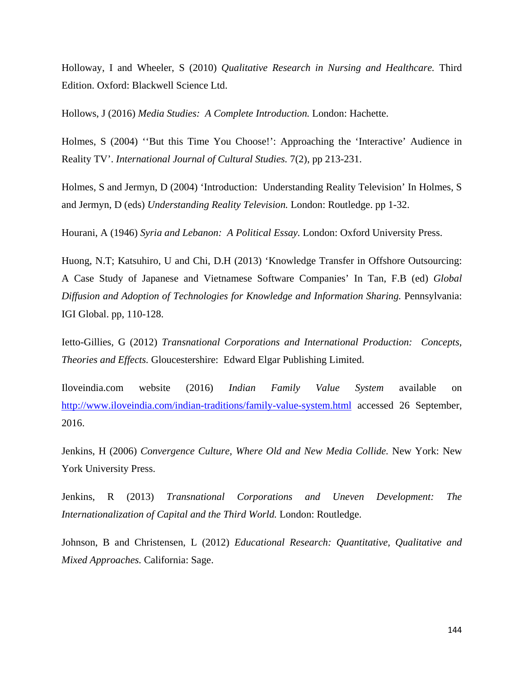Holloway, I and Wheeler, S (2010) *Qualitative Research in Nursing and Healthcare.* Third Edition. Oxford: Blackwell Science Ltd.

Hollows, J (2016) *Media Studies: A Complete Introduction.* London: Hachette.

Holmes, S (2004) ''But this Time You Choose!': Approaching the 'Interactive' Audience in Reality TV'. *International Journal of Cultural Studies.* 7(2), pp 213-231.

Holmes, S and Jermyn, D (2004) 'Introduction: Understanding Reality Television' In Holmes, S and Jermyn, D (eds) *Understanding Reality Television.* London: Routledge. pp 1-32.

Hourani, A (1946) *Syria and Lebanon: A Political Essay.* London: Oxford University Press.

Huong, N.T; Katsuhiro, U and Chi, D.H (2013) 'Knowledge Transfer in Offshore Outsourcing: A Case Study of Japanese and Vietnamese Software Companies' In Tan, F.B (ed) *Global Diffusion and Adoption of Technologies for Knowledge and Information Sharing.* Pennsylvania: IGI Global. pp, 110-128.

Ietto-Gillies, G (2012) *Transnational Corporations and International Production: Concepts, Theories and Effects.* Gloucestershire: Edward Elgar Publishing Limited.

Iloveindia.com website (2016) *Indian Family Value System* available on <http://www.iloveindia.com/indian-traditions/family-value-system.html> accessed 26 September, 2016.

Jenkins, H (2006) *Convergence Culture, Where Old and New Media Collide.* New York: New York University Press.

Jenkins, R (2013) *Transnational Corporations and Uneven Development: The Internationalization of Capital and the Third World.* London: Routledge.

Johnson, B and Christensen, L (2012) *Educational Research: Quantitative, Qualitative and Mixed Approaches.* California: Sage.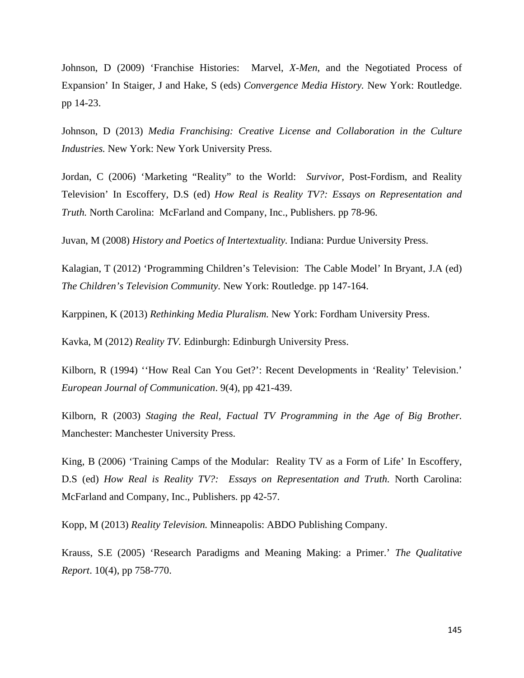Johnson, D (2009) 'Franchise Histories: Marvel, *X-Men*, and the Negotiated Process of Expansion' In Staiger, J and Hake, S (eds) *Convergence Media History.* New York: Routledge. pp 14-23.

Johnson, D (2013) *Media Franchising: Creative License and Collaboration in the Culture Industries.* New York: New York University Press.

Jordan, C (2006) 'Marketing "Reality" to the World: *Survivor,* Post-Fordism, and Reality Television' In Escoffery, D.S (ed) *How Real is Reality TV?: Essays on Representation and Truth.* North Carolina: McFarland and Company, Inc., Publishers. pp 78-96.

Juvan, M (2008) *History and Poetics of Intertextuality.* Indiana: Purdue University Press.

Kalagian, T (2012) 'Programming Children's Television: The Cable Model' In Bryant, J.A (ed) *The Children's Television Community.* New York: Routledge. pp 147-164.

Karppinen, K (2013) *Rethinking Media Pluralism.* New York: Fordham University Press.

Kavka, M (2012) *Reality TV.* Edinburgh: Edinburgh University Press.

Kilborn, R (1994) ''How Real Can You Get?': Recent Developments in 'Reality' Television.' *European Journal of Communication*. 9(4), pp 421-439.

Kilborn, R (2003) *Staging the Real, Factual TV Programming in the Age of Big Brother.* Manchester: Manchester University Press.

King, B (2006) 'Training Camps of the Modular: Reality TV as a Form of Life' In Escoffery, D.S (ed) *How Real is Reality TV?: Essays on Representation and Truth.* North Carolina: McFarland and Company, Inc., Publishers. pp 42-57.

Kopp, M (2013) *Reality Television.* Minneapolis: ABDO Publishing Company.

Krauss, S.E (2005) 'Research Paradigms and Meaning Making: a Primer.' *The Qualitative Report*. 10(4), pp 758-770.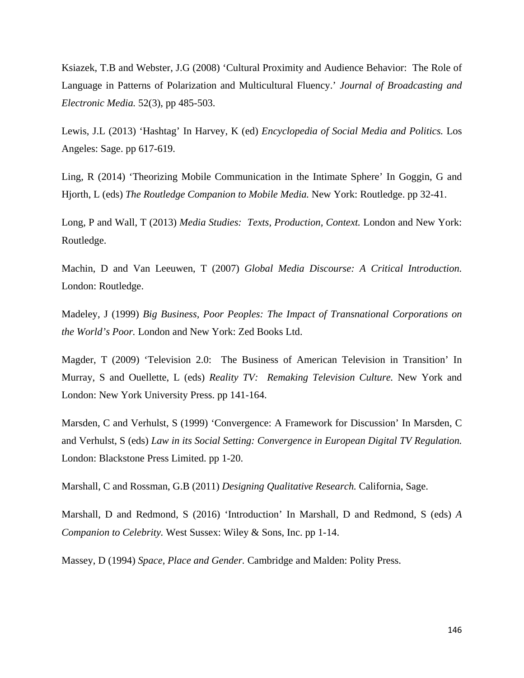Ksiazek, T.B and Webster, J.G (2008) 'Cultural Proximity and Audience Behavior: The Role of Language in Patterns of Polarization and Multicultural Fluency.' *Journal of Broadcasting and Electronic Media.* 52(3), pp 485-503.

Lewis, J.L (2013) 'Hashtag' In Harvey, K (ed) *Encyclopedia of Social Media and Politics.* Los Angeles: Sage. pp 617-619.

Ling, R (2014) 'Theorizing Mobile Communication in the Intimate Sphere' In Goggin, G and Hjorth, L (eds) *The Routledge Companion to Mobile Media.* New York: Routledge. pp 32-41.

Long, P and Wall, T (2013) *Media Studies: Texts, Production, Context.* London and New York: Routledge.

Machin, D and Van Leeuwen, T (2007) *Global Media Discourse: A Critical Introduction.* London: Routledge.

Madeley, J (1999) *Big Business, Poor Peoples: The Impact of Transnational Corporations on the World's Poor.* London and New York: Zed Books Ltd.

Magder, T (2009) 'Television 2.0: The Business of American Television in Transition' In Murray, S and Ouellette, L (eds) *Reality TV: Remaking Television Culture.* New York and London: New York University Press. pp 141-164.

Marsden, C and Verhulst, S (1999) 'Convergence: A Framework for Discussion' In Marsden, C and Verhulst, S (eds) *Law in its Social Setting: Convergence in European Digital TV Regulation.* London: Blackstone Press Limited. pp 1-20.

Marshall, C and Rossman, G.B (2011) *Designing Qualitative Research.* California, Sage.

Marshall, D and Redmond, S (2016) 'Introduction' In Marshall, D and Redmond, S (eds) *A Companion to Celebrity.* West Sussex: Wiley & Sons, Inc. pp 1-14.

Massey, D (1994) *Space, Place and Gender.* Cambridge and Malden: Polity Press.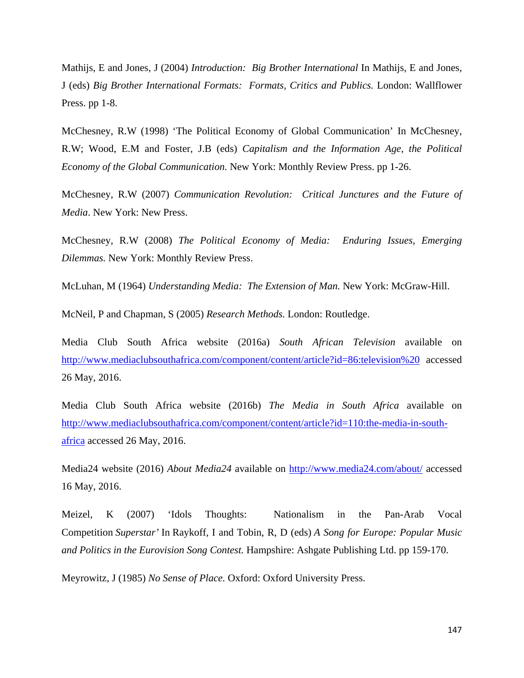Mathijs, E and Jones, J (2004) *Introduction: Big Brother International* In Mathijs, E and Jones, J (eds) *Big Brother International Formats: Formats, Critics and Publics.* London: Wallflower Press. pp 1-8.

McChesney, R.W (1998) 'The Political Economy of Global Communication' In McChesney, R.W; Wood, E.M and Foster, J.B (eds) *Capitalism and the Information Age, the Political Economy of the Global Communication.* New York: Monthly Review Press. pp 1-26.

McChesney, R.W (2007) *Communication Revolution: Critical Junctures and the Future of Media*. New York: New Press.

McChesney, R.W (2008) *The Political Economy of Media: Enduring Issues, Emerging Dilemmas.* New York: Monthly Review Press.

McLuhan, M (1964) *Understanding Media: The Extension of Man.* New York: McGraw-Hill.

McNeil, P and Chapman, S (2005) *Research Methods.* London: Routledge.

Media Club South Africa website (2016a) *South African Television* available on <http://www.mediaclubsouthafrica.com/component/content/article?id=86:television%20> accessed 26 May, 2016.

Media Club South Africa website (2016b) *The Media in South Africa* available on [http://www.mediaclubsouthafrica.com/component/content/article?id=110:the-media-in-south](http://www.mediaclubsouthafrica.com/component/content/article?id=110:the-media-in-south-africa)[africa](http://www.mediaclubsouthafrica.com/component/content/article?id=110:the-media-in-south-africa) accessed 26 May, 2016.

Media24 website (2016) *About Media24* available on<http://www.media24.com/about/> accessed 16 May, 2016.

Meizel, K (2007) 'Idols Thoughts: Nationalism in the Pan-Arab Vocal Competition *Superstar'* In Raykoff, I and Tobin, R, D (eds) *A Song for Europe: Popular Music and Politics in the Eurovision Song Contest.* Hampshire: Ashgate Publishing Ltd. pp 159-170.

Meyrowitz, J (1985) *No Sense of Place.* Oxford: Oxford University Press.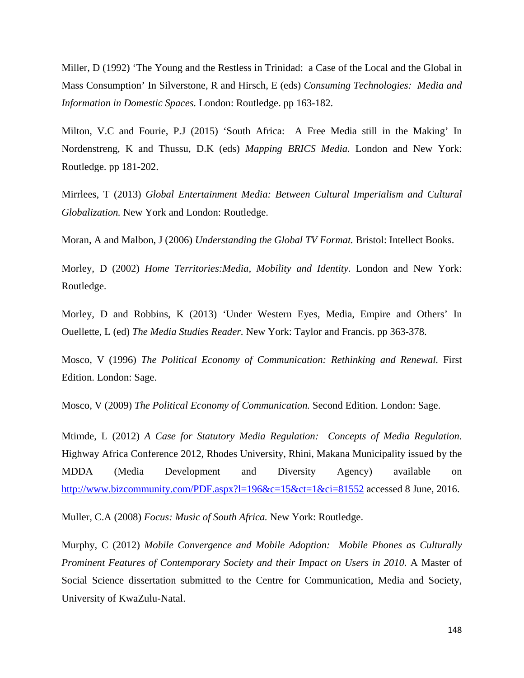Miller, D (1992) 'The Young and the Restless in Trinidad: a Case of the Local and the Global in Mass Consumption' In Silverstone, R and Hirsch, E (eds) *Consuming Technologies: Media and Information in Domestic Spaces.* London: Routledge. pp 163-182.

Milton, V.C and Fourie, P.J (2015) 'South Africa: A Free Media still in the Making' In Nordenstreng, K and Thussu, D.K (eds) *Mapping BRICS Media.* London and New York: Routledge. pp 181-202.

Mirrlees, T (2013) *Global Entertainment Media: Between Cultural Imperialism and Cultural Globalization.* New York and London: Routledge.

Moran, A and Malbon, J (2006) *Understanding the Global TV Format.* Bristol: Intellect Books.

Morley, D (2002) *Home Territories:Media, Mobility and Identity.* London and New York: Routledge.

Morley, D and Robbins, K (2013) 'Under Western Eyes, Media, Empire and Others' In Ouellette, L (ed) *The Media Studies Reader.* New York: Taylor and Francis. pp 363-378.

Mosco, V (1996) *The Political Economy of Communication: Rethinking and Renewal.* First Edition. London: Sage.

Mosco, V (2009) *The Political Economy of Communication.* Second Edition. London: Sage.

Mtimde, L (2012) *A Case for Statutory Media Regulation: Concepts of Media Regulation.* Highway Africa Conference 2012, Rhodes University, Rhini, Makana Municipality issued by the MDDA (Media Development and Diversity Agency) available on <http://www.bizcommunity.com/PDF.aspx?l=196&c=15&ct=1&ci=81552>accessed 8 June, 2016.

Muller, C.A (2008) *Focus: Music of South Africa.* New York: Routledge.

Murphy, C (2012) *Mobile Convergence and Mobile Adoption: Mobile Phones as Culturally Prominent Features of Contemporary Society and their Impact on Users in 2010.* A Master of Social Science dissertation submitted to the Centre for Communication, Media and Society, University of KwaZulu-Natal.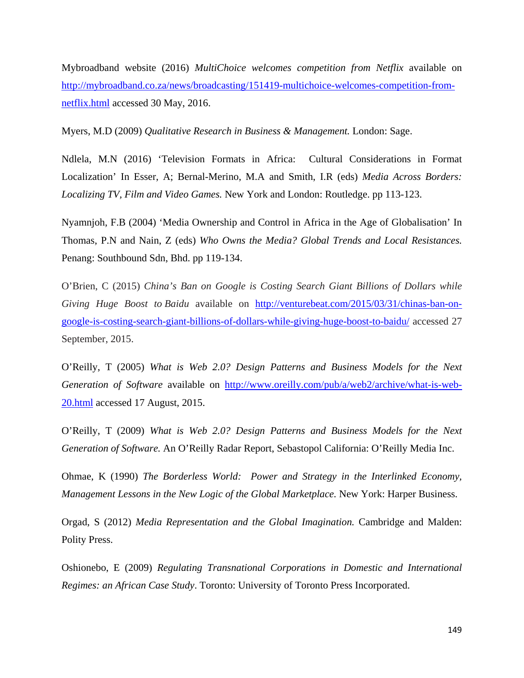Mybroadband website (2016) *MultiChoice welcomes competition from Netflix* available on [http://mybroadband.co.za/news/broadcasting/151419-multichoice-welcomes-competition-from](http://mybroadband.co.za/news/broadcasting/151419-multichoice-welcomes-competition-from-netflix.html)[netflix.html](http://mybroadband.co.za/news/broadcasting/151419-multichoice-welcomes-competition-from-netflix.html) accessed 30 May, 2016.

Myers, M.D (2009) *Qualitative Research in Business & Management.* London: Sage.

Ndlela, M.N (2016) 'Television Formats in Africa: Cultural Considerations in Format Localization' In Esser, A; Bernal-Merino, M.A and Smith, I.R (eds) *Media Across Borders: Localizing TV, Film and Video Games.* New York and London: Routledge. pp 113-123.

Nyamnjoh, F.B (2004) 'Media Ownership and Control in Africa in the Age of Globalisation' In Thomas, P.N and Nain, Z (eds) *Who Owns the Media? Global Trends and Local Resistances.* Penang: Southbound Sdn, Bhd. pp 119-134.

O'Brien, C (2015) *China's Ban on Google is Costing Search Giant Billions of Dollars while Giving Huge Boost to Baidu* available on [http://venturebeat.com/2015/03/31/chinas-ban-on](http://venturebeat.com/2015/03/31/chinas-ban-on-google-is-costing-search-giant-billions-of-dollars-while-giving-huge-boost-to-baidu/)[google-is-costing-search-giant-billions-of-dollars-while-giving-huge-boost-to-baidu/](http://venturebeat.com/2015/03/31/chinas-ban-on-google-is-costing-search-giant-billions-of-dollars-while-giving-huge-boost-to-baidu/) accessed 27 September, 2015.

O'Reilly, T (2005) *What is Web 2.0? Design Patterns and Business Models for the Next Generation of Software* available on [http://www.oreilly.com/pub/a/web2/archive/what-is-web-](http://www.oreilly.com/pub/a/web2/archive/what-is-web-20.html)[20.html](http://www.oreilly.com/pub/a/web2/archive/what-is-web-20.html) accessed 17 August, 2015.

O'Reilly, T (2009) *What is Web 2.0? Design Patterns and Business Models for the Next Generation of Software.* An O'Reilly Radar Report, Sebastopol California: O'Reilly Media Inc.

Ohmae, K (1990) *The Borderless World: Power and Strategy in the Interlinked Economy, Management Lessons in the New Logic of the Global Marketplace.* New York: Harper Business.

Orgad, S (2012) *Media Representation and the Global Imagination.* Cambridge and Malden: Polity Press.

Oshionebo, E (2009) *Regulating Transnational Corporations in Domestic and International Regimes: an African Case Study*. Toronto: University of Toronto Press Incorporated.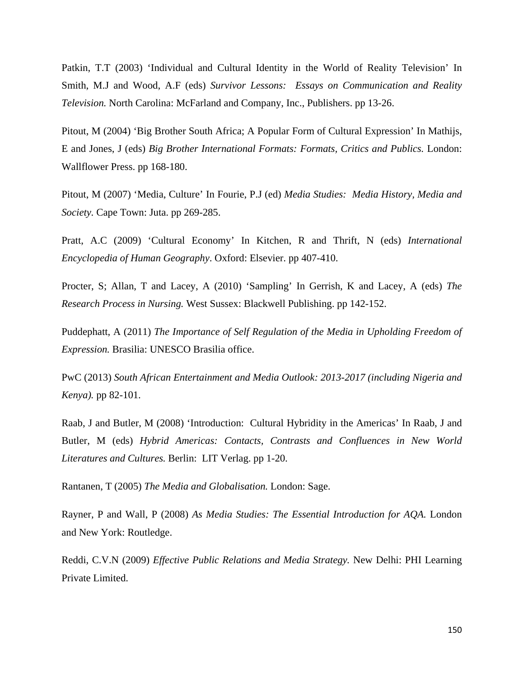Patkin, T.T (2003) 'Individual and Cultural Identity in the World of Reality Television' In Smith, M.J and Wood, A.F (eds) *Survivor Lessons: Essays on Communication and Reality Television.* North Carolina: McFarland and Company, Inc., Publishers. pp 13-26.

Pitout, M (2004) 'Big Brother South Africa; A Popular Form of Cultural Expression' In Mathijs, E and Jones, J (eds) *Big Brother International Formats: Formats, Critics and Publics.* London: Wallflower Press. pp 168-180.

Pitout, M (2007) 'Media, Culture' In Fourie, P.J (ed) *Media Studies: Media History, Media and Society.* Cape Town: Juta. pp 269-285.

Pratt, A.C (2009) 'Cultural Economy' In Kitchen, R and Thrift, N (eds) *International Encyclopedia of Human Geography*. Oxford: Elsevier. pp 407-410.

Procter, S; Allan, T and Lacey, A (2010) 'Sampling' In Gerrish, K and Lacey, A (eds) *The Research Process in Nursing.* West Sussex: Blackwell Publishing. pp 142-152.

Puddephatt, A (2011) *The Importance of Self Regulation of the Media in Upholding Freedom of Expression.* Brasilia: UNESCO Brasilia office.

PwC (2013) *South African Entertainment and Media Outlook: 2013-2017 (including Nigeria and Kenya).* pp 82-101.

Raab, J and Butler, M (2008) 'Introduction: Cultural Hybridity in the Americas' In Raab, J and Butler, M (eds) *Hybrid Americas: Contacts, Contrasts and Confluences in New World Literatures and Cultures.* Berlin: LIT Verlag. pp 1-20.

Rantanen, T (2005) *The Media and Globalisation.* London: Sage.

Rayner, P and Wall, P (2008) *As Media Studies: The Essential Introduction for AQA.* London and New York: Routledge.

Reddi, C.V.N (2009) *Effective Public Relations and Media Strategy.* New Delhi: PHI Learning Private Limited.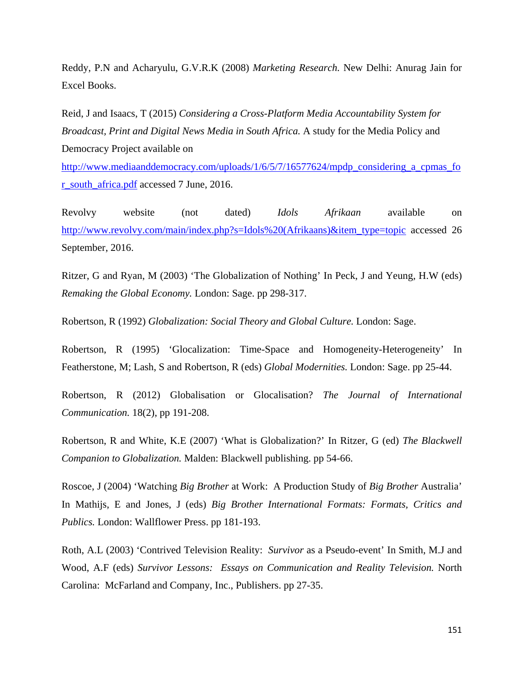Reddy, P.N and Acharyulu, G.V.R.K (2008) *Marketing Research.* New Delhi: Anurag Jain for Excel Books.

Reid, J and Isaacs, T (2015) *Considering a Cross-Platform Media Accountability System for Broadcast, Print and Digital News Media in South Africa.* A study for the Media Policy and Democracy Project available on

[http://www.mediaanddemocracy.com/uploads/1/6/5/7/16577624/mpdp\\_considering\\_a\\_cpmas\\_fo](http://www.mediaanddemocracy.com/uploads/1/6/5/7/16577624/mpdp_considering_a_cpmas_for_south_africa.pdf) [r\\_south\\_africa.pdf](http://www.mediaanddemocracy.com/uploads/1/6/5/7/16577624/mpdp_considering_a_cpmas_for_south_africa.pdf) accessed 7 June, 2016.

Revolvy website (not dated) *Idols Afrikaan* available on [http://www.revolvy.com/main/index.php?s=Idols%20\(Afrikaans\)&item\\_type=topic](http://www.revolvy.com/main/index.php?s=Idols%20(Afrikaans)&item_type=topic) accessed 26 September, 2016.

Ritzer, G and Ryan, M (2003) 'The Globalization of Nothing' In Peck, J and Yeung, H.W (eds) *Remaking the Global Economy.* London: Sage. pp 298-317.

Robertson, R (1992) *Globalization: Social Theory and Global Culture.* London: Sage.

Robertson, R (1995) 'Glocalization: Time-Space and Homogeneity-Heterogeneity' In Featherstone, M; Lash, S and Robertson, R (eds) *Global Modernities.* London: Sage. pp 25-44.

Robertson, R (2012) Globalisation or Glocalisation? *The Journal of International Communication.* 18(2), pp 191-208.

Robertson, R and White, K.E (2007) 'What is Globalization?' In Ritzer, G (ed) *The Blackwell Companion to Globalization.* Malden: Blackwell publishing. pp 54-66.

Roscoe, J (2004) 'Watching *Big Brother* at Work: A Production Study of *Big Brother* Australia' In Mathijs, E and Jones, J (eds) *Big Brother International Formats: Formats, Critics and Publics.* London: Wallflower Press. pp 181-193.

Roth, A.L (2003) 'Contrived Television Reality: *Survivor* as a Pseudo-event' In Smith, M.J and Wood, A.F (eds) *Survivor Lessons: Essays on Communication and Reality Television.* North Carolina: McFarland and Company, Inc., Publishers. pp 27-35.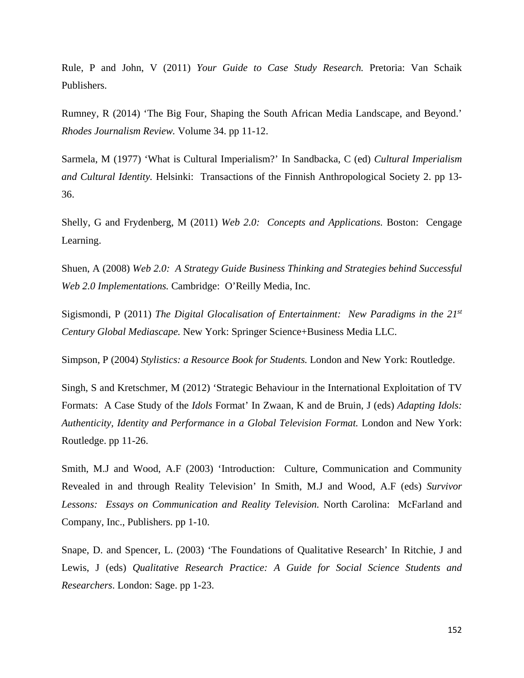Rule, P and John, V (2011) *Your Guide to Case Study Research.* Pretoria: Van Schaik Publishers.

Rumney, R (2014) 'The Big Four, Shaping the South African Media Landscape, and Beyond.' *Rhodes Journalism Review.* Volume 34. pp 11-12.

Sarmela, M (1977) 'What is Cultural Imperialism?' In Sandbacka, C (ed) *Cultural Imperialism and Cultural Identity.* Helsinki: Transactions of the Finnish Anthropological Society 2. pp 13- 36.

Shelly, G and Frydenberg, M (2011) *Web 2.0: Concepts and Applications.* Boston: Cengage Learning.

Shuen, A (2008) *Web 2.0: A Strategy Guide Business Thinking and Strategies behind Successful Web 2.0 Implementations.* Cambridge: O'Reilly Media, Inc.

Sigismondi, P (2011) *The Digital Glocalisation of Entertainment: New Paradigms in the 21st Century Global Mediascape.* New York: Springer Science+Business Media LLC.

Simpson, P (2004) *Stylistics: a Resource Book for Students.* London and New York: Routledge.

Singh, S and Kretschmer, M (2012) 'Strategic Behaviour in the International Exploitation of TV Formats: A Case Study of the *Idols* Format' In Zwaan, K and de Bruin, J (eds) *Adapting Idols: Authenticity, Identity and Performance in a Global Television Format.* London and New York: Routledge. pp 11-26.

Smith, M.J and Wood, A.F (2003) 'Introduction: Culture, Communication and Community Revealed in and through Reality Television' In Smith, M.J and Wood, A.F (eds) *Survivor Lessons: Essays on Communication and Reality Television.* North Carolina: McFarland and Company, Inc., Publishers. pp 1-10.

Snape, D. and Spencer, L. (2003) 'The Foundations of Qualitative Research' In Ritchie, J and Lewis, J (eds) *Qualitative Research Practice: A Guide for Social Science Students and Researchers*. London: Sage. pp 1-23.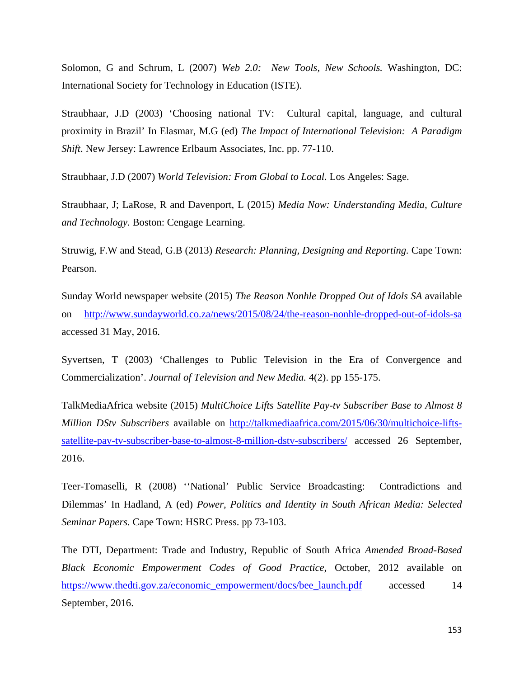Solomon, G and Schrum, L (2007) *Web 2.0: New Tools, New Schools.* Washington, DC: International Society for Technology in Education (ISTE).

Straubhaar, J.D (2003) 'Choosing national TV: Cultural capital, language, and cultural proximity in Brazil' In Elasmar, M.G (ed) *The Impact of International Television: A Paradigm Shift*. New Jersey: Lawrence Erlbaum Associates, Inc. pp. 77-110.

Straubhaar, J.D (2007) *World Television: From Global to Local.* Los Angeles: Sage.

Straubhaar, J; LaRose, R and Davenport, L (2015) *Media Now: Understanding Media, Culture and Technology.* Boston: Cengage Learning.

Struwig, F.W and Stead, G.B (2013) *Research: Planning, Designing and Reporting.* Cape Town: Pearson.

Sunday World newspaper website (2015) *The Reason Nonhle Dropped Out of Idols SA* available on <http://www.sundayworld.co.za/news/2015/08/24/the-reason-nonhle-dropped-out-of-idols-sa> accessed 31 May, 2016.

Syvertsen, T (2003) 'Challenges to Public Television in the Era of Convergence and Commercialization'. *Journal of Television and New Media.* 4(2). pp 155-175.

TalkMediaAfrica website (2015) *MultiChoice Lifts Satellite Pay-tv Subscriber Base to Almost 8 Million DStv Subscribers* available on [http://talkmediaafrica.com/2015/06/30/multichoice-lifts](http://talkmediaafrica.com/2015/06/30/multichoice-lifts-satellite-pay-tv-subscriber-base-to-almost-8-million-dstv-subscribers/)[satellite-pay-tv-subscriber-base-to-almost-8-million-dstv-subscribers/](http://talkmediaafrica.com/2015/06/30/multichoice-lifts-satellite-pay-tv-subscriber-base-to-almost-8-million-dstv-subscribers/) accessed 26 September, 2016.

Teer-Tomaselli, R (2008) ''National' Public Service Broadcasting: Contradictions and Dilemmas' In Hadland, A (ed) *Power, Politics and Identity in South African Media: Selected Seminar Papers.* Cape Town: HSRC Press. pp 73-103.

The DTI, Department: Trade and Industry, Republic of South Africa *Amended Broad-Based Black Economic Empowerment Codes of Good Practice*, October, 2012 available on [https://www.thedti.gov.za/economic\\_empowerment/docs/bee\\_launch.pdf](https://www.thedti.gov.za/economic_empowerment/docs/bee_launch.pdf) accessed 14 September, 2016.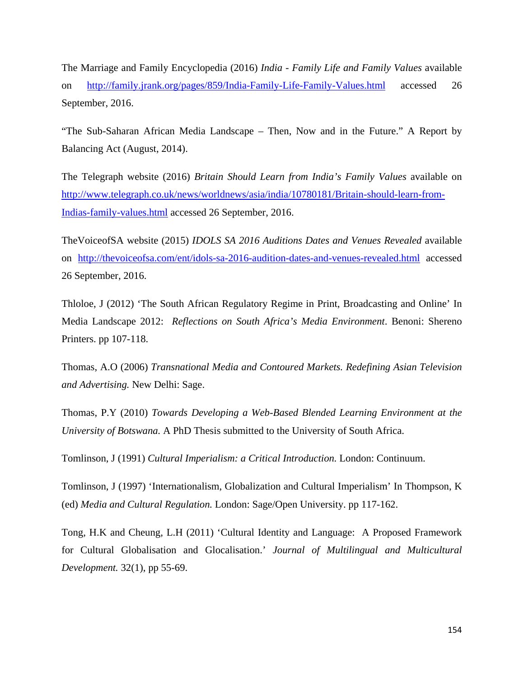The Marriage and Family Encyclopedia (2016) *India - Family Life and Family Values* available on <http://family.jrank.org/pages/859/India-Family-Life-Family-Values.html> accessed 26 September, 2016.

"The Sub-Saharan African Media Landscape – Then, Now and in the Future." A Report by Balancing Act (August, 2014).

The Telegraph website (2016) *Britain Should Learn from India's Family Values* available on [http://www.telegraph.co.uk/news/worldnews/asia/india/10780181/Britain-should-learn-from-](http://www.telegraph.co.uk/news/worldnews/asia/india/10780181/Britain-should-learn-from-Indias-family-values.html)[Indias-family-values.html](http://www.telegraph.co.uk/news/worldnews/asia/india/10780181/Britain-should-learn-from-Indias-family-values.html) accessed 26 September, 2016.

TheVoiceofSA website (2015) *IDOLS SA 2016 Auditions Dates and Venues Revealed* available on <http://thevoiceofsa.com/ent/idols-sa-2016-audition-dates-and-venues-revealed.html> accessed 26 September, 2016.

Thloloe, J (2012) 'The South African Regulatory Regime in Print, Broadcasting and Online' In Media Landscape 2012: *Reflections on South Africa's Media Environment*. Benoni: Shereno Printers. pp 107-118.

Thomas, A.O (2006) *Transnational Media and Contoured Markets. Redefining Asian Television and Advertising.* New Delhi: Sage.

Thomas, P.Y (2010) *Towards Developing a Web-Based Blended Learning Environment at the University of Botswana.* A PhD Thesis submitted to the University of South Africa.

Tomlinson, J (1991) *Cultural Imperialism: a Critical Introduction.* London: Continuum.

Tomlinson, J (1997) 'Internationalism, Globalization and Cultural Imperialism' In Thompson, K (ed) *Media and Cultural Regulation.* London: Sage/Open University. pp 117-162.

Tong, H.K and Cheung, L.H (2011) 'Cultural Identity and Language: A Proposed Framework for Cultural Globalisation and Glocalisation.' *Journal of Multilingual and Multicultural Development.* 32(1), pp 55-69.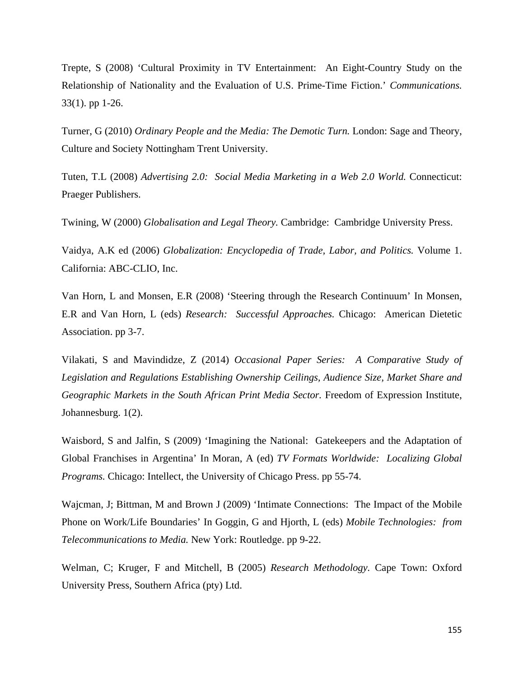Trepte, S (2008) 'Cultural Proximity in TV Entertainment: An Eight-Country Study on the Relationship of Nationality and the Evaluation of U.S. Prime-Time Fiction.' *Communications.* 33(1). pp 1-26.

Turner, G (2010) *Ordinary People and the Media: The Demotic Turn.* London: Sage and Theory, Culture and Society Nottingham Trent University.

Tuten, T.L (2008) *Advertising 2.0: Social Media Marketing in a Web 2.0 World.* Connecticut: Praeger Publishers.

Twining, W (2000) *Globalisation and Legal Theory.* Cambridge: Cambridge University Press.

Vaidya, A.K ed (2006) *Globalization: Encyclopedia of Trade, Labor, and Politics.* Volume 1. California: ABC-CLIO, Inc.

Van Horn, L and Monsen, E.R (2008) 'Steering through the Research Continuum' In Monsen, E.R and Van Horn, L (eds) *Research: Successful Approaches.* Chicago: American Dietetic Association. pp 3-7.

Vilakati, S and Mavindidze, Z (2014) *Occasional Paper Series: A Comparative Study of Legislation and Regulations Establishing Ownership Ceilings, Audience Size, Market Share and Geographic Markets in the South African Print Media Sector.* Freedom of Expression Institute, Johannesburg. 1(2).

Waisbord, S and Jalfin, S (2009) 'Imagining the National: Gatekeepers and the Adaptation of Global Franchises in Argentina' In Moran, A (ed) *TV Formats Worldwide: Localizing Global Programs.* Chicago: Intellect, the University of Chicago Press. pp 55-74.

Wajcman, J; Bittman, M and Brown J (2009) 'Intimate Connections: The Impact of the Mobile Phone on Work/Life Boundaries' In Goggin, G and Hjorth, L (eds) *Mobile Technologies: from Telecommunications to Media.* New York: Routledge. pp 9-22.

Welman, C; Kruger, F and Mitchell, B (2005) *Research Methodology.* Cape Town: Oxford University Press, Southern Africa (pty) Ltd.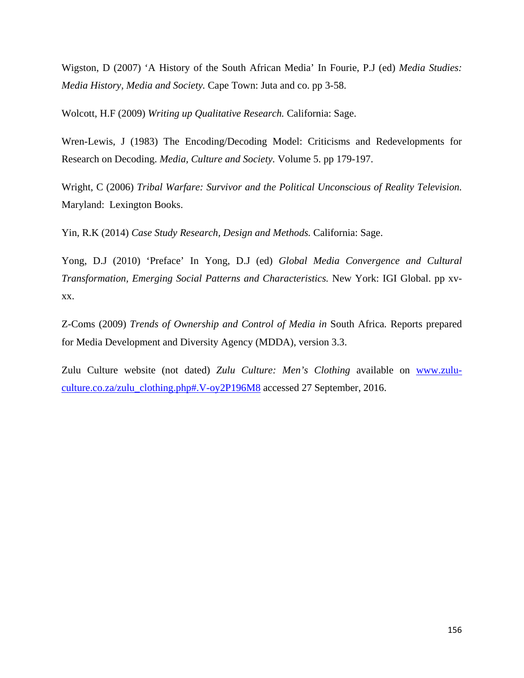Wigston, D (2007) 'A History of the South African Media' In Fourie, P.J (ed) *Media Studies: Media History, Media and Society.* Cape Town: Juta and co. pp 3-58.

Wolcott, H.F (2009) *Writing up Qualitative Research.* California: Sage.

Wren-Lewis, J (1983) The Encoding/Decoding Model: Criticisms and Redevelopments for Research on Decoding. *Media, Culture and Society.* Volume 5. pp 179-197.

Wright, C (2006) *Tribal Warfare: Survivor and the Political Unconscious of Reality Television.*  Maryland: Lexington Books.

Yin, R.K (2014) *Case Study Research, Design and Methods.* California: Sage.

Yong, D.J (2010) 'Preface' In Yong, D.J (ed) *Global Media Convergence and Cultural Transformation, Emerging Social Patterns and Characteristics.* New York: IGI Global. pp xvxx.

Z-Coms (2009) *Trends of Ownership and Control of Media in* South Africa*.* Reports prepared for Media Development and Diversity Agency (MDDA), version 3.3.

Zulu Culture website (not dated) *Zulu Culture: Men's Clothing* available on [www.zulu](http://www.zulu-culture.co.za/zulu_clothing.php#.V-oy2P196M8)[culture.co.za/zulu\\_clothing.php#.V-oy2P196M8](http://www.zulu-culture.co.za/zulu_clothing.php#.V-oy2P196M8) accessed 27 September, 2016.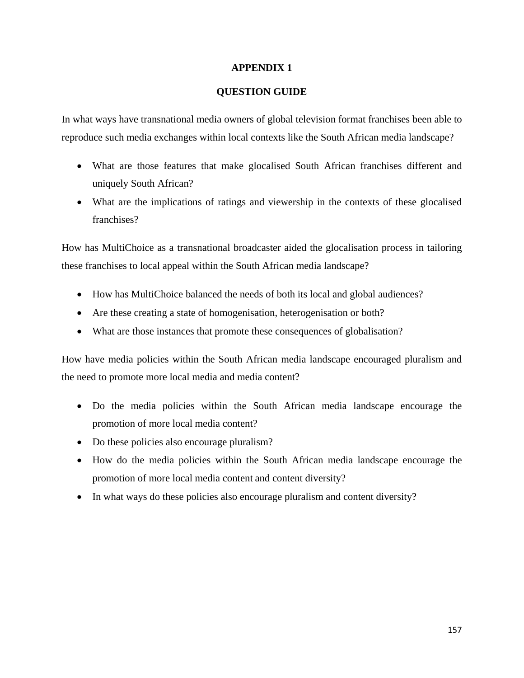# **APPENDIX 1**

# **QUESTION GUIDE**

In what ways have transnational media owners of global television format franchises been able to reproduce such media exchanges within local contexts like the South African media landscape?

- What are those features that make glocalised South African franchises different and uniquely South African?
- What are the implications of ratings and viewership in the contexts of these glocalised franchises?

How has MultiChoice as a transnational broadcaster aided the glocalisation process in tailoring these franchises to local appeal within the South African media landscape?

- How has MultiChoice balanced the needs of both its local and global audiences?
- Are these creating a state of homogenisation, heterogenisation or both?
- What are those instances that promote these consequences of globalisation?

How have media policies within the South African media landscape encouraged pluralism and the need to promote more local media and media content?

- Do the media policies within the South African media landscape encourage the promotion of more local media content?
- Do these policies also encourage pluralism?
- How do the media policies within the South African media landscape encourage the promotion of more local media content and content diversity?
- In what ways do these policies also encourage pluralism and content diversity?